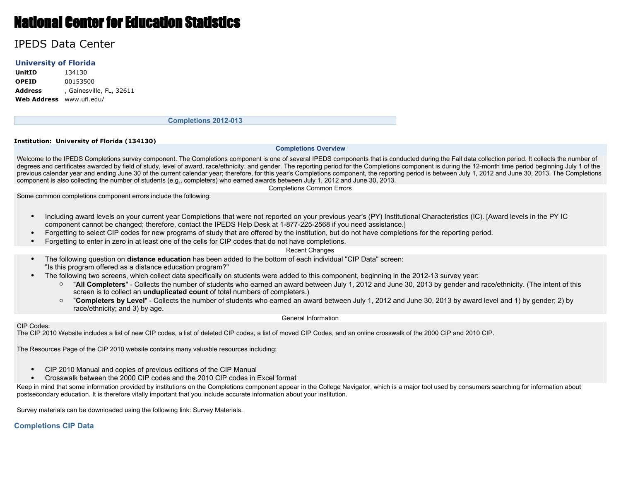# National Center for Education Statistics

# IPEDS Data Center

### **University of Florida**

**UnitID** 134130 **OPEID** 00153500 **Address** , Gainesville, FL, 32611 **Web Address** www.ufl.edu/

**Completions 2012-013**

#### **Institution: University of Florida (134130)**

#### **Completions Overview**

Welcome to the IPEDS Completions survey component. The Completions component is one of several IPEDS components that is conducted during the Fall data collection period. It collects the number of degrees and certificates awarded by field of study, level of award, race/ethnicity, and gender. The reporting period for the Completions component is during the 12-month time period beginning July 1 of the previous calendar year and ending June 30 of the current calendar year; therefore, for this year's Completions component, the reporting period is between July 1, 2012 and June 30, 2013. The Completions component is also collecting the number of students (e.g., completers) who earned awards between July 1, 2012 and June 30, 2013.

Completions Common Errors

Some common completions component errors include the following:

- Including award levels on your current year Completions that were not reported on your previous year's (PY) Institutional Characteristics (IC). [Award levels in the PY IC component cannot be changed; therefore, contact the IPEDS Help Desk at 1-877-225-2568 if you need assistance.]
- Forgetting to select CIP codes for new programs of study that are offered by the institution, but do not have completions for the reporting period.
- Forgetting to enter in zero in at least one of the cells for CIP codes that do not have completions.

#### Recent Changes

- The following question on **distance education** has been added to the bottom of each individual "CIP Data" screen: "Is this program offered as a distance education program?"
- The following two screens, which collect data specifically on students were added to this component, beginning in the 2012-13 survey year:
	- "**All Completers**" Collects the number of students who earned an award between July 1, 2012 and June 30, 2013 by gender and race/ethnicity. (The intent of this screen is to collect an **unduplicated count** of total numbers of completers.)
	- "**Completers by Level**" Collects the number of students who earned an award between July 1, 2012 and June 30, 2013 by award level and 1) by gender; 2) by race/ethnicity; and 3) by age.

#### General Information

#### CIP Codes:

The CIP 2010 Website includes a list of new CIP codes, a list of deleted CIP codes, a list of moved CIP Codes, and an online crosswalk of the 2000 CIP and 2010 CIP.

The Resources Page of the CIP 2010 website contains many valuable resources including:

- CIP 2010 Manual and copies of previous editions of the CIP Manual
- Crosswalk between the 2000 CIP codes and the 2010 CIP codes in Excel format

Keep in mind that some information provided by institutions on the Completions component appear in the College Navigator, which is a major tool used by consumers searching for information about postsecondary education. It is therefore vitally important that you include accurate information about your institution.

Survey materials can be downloaded using the following link: Survey Materials.

### **Completions CIP Data**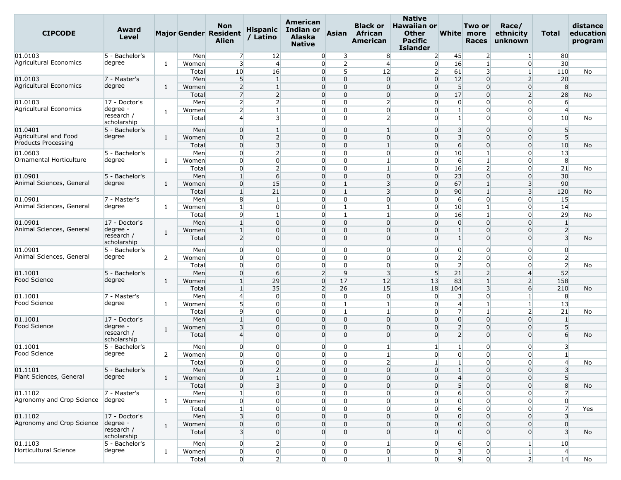| <b>CIPCODE</b>                    | Award<br>Level            |              |       | <b>Non</b><br><b>Major Gender Resident</b><br>Alien | <b>Hispanic</b><br>/ Latino | <b>American</b><br><b>Indian or</b><br><b>Alaska</b><br><b>Native</b> | <b>Asian</b>                     | <b>Black or</b><br>African<br>American | <b>Native</b><br><b>Hawaiian or</b><br><b>Other</b><br><b>Pacific</b><br><b>Islander</b> |                  | Two or<br>White more<br><b>Races</b> | Race/<br>ethnicity<br>unknown | Total                   | distance<br>education<br>program |
|-----------------------------------|---------------------------|--------------|-------|-----------------------------------------------------|-----------------------------|-----------------------------------------------------------------------|----------------------------------|----------------------------------------|------------------------------------------------------------------------------------------|------------------|--------------------------------------|-------------------------------|-------------------------|----------------------------------|
| 01.0103                           | 5 - Bachelor's            |              | Men   | 7                                                   | 12                          | $\overline{0}$                                                        | $\overline{3}$                   | 8                                      | $\overline{2}$                                                                           | 45               | $\overline{2}$                       | $\mathbf{1}$                  | 80                      |                                  |
| Agricultural Economics            | degree                    | 1            | Women | $\overline{\mathbf{3}}$                             | $\overline{4}$              | $\overline{0}$                                                        | $\overline{2}$                   | $\overline{4}$                         | $\overline{0}$                                                                           | 16               | $\overline{1}$                       | $\Omega$                      | 30                      |                                  |
|                                   |                           |              | Total | 10                                                  | 16                          | $\overline{0}$                                                        | 5 <sub>l</sub>                   | 12                                     | $\overline{2}$                                                                           | 61               | $\overline{\mathbf{3}}$              | 1                             | 110                     | No                               |
| 01.0103                           | 7 - Master's              |              | Men   | 5 <sup>1</sup>                                      | $\mathbf{1}$                | $\overline{0}$                                                        | $\overline{0}$                   | $\overline{0}$                         | $\overline{0}$                                                                           | 12               | $\overline{0}$                       | $\overline{2}$                | 20                      |                                  |
| Agricultural Economics            | degree                    | 1            | Women | $\overline{2}$                                      | $\mathbf{1}$                | $\overline{0}$                                                        | $\overline{0}$                   | $\Omega$                               | $\overline{0}$                                                                           | 5 <sub>5</sub>   | $\mathbf 0$                          | $\Omega$                      | 8                       |                                  |
|                                   |                           |              | Total | $\overline{7}$                                      | 2                           | $\overline{0}$                                                        | $\Omega$                         | $\overline{0}$                         | $\overline{0}$                                                                           | 17               | $\Omega$                             | 2                             | 28                      | No                               |
| 01.0103<br>Agricultural Economics | 17 - Doctor's             |              | Men   | $\overline{2}$                                      | $\overline{2}$              | $\Omega$                                                              | $\overline{0}$                   | $\overline{2}$                         | $\overline{0}$                                                                           | $\overline{0}$   | 0                                    | $\Omega$                      | 6                       |                                  |
|                                   | degree -<br>research /    | 1            | Women | $\overline{2}$                                      | $\mathbf{1}$                | $\overline{0}$                                                        | $\overline{0}$                   | $\overline{0}$                         | $\overline{0}$                                                                           | $\mathbf{1}$     | $\mathbf 0$                          | $\overline{0}$                | $\overline{4}$          |                                  |
|                                   | scholarship               |              | Total | $\overline{4}$                                      | 3                           | $\overline{0}$                                                        | $\overline{0}$                   | $\overline{2}$                         | $\overline{0}$                                                                           | 1 <sup>1</sup>   | $\Omega$                             | $\overline{0}$                | 10                      | No                               |
| 01.0401                           | 5 - Bachelor's            |              | Men   | $\overline{0}$                                      | $\mathbf{1}$                | $\overline{0}$                                                        | $\overline{0}$                   |                                        | $\overline{0}$                                                                           | 3                | $\mathbf 0$                          | $\Omega$                      | 5                       |                                  |
| Agricultural and Food             | degree                    | 1            | Women | $\overline{0}$                                      | $\overline{2}$              | $\Omega$                                                              | $\overline{0}$                   | $\overline{0}$                         | $\overline{0}$                                                                           | $\overline{3}$   | $\mathbf 0$                          | $\overline{0}$                | 5                       |                                  |
| Products Processing               |                           |              | Total | $\overline{0}$                                      | $\overline{3}$              | $\overline{0}$                                                        | $\Omega$                         | $\mathbf{1}$                           | $\overline{0}$                                                                           | $6\overline{6}$  | $\Omega$                             | $\overline{0}$                | 10                      | No                               |
| 01.0603                           | 5 - Bachelor's            |              | Men   | $\overline{0}$                                      | $\overline{2}$              | $\overline{0}$                                                        | $\overline{0}$                   | $\overline{0}$                         | $\overline{0}$                                                                           | 10               | $\mathbf{1}$                         | $\Omega$                      | 13                      |                                  |
| Ornamental Horticulture           | degree                    | 1            | Women | $\overline{0}$                                      | $\overline{0}$              | $\overline{0}$                                                        | $\overline{0}$                   |                                        | $\overline{0}$                                                                           | $6 \overline{}$  | $\mathbf{1}$                         | $\Omega$                      | 8                       |                                  |
|                                   |                           |              | Total | $\overline{0}$                                      | $\overline{2}$              | $\overline{0}$                                                        | $\overline{0}$                   | $\mathbf{1}$                           | $\overline{0}$                                                                           | 16               | $\overline{2}$                       | $\Omega$                      | 21                      | No                               |
| 01.0901                           | 5 - Bachelor's            |              | Men   | $\mathbf{1}$                                        | 6                           | $\overline{0}$                                                        | $\overline{0}$                   | $\overline{0}$                         | $\overline{0}$                                                                           | 23               | $\mathbf 0$                          | 0                             | 30                      |                                  |
| Animal Sciences, General          | degree                    | 1            | Women | $\overline{0}$                                      | 15                          | $\overline{0}$                                                        | $\mathbf{1}$                     | $\overline{3}$                         | $\overline{0}$                                                                           | 67               | $\mathbf{1}$                         | $\overline{\mathbf{3}}$       | 90                      |                                  |
|                                   |                           |              | Total | $\mathbf{1}$                                        | 21                          | $\Omega$                                                              | $\mathbf{1}$                     | $\overline{3}$                         | $\overline{0}$                                                                           | 90               |                                      | $\overline{\mathbf{3}}$       | 120                     | No                               |
| 01.0901                           | 7 - Master's              |              | Men   | 8                                                   | $\mathbf{1}$                | $\overline{0}$                                                        | $\overline{0}$                   | $\overline{0}$                         | $\overline{0}$                                                                           | 6                | $\mathbf 0$                          | $\overline{0}$                | 15                      |                                  |
| Animal Sciences, General          | degree                    | 1            | Women | $\mathbf{1}$                                        | $\overline{0}$              | $\overline{0}$                                                        | $\vert$ 1                        | $\mathbf{1}$                           | $\overline{0}$                                                                           | 10               | $\mathbf{1}$                         | $\overline{0}$                | 14                      |                                  |
|                                   |                           |              | Total | $\overline{9}$                                      | $\mathbf{1}$                | $\overline{0}$                                                        | $\mathbf{1}$                     |                                        | $\overline{0}$                                                                           | 16               |                                      | $\Omega$                      | 29                      | No                               |
| 01.0901                           | 17 - Doctor's             |              | Men   | $\mathbf{1}$                                        | $\overline{0}$              | $\overline{0}$                                                        | $\overline{0}$                   | $\overline{0}$                         | $\overline{0}$                                                                           | $\overline{0}$   | $\overline{0}$                       | $\Omega$                      | $\vert$ 1               |                                  |
| Animal Sciences, General          | degree<br>research /      | 1            | Women | $\mathbf{1}$                                        | $\Omega$                    | $\overline{0}$                                                        | $\Omega$                         | $\Omega$                               | $\overline{0}$                                                                           | $\mathbf{1}$     | $\Omega$                             | 0                             | $\overline{2}$          |                                  |
|                                   | scholarship               |              | Total | $\overline{2}$                                      | $\Omega$                    |                                                                       | $\overline{0}$<br>$\Omega$       | $\Omega$                               | $\overline{0}$                                                                           | $1\overline{ }$  | $\Omega$                             | $\overline{0}$                | 3                       | No                               |
| 01.0901                           | 5 - Bachelor's            |              | Men   | $\overline{0}$                                      | $\overline{0}$              | $\overline{0}$                                                        | $\overline{0}$                   | $\overline{0}$                         | $\overline{0}$                                                                           | $\overline{0}$   | $\overline{0}$                       | 0                             | $\overline{0}$          |                                  |
| Animal Sciences, General          | degree                    | 2            | Women | $\overline{0}$                                      | $\overline{0}$              | $\overline{0}$                                                        | $\overline{0}$                   | $\overline{0}$                         | $\overline{0}$                                                                           | $\overline{2}$   | 0                                    | $\Omega$                      | $\overline{2}$          |                                  |
|                                   |                           |              | Total | $\overline{0}$                                      | $\overline{0}$              | $\overline{0}$                                                        | $\overline{0}$                   | $\overline{0}$                         | $\overline{0}$                                                                           | $\overline{2}$   | $\mathbf 0$                          | $\Omega$                      | $\overline{2}$          | No                               |
| 01.1001                           | 5 - Bachelor's            |              | Men   | $\overline{0}$                                      | 6                           | 2                                                                     | $\overline{9}$                   | $\overline{3}$                         | 5 <sup>1</sup>                                                                           | 21               | $\overline{2}$                       | $\overline{\mathcal{L}}$      | 52                      |                                  |
| Food Science                      | degree                    | 1            | Women | 1                                                   | 29                          | $\overline{0}$                                                        | 17                               | 12                                     | 13                                                                                       | 83               |                                      | $\overline{2}$                | 158                     |                                  |
|                                   |                           |              | Total | $\mathbf{1}$                                        | 35                          | $\overline{2}$                                                        | 26                               | 15                                     | 18                                                                                       | 104              | 3                                    | $6 \mid$                      | 210                     | No                               |
| 01.1001                           | 7 - Master's              |              | Men   | $\overline{4}$                                      | $\overline{0}$              | $\overline{0}$                                                        | $\overline{0}$                   | $\overline{0}$                         | $\overline{0}$                                                                           | 3                | 0                                    | $\mathbf{1}$                  | 8                       |                                  |
| Food Science                      | degree                    | 1            | Women | 5 <sup>1</sup>                                      | $\overline{0}$              | $\overline{0}$                                                        | $\mathbf{1}$                     |                                        | $\overline{0}$                                                                           | $\overline{4}$   |                                      | $\mathbf{1}$                  | 13                      |                                  |
|                                   |                           |              | Total | 9                                                   | $\overline{0}$              | $\overline{0}$                                                        | $\vert$ 1                        | $\mathbf{1}$                           | $\overline{0}$                                                                           | $\overline{7}$   | $\mathbf{1}$                         | $\overline{2}$                | 21                      | No                               |
| 01.1001                           | 17 - Doctor's             |              | Men   | $\mathbf{1}$                                        | $\Omega$                    | $\overline{0}$                                                        | $\overline{0}$                   | $\Omega$                               | $\overline{0}$                                                                           | $\overline{0}$   | $\Omega$                             | $\Omega$                      | $\vert$ 1               |                                  |
| Food Science                      | degree ·                  | 1            | Women | $\overline{\mathbf{3}}$                             | $\Omega$                    | $\overline{0}$                                                        | $\overline{0}$                   | $\Omega$                               | $\overline{0}$                                                                           | $\overline{2}$   | $\mathbf 0$                          | $\Omega$                      | 5                       |                                  |
|                                   | research /<br>scholarship |              | Total | $\overline{4}$                                      | $\overline{0}$              | $\overline{0}$                                                        | $\overline{0}$                   | $\Omega$                               | $\overline{0}$                                                                           | $\overline{2}$   | $\Omega$                             | $\Omega$                      | $6 \overline{6}$        | No                               |
| 01.1001                           | 5 - Bachelor's            |              | Men   | $\overline{0}$                                      | $\overline{0}$              | $\Omega$                                                              | $\mathbf 0$                      |                                        | $\mathbf{1}$                                                                             | $\mathbf{1}$     | 0                                    | $\Omega$                      | 3                       |                                  |
| <b>Food Science</b>               | degree                    | 2            | Women | $\overline{0}$                                      | $\overline{0}$              | $\overline{0}$                                                        | $\overline{0}$                   | $\mathbf{1}$                           | $\overline{0}$                                                                           | $\overline{0}$   | $\overline{0}$                       | $\overline{0}$                | $1\overline{ }$         |                                  |
|                                   |                           |              | Total | $\overline{0}$                                      | $\overline{0}$              | $\overline{0}$                                                        | $\mathbf 0$                      | 2                                      | 1 <sup>1</sup>                                                                           | $\mathbf{1}$     | $\overline{0}$                       | $\overline{0}$                | 4                       | No                               |
| 01.1101                           | 5 - Bachelor's            |              | Men   | $\overline{0}$                                      | $\overline{2}$              | $\overline{0}$                                                        | $\overline{0}$                   | $\boldsymbol{0}$                       | $\overline{0}$                                                                           | $\mathbf{1}$     | $\overline{0}$                       | $\overline{0}$                | $\overline{\mathbf{3}}$ |                                  |
| Plant Sciences, General           | degree                    | 1            | Women | $\overline{0}$                                      | $\mathbf{1}$                | $\overline{0}$                                                        | $\overline{0}$                   | $\overline{0}$                         | $\overline{0}$                                                                           | $\overline{4}$   | $\overline{0}$                       | $\overline{0}$                | 5 <sup>5</sup>          |                                  |
|                                   |                           |              | Total | $\overline{0}$                                      | $\overline{3}$              | $\overline{0}$                                                        | $\overline{0}$                   | $\overline{0}$                         | $\overline{0}$                                                                           | 5 <sup>1</sup>   | $\overline{0}$                       | $\overline{0}$                | 8                       | No                               |
| 01.1102                           | 7 - Master's              |              | Men   | $\mathbf{1}$                                        | $\overline{0}$              | $\overline{0}$                                                        | $\overline{0}$                   | $\overline{0}$                         | $\overline{0}$                                                                           | $6 \overline{}$  | $\overline{0}$                       | $\overline{0}$                | $\overline{7}$          |                                  |
| Agronomy and Crop Science         | degree                    | 1            | Women | $\overline{0}$                                      | $\overline{0}$              | $\overline{0}$                                                        | $\overline{0}$                   | $\overline{0}$                         | $\overline{0}$                                                                           | $\overline{0}$   | $\overline{0}$                       | $\overline{0}$                | $\overline{0}$          |                                  |
|                                   |                           |              | Total | $\mathbf{1}$                                        | $\overline{0}$              | $\overline{0}$                                                        | $\overline{0}$                   | $\overline{0}$                         | $\overline{0}$                                                                           | $6 \overline{6}$ | $\overline{0}$                       | $\overline{0}$                | $\overline{7}$          | Yes                              |
| 01.1102                           | 17 - Doctor's             |              | Men   | 3 <sup>l</sup>                                      | $\overline{0}$              | $\overline{0}$                                                        | $\Omega$                         | $\overline{0}$                         | $\overline{0}$                                                                           | $\overline{0}$   | $\Omega$                             | $\Omega$                      | $\overline{3}$          |                                  |
| Agronomy and Crop Science         | degree -                  | 1            | Women | $\overline{0}$                                      | $\overline{0}$              | $\overline{0}$                                                        | $\overline{0}$                   | $\overline{0}$                         | $\overline{0}$                                                                           | $\overline{0}$   | $\overline{0}$                       | $\overline{0}$                | $\overline{0}$          |                                  |
|                                   | research /                |              | Total | $\overline{3}$                                      | $\overline{0}$              | $\overline{0}$                                                        | $\Omega$                         | $\overline{0}$                         | $\overline{0}$                                                                           | $\overline{0}$   | $\Omega$                             | $\overline{0}$                | $\overline{\mathbf{3}}$ | No                               |
|                                   | scholarship               |              |       |                                                     |                             |                                                                       |                                  |                                        |                                                                                          |                  |                                      |                               |                         |                                  |
| 01.1103<br>Horticultural Science  | 5 - Bachelor's            |              | Men   | $\overline{0}$                                      | 2                           | $\overline{0}$                                                        | $\overline{0}$                   | $\mathbf{1}$                           | $\overline{0}$                                                                           | $6 \overline{}$  | $\overline{0}$                       | $\mathbf{1}$                  | 10                      |                                  |
|                                   | degree                    | $\mathbf{1}$ | Women | $\overline{0}$                                      | $\overline{0}$              | $\overline{0}$                                                        | $\overline{0}$                   | $\overline{0}$                         | $\overline{0}$                                                                           | $\overline{3}$   | $\overline{0}$                       | 1 <sup>1</sup>                | $\overline{4}$          |                                  |
|                                   |                           |              | Total | $\overline{0}$                                      | 2                           |                                                                       | $\overline{0}$<br>$\overline{0}$ | 1 <sup>1</sup>                         | $\overline{0}$                                                                           | 9                | 0                                    | 2                             | 14                      | No                               |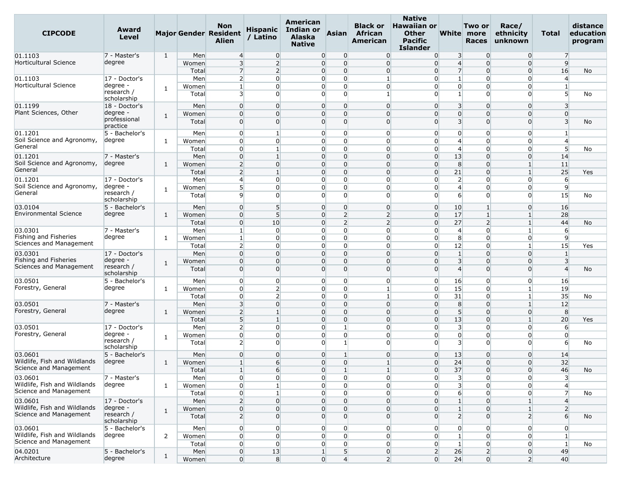| <b>CIPCODE</b>                        | Award<br>Level            |              |                | Non<br>Major Gender Resident<br><b>Alien</b> | <b>Hispanic</b><br>/ Latino    | American<br>Indian or<br><b>Alaska</b><br><b>Native</b> | <b>Asian</b>                  | <b>Black or</b><br>African<br>American | <b>Native</b><br><b>Hawaiian or</b><br><b>Other</b><br><b>Pacific</b><br>Islander |                                            | Two or<br><b>White</b> more<br><b>Races</b> | Race/<br>ethnicity<br>unknown | Total               | distance<br>education<br>program |
|---------------------------------------|---------------------------|--------------|----------------|----------------------------------------------|--------------------------------|---------------------------------------------------------|-------------------------------|----------------------------------------|-----------------------------------------------------------------------------------|--------------------------------------------|---------------------------------------------|-------------------------------|---------------------|----------------------------------|
| 01.1103                               | 7 - Master's              | 1            | Men            | $\overline{4}$                               | $\overline{0}$                 | $\overline{0}$                                          | $\overline{0}$                | $\overline{0}$                         | $\overline{0}$                                                                    | 3                                          | $\overline{0}$                              | $\overline{0}$                | 7                   |                                  |
| Horticultural Science                 | degree                    |              | Women          | $\overline{3}$                               | $\overline{2}$                 | $\overline{0}$                                          | $\Omega$                      | $\overline{0}$                         | $\overline{0}$                                                                    | $\overline{4}$                             | $\Omega$                                    | $\overline{0}$                | 9                   |                                  |
|                                       |                           |              | Total          | 7                                            | $\overline{2}$                 | $\overline{0}$                                          | $\Omega$                      | $\overline{0}$                         | $\overline{0}$                                                                    | $\overline{7}$                             | $\overline{0}$                              | $\overline{0}$                | 16                  | No                               |
| 01.1103                               | 17 - Doctor's             |              | Men            | $\overline{2}$                               | $\mathbf 0$                    | $\Omega$                                                | $\mathbf 0$                   |                                        | $\overline{0}$                                                                    | $\mathbf{1}$                               | $\Omega$                                    | 0                             | 4                   |                                  |
| <b>Horticultural Science</b>          | degree -<br>research /    | 1            | Women          | $\mathbf{1}$                                 | $\overline{0}$                 | $\overline{0}$                                          | $\overline{0}$                | $\overline{0}$                         | $\overline{0}$                                                                    | $\overline{0}$                             | $\Omega$                                    | $\overline{0}$                | $\mathbf{1}$        |                                  |
|                                       | scholarship               |              | Total          | 3                                            | $\overline{0}$                 | $\overline{0}$                                          | $\Omega$                      | $\mathbf{1}$                           | $\overline{0}$                                                                    | $1\overline{ }$                            | $\Omega$                                    | $\overline{0}$                | 5 <sup>1</sup>      | No                               |
| 01.1199                               | 18 - Doctor's             |              | Men            | $\overline{0}$                               | $\Omega$                       | $\overline{0}$                                          | $\overline{0}$                | $\Omega$                               | $\overline{0}$                                                                    | 3                                          | $\Omega$                                    | $\Omega$                      | 3                   |                                  |
| Plant Sciences, Other                 | degree -                  | 1            | Women          | $\overline{0}$                               | $\Omega$                       | $\Omega$                                                | $\Omega$                      | $\overline{0}$                         | $\overline{0}$                                                                    | $\overline{0}$                             | $\Omega$                                    | $\overline{0}$                | $\Omega$            |                                  |
|                                       | professional              |              | Total          | $\overline{0}$                               | $\Omega$                       | $\overline{0}$                                          | $\Omega$                      | $\Omega$                               | $\overline{0}$                                                                    | $\overline{\mathbf{3}}$                    | $\Omega$                                    | $\Omega$                      | 3                   | No                               |
|                                       | practice                  |              |                |                                              |                                |                                                         |                               |                                        |                                                                                   |                                            |                                             |                               |                     |                                  |
| 01.1201<br>Soil Science and Agronomy, | 5 - Bachelor's<br>degree  |              | Men            | $\overline{0}$                               | $\mathbf{1}$                   | $\overline{0}$                                          | $\overline{0}$                | $\overline{0}$<br>$\Omega$             | $\overline{0}$                                                                    | $\overline{0}$                             | $\overline{0}$                              | $\overline{0}$                | 1                   |                                  |
| General                               |                           | 1            | Women<br>Total | $\overline{0}$<br>$\overline{0}$             | $\overline{0}$<br>$\mathbf{1}$ | $\overline{0}$<br>$\overline{0}$                        | $\overline{0}$<br>$\mathbf 0$ | $\overline{0}$                         | $\overline{0}$<br>$\overline{0}$                                                  | $\overline{4}$<br>$\overline{4}$           | $\overline{0}$<br>$\overline{0}$            | $\overline{0}$<br>$\Omega$    | 4<br>5              |                                  |
| 01.1201                               | 7 - Master's              |              | Men            | $\overline{0}$                               | $\mathbf{1}$                   | $\overline{0}$                                          | $\overline{0}$                | $\overline{0}$                         | $\overline{0}$                                                                    | 13                                         | $\overline{0}$                              | $\overline{0}$                | 14                  | No                               |
| Soil Science and Agronomy,            | degree                    | 1            | Women          | $\overline{2}$                               | $\Omega$                       | $\overline{0}$                                          | $\Omega$                      | $\Omega$                               | $\overline{0}$                                                                    | 8                                          | $\Omega$                                    | $\mathbf{1}$                  | 11                  |                                  |
| General                               |                           |              | Total          | $\overline{2}$                               | $\mathbf{1}$                   | $\overline{0}$                                          | $\overline{0}$                | $\Omega$                               | $\overline{0}$                                                                    | 21                                         | $\Omega$                                    | 1 <sup>1</sup>                | 25                  | Yes                              |
| 01.1201                               | 17 - Doctor's             |              | Men            | $\overline{4}$                               | $\overline{0}$                 | $\Omega$                                                | $\overline{0}$                | $\overline{0}$                         | $\overline{0}$                                                                    | $\overline{2}$                             | $\overline{0}$                              | $\overline{0}$                | 6                   |                                  |
| Soil Science and Agronomy,            | degree ·                  |              | Women          | 5 <sup>1</sup>                               | $\Omega$                       | $\overline{0}$                                          | $\Omega$                      | $\overline{0}$                         | $\overline{0}$                                                                    | $\overline{4}$                             | $\Omega$                                    | $\overline{0}$                | 9                   |                                  |
| General                               | research /                | 1            | Total          | 9                                            | $\Omega$                       | $\Omega$                                                | $\overline{0}$                | $\Omega$                               | $\Omega$                                                                          | 6                                          | $\Omega$                                    | 0                             | 15                  | No                               |
|                                       | scholarship               |              |                |                                              |                                |                                                         |                               |                                        |                                                                                   |                                            |                                             |                               |                     |                                  |
| 03.0104                               | 5 - Bachelor's            |              | Men            | $\overline{0}$                               | 5 <sup>5</sup>                 | $\overline{0}$                                          | $\overline{0}$                | $\overline{0}$                         | $\overline{0}$                                                                    | 10                                         | $\mathbf{1}$                                | $\overline{0}$                | 16                  |                                  |
| <b>Environmental Science</b>          | degree                    | 1            | Women          | $\overline{0}$                               | 5                              | $\Omega$                                                | $\overline{2}$                | $\overline{2}$                         | $\overline{0}$                                                                    | 17                                         |                                             | $\mathbf{1}$                  | 28                  |                                  |
|                                       |                           |              | Total          | $\overline{0}$                               | 10                             | $\overline{0}$                                          | $\overline{2}$                | $\overline{2}$                         | $\overline{0}$                                                                    | 27                                         | $\overline{2}$                              | 1 <sup>1</sup>                | 44                  | No                               |
| 03.0301<br>Fishing and Fisheries      | 7 - Master's              |              | Men            | $\mathbf{1}$                                 | $\overline{0}$                 | $\overline{0}$                                          | $\Omega$                      | $\overline{0}$                         | $\overline{0}$                                                                    | $\overline{4}$                             | $\Omega$                                    | $\mathbf{1}$                  | 6                   |                                  |
| Sciences and Management               | degree                    | 1            | Women          | $\mathbf{1}$                                 | $\Omega$                       | $\overline{0}$                                          | $\Omega$                      | $\overline{0}$                         | $\overline{0}$                                                                    | 8                                          | $\Omega$                                    | $\overline{0}$                | 9                   |                                  |
|                                       |                           |              | Total          | $\overline{2}$<br>$\overline{0}$             | $\overline{0}$<br>$\Omega$     | $\overline{0}$                                          | $\overline{0}$<br>$\Omega$    | $\overline{0}$<br>$\Omega$             | $\overline{0}$<br>$\overline{0}$                                                  | 12                                         | $\overline{0}$<br>$\Omega$                  | $1 \vert$                     | 15                  | Yes                              |
| 03.0301<br>Fishing and Fisheries      | 17 - Doctor's<br>degree - |              | Men            | $\overline{0}$                               | $\overline{0}$                 | $\overline{0}$<br>$\overline{0}$                        | $\Omega$                      | $\Omega$                               | $\overline{0}$                                                                    | $1\overline{ }$<br>$\overline{\mathbf{3}}$ | $\Omega$                                    | $\overline{0}$<br>$\Omega$    | 1<br>$\overline{3}$ |                                  |
| Sciences and Management               | research /<br>scholarship | 1            | Women<br>Total | $\overline{0}$                               | $\overline{0}$                 | $\Omega$                                                | $\overline{0}$                | $\Omega$                               | $\overline{0}$                                                                    | $\overline{4}$                             | $\Omega$                                    | $\Omega$                      | $\overline{4}$      | No                               |
| 03.0501                               | 5 - Bachelor's            |              | Men            | $\overline{0}$                               | $\overline{0}$                 | $\overline{0}$                                          | $\overline{0}$                | $\overline{0}$                         | $\overline{0}$                                                                    | 16                                         | $\overline{0}$                              | $\overline{0}$                | 16                  |                                  |
| Forestry, General                     | degree                    | 1            | Women          | $\overline{0}$                               | $\overline{2}$                 | $\overline{0}$                                          | $\overline{0}$                | $\mathbf{1}$                           | $\overline{0}$                                                                    | 15                                         | $\Omega$                                    | $1 \vert$                     | 19                  |                                  |
|                                       |                           |              | Total          | $\overline{0}$                               | $\overline{2}$                 | $\overline{0}$                                          | $\overline{0}$                | $\mathbf{1}$                           | $\overline{0}$                                                                    | 31                                         | $\overline{0}$                              | 1 <sup>1</sup>                | 35                  | No                               |
| 03.0501                               | 7 - Master's              |              | Men            | 3                                            | $\Omega$                       | $\overline{0}$                                          | $\Omega$                      | $\Omega$                               | $\overline{0}$                                                                    | 8                                          | $\Omega$                                    | 1                             | 12                  |                                  |
| Forestry, General                     | degree                    | 1            | Women          | $\overline{2}$                               | $\mathbf{1}$                   | $\overline{0}$                                          | $\overline{0}$                | $\overline{0}$                         | $\overline{0}$                                                                    | 5 <sup>5</sup>                             | $\Omega$                                    | $\overline{0}$                | 8                   |                                  |
|                                       |                           |              | Total          | 5 <sup>1</sup>                               | $\mathbf{1}$                   | $\overline{0}$                                          | $\overline{0}$                | $\Omega$                               | $\overline{0}$                                                                    | 13                                         | $\Omega$                                    | $\mathbf{1}$                  | 20                  | Yes                              |
| 03.0501                               | 17 - Doctor's             |              | Men            | $\overline{2}$                               | $\overline{0}$                 | $\overline{0}$                                          | $\mathbf{1}$                  | $\Omega$                               | $\overline{0}$                                                                    | $\overline{\mathbf{3}}$                    | $\Omega$                                    | $\overline{0}$                | 6                   |                                  |
| Forestry, General                     | degree -                  | 1            | Women          | $\overline{0}$                               | $\overline{0}$                 | $\Omega$                                                | $\overline{0}$                | $\overline{0}$                         | $\overline{0}$                                                                    | $\overline{0}$                             | $\overline{0}$                              | $\overline{0}$                | $\overline{0}$      |                                  |
|                                       | research /<br>scholarship |              | Total          | $\overline{2}$                               | $\overline{0}$                 | $\overline{0}$                                          | $\mathbf{1}$                  | $\Omega$                               | $\Omega$                                                                          | $\overline{3}$                             | $\Omega$                                    | $\overline{0}$                | $6 \overline{6}$    | No                               |
| 03.0601                               | 5 - Bachelor's            |              | Men            | $\overline{0}$                               | $\overline{0}$                 | $\overline{0}$                                          | 1                             | $\overline{0}$                         | $\overline{0}$                                                                    | 13                                         | $\overline{0}$                              | $\overline{0}$                | 14                  |                                  |
| Wildlife, Fish and Wildlands          | degree                    | 1            | Women          | $\mathbf{1}$                                 | $6 \overline{6}$               |                                                         | $\overline{0}$<br>$\Omega$    | 1                                      | $\overline{0}$                                                                    | 24                                         | $\Omega$                                    | $\Omega$                      | 32                  |                                  |
| Science and Management                |                           |              | Total          | $\mathbf{1}$                                 | 6                              | $\overline{0}$                                          | $\vert$ 1                     | $\mathbf{1}$                           | $\overline{0}$                                                                    | 37                                         | $\overline{0}$                              | $\overline{0}$                | 46                  | No                               |
| 03.0601                               | 7 - Master's              |              | Men            | $\overline{0}$                               | $\overline{0}$                 | $\overline{0}$                                          | $\overline{0}$                | $\overline{0}$                         | $\overline{0}$                                                                    | $\overline{\mathbf{3}}$                    | $\overline{0}$                              | $\overline{0}$                | 3 <sup>1</sup>      |                                  |
| Wildlife, Fish and Wildlands          | degree                    | $\mathbf{1}$ | Women          | $\overline{0}$                               | $\mathbf{1}$                   | $\overline{0}$                                          | $\overline{0}$                | $\overline{0}$                         | $\overline{0}$                                                                    | $\overline{3}$                             | $\Omega$                                    | $\overline{0}$                | $\overline{4}$      |                                  |
| Science and Management                |                           |              | Total          | $\overline{0}$                               | $\mathbf{1}$                   | $\overline{0}$                                          | $\overline{0}$                | $\overline{0}$                         | $\overline{0}$                                                                    | $6 \overline{6}$                           | $\Omega$                                    | $\overline{0}$                | 7                   | No                               |
| 03.0601                               | 17 - Doctor's             |              | Men            | $\overline{2}$                               | $\overline{0}$                 | $\overline{0}$                                          | $\overline{0}$                | $\overline{0}$                         | $\overline{0}$                                                                    | $1\overline{ }$                            | $\overline{0}$                              | $1\overline{ }$               | $\overline{4}$      |                                  |
| Wildlife, Fish and Wildlands          | degree -                  | 1            | Women          | $\overline{0}$                               | $\overline{0}$                 | $\overline{0}$                                          | $\overline{0}$                | $\overline{0}$                         | $\overline{0}$                                                                    | $1\overline{ }$                            | $\Omega$                                    | $1\vert$                      | $\overline{2}$      |                                  |
| Science and Management                | research /<br>scholarship |              | Total          | 2 <sup>1</sup>                               | $\overline{0}$                 | $\overline{0}$                                          | $\Omega$                      | $\overline{0}$                         | $\overline{0}$                                                                    | $\overline{2}$                             | $\Omega$                                    | $\overline{2}$                | $6 \overline{6}$    | No                               |
| 03.0601                               | $5 - Bachelor's$          |              | Men            | $\overline{0}$                               | $\overline{0}$                 | $\overline{0}$                                          | $\overline{0}$                | $\overline{0}$                         | $\overline{0}$                                                                    | $\overline{0}$                             | $\overline{0}$                              | $\overline{0}$                | $\overline{0}$      |                                  |
| Wildlife, Fish and Wildlands          | degree                    | 2            | Women          | $\overline{0}$                               | $\overline{0}$                 | $\overline{0}$                                          | $\overline{0}$                | $\overline{0}$                         | $\overline{0}$                                                                    | $\mathbf{1}$                               | $\overline{0}$                              | $\overline{0}$                | $\mathbf{1}$        |                                  |
| Science and Management                |                           |              | Total          | $\overline{0}$                               | $\overline{0}$                 | $\overline{0}$                                          | $\overline{0}$                | $\overline{0}$                         | $\overline{0}$                                                                    | 1 <sup>1</sup>                             | $\overline{0}$                              | $\overline{0}$                | $\mathbf{1}$        | No                               |
| 04.0201                               | 5 - Bachelor's            | $\mathbf{1}$ | Men            | $\overline{0}$                               | 13                             | $\mathbf{1}$                                            | 5                             | $\overline{0}$                         | $\overline{2}$                                                                    | 26                                         | $\overline{2}$                              | $\overline{0}$                | 49                  |                                  |
| Architecture                          | degree                    |              | Women          | $\overline{0}$                               | 8 <sup>1</sup>                 | $\overline{0}$                                          | $\overline{4}$                | $\overline{2}$                         | $\overline{0}$                                                                    | 24                                         | $\overline{0}$                              | 2 <sup>1</sup>                | 40                  |                                  |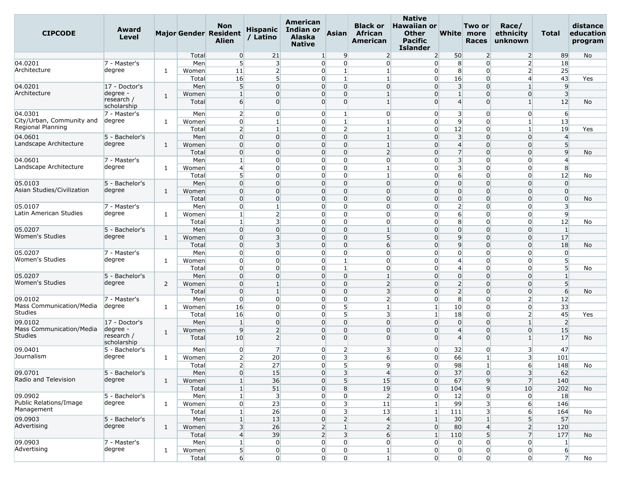| <b>CIPCODE</b>                      | Award<br>Level            |              |       | <b>Non</b><br><b>Major Gender Resident</b><br>Alien | <b>Hispanic</b><br>/ Latino | American<br>Indian or<br>Alaska<br><b>Native</b> | <b>Asian</b>                              | <b>Black or</b><br>African<br>American | <b>Native</b><br><b>Hawaiian or</b><br><b>Other</b><br><b>Pacific</b><br><b>Islander</b> |                                  | Two or<br>White more<br><b>Races</b> | Race/<br>ethnicity<br>unknown | Total                   | distance<br>education<br>program |
|-------------------------------------|---------------------------|--------------|-------|-----------------------------------------------------|-----------------------------|--------------------------------------------------|-------------------------------------------|----------------------------------------|------------------------------------------------------------------------------------------|----------------------------------|--------------------------------------|-------------------------------|-------------------------|----------------------------------|
|                                     |                           |              | Total | $\overline{0}$                                      | 21                          | 1 <sup>1</sup>                                   | $\overline{9}$                            | $\overline{2}$                         | $\overline{2}$                                                                           | 50                               | $\overline{2}$                       | $\overline{2}$                | 89                      | No                               |
| 04.0201                             | 7 - Master's              |              | Men   | 5 <sup>1</sup>                                      | $\overline{3}$              |                                                  | $\overline{0}$<br>$\Omega$                | $\overline{0}$                         | $\overline{0}$                                                                           | 8                                | $\Omega$                             | 2 <sup>1</sup>                | 18                      |                                  |
| Architecture                        | degree                    | 1            | Women | 11                                                  | $\overline{2}$              |                                                  | $\overline{0}$<br>$\mathbf{1}$            | $\mathbf{1}$                           | $\overline{0}$                                                                           | 8                                | $\overline{0}$                       | $\overline{2}$                | 25                      |                                  |
|                                     |                           |              | Total | 16                                                  | 5                           | $\overline{0}$                                   | $\mathbf{1}$                              | 1                                      | $\overline{0}$                                                                           | 16                               | $\Omega$                             | $\overline{4}$                | 43                      | Yes                              |
| 04.0201                             | 17 - Doctor's             |              | Men   | $5\overline{)}$                                     | $\overline{0}$              |                                                  | $\overline{0}$<br>$\overline{0}$          | $\overline{0}$                         | $\overline{0}$                                                                           | $\overline{\mathbf{3}}$          | $\mathbf 0$                          | $\mathbf{1}$                  | 9                       |                                  |
| Architecture                        | degree -<br>research /    | $\mathbf{1}$ | Women | $\mathbf{1}$                                        | $\overline{0}$              |                                                  | $\overline{0}$<br>0                       | $\mathbf{1}$                           | $\Omega$                                                                                 | $\mathbf{1}$                     | $\Omega$                             | $\overline{0}$                | $\overline{3}$          |                                  |
|                                     | scholarship               |              | Total | $6 \overline{}$                                     | $\Omega$                    |                                                  | $\overline{0}$<br>$\Omega$                | $\mathbf{1}$                           | $\Omega$                                                                                 | $\overline{4}$                   | $\Omega$                             | 1                             | 12                      | No                               |
| 04.0301                             | 7 - Master's              |              | Men   | $\overline{2}$                                      | $\overline{0}$              |                                                  | 0<br>1                                    | $\overline{0}$                         | $\overline{0}$                                                                           | $\overline{\mathbf{3}}$          | $\Omega$                             | $\overline{0}$                | 6                       |                                  |
| City/Urban, Community and           | degree                    | 1            | Women | $\overline{0}$                                      | 1                           |                                                  | $\overline{0}$<br>$\mathbf{1}$            | $\mathbf{1}$                           | $\overline{0}$                                                                           | 9                                | $\Omega$                             | $\mathbf{1}$                  | 13                      |                                  |
| Regional Planning                   |                           |              | Total | $\overline{2}$                                      | $\mathbf{1}$                |                                                  | $\overline{2}$<br>$\overline{0}$          | $\mathbf{1}$                           | $\overline{0}$                                                                           | 12                               | $\Omega$                             | $\mathbf{1}$                  | 19                      | Yes                              |
| 04.0601                             | 5 - Bachelor's            |              | Men   | $\overline{0}$                                      | $\overline{0}$              |                                                  | $\overline{0}$<br>$\overline{0}$          | $\mathbf{1}$                           | $\overline{0}$                                                                           | $\overline{\mathbf{3}}$          | $\Omega$                             | $\overline{0}$                | $\overline{4}$          |                                  |
| Landscape Architecture              | degree                    | 1            | Women | $\overline{0}$                                      | $\overline{0}$              |                                                  | $\overline{0}$<br>0                       | $\mathbf{1}$                           | $\overline{0}$                                                                           | $\overline{4}$                   | $\Omega$                             | $\overline{0}$                | 5                       |                                  |
|                                     |                           |              | Total | $\overline{0}$                                      | $\overline{0}$              |                                                  | $\overline{0}$<br>$\overline{0}$          | $\overline{2}$                         | $\overline{0}$                                                                           | $\overline{7}$                   | $\mathbf 0$                          | $\overline{0}$                | $\overline{9}$          | No                               |
| 04.0601                             | 7 - Master's              |              | Men   | $\mathbf{1}$                                        | $\overline{0}$              |                                                  | $\overline{0}$<br>$\overline{0}$          | $\overline{0}$                         | $\overline{0}$                                                                           | $\overline{\mathbf{3}}$          | $\overline{0}$                       | $\overline{0}$                | $\overline{4}$          |                                  |
| Landscape Architecture              | degree                    | 1            | Women | $\overline{4}$                                      | $\overline{0}$              |                                                  | 0<br>0                                    | 1                                      | $\Omega$                                                                                 | $\overline{\mathbf{3}}$          | $\Omega$                             | $\Omega$                      | 8                       |                                  |
|                                     |                           |              | Total | $5\overline{)}$                                     | $\overline{0}$              |                                                  | $\overline{0}$<br>$\overline{0}$          | $\mathbf{1}$                           | $\overline{0}$                                                                           | $6 \overline{}$                  | $\overline{0}$                       | $\overline{0}$                | 12                      | No                               |
| 05.0103                             | 5 - Bachelor's            |              | Men   | $\overline{0}$                                      | $\Omega$                    |                                                  | $\overline{0}$<br>$\Omega$                | $\Omega$                               | $\Omega$                                                                                 | $\overline{0}$                   | $\Omega$                             | $\overline{0}$                | $\overline{0}$          |                                  |
| Asian Studies/Civilization          | degree                    | 1            | Women | $\overline{0}$                                      | $\Omega$                    |                                                  | 0<br>0                                    | $\Omega$                               | $\Omega$                                                                                 | $\overline{0}$                   | $\Omega$                             | $\Omega$                      | $\Omega$                |                                  |
|                                     |                           |              | Total | $\overline{0}$                                      | $\overline{0}$              |                                                  | $\overline{0}$<br>$\overline{0}$          | $\overline{0}$                         | $\overline{0}$                                                                           | $\overline{0}$                   | $\mathbf 0$                          | $\overline{0}$                | $\overline{0}$          | No                               |
| 05.0107                             | 7 - Master's              |              | Men   | $\overline{0}$                                      | $\mathbf{1}$                |                                                  | $\overline{0}$<br>$\overline{0}$          | $\overline{0}$                         | $\overline{0}$                                                                           | $\overline{2}$                   | $\Omega$                             | $\overline{0}$                | $\overline{\mathbf{3}}$ |                                  |
| Latin American Studies              | degree                    | 1            | Women | $\mathbf{1}$                                        | $\overline{2}$              |                                                  | $\Omega$<br>$\overline{0}$                | $\Omega$                               | $\overline{0}$                                                                           | 6                                | $\Omega$                             | $\Omega$                      | $\overline{9}$          |                                  |
|                                     |                           |              | Total | 1                                                   | 3 <sup>l</sup>              |                                                  | 0<br>$\overline{0}$                       | $\overline{0}$                         | $\overline{0}$                                                                           | 8                                | 0                                    | $\overline{0}$                | 12                      | No                               |
| 05.0207<br><b>Women's Studies</b>   | 5 - Bachelor's            |              | Men   | $\overline{0}$                                      | $\Omega$                    |                                                  | $\overline{0}$<br>$\overline{0}$          | $\mathbf{1}$                           | $\overline{0}$                                                                           | $\overline{0}$                   | $\Omega$                             | $\overline{0}$                | $\mathbf{1}$            |                                  |
|                                     | degree                    | 1            | Women | $\overline{0}$                                      | $\overline{3}$              |                                                  | 0<br>$\overline{0}$                       | $5\overline{)}$                        | $\overline{0}$                                                                           | 9                                | $\Omega$                             | $\overline{0}$                | 17                      |                                  |
|                                     |                           |              | Total | $\overline{0}$                                      | 3                           |                                                  | 0<br>0                                    | 6                                      | $\Omega$                                                                                 | $\overline{9}$                   | $\Omega$                             | $\overline{0}$                | 18                      | No                               |
| 05.0207                             | 7 - Master's              |              | Men   | $\overline{0}$                                      | $\overline{0}$              |                                                  | $\overline{0}$<br>$\overline{0}$          | $\Omega$                               | $\overline{0}$                                                                           | $\overline{0}$                   | $\Omega$                             | $\Omega$                      | $\overline{0}$          |                                  |
| Women's Studies                     | degree                    | 1            | Women | $\overline{0}$                                      | $\overline{0}$              |                                                  | $\overline{0}$<br>$\vert$ 1               | $\overline{0}$                         | $\overline{0}$                                                                           | $\overline{4}$                   | $\Omega$                             | $\overline{0}$                | 5                       |                                  |
|                                     |                           |              | Total | $\overline{0}$                                      | $\overline{0}$              |                                                  | 0<br>$\mathbf{1}$                         | $\overline{0}$                         | $\overline{0}$                                                                           | $\overline{4}$                   | $\Omega$                             | $\Omega$                      | 5                       | No                               |
| 05.0207<br>Women's Studies          | 5 - Bachelor's            |              | Men   | $\overline{0}$                                      | $\overline{0}$              |                                                  | 0<br>$\overline{0}$                       | $\mathbf{1}$                           | $\Omega$                                                                                 | $\overline{0}$                   | $\Omega$                             | $\Omega$                      |                         |                                  |
|                                     | degree                    | 2            | Women | $\overline{0}$                                      | $\mathbf{1}$                |                                                  | $\overline{0}$<br>$\overline{0}$          | $\overline{2}$                         | $\overline{0}$                                                                           | $\overline{2}$                   | $\mathbf 0$                          | $\overline{0}$                | 5 <sup>5</sup>          |                                  |
|                                     |                           |              | Total | $\overline{0}$                                      | $\mathbf{1}$                |                                                  | $\overline{0}$<br>$\Omega$                | $\overline{3}$                         | $\overline{0}$                                                                           | $\overline{2}$                   | $\Omega$                             | $\overline{0}$                | 6                       | No                               |
| 09.0102<br>Mass Communication/Media | 7 - Master's              |              | Men   | $\overline{0}$                                      | $\overline{0}$              |                                                  | $\overline{0}$<br>$\overline{0}$          | $\overline{2}$                         | $\overline{0}$                                                                           | 8                                | $\Omega$                             | $\overline{2}$                | 12                      |                                  |
| <b>Studies</b>                      | degree                    | 1            | Women | 16                                                  | $\overline{0}$              |                                                  | $\overline{0}$<br>5 <sup>1</sup>          | $\mathbf{1}$                           | $\mathbf{1}$                                                                             | 10                               | 0                                    | $\overline{0}$                | 33                      |                                  |
|                                     |                           |              | Total | 16                                                  | $\overline{0}$              |                                                  | 5 <sup>1</sup><br>$\overline{0}$          | $\overline{3}$                         | $\mathbf{1}$                                                                             | 18                               | $\Omega$                             | $\overline{2}$                | 45                      | Yes                              |
| 09.0102<br>Mass Communication/Media | 17 - Doctor's<br>degree - |              | Men   | 1                                                   | $\overline{0}$              |                                                  | 0<br>0                                    | $\Omega$                               | $\overline{0}$                                                                           | $\overline{0}$                   | $\Omega$                             | $\mathbf{1}$                  | $\overline{2}$          |                                  |
| <b>Studies</b>                      | research /                | 1            | Women | 9                                                   | $\overline{2}$              |                                                  | 0<br>0                                    | $\overline{0}$<br>$\Omega$             | $\Omega$<br>$\Omega$                                                                     | $\overline{4}$<br>$\overline{4}$ | $\Omega$                             | $\overline{0}$                | 15                      |                                  |
|                                     | scholarship               |              | Total | 10                                                  | $\overline{2}$              |                                                  | $\overline{0}$<br>0                       |                                        |                                                                                          |                                  | $\Omega$                             | 1                             | 17                      | No                               |
| 09.0401                             | 5 - Bachelor's            |              | Men   | $\overline{0}$                                      | $\overline{7}$              |                                                  | $\overline{0}$<br>2                       | 3                                      | $\overline{0}$                                                                           | 32                               | 0                                    | 3                             | 47                      |                                  |
| Journalism                          | degree                    | 1            | Women | $\overline{2}$                                      | 20                          |                                                  | $\overline{0}$<br>3                       | $6 \overline{}$                        | $\overline{0}$                                                                           | 66                               | $\mathbf{1}$                         | $\overline{\mathbf{3}}$       | 101                     |                                  |
|                                     |                           |              | Total | $\overline{2}$                                      | 27                          |                                                  | O.<br>5                                   | $\mathsf{q}$                           | $\Omega$                                                                                 | 98                               |                                      | $6 \mid$                      | 148                     | No                               |
| 09.0701                             | 5 - Bachelor's            |              | Men   | $\overline{0}$                                      | 15                          |                                                  | $\overline{\mathbf{3}}$<br>$\overline{0}$ | $\overline{4}$                         | $\overline{0}$                                                                           | 37                               | $\overline{0}$                       | 3 <sup>1</sup>                | 62                      |                                  |
| Radio and Television                | degree                    | $\mathbf{1}$ | Women | $\mathbf{1}$                                        | 36                          |                                                  | 5 <sup>1</sup><br>$\overline{0}$          | 15                                     | $\overline{0}$                                                                           | 67                               | $\overline{9}$                       | 7 <sup>1</sup>                | 140                     |                                  |
|                                     |                           |              | Total | $\mathbf{1}$                                        | 51                          |                                                  | 0<br>8                                    | 19                                     | $\overline{0}$                                                                           | 104                              | 9                                    | 10                            | 202                     | No                               |
| 09.0902                             | 5 - Bachelor's            |              | Men   | 1                                                   | $\overline{\mathbf{3}}$     |                                                  | $\overline{0}$<br>$\overline{0}$          | 2                                      | $\overline{0}$                                                                           | 12                               | $\overline{0}$                       | $\overline{0}$                | 18                      |                                  |
| Public Relations/Image              | degree                    | $\mathbf{1}$ | Women | $\overline{0}$                                      | 23                          |                                                  | $\overline{0}$<br>$\overline{\mathbf{3}}$ | 11                                     | $\mathbf{1}$                                                                             | 99                               | $\overline{\mathbf{3}}$              | 6 <sup>1</sup>                | 146                     |                                  |
| Management                          |                           |              | Total | $\mathbf{1}$                                        | 26                          |                                                  | $\overline{0}$<br>3                       | 13                                     | $\mathbf{1}$                                                                             | 111                              | 3                                    | $6 \overline{}$               | 164                     | No                               |
| 09.0903                             | 5 - Bachelor's            |              | Men   | $\mathbf{1}$                                        | 13                          |                                                  | $\overline{0}$<br>$\overline{2}$          | $\overline{4}$                         | $\mathbf{1}$                                                                             | 30 <sup>°</sup>                  |                                      | 5                             | 57                      |                                  |
| Advertising                         | degree                    | 1            | Women | $\overline{\mathbf{3}}$                             | 26                          |                                                  | $\overline{2}$<br>$\mathbf{1}$            | $\overline{2}$                         | $\overline{0}$                                                                           | 80                               | 4                                    | $\overline{2}$                | 120                     |                                  |
|                                     |                           |              | Total | $\overline{4}$                                      | 39                          |                                                  | 2<br>$\overline{3}$                       | $6 \overline{6}$                       | $\mathbf{1}$                                                                             | 110                              | 5                                    | $\overline{7}$                | 177                     | No                               |
| 09.0903                             | 7 - Master's              |              | Men   | $\mathbf{1}$                                        | $\overline{0}$              |                                                  | $\overline{0}$<br>$\overline{0}$          | $\overline{0}$                         | $\overline{0}$                                                                           | $\overline{0}$                   | $\overline{0}$                       | $\overline{0}$                | $\mathbf{1}$            |                                  |
| Advertising                         | degree                    | $\mathbf{1}$ | Women | $\overline{5}$                                      | $\overline{0}$              |                                                  | $\overline{0}$<br>$\overline{0}$          | $\mathbf{1}$                           | $\overline{0}$                                                                           | $\overline{0}$                   | $\overline{0}$                       | $\overline{0}$                | $6 \overline{6}$        |                                  |
|                                     |                           |              | Total | $6 \overline{6}$                                    | $\overline{0}$              |                                                  | $\overline{0}$<br>$\overline{0}$          | $\mathbf{1}$                           | $\overline{0}$                                                                           | $\overline{0}$                   | $\overline{0}$                       | $\overline{0}$                | $\overline{7}$          | No                               |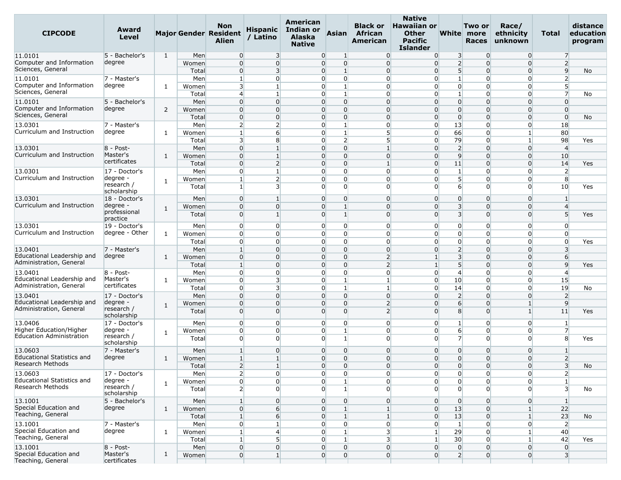| <b>CIPCODE</b>                             | Award<br>Level            |              |       | <b>Non</b><br><b>Major Gender Resident</b><br><b>Alien</b> | <b>Hispanic</b><br>/ Latino | American<br>Indian or<br><b>Alaska</b><br><b>Native</b> | <b>Asian</b>                     | <b>Black or</b><br>African<br>American | <b>Native</b><br><b>Hawaiian or</b><br><b>Other</b><br><b>Pacific</b><br>Islander |                         | Two or<br>White more<br><b>Races</b> | Race/<br>ethnicity<br>unknown | Total                   | distance<br>education<br>program |
|--------------------------------------------|---------------------------|--------------|-------|------------------------------------------------------------|-----------------------------|---------------------------------------------------------|----------------------------------|----------------------------------------|-----------------------------------------------------------------------------------|-------------------------|--------------------------------------|-------------------------------|-------------------------|----------------------------------|
| 11.0101                                    | 5 - Bachelor's            | $\mathbf{1}$ | Men   | $\overline{0}$                                             | $\overline{\mathbf{3}}$     |                                                         | $\overline{0}$<br>1              | $\overline{0}$                         | $\overline{0}$                                                                    | $\overline{\mathbf{3}}$ | $\overline{0}$                       | $\overline{0}$                | $\overline{7}$          |                                  |
| Computer and Information                   | degree                    |              | Women | $\overline{0}$                                             | $\overline{0}$              |                                                         | $\overline{0}$<br>$\overline{0}$ | $\overline{0}$                         | $\overline{0}$                                                                    | $\overline{2}$          | $\Omega$                             | $\overline{0}$                | $\overline{2}$          |                                  |
| Sciences, General                          |                           |              | Total | $\overline{0}$                                             | 3                           |                                                         | $\overline{0}$<br>$\mathbf{1}$   | $\overline{0}$                         | $\overline{0}$                                                                    | 5 <sup>1</sup>          | $\Omega$                             | $\overline{0}$                | $\overline{9}$          | No                               |
| 11.0101                                    | 7 - Master's              |              | Men   | 1                                                          | 0                           |                                                         | $\overline{0}$<br>$\overline{0}$ | $\Omega$                               | $\overline{0}$                                                                    | $\mathbf{1}$            | $\Omega$                             | $\overline{0}$                | 2                       |                                  |
| Computer and Information                   | degree                    | 1            | Women | $\overline{3}$                                             | $\mathbf{1}$                |                                                         | $\overline{0}$<br>$\mathbf{1}$   | $\overline{0}$                         | $\overline{0}$                                                                    | $\overline{0}$          | $\Omega$                             | $\overline{0}$                | 5 <sup>1</sup>          |                                  |
| Sciences, General                          |                           |              | Total | $\overline{4}$                                             | $\mathbf{1}$                |                                                         | $\overline{0}$<br>$\mathbf{1}$   | $\Omega$                               | $\Omega$                                                                          | $\mathbf{1}$            | $\Omega$                             | $\overline{0}$                | $\overline{7}$          | No                               |
| 11.0101                                    | 5 - Bachelor's            |              | Men   | $\overline{0}$                                             | $\Omega$                    |                                                         | $\overline{0}$<br>$\overline{0}$ | $\Omega$                               | $\Omega$                                                                          | $\overline{0}$          | $\Omega$                             | $\overline{0}$                | $\overline{0}$          |                                  |
| Computer and Information                   | degree                    | 2            | Women | $\overline{0}$                                             | $\mathbf{0}$                |                                                         | $\overline{0}$<br>$\overline{0}$ | $\overline{0}$                         | $\overline{0}$                                                                    | $\overline{0}$          | $\overline{0}$                       | $\overline{0}$                | $\overline{0}$          |                                  |
| Sciences, General                          |                           |              | Total | $\overline{0}$                                             | $\Omega$                    |                                                         | $\overline{0}$<br>$\overline{0}$ | $\Omega$                               | $\overline{0}$                                                                    | $\overline{0}$          | $\Omega$                             | $\overline{0}$                | $\Omega$                | No                               |
| 13.0301                                    | 7 - Master's              |              | Men   | $\overline{2}$                                             | $\overline{2}$              |                                                         | $\overline{0}$<br>$\mathbf{1}$   | $\overline{0}$                         | $\overline{0}$                                                                    | 13                      | $\Omega$                             | $\overline{0}$                | 18                      |                                  |
| Curriculum and Instruction                 | degree                    | 1            | Women | 1                                                          | $6 \overline{6}$            |                                                         | $\overline{0}$<br>$\mathbf{1}$   | $5\overline{)}$                        | $\overline{0}$                                                                    | 66                      | $\overline{0}$                       | $\mathbf{1}$                  | 80                      |                                  |
|                                            |                           |              | Total | $\overline{3}$                                             | 8                           |                                                         | $\overline{2}$<br>$\overline{0}$ | $5\overline{)}$                        | $\overline{0}$                                                                    | 79                      | $\Omega$                             | $1\vert$                      | 98                      | Yes                              |
| 13.0301                                    | 8 - Post-                 |              | Men   | $\overline{0}$                                             | 1                           |                                                         | $\overline{0}$<br>$\overline{0}$ | $\vert$                                | $\overline{0}$                                                                    | $\overline{2}$          | $\Omega$                             | $\overline{0}$                | $\overline{4}$          |                                  |
| Curriculum and Instruction                 | Master's                  | 1            | Women | $\overline{0}$                                             | $\mathbf{1}$                |                                                         | $\overline{0}$<br>$\overline{0}$ | $\overline{0}$                         | $\overline{0}$                                                                    | 9                       | $\Omega$                             | $\overline{0}$                | 10                      |                                  |
|                                            | certificates              |              | Tota  | $\overline{0}$                                             | $\overline{2}$              |                                                         | $\overline{0}$<br>$\Omega$       | $\mathbf{1}$                           | $\overline{0}$                                                                    | 11                      | $\Omega$                             | $\overline{0}$                | 14                      | Yes                              |
| 13.0301                                    | 17 - Doctor's             |              | Men   | $\overline{0}$                                             | $\mathbf{1}$                |                                                         | $\Omega$<br>$\overline{0}$       | $\Omega$                               | $\Omega$                                                                          | $\mathbf{1}$            | $\Omega$                             | $\overline{0}$                | $\overline{2}$          |                                  |
| Curriculum and Instruction                 | degree                    |              | Women | $\mathbf{1}$                                               | $\overline{2}$              |                                                         | $\overline{0}$<br>$\overline{0}$ | $\overline{0}$                         | $\overline{0}$                                                                    | 5 <sup>1</sup>          | $\mathbf 0$                          | $\overline{0}$                | 8                       |                                  |
|                                            | research /<br>scholarship | 1            | Total | 1                                                          | 3                           |                                                         | $\overline{0}$<br>$\Omega$       | $\Omega$                               | $\Omega$                                                                          | $6 \overline{6}$        | $\Omega$                             | $\overline{0}$                | 10                      | Yes                              |
| 13.0301                                    | 18 - Doctor's             |              | Men   | $\overline{0}$                                             | $\mathbf{1}$                |                                                         | $\overline{0}$<br>$\overline{0}$ | $\overline{0}$                         | $\Omega$                                                                          | $\overline{0}$          | $\overline{0}$                       | $\overline{0}$                | 1                       |                                  |
| Curriculum and Instruction                 | degree                    |              | Women | $\overline{0}$                                             | $\Omega$                    |                                                         | $\overline{0}$<br>$\mathbf{1}$   | $\Omega$                               | $\Omega$                                                                          | 3 <sup>l</sup>          | $\Omega$                             | $\overline{0}$                | $\overline{4}$          |                                  |
|                                            | professional<br>practice  | 1            | Total | $\overline{0}$                                             | $\mathbf{1}$                |                                                         | $\overline{0}$<br>$\mathbf{1}$   | $\Omega$                               | $\Omega$                                                                          | $\overline{\mathbf{3}}$ | $\Omega$                             | $\overline{0}$                | 5                       | Yes                              |
| 13.0301                                    | 19 - Doctor's             |              | Men   | $\overline{0}$                                             | $\overline{0}$              |                                                         | $\overline{0}$<br>$\overline{0}$ | $\overline{0}$                         | $\overline{0}$                                                                    | $\overline{0}$          | $\overline{0}$                       | $\overline{0}$                | $\overline{0}$          |                                  |
| Curriculum and Instruction                 | degree - Other            | 1            | Women | $\overline{0}$                                             | 0                           |                                                         | $\overline{0}$<br>$\overline{0}$ | $\Omega$                               | $\overline{0}$                                                                    | $\overline{0}$          | $\Omega$                             | $\overline{0}$                | $\mathbf{0}$            |                                  |
|                                            |                           |              | Total | $\overline{0}$                                             | $\overline{0}$              |                                                         | $\overline{0}$<br>$\overline{0}$ | $\overline{0}$                         | $\overline{0}$                                                                    | $\overline{0}$          | $\Omega$                             | $\overline{0}$                | $\overline{0}$          | Yes                              |
| 13.0401                                    | 7 - Master's              |              | Men   | $\mathbf{1}$                                               | $\mathbf{0}$                |                                                         | $\overline{0}$<br>$\overline{0}$ | $\overline{0}$                         | $\Omega$                                                                          | $\overline{2}$          | $\Omega$                             | $\overline{0}$                | 3                       |                                  |
| Educational Leadership and                 | degree                    | 1            | Women | $\overline{0}$                                             | $\Omega$                    |                                                         | $\overline{0}$<br>$\overline{0}$ | $\overline{2}$                         |                                                                                   | $\overline{\mathbf{3}}$ | $\Omega$                             | $\overline{0}$                | 6                       |                                  |
| Administration, General                    |                           |              | Total | $\mathbf{1}$                                               | $\overline{0}$              |                                                         | $\overline{0}$<br>$\Omega$       | $\overline{2}$                         | $\mathbf{1}$                                                                      | 5 <sup>1</sup>          | $\Omega$                             | $\overline{0}$                | 9                       | Yes                              |
| 13.0401                                    | $8 - Post -$              |              | Men   | $\overline{0}$                                             | $\Omega$                    |                                                         | $\overline{0}$<br>$\overline{0}$ | $\Omega$                               | $\overline{0}$                                                                    | $\overline{4}$          | $\Omega$                             | $\overline{0}$                | $\overline{4}$          |                                  |
| Educational Leadership and                 | Master's                  | 1            | Women | $\overline{0}$                                             | 3                           |                                                         | $\overline{0}$<br>$\mathbf{1}$   | $\vert$                                | $\overline{0}$                                                                    | 10                      | $\Omega$                             | $\overline{0}$                | 15                      |                                  |
| Administration, General                    | certificates              |              | Total | $\overline{0}$                                             | 3                           |                                                         | $\overline{0}$<br>$\mathbf{1}$   | $\mathbf{1}$                           | $\overline{0}$                                                                    | 14                      | $\overline{0}$                       | $\overline{0}$                | 19                      | No                               |
| 13.0401                                    | 17 - Doctor's             |              | Men   | $\overline{0}$                                             | $\Omega$                    |                                                         | $\overline{0}$<br>$\overline{0}$ | $\overline{0}$                         | $\overline{0}$                                                                    | $\overline{2}$          | $\Omega$                             | $\overline{0}$                | $\overline{2}$          |                                  |
| Educational Leadership and                 | degree                    |              | Women | $\overline{0}$                                             | $\Omega$                    | $\Omega$                                                | $\Omega$                         | $\overline{2}$                         | $\Omega$                                                                          | $6 \overline{6}$        | $\Omega$                             | $1\vert$                      | 9                       |                                  |
| Administration, General                    | research /                | 1            | Total | $\overline{0}$                                             | $\Omega$                    |                                                         | $\overline{0}$<br>$\overline{0}$ | $\overline{2}$                         | $\Omega$                                                                          | 8                       | $\Omega$                             | 1 <sup>1</sup>                | 11                      | Yes                              |
|                                            | scholarship               |              |       |                                                            |                             |                                                         |                                  |                                        |                                                                                   |                         |                                      |                               |                         |                                  |
| 13.0406                                    | 17 - Doctor's             |              | Men   | $\mathbf{0}$                                               | $\overline{0}$              | 0                                                       | $\overline{0}$                   | $\overline{0}$                         | $\overline{0}$                                                                    | 1                       | O                                    | $\overline{0}$                | 1                       |                                  |
| Higher Education/Higher                    | degree -                  | 1            | Women | $\overline{0}$                                             | $\overline{0}$              |                                                         | $\overline{0}$<br>$\mathbf{1}$   | $\overline{0}$                         | $\overline{0}$                                                                    | $6 \overline{6}$        | $\overline{0}$                       | $\overline{0}$                | $\overline{7}$          |                                  |
| <b>Education Administration</b>            | research /<br>scholarship |              | Total | $\Omega$                                                   | $\Omega$                    |                                                         | $\overline{0}$<br>$\mathbf{1}$   | $\Omega$                               | $\Omega$                                                                          | $\overline{7}$          | $\Omega$                             | $\Omega$                      | 8                       | Yes                              |
| 13.0603                                    | 7 - Master's              |              | Men   | $\mathbf{1}$                                               | $\mathbf{0}$                | $\Omega$                                                | $\Omega$                         | $\Omega$                               | $\Omega$                                                                          | $\overline{0}$          | $\Omega$                             | $\Omega$                      |                         |                                  |
| <b>Educational Statistics and</b>          | degree                    | 1            | Women | $\mathbf{1}$                                               | $\mathbf{1}$                |                                                         | $\overline{0}$<br>$\overline{0}$ | $\overline{0}$                         | $\Omega$                                                                          | $\overline{0}$          | 0                                    | $\overline{0}$                | $\overline{2}$          |                                  |
| Research Methods                           |                           |              | Total | $\overline{2}$                                             | $\overline{1}$              | $\overline{0}$                                          | $\overline{0}$                   | $\Omega$                               | $\overline{0}$                                                                    | $\overline{0}$          | $\Omega$                             | $\overline{0}$                | $\overline{3}$          | No                               |
| 13.0603                                    | 17 - Doctor's             |              | Men   | $\overline{2}$                                             | $\overline{0}$              |                                                         | $\overline{0}$<br>$\overline{0}$ | $\overline{0}$                         | $\overline{0}$                                                                    | $\overline{0}$          | $\overline{0}$                       | $\overline{0}$                | $\overline{2}$          |                                  |
| Educational Statistics and                 | degree -                  | $\mathbf{1}$ | Women | $\overline{0}$                                             | $\overline{0}$              |                                                         | $\overline{0}$                   | $\overline{0}$                         | $\overline{0}$                                                                    | $\overline{0}$          | $\overline{0}$                       | $\overline{0}$                | $1\overline{ }$         |                                  |
| Research Methods                           | research /                |              | Total | $\overline{2}$                                             | $\Omega$                    |                                                         | $\overline{0}$                   | $\Omega$                               | $\Omega$                                                                          | $\overline{0}$          | $\Omega$                             | $\Omega$                      | $\overline{3}$          | No                               |
|                                            | scholarship               |              |       |                                                            |                             |                                                         |                                  |                                        |                                                                                   |                         |                                      |                               |                         |                                  |
| 13.1001<br>Special Education and           | 5 - Bachelor's            |              | Men   | $\mathbf{1}$                                               | $\overline{0}$              | $\overline{0}$                                          | $\overline{0}$                   | $\overline{0}$                         | $\overline{0}$                                                                    | $\overline{0}$          | $\overline{0}$                       | $\overline{0}$                | $\vert$ 1               |                                  |
| Teaching, General                          | degree                    | $\mathbf{1}$ | Women | $\overline{0}$                                             | $6 \overline{}$             |                                                         | $\overline{0}$<br>$\mathbf{1}$   | $\mathbf{1}$                           | $\overline{0}$                                                                    | 13                      | $\overline{0}$                       | 1 <sup>1</sup>                | 22                      |                                  |
|                                            |                           |              | Total | $\mathbf{1}$                                               | $6 \overline{6}$            |                                                         | $\overline{0}$<br>$\mathbf{1}$   | $\mathbf{1}$                           | $\overline{0}$                                                                    | 13                      | $\Omega$                             | $\mathbf{1}$                  | 23                      | No                               |
| 13.1001                                    | 7 - Master's              |              | Men   | $\overline{0}$                                             |                             | $\overline{0}$                                          | $\overline{0}$                   | $\overline{0}$                         | $\overline{0}$                                                                    | $\mathbf{1}$            | $\overline{0}$                       | $\overline{0}$                | $\overline{2}$          |                                  |
| Special Education and                      | degree                    | 1            | Women | $\mathbf{1}$                                               | 4                           | $\overline{0}$                                          | $\mathbf{1}$                     | $\overline{\mathbf{3}}$                | $\mathbf{1}$                                                                      | 29                      | $\Omega$                             | $\mathbf{1}$                  | 40                      |                                  |
| Teaching, General                          |                           |              | Total | $\mathbf{1}$                                               | 5 <sup>1</sup>              |                                                         | $\overline{0}$<br>$\mathbf{1}$   | $\overline{\mathbf{3}}$                | $\mathbf{1}$                                                                      | 30                      | $\Omega$                             | $1\vert$                      | 42                      | Yes                              |
| 13.1001                                    | $8 - Post-$               |              | Men   | $\overline{0}$                                             | 0                           |                                                         | $\overline{0}$<br>$\overline{0}$ | $\overline{0}$                         | $\overline{0}$                                                                    | $\overline{0}$          | 0                                    | $\overline{0}$                | $\overline{0}$          |                                  |
| Special Education and<br>Teaching, General | Master's<br>certificates  | $\mathbf{1}$ | Women | $\overline{0}$                                             | $\mathbf{1}$                | $\overline{0}$                                          | $\overline{0}$                   | $\overline{0}$                         | $\overline{0}$                                                                    | $\overline{2}$          | $\overline{0}$                       | $\overline{0}$                | $\overline{\mathbf{3}}$ |                                  |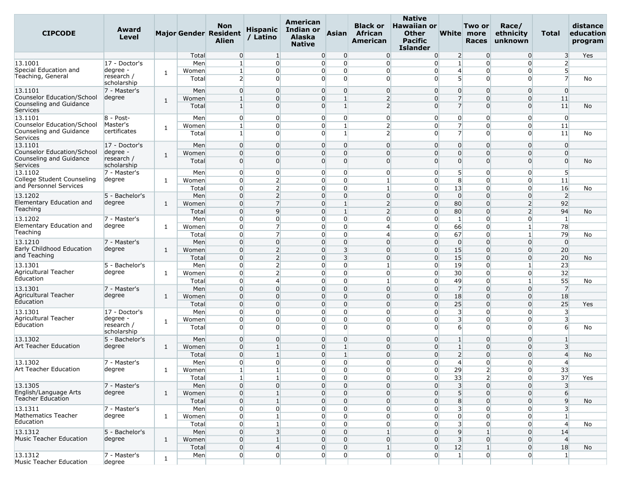| <b>CIPCODE</b>                                       | Award<br>Level            |              |       | Non<br>Major Gender Resident<br><b>Alien</b> | <b>Hispanic</b><br>/ Latino | American<br><b>Indian or</b><br><b>Alaska</b><br><b>Native</b> | <b>Asian</b>            | <b>Black or</b><br>African<br><b>American</b> | <b>Native</b><br><b>Hawaiian or</b><br><b>Other</b><br><b>Pacific</b><br><b>Islander</b> |                         | Two or<br>White more<br><b>Races</b> | Race/<br>ethnicity<br>unknown | Total                   | distance<br>education<br>program |
|------------------------------------------------------|---------------------------|--------------|-------|----------------------------------------------|-----------------------------|----------------------------------------------------------------|-------------------------|-----------------------------------------------|------------------------------------------------------------------------------------------|-------------------------|--------------------------------------|-------------------------------|-------------------------|----------------------------------|
|                                                      |                           |              | Total | $\overline{0}$                               | $\vert$ 1                   | $\overline{0}$                                                 | $\overline{0}$          | $\overline{0}$                                | $\overline{0}$                                                                           | $\overline{2}$          | $\overline{0}$                       | $\overline{0}$                | 3                       | Yes                              |
| 13.1001<br>Special Education and                     | 17 - Doctor's<br>degree - |              | Men   | $\mathbf{1}$                                 | $\overline{0}$              | $\overline{0}$                                                 | $\overline{0}$          | $\overline{0}$                                | $\overline{0}$                                                                           | $\mathbf{1}$            | $\overline{0}$                       | $\overline{0}$                | 2                       |                                  |
| Teaching, General                                    | research /                | 1            | Women | 1                                            | $\overline{0}$              | $\overline{0}$                                                 | $\overline{0}$          | $\overline{0}$                                | $\overline{0}$                                                                           | $\overline{4}$          | $\overline{0}$                       | $\overline{0}$                | 5<br>$\overline{7}$     |                                  |
|                                                      | scholarship               |              | Total | $\overline{2}$                               | $\overline{0}$              | $\Omega$                                                       | $\Omega$                | $\Omega$                                      | $\Omega$                                                                                 | 5 <sup>1</sup>          | $\overline{0}$                       | $\Omega$                      |                         | No                               |
| 13.1101                                              | 7 - Master's              |              | Men   | $\overline{0}$                               | $\overline{0}$              | $\Omega$                                                       | $\overline{0}$          | $\overline{0}$                                | $\overline{0}$                                                                           | $\overline{0}$          | $\overline{0}$                       | $\Omega$                      | $\overline{0}$          |                                  |
| Counselor Education/School                           | degree                    | 1            | Women | $\mathbf{1}$                                 | $\Omega$                    | $\overline{0}$                                                 | $\mathbf{1}$            | $\overline{2}$                                | $\overline{0}$                                                                           | $\overline{7}$          | $\mathbf 0$                          | $\Omega$                      | 11                      |                                  |
| Counseling and Guidance                              |                           |              | Total | $\mathbf{1}$                                 | $\Omega$                    | $\Omega$                                                       | $\mathbf{1}$            | $\overline{2}$                                | $\Omega$                                                                                 | $\overline{7}$          | $\Omega$                             | $\overline{0}$                | 11                      | No                               |
| Services                                             |                           |              |       |                                              |                             |                                                                |                         |                                               |                                                                                          |                         |                                      |                               |                         |                                  |
| 13.1101<br>Counselor Education/School                | $8 - Post -$<br>Master's  |              | Men   | $\overline{0}$                               | $\overline{0}$              | $\overline{0}$                                                 | $\overline{0}$          | $\overline{0}$                                | $\overline{0}$                                                                           | $\overline{0}$          | $\overline{0}$                       | $\overline{0}$                | $\overline{0}$          |                                  |
| Counseling and Guidance                              | certificates              | 1            | Women | $\mathbf{1}$                                 | $\overline{0}$              | $\overline{0}$                                                 |                         | $\overline{2}$                                | $\overline{0}$                                                                           | $\overline{7}$          | $\mathbf 0$                          | $\Omega$                      | 11                      |                                  |
| Services                                             |                           |              | Total | $\mathbf{1}$                                 | $\overline{0}$              | $\Omega$                                                       | $\mathbf{1}$            | $\overline{2}$                                | $\overline{0}$                                                                           | 7                       | $\Omega$                             | $\Omega$                      | 11                      | No                               |
| 13.1101                                              | 17 - Doctor's             |              | Men   | $\overline{0}$                               | $\overline{0}$              | $\overline{0}$                                                 | $\overline{0}$          | $\overline{0}$                                | $\overline{0}$                                                                           | $\overline{0}$          | $\overline{0}$                       | $\overline{0}$                | $\overline{0}$          |                                  |
| Counselor Education/School                           | degree -                  | $\mathbf{1}$ | Women | $\overline{0}$                               | $\overline{0}$              | $\overline{0}$                                                 | $\overline{0}$          | $\Omega$                                      | $\overline{0}$                                                                           | $\overline{0}$          | $\Omega$                             | $\Omega$                      | $\overline{0}$          |                                  |
| Counseling and Guidance                              | research /                |              | Total | $\overline{0}$                               | $\overline{0}$              | $\Omega$                                                       | $\Omega$                | $\overline{0}$                                | $\overline{0}$                                                                           | $\overline{0}$          | $\overline{0}$                       | $\overline{0}$                | $\overline{0}$          | No                               |
| Services                                             | scholarship               |              |       |                                              |                             |                                                                |                         |                                               |                                                                                          |                         |                                      |                               |                         |                                  |
| 13.1102                                              | 7 - Master's              |              | Men   | $\overline{0}$                               | $\overline{0}$              | $\overline{0}$                                                 | $\overline{0}$          | $\overline{0}$                                | $\overline{0}$                                                                           | 5                       | $\overline{0}$                       | $\Omega$                      | 5                       |                                  |
| College Student Counseling<br>and Personnel Services | degree                    | 1            | Women | $\overline{0}$                               | $\overline{2}$              | $\overline{0}$                                                 | $\overline{0}$          | $\mathbf{1}$                                  | $\overline{0}$                                                                           | 8                       | $\overline{0}$                       | $\overline{0}$                | 11                      |                                  |
|                                                      |                           |              | Total | $\overline{0}$                               | $\overline{2}$              | $\overline{0}$                                                 | $\overline{0}$          | $\mathbf{1}$                                  | $\overline{0}$                                                                           | 13                      | $\overline{0}$                       | $\overline{0}$                | 16                      | No                               |
| 13.1202                                              | 5 - Bachelor's            |              | Men   | $\overline{0}$                               | $\overline{2}$              | $\overline{0}$                                                 | $\overline{0}$          | $\Omega$                                      | $\overline{0}$                                                                           | $\overline{0}$          | $\overline{0}$                       | $\Omega$                      | $\overline{2}$          |                                  |
| Elementary Education and<br>Teaching                 | degree                    | $\mathbf{1}$ | Women | $\overline{0}$                               | $\overline{7}$              | $\Omega$                                                       | $\mathbf{1}$            | $\overline{2}$                                | $\overline{0}$                                                                           | 80                      | $\mathbf 0$                          | $\overline{2}$                | 92                      |                                  |
|                                                      |                           |              | Total | $\overline{0}$                               | $\overline{9}$              | $\overline{0}$                                                 | $\mathbf{1}$            | $\overline{2}$                                | $\overline{0}$                                                                           | 80                      | $\overline{0}$                       | $\overline{2}$                | 94                      | No                               |
| 13.1202<br>Elementary Education and                  | 7 - Master's              |              | Men   | $\overline{0}$                               | $\overline{0}$              | $\overline{0}$                                                 | $\overline{0}$          | $\Omega$                                      | $\overline{0}$                                                                           | 1                       | 0                                    | $\overline{0}$                | $\mathbf{1}$            |                                  |
| Teaching                                             | degree                    | 1            | Women | $\overline{0}$                               | $\overline{7}$              | $\overline{0}$                                                 | $\overline{0}$          | $\overline{4}$                                | $\overline{0}$                                                                           | 66                      | $\overline{0}$                       |                               | 78                      |                                  |
|                                                      |                           |              | Total | $\overline{0}$                               | $\overline{7}$              | $\overline{0}$                                                 | $\overline{0}$          | $\overline{4}$                                | $\overline{0}$                                                                           | 67                      | $\overline{0}$                       | 1                             | 79                      | No                               |
| 13.1210<br>Early Childhood Education                 | 7 - Master's              |              | Men   | $\overline{0}$                               | $\overline{0}$              | $\overline{0}$                                                 | $\overline{0}$          | $\Omega$                                      | $\overline{0}$                                                                           | $\overline{0}$          | $\mathbf 0$                          | $\Omega$                      | $\overline{0}$          |                                  |
| and Teaching                                         | degree                    | 1            | Women | $\overline{0}$                               | $\overline{2}$              | $\overline{0}$                                                 | $\overline{\mathbf{3}}$ | $\overline{0}$                                | $\overline{0}$                                                                           | 15                      | $\overline{0}$                       | $\Omega$                      | 20                      |                                  |
|                                                      |                           |              | Total | $\overline{0}$                               | $\overline{2}$              | $\Omega$                                                       | $\overline{\mathbf{3}}$ | $\overline{0}$                                | $\overline{0}$                                                                           | 15                      | $\mathbf 0$                          | $\Omega$                      | 20                      | No                               |
| 13.1301<br>Agricultural Teacher                      | 5 - Bachelor's<br>degree  |              | Men   | $\overline{0}$                               | $\overline{2}$              | $\overline{0}$                                                 | $\overline{0}$          | $\mathbf{1}$                                  | $\overline{0}$                                                                           | 19                      | $\mathbf 0$                          | $\mathbf{1}$                  | 23                      |                                  |
| Education                                            |                           | 1            | Women | $\overline{0}$                               | 2                           | $\overline{0}$                                                 | $\overline{0}$          | $\overline{0}$                                | $\overline{0}$                                                                           | 30                      | $\overline{0}$                       | $\overline{0}$                | 32                      |                                  |
|                                                      |                           |              | Total | $\overline{0}$                               | $\overline{4}$              | $\Omega$                                                       | $\overline{0}$          |                                               | $\overline{0}$                                                                           | 49                      | $\overline{0}$                       |                               | 55                      | No                               |
| 13.1301<br>Agricultural Teacher                      | 7 - Master's              |              | Men   | $\overline{0}$                               | $\overline{0}$              | $\overline{0}$                                                 | $\overline{0}$          | $\overline{0}$                                | $\overline{0}$                                                                           | $\overline{7}$          | $\overline{0}$                       | $\Omega$                      | $\overline{7}$          |                                  |
| Education                                            | degree                    | $\mathbf{1}$ | Women | $\overline{0}$                               | $\Omega$                    | $\overline{0}$                                                 | $\overline{0}$          | $\overline{0}$                                | $\overline{0}$                                                                           | 18                      | $\mathbf 0$                          | $\overline{0}$                | 18                      |                                  |
|                                                      |                           |              | Total | $\overline{0}$                               | $\overline{0}$              | $\overline{0}$                                                 | $\overline{0}$          | $\Omega$                                      | $\overline{0}$                                                                           | 25                      | $\mathbf 0$                          | $\Omega$                      | 25                      | Yes                              |
| 13.1301<br>Agricultural Teacher                      | 17 - Doctor's<br>degree - |              | Men   | $\overline{0}$                               | $\overline{0}$              | $\overline{0}$                                                 | $\overline{0}$          | $\overline{0}$                                | $\overline{0}$                                                                           | $\overline{3}$          | 0                                    | $\overline{0}$                | $\overline{\mathbf{3}}$ |                                  |
| Education                                            | research /                | 1            | Women | $\overline{0}$                               | $\overline{0}$              | $\overline{0}$                                                 | $\overline{0}$          | $\overline{0}$                                | $\overline{0}$                                                                           | $\overline{\mathbf{3}}$ | $\overline{0}$                       | $\overline{0}$                | $\overline{\mathbf{3}}$ |                                  |
|                                                      | scholarship               |              | Total | $\overline{0}$                               | $\overline{0}$              | $\Omega$                                                       | $\overline{0}$          | $\Omega$                                      | $\Omega$                                                                                 | 6                       | $\Omega$                             | $\Omega$                      | 6                       | No                               |
| 13.1302                                              | 5 - Bachelor's            |              | Men   | $\overline{0}$                               | $\overline{0}$              | $\overline{0}$                                                 | $\overline{0}$          | $\overline{0}$                                | $\overline{0}$                                                                           | $\mathbf{1}$            | $\overline{0}$                       | $\Omega$                      | $\mathbf{1}$            |                                  |
| Art Teacher Education                                | degree                    | $\mathbf{1}$ | Women | $\overline{0}$                               | $\mathbf{1}$                | $\Omega$                                                       |                         | $\Omega$                                      | $\overline{0}$                                                                           |                         | $\mathbf 0$                          | $\Omega$                      | 3                       |                                  |
|                                                      |                           |              | Total | $\overline{0}$                               | $\mathbf{1}$                | $\overline{0}$                                                 | $\mathbf{1}$            | $\overline{0}$                                | $\overline{0}$                                                                           | $\overline{2}$          | $\overline{0}$                       | $\overline{0}$                | $\overline{4}$          | No                               |
| 13.1302                                              | 7 - Master's              |              | Men   | $\overline{0}$                               | $\overline{0}$              | $\overline{0}$                                                 | $\overline{0}$          | $\Omega$                                      | $\overline{0}$                                                                           | $\overline{4}$          | $\overline{0}$                       | $\overline{0}$                | $\overline{4}$          |                                  |
| Art Teacher Education                                | degree                    | 1            | Women | $\mathbf{1}$                                 | $\mathbf{1}$                | $\overline{0}$                                                 | $\overline{0}$          | 0                                             | $\mathbf{0}$                                                                             | 29                      | $\overline{2}$                       | $\overline{0}$                | 33                      |                                  |
|                                                      |                           |              | Total | 1                                            | $\mathbf{1}$                | $\overline{0}$                                                 | $\overline{0}$          | $\overline{0}$                                | $\overline{0}$                                                                           | 33                      | $\overline{2}$                       | $\overline{0}$                | 37                      | Yes                              |
| 13.1305                                              | 7 - Master's              |              | Men   | $\overline{0}$                               | $\overline{0}$              | $\overline{0}$                                                 | $\Omega$                | $\overline{0}$                                | $\overline{0}$                                                                           | $\overline{\mathbf{3}}$ | $\Omega$                             | $\overline{0}$                | $\overline{\mathbf{3}}$ |                                  |
| English/Language Arts                                | degree                    | $\mathbf{1}$ | Women | $\overline{0}$                               | $\mathbf{1}$                | $\overline{0}$                                                 | $\Omega$                | $\Omega$                                      | $\overline{0}$                                                                           | $5\overline{)}$         | $\Omega$                             | $\Omega$                      | 6                       |                                  |
| <b>Teacher Education</b>                             |                           |              | Total | $\overline{0}$                               | $\mathbf{1}$                | $\overline{0}$                                                 | $\overline{0}$          | $\overline{0}$                                | $\overline{0}$                                                                           | $\boldsymbol{8}$        | $\Omega$                             | 0                             | 9                       | No                               |
| 13.1311                                              | 7 - Master's              |              | Men   | $\overline{0}$                               | $\overline{0}$              | $\overline{0}$                                                 | $\Omega$                | $\overline{0}$                                | $\overline{0}$                                                                           | $\overline{\mathbf{3}}$ | $\Omega$                             | $\overline{0}$                | 3                       |                                  |
| Mathematics Teacher                                  | degree                    | 1            | Women | $\overline{0}$                               | $\mathbf{1}$                | $\overline{0}$                                                 | $\overline{0}$          | $\overline{0}$                                | $\overline{0}$                                                                           | $\overline{0}$          | $\Omega$                             | $\Omega$                      | $\mathbf{1}$            |                                  |
| Education                                            |                           |              | Total | $\overline{0}$                               | $\mathbf{1}$                | $\overline{0}$                                                 | $\mathbf 0$             | $\overline{0}$                                | $\overline{0}$                                                                           | $\overline{\mathbf{3}}$ | $\overline{0}$                       | 0                             | $\overline{4}$          | No                               |
| 13.1312                                              | 5 - Bachelor's            |              | Men   | $\overline{0}$                               | $\overline{\mathbf{3}}$     | $\overline{0}$                                                 | $\overline{0}$          |                                               | $\overline{0}$                                                                           | 9                       |                                      | $\overline{0}$                | 14                      |                                  |
| Music Teacher Education                              | degree                    | $\mathbf{1}$ | Women | $\overline{0}$                               | $\mathbf{1}$                | $\overline{0}$                                                 | $\Omega$                | $\overline{0}$                                | $\overline{0}$                                                                           | $\overline{\mathbf{3}}$ | $\mathbf 0$                          | 0                             | $\overline{4}$          |                                  |
|                                                      |                           |              | Total | $\overline{0}$                               | $\overline{4}$              | $\overline{0}$                                                 | $\Omega$                | $\mathbf{1}$                                  | $\overline{0}$                                                                           | 12                      |                                      | $\overline{0}$                | 18                      | No                               |
| 13.1312                                              | 7 - Master's              | $\mathbf{1}$ | Men   | $\overline{0}$                               | $\overline{0}$              | $\overline{0}$                                                 | $\overline{0}$          | $\overline{0}$                                | $\overline{0}$                                                                           | $\mathbf{1}$            | $\overline{0}$                       | $\overline{0}$                | $\mathbf{1}$            |                                  |
| Music Teacher Education                              | degree                    |              |       |                                              |                             |                                                                |                         |                                               |                                                                                          |                         |                                      |                               |                         |                                  |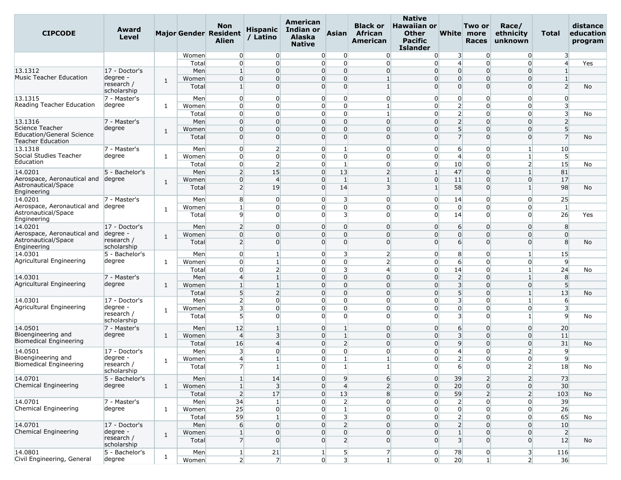| <b>CIPCODE</b>                                      | Award<br><b>Level</b>     |              |       | <b>Non</b><br>Major Gender Resident<br><b>Alien</b> | <b>Hispanic</b><br>/ Latino | American<br>Indian or<br><b>Alaska</b><br><b>Native</b> | <b>Asian</b>                     | <b>Black or</b><br>African<br>American | <b>Native</b><br><b>Hawaiian or</b><br><b>Other</b><br><b>Pacific</b><br><b>Islander</b> |                         | Two or<br>White more<br><b>Races</b> | Race/<br>ethnicity<br>unknown | Total                   | distance<br>education<br>program |
|-----------------------------------------------------|---------------------------|--------------|-------|-----------------------------------------------------|-----------------------------|---------------------------------------------------------|----------------------------------|----------------------------------------|------------------------------------------------------------------------------------------|-------------------------|--------------------------------------|-------------------------------|-------------------------|----------------------------------|
|                                                     |                           |              | Women | $\overline{0}$                                      | $\overline{0}$              | $\Omega$                                                | $\overline{0}$                   | $\overline{0}$                         | $\overline{0}$                                                                           | 3                       | $\overline{0}$                       | $\overline{0}$                | $\overline{\mathbf{3}}$ |                                  |
|                                                     |                           |              | Total | $\overline{0}$                                      | $\overline{0}$              | $\overline{0}$                                          | $\overline{0}$                   | $\Omega$                               | $\overline{0}$                                                                           | $\overline{4}$          | $\Omega$                             | $\Omega$                      | $\overline{4}$          | Yes                              |
| 13.1312<br><b>Music Teacher Education</b>           | 17 - Doctor's             |              | Men   | $\mathbf{1}$                                        | $\overline{0}$              | $\overline{0}$                                          | $\overline{0}$                   | $\Omega$                               | $\Omega$                                                                                 | $\overline{0}$          | $\mathbf 0$                          | $\Omega$                      | $\mathbf{1}$            |                                  |
|                                                     | degree -<br>research /    | 1            | Women | $\overline{0}$                                      | $\Omega$                    | $\Omega$                                                | $\overline{0}$                   |                                        | $\Omega$                                                                                 | $\overline{0}$          | $\mathbf 0$                          | $\Omega$                      | $\mathbf{1}$            |                                  |
|                                                     | scholarship               |              | Total | $1\overline{ }$                                     | $\Omega$                    | $\Omega$                                                | $\Omega$                         | 1                                      | $\overline{0}$                                                                           | $\Omega$                | $\Omega$                             | $\Omega$                      | 2                       | No                               |
| 13.1315                                             | 7 - Master's              |              | Men   | $\overline{0}$                                      | $\overline{0}$              | $\overline{0}$                                          | $\overline{0}$                   | $\Omega$                               | $\overline{0}$                                                                           | $\overline{0}$          | $\mathbf 0$                          | $\overline{0}$                | $\overline{0}$          |                                  |
| Reading Teacher Education                           | degree                    | 1            | Women | $\overline{0}$                                      | $\overline{0}$              | $\overline{0}$                                          | $\overline{0}$                   | 1                                      | $\overline{0}$                                                                           | $\overline{2}$          | 0                                    | $\Omega$                      | 3                       |                                  |
|                                                     |                           |              | Total | $\overline{0}$                                      | $\Omega$                    | $\Omega$                                                | $\overline{0}$                   |                                        | $\Omega$                                                                                 | $\overline{2}$          | 0                                    | $\Omega$                      | 3                       | No                               |
| 13.1316                                             | 7 - Master's              |              | Men   | $\overline{0}$                                      | $\Omega$                    | $\overline{0}$                                          | $\overline{0}$                   | $\Omega$                               | $\Omega$                                                                                 | $\overline{2}$          | $\mathbf 0$                          | $\Omega$                      | $\overline{2}$          |                                  |
| Science Teacher<br><b>Education/General Science</b> | degree                    | 1            | Women | $\overline{0}$                                      | $\Omega$                    | $\overline{0}$                                          | $\mathbf 0$                      | $\Omega$                               | $\Omega$                                                                                 | 5 <sup>1</sup>          | $\Omega$                             | $\Omega$                      | 5                       |                                  |
| <b>Teacher Education</b>                            |                           |              | Total | $\overline{0}$                                      | $\overline{0}$              | $\Omega$                                                | $\overline{0}$                   | $\overline{0}$                         | $\Omega$                                                                                 | $\overline{7}$          | $\mathbf 0$                          | $\Omega$                      | $\overline{7}$          | No                               |
| 13.1318                                             | 7 - Master's              |              | Men   | $\overline{0}$                                      | $\overline{2}$              | $\overline{0}$                                          |                                  | $\Omega$                               | $\overline{0}$                                                                           | 6                       | 0                                    |                               | 10                      |                                  |
| Social Studies Teacher                              | degree                    | 1            | Women | $\overline{0}$                                      | $\overline{0}$              |                                                         | $\overline{0}$<br>$\overline{0}$ | $\overline{0}$                         | $\overline{0}$                                                                           | $\overline{4}$          | $\mathbf 0$                          | 1                             | 5                       |                                  |
| Education                                           |                           |              | Total | $\overline{0}$                                      | $\overline{2}$              | $\Omega$                                                | 1                                | $\overline{0}$                         | $\overline{0}$                                                                           | 10                      | $\mathbf 0$                          | $\mathbf{2}$                  | 15                      | No                               |
| 14.0201                                             | 5 - Bachelor's            |              | Men   | $\overline{2}$                                      | 15                          | $\overline{0}$                                          | 13                               | $\overline{2}$                         | $\mathbf{1}$                                                                             | 47                      | $\mathbf 0$                          |                               | 81                      |                                  |
| Aerospace, Aeronautical and                         | degree                    | 1            | Women | $\overline{0}$                                      | $\overline{4}$              | $\overline{0}$                                          | 1                                |                                        | $\overline{0}$                                                                           | 11                      | $\mathbf 0$                          | $\Omega$                      | 17                      |                                  |
| Astronautical/Space<br>Engineering                  |                           |              | Total | $\mathbf{2}$                                        | 19                          | $\overline{0}$                                          | 14                               | $\overline{3}$                         | $\mathbf{1}$                                                                             | 58                      | $\Omega$                             | 1                             | 98                      | No                               |
| 14.0201                                             | 7 - Master's              |              | Men   | 8                                                   | $\overline{0}$              | $\overline{0}$                                          | $\overline{\mathbf{3}}$          | $\overline{0}$                         | $\overline{0}$                                                                           | 14                      | 0                                    | $\Omega$                      | 25                      |                                  |
| Aerospace, Aeronautical and                         | degree                    | $\mathbf{1}$ | Women | $\mathbf{1}$                                        | $\overline{0}$              | $\overline{0}$                                          | $\overline{0}$                   | $\Omega$                               | $\overline{0}$                                                                           | $\overline{0}$          | $\overline{0}$                       | $\Omega$                      | $\vert$ 1               |                                  |
| Astronautical/Space<br>Engineering                  |                           |              | Total | $\overline{9}$                                      | $\Omega$                    | $\Omega$                                                | 3                                | $\Omega$                               | $\Omega$                                                                                 | 14                      | $\Omega$                             | $\Omega$                      | 26                      | Yes                              |
| 14.0201                                             | 17 - Doctor's             |              | Men   | $\overline{2}$                                      | $\overline{0}$              | $\overline{0}$                                          | $\overline{0}$                   | $\overline{0}$                         | $\Omega$                                                                                 | 6                       | $\mathbf 0$                          | $\Omega$                      | 8                       |                                  |
| Aerospace, Aeronautical and                         | degree                    | 1            | Women | $\overline{0}$                                      | $\Omega$                    | $\overline{0}$                                          | $\overline{0}$                   | $\Omega$                               | $\Omega$                                                                                 | $\overline{0}$          | $\Omega$                             | $\Omega$                      | $\overline{0}$          |                                  |
| Astronautical/Space<br>Engineering                  | research /<br>scholarship |              | Total | 2                                                   | $\Omega$                    | $\Omega$                                                | $\Omega$                         | $\Omega$                               | $\Omega$                                                                                 | 6                       | $\Omega$                             | $\Omega$                      | 8                       | No                               |
| 14.0301                                             | 5 - Bachelor's            |              | Men   | $\overline{0}$                                      | $\mathbf{1}$                | $\overline{0}$                                          | 3                                | $\overline{2}$                         | $\overline{0}$                                                                           | 8                       | 0                                    | 1                             | 15                      |                                  |
| Agricultural Engineering                            | degree                    | 1            | Women | $\overline{0}$                                      |                             | $\Omega$                                                | $\overline{0}$                   | $\overline{2}$                         | $\Omega$                                                                                 | 6                       | 0                                    | $\Omega$                      | 9                       |                                  |
|                                                     |                           |              | Total | $\overline{0}$                                      | $\overline{2}$              | $\overline{0}$                                          | $\overline{\mathbf{3}}$          | $\overline{4}$                         | $\overline{0}$                                                                           | 14                      | 0                                    | $\mathbf{1}$                  | 24                      | No                               |
| 14.0301                                             | 7 - Master's              |              | Men   | $\overline{4}$                                      | $\mathbf{1}$                | $\overline{0}$                                          | $\overline{0}$                   | $\overline{0}$                         | $\overline{0}$                                                                           | $\overline{2}$          | $\Omega$                             | 1                             | 8                       |                                  |
| Agricultural Engineering                            | degree                    | 1            | Women | $\mathbf{1}$                                        | $\mathbf{1}$                | $\overline{0}$                                          | $\overline{0}$                   | $\Omega$                               | $\Omega$                                                                                 | $\overline{3}$          | $\mathbf 0$                          | $\Omega$                      | 5                       |                                  |
|                                                     |                           |              | Total | 5 <sup>5</sup>                                      | $\overline{2}$              | $\overline{0}$                                          | $\overline{0}$                   | $\overline{0}$                         | $\overline{0}$                                                                           | 5                       | $\mathbf 0$                          | $\mathbf{1}$                  | 13                      | <b>No</b>                        |
| 14.0301                                             | 17 - Doctor's             |              | Men   | $\overline{2}$                                      | $\overline{0}$              | $\overline{0}$                                          | $\overline{0}$                   | $\overline{0}$                         | $\overline{0}$                                                                           | $\overline{\mathbf{3}}$ | $\mathbf 0$                          | 1                             | 6                       |                                  |
| Agricultural Engineering                            | degree -                  | 1            | Women | 3                                                   | $\Omega$                    | $\overline{0}$                                          | $\overline{0}$                   | $\Omega$                               | $\Omega$                                                                                 | $\overline{0}$          | 0                                    | $\Omega$                      | 3                       |                                  |
|                                                     | research /<br>scholarship |              | Total | 5 <sup>1</sup>                                      | $\Omega$                    | $\Omega$                                                | $\Omega$                         | $\Omega$                               | $\overline{0}$                                                                           | $\overline{3}$          | $\Omega$                             |                               | $\overline{9}$          | No                               |
| 14.0501                                             | 7 - Master's              |              | Men   | 12                                                  | 1                           | $\Omega$                                                | 1                                | $\Omega$                               | $\overline{0}$                                                                           | 6                       | $\mathbf 0$                          | $\Omega$                      | 20                      |                                  |
| Bioengineering and                                  | degree                    | 1            | Women | $\overline{4}$                                      | $\overline{3}$              | $\overline{0}$                                          | $\mathbf{1}$                     | $\overline{0}$                         | $\overline{0}$                                                                           | $\overline{3}$          | $\mathbf 0$                          | $\overline{0}$                | 11                      |                                  |
| <b>Biomedical Engineering</b>                       |                           |              | Total | 16                                                  | $\overline{4}$              | $\overline{0}$                                          | $\overline{2}$                   | $\Omega$                               | $\overline{0}$                                                                           | 9                       | $\mathbf 0$                          | $\Omega$                      | 31                      | No                               |
| 14.0501                                             | 17 - Doctor's             |              | Men   | 3                                                   | $\Omega$                    | $\Omega$                                                | $\overline{0}$                   | $\Omega$                               | $\Omega$                                                                                 | $\overline{4}$          | 0                                    | $\overline{2}$                | 9                       |                                  |
| Bioengineering and<br>Biomedical Engineering        | degree -<br>research /    | 1            | Women | $\overline{4}$                                      | $\mathbf{1}$                | $\Omega$                                                | $\mathbf{1}$                     | 1                                      | $\overline{0}$                                                                           | $\overline{2}$          | $\mathbf 0$                          | $\overline{0}$                | 9                       |                                  |
|                                                     | scholarship               |              | Total | 7                                                   | 1                           |                                                         | $\overline{0}$<br>$\mathbf{1}$   |                                        | $\boldsymbol{0}$                                                                         | 6                       | $\overline{0}$                       | $\mathbf{Z}$                  | 18                      | No                               |
| 14.0701                                             | 5 - Bachelor's            |              | Men   | $\mathbf{1}$                                        | 14                          | $\overline{0}$                                          | 9                                | $6 \overline{6}$                       | $\overline{0}$                                                                           | 39                      | $\overline{2}$                       | 2                             | 73                      |                                  |
| Chemical Engineering                                | degree                    | 1            | Women | $\vert$ 1                                           | 3                           |                                                         | $\overline{0}$<br>$\overline{4}$ | $\overline{2}$                         | $\overline{0}$                                                                           | 20                      | $\overline{0}$                       | $\overline{0}$                | 30 <sup>°</sup>         |                                  |
|                                                     |                           |              | Total | 2                                                   | 17                          | $\overline{0}$                                          | 13                               | 8                                      | $\overline{0}$                                                                           | 59                      | $\overline{2}$                       | 2                             | 103                     | No                               |
| 14.0701                                             | 7 - Master's              |              | Men   | 34                                                  | $\vert$ 1                   | $\overline{0}$                                          | $\overline{2}$                   | $\overline{0}$                         | $\overline{0}$                                                                           | $\overline{2}$          | 0                                    | $\overline{0}$                | 39                      |                                  |
| Chemical Engineering                                | degree                    | 1            | Women | 25                                                  | $\overline{0}$              |                                                         | $\overline{0}$<br>$\mathbf{1}$   | $\overline{0}$                         | $\overline{0}$                                                                           | $\overline{0}$          | $\overline{0}$                       | $\overline{0}$                | 26                      |                                  |
|                                                     |                           |              | Total | 59                                                  | 1                           | $\overline{0}$                                          | $\overline{\mathbf{3}}$          | $\overline{0}$                         | $\overline{0}$                                                                           | $\overline{2}$          | 0                                    | $\overline{0}$                | 65                      | No                               |
| 14.0701                                             | 17 - Doctor's             |              | Men   | $6 \overline{}$                                     | $\overline{0}$              | $\overline{0}$                                          | $\overline{2}$                   | $\overline{0}$                         | $\overline{0}$                                                                           | $\overline{2}$          | $\overline{0}$                       | $\overline{0}$                | 10                      |                                  |
| Chemical Engineering                                | degree -<br>research /    | $\mathbf{1}$ | Women | $\mathbf{1}$                                        | $\overline{0}$              | $\overline{0}$                                          | $\overline{0}$                   | $\overline{0}$                         | $\overline{0}$                                                                           | $1\overline{ }$         | $\mathbf 0$                          | $\overline{0}$                | $\overline{2}$          |                                  |
|                                                     | scholarship               |              | Total | $\overline{7}$                                      | $\Omega$                    | $\overline{0}$                                          | $\overline{2}$                   | $\overline{0}$                         | $\Omega$                                                                                 | $\overline{\mathbf{3}}$ | $\Omega$                             | $\Omega$                      | 12                      | No                               |
| 14.0801                                             | 5 - Bachelor's            |              | Men   | $\vert$                                             | 21                          | $\mathbf{1}$                                            | 5 <sub>l</sub>                   | $\overline{7}$                         | $\overline{0}$                                                                           | 78                      | $\overline{0}$                       | $\overline{\mathbf{3}}$       | 116                     |                                  |
| Civil Engineering, General                          | degree                    | $\mathbf{1}$ | Women | 2                                                   | 7 <sup>1</sup>              | $\overline{0}$                                          | $\overline{\mathbf{3}}$          |                                        | $\overline{0}$<br>1 <sup>1</sup>                                                         | 20                      | 1 <sup>1</sup>                       | 2                             | 36                      |                                  |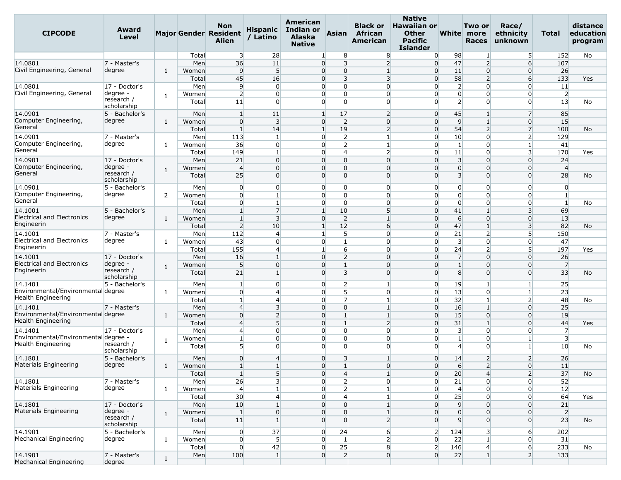| <b>CIPCODE</b>                                                  | Award<br>Level            |              |       | Non<br><b>Major Gender Resident</b><br>Alien | <b>Hispanic</b><br>/ Latino | American<br>Indian or<br><b>Alaska</b><br><b>Native</b> | <b>Asian</b>            | <b>Black or</b><br>African<br>American | <b>Native</b><br><b>Hawaiian or</b><br><b>Other</b><br><b>Pacific</b><br>Islander |                         | Two or<br>White more<br><b>Races</b> | Race/<br>ethnicity<br>unknown | Total          | distance<br>education<br>program |
|-----------------------------------------------------------------|---------------------------|--------------|-------|----------------------------------------------|-----------------------------|---------------------------------------------------------|-------------------------|----------------------------------------|-----------------------------------------------------------------------------------|-------------------------|--------------------------------------|-------------------------------|----------------|----------------------------------|
|                                                                 |                           |              | Total | 3                                            | 28                          | $\mathbf{1}$                                            | 8                       | 8                                      | $\overline{0}$                                                                    | 98                      | 1                                    | 5                             | 152            | No                               |
| 14.0801                                                         | 7 - Master's              |              | Men   | 36                                           | 11                          | $\overline{0}$                                          | 3                       | $\overline{2}$                         | $\overline{0}$                                                                    | 47                      | $\overline{2}$                       | $6 \mid$                      | 107            |                                  |
| Civil Engineering, General                                      | degree                    | 1            | Women | 9                                            | 5 <sup>5</sup>              | $\overline{0}$                                          | $\overline{0}$          | $\mathbf{1}$                           | $\overline{0}$                                                                    | 11                      | $\overline{0}$                       | $\overline{0}$                | 26             |                                  |
|                                                                 |                           |              | Total | 45                                           | 16                          | $\Omega$                                                | 3                       | $\overline{\mathbf{3}}$                | $\overline{0}$                                                                    | 58                      | $\overline{2}$                       | 6                             | 133            | Yes                              |
| 14.0801                                                         | 17 - Doctor's             |              | Men   | 9                                            | $\overline{0}$              | $\overline{0}$                                          | $\overline{0}$          | $\overline{0}$                         | $\overline{0}$                                                                    | $\overline{2}$          | $\mathbf 0$                          | $\overline{0}$                | 11             |                                  |
| Civil Engineering, General                                      | degree ·                  | 1            | Women | $\overline{2}$                               | $\overline{0}$              | $\overline{0}$                                          | $\overline{0}$          | $\Omega$                               | $\overline{0}$                                                                    | $\overline{0}$          | 0                                    | $\overline{0}$                | $\overline{2}$ |                                  |
|                                                                 | research /<br>scholarship |              | Total | 11                                           | $\Omega$                    | $\Omega$                                                | $\Omega$                | $\Omega$                               | $\Omega$                                                                          | $\overline{2}$          | $\Omega$                             | $\Omega$                      | 13             | No                               |
| 14.0901                                                         | 5 - Bachelor's            |              | Men   | $\mathbf{1}$                                 | 11                          | $\mathbf{1}$                                            | 17                      | $\overline{2}$                         | $\overline{0}$                                                                    | 45                      | $\mathbf{1}$                         | $\overline{7}$                | 85             |                                  |
| Computer Engineering,                                           | degree                    | 1            | Women | $\overline{0}$                               | 3                           | $\overline{0}$                                          | $\overline{2}$          | $\overline{0}$                         | $\overline{0}$                                                                    | 9                       | $\mathbf{1}$                         | $\Omega$                      | 15             |                                  |
| General                                                         |                           |              | Total | $\mathbf{1}$                                 | 14                          | $\mathbf{1}$                                            | 19                      | $\overline{2}$                         | $\overline{0}$                                                                    | 54                      | $\overline{2}$                       | $\overline{7}$                | 100            | No                               |
| 14.0901                                                         | 7 - Master's              |              | Men   | 113                                          | $\mathbf{1}$                | $\overline{0}$                                          | $\overline{2}$          |                                        | $\overline{0}$                                                                    | 10                      | $\overline{0}$                       | $\overline{2}$                | 129            |                                  |
| Computer Engineering,                                           | degree                    | 1            | Women | 36                                           | $\overline{0}$              | $\Omega$                                                | 2                       | $\mathbf{1}$                           | $\overline{0}$                                                                    | $\mathbf{1}$            | 0                                    | 1                             | 41             |                                  |
| General                                                         |                           |              | Total | 149                                          | $\mathbf{1}$                | $\overline{0}$                                          | $\overline{4}$          | $\overline{2}$                         | $\overline{0}$                                                                    | 11                      | $\mathbf 0$                          | $\overline{\mathbf{3}}$       | 170            | Yes                              |
| 14.0901                                                         | 17 - Doctor's             |              | Men   | 21                                           | $\overline{0}$              | $\overline{0}$                                          | $\overline{0}$          | $\Omega$                               | $\overline{0}$                                                                    | $\overline{\mathbf{3}}$ | $\mathbf 0$                          | $\Omega$                      | 24             |                                  |
| Computer Engineering,                                           | degree -                  | 1            | Women | $\overline{4}$                               | $\Omega$                    | $\Omega$                                                | $\Omega$                | $\Omega$                               | $\Omega$                                                                          | $\overline{0}$          | $\Omega$                             | 0                             | $\overline{4}$ |                                  |
| General                                                         | research /<br>scholarship |              | Total | 25                                           | $\overline{0}$              | $\overline{0}$                                          | $\Omega$                | $\Omega$                               | $\Omega$                                                                          | $\overline{3}$          | $\Omega$                             | $\Omega$                      | 28             | No                               |
| 14.0901                                                         | 5 - Bachelor's            |              | Men   | $\overline{0}$                               | $\overline{0}$              | $\overline{0}$                                          | $\overline{0}$          | $\overline{0}$                         | $\overline{0}$                                                                    | $\overline{0}$          | $\mathbf 0$                          | $\overline{0}$                | $\overline{0}$ |                                  |
| Computer Engineering,                                           | degree                    | 2            | Women | $\overline{0}$                               | $\mathbf{1}$                | $\overline{0}$                                          | $\Omega$                | $\Omega$                               | $\overline{0}$                                                                    | $\overline{0}$          | $\Omega$                             | $\Omega$                      | $\mathbf{1}$   |                                  |
| General                                                         |                           |              | Total | $\overline{0}$                               | $\mathbf{1}$                | $\overline{0}$                                          | $\overline{0}$          | $\overline{0}$                         | $\overline{0}$                                                                    | $\overline{0}$          | $\overline{0}$                       | $\Omega$                      | $\vert$ 1      | No                               |
| 14.1001                                                         | 5 - Bachelor's            |              | Men   | $\mathbf{1}$                                 | $\overline{7}$              | $\mathbf{1}$                                            | 10                      | 5                                      | $\overline{0}$                                                                    | 41                      | $\mathbf{1}$                         | $\overline{\mathbf{3}}$       | 69             |                                  |
| <b>Electrical and Electronics</b>                               | degree                    | $\mathbf{1}$ | Women | $\mathbf{1}$                                 | $\overline{3}$              | $\overline{0}$                                          | $\overline{2}$          | $\mathbf{1}$                           | $\overline{0}$                                                                    | 6                       | $\mathbf 0$                          | $\Omega$                      | 13             |                                  |
| Engineerin                                                      |                           |              | Total | $\overline{2}$                               | 10                          | $\mathbf{1}$                                            | 12                      | 6                                      | $\overline{0}$                                                                    | 47                      | $\mathbf{1}$                         | $\overline{\mathbf{3}}$       | 82             | No                               |
| 14.1001                                                         | 7 - Master's              |              | Men   | 112                                          | $\overline{4}$              | $\mathbf{1}$                                            | $5\overline{)}$         | $\Omega$                               | $\overline{0}$                                                                    | 21                      | $\overline{2}$                       | 5 <sup>1</sup>                | 150            |                                  |
| <b>Electrical and Electronics</b>                               | degree                    | 1            | Women | 43                                           | $\overline{0}$              | $\overline{0}$                                          | $\mathbf{1}$            | $\overline{0}$                         | $\overline{0}$                                                                    | $\overline{\mathbf{3}}$ | $\overline{0}$                       | $\overline{0}$                | 47             |                                  |
| Engineerin                                                      |                           |              | Total | 155                                          | $\overline{4}$              | $\mathbf{1}$                                            | 6                       | $\Omega$                               | $\overline{0}$                                                                    | 24                      | $\overline{2}$                       | 5 <sup>1</sup>                | 197            | Yes                              |
| 14.1001                                                         | 17 - Doctor's             |              | Men   | 16                                           | $\mathbf{1}$                | $\overline{0}$                                          | $\overline{2}$          | $\Omega$                               | $\overline{0}$                                                                    | $\overline{7}$          | $\Omega$                             | $\Omega$                      | 26             |                                  |
| <b>Electrical and Electronics</b>                               | degree -                  |              | Women | $5\overline{)}$                              | $\overline{0}$              | $\overline{0}$                                          | $\mathbf{1}$            | $\overline{0}$                         | $\overline{0}$                                                                    | $\mathbf{1}$            | $\mathbf 0$                          | $\Omega$                      | $\overline{7}$ |                                  |
| Engineerin                                                      | research /                | 1            | Total | 21                                           | $\mathbf{1}$                | $\Omega$                                                | $\overline{\mathbf{3}}$ | $\Omega$                               | $\Omega$                                                                          | 8                       | $\Omega$                             | $\overline{0}$                | 33             | No                               |
|                                                                 | scholarship               |              |       |                                              |                             |                                                         |                         |                                        |                                                                                   |                         |                                      |                               |                |                                  |
| 14.1401                                                         | 5 - Bachelor's            |              | Men   | $\mathbf{1}$                                 | $\mathbf 0$                 | $\overline{0}$                                          | $\overline{2}$          | -1                                     | $\overline{0}$                                                                    | 19                      | $\mathbf{1}$                         |                               | 25             |                                  |
| Environmental/Environmental degree<br>Health Engineering        |                           | 1            | Women | $\overline{0}$                               | $\overline{4}$              | $\overline{0}$                                          | 5 <sub>l</sub>          | $\overline{0}$                         | $\overline{0}$                                                                    | 13                      | $\overline{0}$                       |                               | 23             |                                  |
|                                                                 |                           |              | Total | $\mathbf{1}$                                 | $\overline{4}$              | $\Omega$                                                | $\overline{7}$          |                                        | $\overline{0}$                                                                    | 32                      | $\mathbf{1}$                         | $\overline{2}$                | 48             | No                               |
| 14.1401                                                         | 7 - Master's              |              | Men   | $\overline{4}$                               | $\overline{3}$              | $\overline{0}$                                          | $\overline{0}$          | $\mathbf{1}$                           | $\overline{0}$                                                                    | 16                      | $\overline{1}$                       | $\Omega$                      | 25             |                                  |
| Environmental/Environmental degree<br><b>Health Engineering</b> |                           | 1            | Women | $\overline{0}$                               | $\overline{2}$              | $\overline{0}$                                          | $\mathbf{1}$            | $\mathbf{1}$                           | $\overline{0}$                                                                    | 15                      | $\overline{0}$                       | $\Omega$                      | 19             |                                  |
|                                                                 |                           |              | Total | 4                                            | 5                           | $\Omega$                                                |                         | $\overline{2}$                         | $\overline{0}$                                                                    | 31                      |                                      | $\Omega$                      | 44             | Yes                              |
| 14.1401                                                         | 17 - Doctor's             |              | Men   | 4                                            | $\overline{0}$              | $\Omega$                                                | $\overline{0}$          | $\overline{0}$                         | $\overline{0}$                                                                    | $\overline{\mathbf{3}}$ | $\mathbf 0$                          | $\overline{0}$                | $\overline{7}$ |                                  |
| Environmental/Environmental degree                              |                           | 1            | Women | 1                                            | $\Omega$                    | $\overline{0}$                                          | $\overline{0}$          | $\Omega$                               | $\overline{0}$                                                                    | $1\overline{ }$         | 0                                    | 1                             | $\overline{3}$ |                                  |
| Health Engineering                                              | research /<br>scholarship |              | Total | 5                                            | $\Omega$                    | $\Omega$                                                | $\Omega$                | $\Omega$                               | $\Omega$                                                                          | $\overline{4}$          | $\Omega$                             |                               | 10             | No                               |
| 14.1801                                                         | 5 - Bachelor's            |              | Men   | $\overline{0}$                               | $\overline{4}$              | $\overline{0}$                                          | $\overline{\mathbf{3}}$ |                                        | $\overline{0}$                                                                    | 14                      | $\overline{2}$                       | $\overline{2}$                | 26             |                                  |
| Materials Engineering                                           | degree                    | $\mathbf{1}$ | Women | $\mathbf{1}$<br>ᆠ                            | $\mathbf{1}$                | $\overline{0}$                                          | $\mathbf{1}$            | $\overline{0}$                         | $\overline{0}$                                                                    | $6 \overline{}$         | $\mathcal{D}$                        | $\overline{0}$                | 11             |                                  |
|                                                                 |                           |              | Total | $\mathbf{1}$                                 | 5 <sup>5</sup>              | $\overline{0}$                                          | $\overline{4}$          | $\mathbf{1}$                           | $\overline{0}$                                                                    | 20                      | $\overline{4}$                       | 2                             | 37             | No                               |
| 14.1801                                                         | 7 - Master's              |              | Men   | 26                                           | 3                           | $\overline{0}$                                          | $\overline{2}$          | $\overline{0}$                         | $\overline{0}$                                                                    | 21                      | $\overline{0}$                       | $\overline{0}$                | 52             |                                  |
| Materials Engineering                                           | degree                    | $\mathbf{1}$ | Women | $\overline{4}$                               | $\mathbf{1}$                | $\overline{0}$                                          | $\overline{2}$          |                                        | $\overline{0}$                                                                    | $\overline{4}$          | $\overline{0}$                       | $\overline{0}$                | 12             |                                  |
|                                                                 |                           |              | Total | 30 <sup>°</sup>                              | $\overline{4}$              | $\overline{0}$                                          | $\overline{4}$          | $\mathbf{1}$                           | $\overline{0}$                                                                    | 25                      | $\overline{0}$                       | $\overline{0}$                | 64             | Yes                              |
| 14.1801                                                         | 17 - Doctor's             |              | Men   | 10                                           | $\mathbf{1}$                | $\overline{0}$                                          | $\overline{0}$          | $1\overline{ }$                        | $\overline{0}$                                                                    | $\overline{9}$          | $\overline{0}$                       | $\overline{0}$                | 21             |                                  |
| Materials Engineering                                           | degree -                  | $\mathbf{1}$ | Women | $\mathbf{1}$                                 | $\overline{0}$              | $\overline{0}$                                          | 0                       |                                        | $\overline{0}$                                                                    | $\overline{0}$          | $\Omega$                             | 0                             | $\overline{2}$ |                                  |
|                                                                 | research /<br>scholarship |              | Total | 11                                           | $\mathbf{1}$                | $\overline{0}$                                          | $\Omega$                | $\overline{2}$                         | $\overline{0}$                                                                    | 9                       | $\overline{0}$                       | $\overline{0}$                | 23             | No                               |
| 14.1901                                                         | 5 - Bachelor's            |              | Men   | $\overline{0}$                               | 37                          | $\overline{0}$                                          | 24                      | $6 \overline{}$                        | $\overline{2}$                                                                    | 124                     | $\overline{\mathbf{3}}$              | $6 \mid$                      | 202            |                                  |
| Mechanical Engineering                                          | degree                    | $\mathbf{1}$ | Women | $\overline{0}$                               | 5 <sup>5</sup>              | $\overline{0}$                                          | $\mathbf{1}$            | $\overline{2}$                         | $\overline{0}$                                                                    | 22                      | $\mathbf{1}$                         | $\overline{0}$                | 31             |                                  |
|                                                                 |                           |              | Total | $\overline{0}$                               | 42                          | $\overline{0}$                                          | 25                      | 8                                      | 2 <sup>1</sup>                                                                    | 146                     | $\overline{4}$                       | $6 \mid$                      | 233            | No                               |
| 14.1901                                                         | 7 - Master's              |              | Men   | 100                                          | $\mathbf{1}$                | $\overline{0}$                                          | $\overline{2}$          | $\overline{0}$                         | $\overline{0}$                                                                    | 27                      | $\mathbf{1}$                         | 2 <sup>1</sup>                | 133            |                                  |
| Mechanical Engineering                                          | degree                    | $\mathbf{1}$ |       |                                              |                             |                                                         |                         |                                        |                                                                                   |                         |                                      |                               |                |                                  |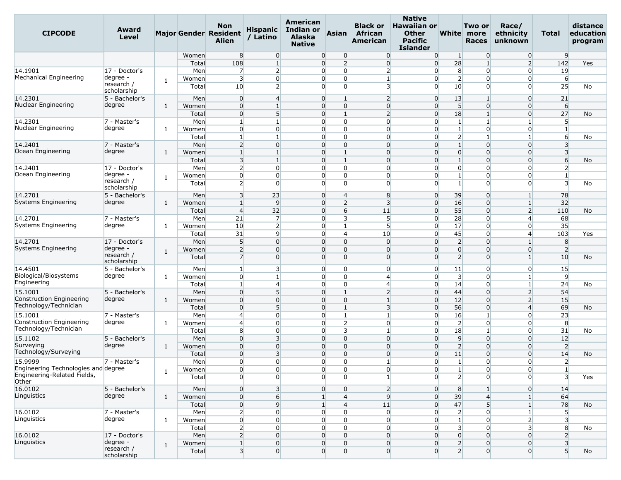| <b>CIPCODE</b>                                                     | Award<br>Level                      |              |                | <b>Non</b><br><b>Major Gender Resident</b><br>Alien | <b>Hispanic</b><br>/ Latino      | American<br>Indian or<br><b>Alaska</b><br><b>Native</b> | <b>Asian</b>                                       | <b>Black or</b><br>African<br>American | <b>Native</b><br><b>Hawaiian or</b><br><b>Other</b><br><b>Pacific</b><br>Islander |                                  | Two or<br>White more<br><b>Races</b> | Race/<br>ethnicity<br>unknown | Total                                     | distance<br>education<br>program |
|--------------------------------------------------------------------|-------------------------------------|--------------|----------------|-----------------------------------------------------|----------------------------------|---------------------------------------------------------|----------------------------------------------------|----------------------------------------|-----------------------------------------------------------------------------------|----------------------------------|--------------------------------------|-------------------------------|-------------------------------------------|----------------------------------|
|                                                                    |                                     |              | Women          | 8                                                   | $\overline{0}$                   |                                                         | $\overline{0}$<br>$\overline{0}$                   | $\overline{0}$                         | $\overline{0}$                                                                    | $\mathbf{1}$                     | $\Omega$                             | $\overline{0}$                | 9                                         |                                  |
|                                                                    |                                     |              | Total          | 108                                                 | $\mathbf{1}$                     | 0                                                       | $\overline{2}$                                     | $\overline{0}$                         | $\overline{0}$                                                                    | 28                               |                                      | $\overline{2}$                | 142                                       | Yes                              |
| 14.1901                                                            | 17 - Doctor's                       |              | Men            | 7                                                   | $\overline{2}$                   |                                                         | $\overline{0}$<br>$\overline{0}$                   | $\overline{2}$                         | $\overline{0}$                                                                    | 8                                | $\overline{0}$                       | $\overline{0}$                | 19                                        |                                  |
| Mechanical Engineering                                             | degree -<br>research /              | 1            | Women          | 3                                                   | $\overline{0}$                   | 0                                                       | 0                                                  |                                        | $\overline{0}$                                                                    | $\overline{2}$                   | $\Omega$                             | $\overline{0}$                | $6 \overline{}$                           |                                  |
|                                                                    | scholarship                         |              | Total          | 10                                                  | $\overline{2}$                   |                                                         | $\Omega$<br>$\Omega$                               | $\overline{3}$                         | $\Omega$                                                                          | 10                               | $\Omega$                             | $\Omega$                      | 25                                        | No                               |
| 14.2301                                                            | 5 - Bachelor's                      |              | Men            | $\overline{0}$                                      | $\overline{4}$                   |                                                         | $\overline{0}$<br>$\mathbf{1}$                     | $\overline{2}$                         | $\overline{0}$                                                                    | 13                               | $\mathbf{1}$                         | $\overline{0}$                | 21                                        |                                  |
| Nuclear Engineering                                                | degree                              | 1            | Women          | $\overline{0}$                                      | $\mathbf{1}$                     |                                                         | $\overline{0}$<br>$\overline{0}$                   | $\overline{0}$                         | $\overline{0}$                                                                    | $5\overline{)}$                  | $\Omega$                             | $\Omega$                      | 6                                         |                                  |
|                                                                    |                                     |              | Total          | $\overline{0}$                                      | 5                                | 0                                                       |                                                    | $\overline{2}$                         | $\overline{0}$                                                                    | 18                               |                                      | $\overline{0}$                | 27                                        | No                               |
| 14.2301                                                            | 7 - Master's                        |              | Men            | $\mathbf{1}$                                        | 1                                |                                                         | $\overline{0}$<br>$\overline{0}$                   | $\overline{0}$                         | $\overline{0}$                                                                    | $\mathbf{1}$                     |                                      | $\mathbf{1}$                  | 5                                         |                                  |
| Nuclear Engineering                                                | degree                              | 1            | Women          | $\overline{0}$                                      | $\overline{0}$                   |                                                         | $\overline{0}$<br>$\overline{0}$                   | $\overline{0}$                         | $\overline{0}$                                                                    | $\mathbf{1}$                     | $\Omega$                             | $\overline{0}$                | $\mathbf{1}$                              |                                  |
|                                                                    |                                     |              | Total          | $\mathbf{1}$                                        |                                  |                                                         | 0<br>0                                             | $\Omega$                               | $\Omega$                                                                          | 2                                |                                      | $\mathbf{1}$                  | $6 \overline{}$                           | No                               |
| 14.2401                                                            | 7 - Master's                        |              | Men            | $\overline{2}$                                      | $\Omega$                         |                                                         | $\overline{0}$<br>$\overline{0}$                   | $\Omega$                               | $\overline{0}$                                                                    | $\mathbf{1}$                     | $\Omega$                             | $\overline{0}$                | 3                                         |                                  |
| Ocean Engineering                                                  | degree                              | 1            | Women          | $\mathbf{1}$                                        | $\mathbf{1}$                     |                                                         | $\overline{0}$<br>$\mathbf{1}$                     | $\overline{0}$                         | $\overline{0}$                                                                    | $\overline{0}$                   | $\Omega$                             | $\overline{0}$                | $\overline{3}$                            |                                  |
|                                                                    |                                     |              | Total          | $\overline{3}$                                      | $\mathbf{1}$                     |                                                         | $\overline{0}$<br>$\mathbf{1}$                     | $\overline{0}$                         | $\overline{0}$                                                                    | $\mathbf{1}$                     | $\Omega$                             | $\overline{0}$                | $6 \overline{}$                           | No                               |
| 14.2401                                                            | 17 - Doctor's                       |              | Men            | $\overline{2}$                                      | $\overline{0}$                   | 0                                                       | 0                                                  | $\Omega$                               | $\Omega$                                                                          | $\overline{0}$                   | $\Omega$                             | $\Omega$                      | $\overline{2}$                            |                                  |
| Ocean Engineering                                                  | degree -<br>research /              | 1            | Women          | $\overline{0}$                                      | $\overline{0}$                   |                                                         | $\overline{0}$<br>$\overline{0}$                   | $\overline{0}$                         | $\overline{0}$                                                                    | $\mathbf{1}$                     | $\mathbf 0$                          | $\overline{0}$                | $\mathbf{1}$                              |                                  |
|                                                                    | scholarship                         |              | Total          | $\overline{2}$                                      | $\Omega$                         |                                                         | $\overline{0}$<br>0                                | $\Omega$                               | $\overline{0}$                                                                    | $\mathbf{1}$                     | $\Omega$                             | $\Omega$                      | $\overline{3}$                            | No                               |
| 14.2701                                                            | 5 - Bachelor's                      |              | Men            | $\overline{\mathbf{3}}$                             | 23                               | $\overline{0}$                                          | 4                                                  | 8                                      | $\overline{0}$                                                                    | 39                               | $\Omega$                             | 1                             | 78                                        |                                  |
| Systems Engineering                                                | degree                              | 1            | Women          | $\mathbf{1}$                                        | 9                                |                                                         | 0<br>$\overline{2}$                                | $\overline{\mathbf{3}}$                | $\overline{0}$                                                                    | 16                               | $\Omega$                             | $\mathbf{1}$                  | 32                                        |                                  |
|                                                                    |                                     |              | Total          | $\overline{4}$                                      | 32                               |                                                         | $\overline{0}$<br>6                                | 11                                     | $\overline{0}$                                                                    | 55                               | $\Omega$                             | $\overline{2}$                | 110                                       | No                               |
| 14.2701                                                            | 7 - Master's                        |              | Men            | 21                                                  | $\overline{7}$                   |                                                         | 3<br>$\overline{0}$                                | 5                                      | $\overline{0}$                                                                    | 28                               | $\Omega$                             | $\overline{4}$                | 68                                        |                                  |
| Systems Engineering                                                | degree                              | 1            | Women          | 10                                                  | $\overline{2}$                   |                                                         | $\overline{0}$<br>$\mathbf{1}$                     | 5                                      | $\overline{0}$                                                                    | 17                               | $\overline{0}$                       | $\overline{0}$                | 35                                        |                                  |
|                                                                    |                                     |              | Total          | 31                                                  | $\overline{9}$                   | 0                                                       | 4                                                  | 10                                     | $\overline{0}$                                                                    | 45                               | $\Omega$                             | $\overline{4}$                | 103                                       | Yes                              |
| 14.2701                                                            | 17 - Doctor's                       |              | Men            | $5\overline{)}$                                     | $\overline{0}$                   |                                                         | 0<br>$\overline{0}$                                | $\overline{0}$                         | $\overline{0}$                                                                    | $\overline{2}$                   | $\Omega$                             | 1                             | 8                                         |                                  |
| Systems Engineering                                                | degree<br>research /<br>scholarship | $\mathbf{1}$ | Women<br>Total | $\overline{2}$<br>$\overline{7}$                    | $\Omega$<br>$\Omega$             | 0                                                       | 0<br>0<br>0                                        | $\Omega$<br>$\Omega$                   | $\overline{0}$<br>$\Omega$                                                        | $\overline{0}$<br>$\overline{2}$ | $\Omega$<br>O                        | $\overline{0}$<br>1           | $\overline{2}$<br>10                      | No                               |
| 14.4501                                                            | 5 - Bachelor's                      |              | Men            | 1                                                   | 3                                | 0                                                       | $\overline{0}$                                     | 0                                      | $\overline{0}$                                                                    | 11                               | $\Omega$                             | 0                             | 15                                        |                                  |
| Biological/Biosystems                                              | degree                              | 1            | Women          | $\overline{0}$                                      | $\mathbf{1}$                     |                                                         | $\overline{0}$<br>$\overline{0}$                   | $\overline{4}$                         | $\overline{0}$                                                                    | $\overline{\mathbf{3}}$          | $\Omega$                             | $\mathbf{1}$                  | $\overline{9}$                            |                                  |
| Engineering                                                        |                                     |              | Total          | 1                                                   | 4                                | $\overline{0}$                                          | $\overline{0}$                                     | $\overline{4}$                         | $\overline{0}$                                                                    | 14                               | $\Omega$                             | $\mathbf{1}$                  | 24                                        | No                               |
| 15.1001                                                            | 5 - Bachelor's                      |              | Men            | $\overline{0}$                                      | 5                                |                                                         | $\overline{0}$                                     | $\overline{2}$                         | $\overline{0}$                                                                    | 44                               | $\Omega$                             | $\overline{2}$                | 54                                        |                                  |
| Construction Engineering                                           | degree                              | 1            | Women          | $\overline{0}$                                      | $\Omega$                         |                                                         | $\overline{0}$<br>0                                |                                        | $\overline{0}$                                                                    | 12                               | $\Omega$                             | $\overline{2}$                | 15                                        |                                  |
| Technology/Technician                                              |                                     |              | Total          | $\overline{0}$                                      | 5 <sup>1</sup>                   |                                                         | $\overline{0}$<br>$\mathbf{1}$                     | $\overline{3}$                         | $\overline{0}$                                                                    | 56                               | $\Omega$                             | $\overline{4}$                | 69                                        | No                               |
| 15.1001                                                            | 7 - Master's                        |              | Men            | $\overline{4}$                                      | $\overline{0}$                   |                                                         | $\overline{0}$<br>1                                | $\mathbf{1}$                           | $\overline{0}$                                                                    | 16                               |                                      | $\Omega$                      | 23                                        |                                  |
| Construction Engineering                                           | degree                              | 1            | Women          | $\overline{4}$                                      | $\overline{0}$                   | $\overline{0}$                                          | $\overline{2}$                                     | 0                                      | $\overline{0}$                                                                    | $\overline{2}$                   | $\Omega$                             | 0                             | 8                                         |                                  |
| Technology/Technician                                              |                                     |              | Total          | 8                                                   | $\overline{0}$                   |                                                         | $\overline{0}$<br>3                                | $\mathbf{1}$                           | $\overline{0}$                                                                    | 18                               | $\mathbf{1}$                         | $\overline{0}$                | 31                                        | No                               |
| 15.1102                                                            | 5 - Bachelor's                      |              | Men            | $\overline{0}$                                      | 3                                |                                                         | $\overline{0}$<br>$\Omega$                         | $\Omega$                               | $\overline{0}$                                                                    | 9                                | $\Omega$                             | $\Omega$                      | 12                                        |                                  |
| Surveying                                                          | degree                              | 1            | Women          | $\overline{0}$                                      | $\Omega$                         | 0                                                       | 0                                                  | $\Omega$                               | $\Omega$                                                                          | $\overline{2}$                   | 0                                    | 0                             | $\overline{2}$                            |                                  |
| Technology/Surveying                                               |                                     |              | Total          | $\overline{0}$                                      | 3                                |                                                         | $\overline{0}$<br>$\overline{0}$                   | $\overline{0}$                         | $\overline{0}$                                                                    | 11                               | $\Omega$                             | $\overline{0}$                | 14                                        | No                               |
| 15.9999                                                            | 7 - Master's                        |              | Men            | $\overline{0}$                                      | $\Omega$                         |                                                         | $\overline{0}$<br>0                                | $\mathbf{1}$                           | $\overline{0}$                                                                    | $\mathbf{1}$                     | $\Omega$                             | $\overline{0}$                | $\overline{2}$                            |                                  |
| Engineering Technologies and degree<br>Engineering-Related Fields, |                                     | 1            | Women<br>Total | $\overline{0}$<br>$\overline{0}$                    | $\overline{0}$<br>$\overline{0}$ | 0                                                       | $\overline{0}$<br>$\Omega$<br>$\Omega$             | $\overline{0}$<br>$\mathbf{1}$         | $\overline{0}$<br>$\Omega$                                                        | $1\vert$<br>$\overline{2}$       | $\overline{0}$<br>$\Omega$           | $\overline{0}$<br>$\Omega$    | $\mathbf{1}$<br>$\overline{3}$            | Yes                              |
| Other                                                              |                                     |              |                |                                                     |                                  |                                                         |                                                    |                                        |                                                                                   |                                  |                                      |                               |                                           |                                  |
| 16.0102                                                            | 5 - Bachelor's                      |              | Men            | $\overline{0}$                                      | 3 <sup>1</sup>                   |                                                         | $\overline{0}$<br>$\overline{0}$                   | $\overline{2}$                         | $\overline{0}$                                                                    | 8 <sup>1</sup>                   |                                      | $\overline{0}$                | 14                                        |                                  |
| Linguistics                                                        | degree                              | $\mathbf{1}$ | Women          | $\overline{0}$                                      | 6                                |                                                         | 1 <sup>1</sup><br>$\overline{4}$                   | 9                                      | $\overline{0}$                                                                    | 39<br>47                         | $\overline{4}$                       | $1\overline{ }$               | 64                                        |                                  |
|                                                                    |                                     |              | Total          | $\boldsymbol{0}$                                    | $\overline{9}$                   | 1 <sup>1</sup>                                          | $\overline{4}$                                     | 11                                     | $\overline{0}$                                                                    |                                  | 5 <sup>1</sup>                       | 1 <sup>1</sup>                | 78                                        | No                               |
| 16.0102<br>Linguistics                                             | 7 - Master's<br>degree              |              | Men            | $\overline{2}$                                      | $\overline{0}$                   |                                                         | $\overline{0}$<br>$\overline{0}$                   | $\overline{0}$                         | $\overline{0}$                                                                    | $\overline{2}$                   | $\overline{0}$                       | $1\overline{ }$               | 5 <sup>5</sup>                            |                                  |
|                                                                    |                                     | $\mathbf{1}$ | Women          | $\overline{0}$                                      | $\overline{0}$                   | $\overline{0}$                                          | $\overline{0}$<br>$\overline{0}$<br>$\overline{0}$ | $\overline{0}$<br>$\overline{0}$       | $\overline{0}$<br>$\overline{0}$                                                  | 1 <sup>1</sup>                   | $\overline{0}$                       | $\mathbf{2}$                  | $\overline{\mathbf{3}}$                   |                                  |
| 16.0102                                                            | 17 - Doctor's                       |              | Total          | $\overline{2}$                                      | $\overline{0}$<br>$\overline{0}$ |                                                         | $\overline{0}$                                     | $\overline{0}$                         |                                                                                   | 3 <sup>l</sup><br>$\overline{0}$ | $\overline{0}$<br>$\Omega$           | 3 <sup>1</sup><br>$\Omega$    | 8                                         | No                               |
| Linguistics                                                        | degree -                            |              | Men            | $\overline{2}$                                      |                                  |                                                         | $\overline{0}$<br>$\overline{0}$<br>$\overline{0}$ |                                        | $\overline{0}$<br>$\overline{0}$                                                  | $2 \vert$                        | $\overline{0}$                       | $\overline{0}$                | $\overline{2}$                            |                                  |
|                                                                    | research /<br>scholarship           | $\mathbf{1}$ | Women<br>Total | $1\vert$<br>$\overline{\mathbf{3}}$                 | $\overline{0}$<br>$\overline{0}$ |                                                         | $\overline{0}$<br>$\overline{0}$                   | $\overline{0}$<br>$\overline{0}$       | $\overline{0}$                                                                    | $\overline{2}$                   | $\overline{0}$                       | $\overline{0}$                | $\overline{\mathbf{3}}$<br>5 <sup>1</sup> | No                               |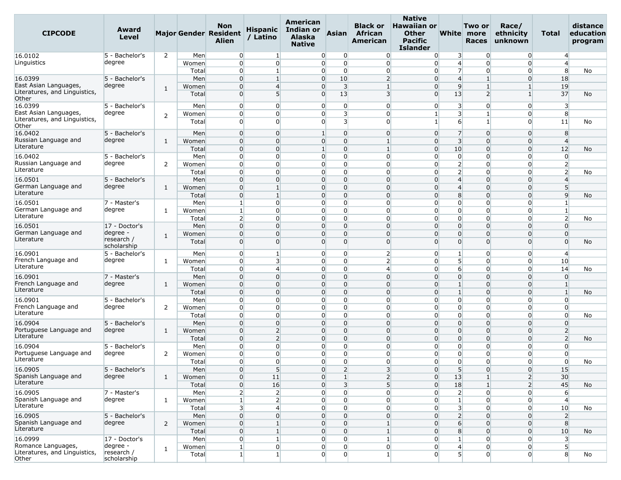| <b>CIPCODE</b>                         | Award<br>Level                |                |                | <b>Non</b><br><b>Major Gender Resident</b><br>Alien | <b>Hispanic</b><br>/ Latino | American<br>Indian or<br><b>Alaska</b><br><b>Native</b> | <b>Asian</b>               | <b>Black or</b><br>African<br>American | <b>Native</b><br><b>Hawaiian or</b><br><b>Other</b><br>Pacific<br><b>Islander</b> |                         | Two or<br>White more<br><b>Races</b> | Race/<br>ethnicity<br>unknown | Total                   | distance<br>education<br>program |
|----------------------------------------|-------------------------------|----------------|----------------|-----------------------------------------------------|-----------------------------|---------------------------------------------------------|----------------------------|----------------------------------------|-----------------------------------------------------------------------------------|-------------------------|--------------------------------------|-------------------------------|-------------------------|----------------------------------|
| 16.0102                                | 5 - Bachelor's                | $\overline{2}$ | Men            | $\overline{0}$                                      | $\mathbf{1}$                | $\overline{0}$                                          | $\overline{0}$             | $\overline{0}$                         | $\overline{0}$                                                                    | $\overline{\mathbf{3}}$ | 0                                    | $\overline{0}$                | $\overline{4}$          |                                  |
| Linguistics                            | degree                        |                | Women          | $\overline{0}$                                      | $\overline{0}$              |                                                         | 0<br>$\Omega$              | $\overline{0}$                         | $\overline{0}$                                                                    | $\overline{4}$          | $\Omega$                             | $\overline{0}$                | $\overline{4}$          |                                  |
|                                        |                               |                | Total          | $\overline{0}$                                      | $\mathbf{1}$                | $\overline{0}$                                          | $\overline{0}$             | $\overline{0}$                         | $\overline{0}$                                                                    | $\overline{7}$          | $\overline{0}$                       | $\overline{0}$                | 8                       | No                               |
| 16.0399                                | 5 - Bachelor's                |                | Men            | $\overline{0}$                                      | 1                           | 0                                                       | 10                         | $\overline{2}$                         | $\Omega$                                                                          | $\overline{4}$          |                                      | 0                             | 18                      |                                  |
| East Asian Languages,                  | degree                        | 1              | Women          | $\overline{0}$                                      | $\overline{4}$              | 0                                                       | $\overline{\mathbf{3}}$    | $\mathbf{1}$                           | $\overline{0}$                                                                    | 9                       | $\mathbf{1}$                         | 1                             | 19                      |                                  |
| Literatures, and Linguistics,<br>Other |                               |                | Total          | $\overline{0}$                                      | 5                           | $\Omega$                                                | 13                         | $\overline{3}$                         | $\overline{0}$                                                                    | 13                      | 2                                    | $\mathbf{1}$                  | 37                      | No                               |
| 16.0399                                | 5 - Bachelor's                |                | Men            | $\overline{0}$                                      | $\overline{0}$              | $\overline{0}$                                          | $\overline{0}$             | $\overline{0}$                         | $\overline{0}$                                                                    | $\overline{\mathbf{3}}$ | $\Omega$                             | $\Omega$                      | 3                       |                                  |
| East Asian Languages,                  | degree                        |                | Women          | $\overline{0}$                                      | $\overline{0}$              | 0                                                       | 3                          | $\overline{0}$                         | 1                                                                                 | $\overline{\mathbf{3}}$ |                                      | $\Omega$                      | 8                       |                                  |
| Literatures, and Linguistics,          |                               | $\overline{2}$ | Total          | $\overline{0}$                                      | $\Omega$                    | $\Omega$                                                | $\overline{\mathbf{3}}$    | $\Omega$                               |                                                                                   | 6                       | -1                                   | $\overline{0}$                | 11                      | No                               |
| Other                                  |                               |                |                |                                                     |                             |                                                         |                            |                                        |                                                                                   |                         |                                      |                               |                         |                                  |
| 16.0402                                | 5 - Bachelor's                |                | Men            | $\overline{0}$                                      | $\overline{0}$              | $\mathbf{1}$                                            | $\Omega$                   | $\overline{0}$                         | $\overline{0}$                                                                    | $\overline{7}$          | $\mathbf 0$                          | $\overline{0}$                | 8                       |                                  |
| Russian Language and                   | degree                        | $\mathbf{1}$   | Women          | $\overline{0}$                                      | $\Omega$                    |                                                         | $\overline{0}$<br>0        | $\mathbf{1}$                           | $\Omega$                                                                          | $\overline{3}$          | $\Omega$                             | $\overline{0}$                | $\overline{4}$          |                                  |
| Literature                             |                               |                | Total          | $\overline{0}$                                      | $\Omega$                    | $\mathbf{1}$                                            | 0                          | $\mathbf{1}$                           | $\overline{0}$                                                                    | 10                      | O                                    | 0                             | 12                      | No                               |
| 16.0402                                | 5 - Bachelor's                |                | Men            | $\overline{0}$                                      | $\overline{0}$              | $\overline{0}$                                          | $\overline{0}$             | $\overline{0}$                         | $\overline{0}$                                                                    | $\overline{0}$          | $\mathbf 0$                          | $\overline{0}$                | $\overline{0}$          |                                  |
| Russian Language and                   | degree                        | 2              | Women          | $\overline{0}$                                      | $\overline{0}$              |                                                         | 0<br>0                     | $\overline{0}$                         | $\Omega$                                                                          | $\overline{2}$          | $\Omega$                             | $\overline{0}$                | $\overline{2}$          |                                  |
| Literature                             |                               |                | Total          | $\overline{0}$                                      | $\overline{0}$              | $\overline{0}$                                          | 0                          | $\Omega$                               | $\overline{0}$                                                                    | $\overline{2}$          | $\Omega$                             | $\Omega$                      | $\overline{2}$          | No                               |
| 16.0501                                | 5 - Bachelor's                |                | Men            | $\overline{0}$                                      | $\overline{0}$              | 0                                                       | 0                          | $\overline{0}$                         | $\Omega$                                                                          | $\overline{4}$          | $\Omega$                             | 0                             | $\overline{4}$          |                                  |
| German Language and                    | degree                        | 1              | Women          | $\overline{0}$                                      | $\mathbf{1}$                |                                                         | 0<br>0                     | $\Omega$                               | $\Omega$                                                                          | $\overline{4}$          | $\Omega$                             | $\overline{0}$                | 5                       |                                  |
| Literature                             |                               |                | Total          | $\overline{0}$                                      | $\mathbf{1}$                | 0                                                       | 0                          | $\Omega$                               | $\overline{0}$                                                                    | 8                       | $\Omega$                             | $\Omega$                      | $\overline{9}$          | No                               |
| 16.0501                                | 7 - Master's                  |                | Men            | $\mathbf{1}$                                        | $\overline{0}$              |                                                         | 0<br>0                     | $\Omega$                               | $\Omega$                                                                          | $\overline{0}$          | $\Omega$                             | 0                             | $\mathbf{1}$            |                                  |
| German Language and                    | degree                        | 1              | Women          | $\mathbf{1}$                                        | $\Omega$                    | $\overline{0}$                                          | 0                          | $\overline{0}$                         | $\overline{0}$                                                                    | $\overline{0}$          | $\Omega$                             | $\overline{0}$                | $\mathbf{1}$            |                                  |
| Literature                             |                               |                | Total          | $\overline{2}$                                      | $\overline{0}$              |                                                         | 0<br>$\overline{0}$        | $\overline{0}$                         | $\overline{0}$                                                                    | $\overline{0}$          | $\Omega$                             | $\Omega$                      | $\overline{2}$          | No                               |
| 16.0501                                | 17 - Doctor's                 |                | Men            | $\overline{0}$                                      | $\overline{0}$              |                                                         | $\overline{0}$<br>0        | $\Omega$                               | $\Omega$                                                                          | $\overline{0}$          | $\Omega$                             | $\overline{0}$                | $\Omega$                |                                  |
| German Language and                    | degree ·                      | 1              | Women          | $\overline{0}$                                      | $\Omega$                    | 0                                                       | 0                          | $\Omega$                               | $\Omega$                                                                          | $\overline{0}$          | 0                                    | $\Omega$                      | $\mathbf{0}$            |                                  |
| Literature                             | research /                    |                | Total          | $\overline{0}$                                      | $\Omega$                    |                                                         | $\overline{0}$<br>$\Omega$ | $\Omega$                               | $\Omega$                                                                          | $\Omega$                | $\Omega$                             | $\overline{0}$                | $\Omega$                | No                               |
| 16.0901                                | scholarship<br>5 - Bachelor's |                | Men            | $\overline{0}$                                      | $\mathbf{1}$                | $\overline{0}$                                          | 0                          | $\overline{2}$                         | $\overline{0}$                                                                    | $\mathbf{1}$            | $\Omega$                             | $\overline{0}$                | $\overline{4}$          |                                  |
| French Language and                    | degree                        |                |                | $\overline{0}$                                      | 3                           |                                                         | $\overline{0}$<br>0        | $\overline{2}$                         | $\overline{0}$                                                                    | 5 <sup>1</sup>          | $\Omega$                             | $\Omega$                      | 10                      |                                  |
| Literature                             |                               | 1              | Women<br>Total | $\overline{0}$                                      | $\overline{4}$              | 0                                                       | $\overline{0}$             | $\overline{4}$                         | $\overline{0}$                                                                    | $6 \overline{}$         | $\Omega$                             | 0                             | 14                      |                                  |
| 16.0901                                | 7 - Master's                  |                | Men            | $\overline{0}$                                      | $\Omega$                    | $\overline{0}$                                          | $\overline{0}$             | $\overline{0}$                         | $\overline{0}$                                                                    | $\overline{0}$          | $\Omega$                             | $\overline{0}$                | $\overline{0}$          | No                               |
| French Language and                    | degree                        |                |                | $\overline{0}$                                      | $\Omega$                    | $\Omega$                                                | 0                          | $\Omega$                               | $\overline{0}$                                                                    | $\mathbf{1}$            | $\Omega$                             | $\Omega$                      | $\mathbf{1}$            |                                  |
| Literature                             |                               | $\mathbf{1}$   | Women<br>Total | $\overline{0}$                                      | $\overline{0}$              |                                                         | 0<br>0                     | $\Omega$                               | $\Omega$                                                                          | $\mathbf{1}$            | $\Omega$                             | $\overline{0}$                | $\mathbf{1}$            |                                  |
| 16.0901                                | 5 - Bachelor's                |                | Men            | $\overline{0}$                                      | $\overline{0}$              | $\overline{0}$                                          | 0                          | $\overline{0}$                         | $\overline{0}$                                                                    | $\overline{0}$          | $\Omega$                             | $\overline{0}$                | $\overline{0}$          | No                               |
| French Language and                    | degree                        | 2              | Women          | $\overline{0}$                                      | $\overline{0}$              |                                                         | 0<br>$\overline{0}$        | $\overline{0}$                         | $\overline{0}$                                                                    | $\overline{0}$          | $\Omega$                             | $\overline{0}$                | $\overline{0}$          |                                  |
| Literature                             |                               |                |                | $\overline{0}$                                      | $\overline{0}$              |                                                         | 0<br>0                     | $\Omega$                               | $\Omega$                                                                          | $\overline{0}$          | 0                                    | $\overline{0}$                | $\overline{0}$          |                                  |
| 16.0904                                | 5 - Bachelor's                |                | Total<br>Men   | $\overline{0}$                                      | $\overline{0}$              | 0                                                       | 0                          | $\Omega$                               | $\Omega$                                                                          | $\overline{0}$          | 0                                    | $\Omega$                      | $\overline{0}$          | No                               |
| Portuguese Language and                | degree                        | 1              | Women          | $\overline{0}$                                      | $\overline{2}$              | $\overline{0}$                                          | $\Omega$                   | $\overline{0}$                         | $\overline{0}$                                                                    | $\overline{0}$          | $\Omega$                             | $\overline{0}$                | $\overline{2}$          |                                  |
| Literature                             |                               |                | Total          | $\overline{0}$                                      | $\overline{2}$              |                                                         | $\overline{0}$<br>0        | $\Omega$                               | $\overline{0}$                                                                    | $\overline{0}$          | $\Omega$                             | $\Omega$                      | $\overline{2}$          | No                               |
| 16.0904                                | 5 - Bachelor's                |                | Men            | $\overline{0}$                                      | $\overline{0}$              | 0                                                       | 0                          | $\Omega$                               | $\Omega$                                                                          | $\overline{0}$          | 0                                    | $\Omega$                      | $\overline{0}$          |                                  |
| Portuguese Language and                | degree                        | 2              | Women          | $\overline{0}$                                      | $\overline{0}$              | $\overline{0}$                                          | 0                          | $\mathbf{0}$                           | $\overline{0}$                                                                    | $\overline{0}$          | $\Omega$                             | $\overline{0}$                | $\overline{0}$          |                                  |
| Literature                             |                               |                | Total          | $\overline{0}$                                      | $\Omega$                    |                                                         | 0<br>0                     | $\Omega$                               | $\Omega$                                                                          | $\overline{0}$          | $\Omega$                             | $\overline{0}$                | $\overline{0}$          | No                               |
| 16.0905                                | 5 - Bachelor's                |                | Men            | $\overline{0}$                                      | 5                           | 0                                                       | $\overline{2}$             | 3 <sup>1</sup>                         | $\overline{0}$                                                                    | 5 <sup>1</sup>          | $\overline{0}$                       | $\overline{0}$                | 15                      |                                  |
| Spanish Language and                   | degree                        | 1              | Women          | $\overline{0}$                                      | 11                          | $\overline{0}$                                          | $\mathbf{1}$               | 2                                      | $\overline{0}$                                                                    | 13                      | $\mathbf{1}$                         | 2 <sup>1</sup>                | 30 <sup>°</sup>         |                                  |
| Literature                             |                               |                | Total          | $\overline{0}$                                      | 16                          | $\overline{0}$                                          | $\overline{\mathbf{3}}$    | 5 <sup>1</sup>                         | $\overline{0}$                                                                    | 18                      | $\mathbf{1}$                         | 2 <sup>1</sup>                | 45                      | <b>No</b>                        |
| 16.0905                                | 7 - Master's                  |                | Men            | $\overline{2}$                                      | $\overline{2}$              | $\overline{0}$                                          | $\overline{0}$             | $\overline{0}$                         | $\overline{0}$                                                                    | $2 \vert$               | $\Omega$                             | $\overline{0}$                | 6                       |                                  |
| Spanish Language and                   | degree                        | 1              | Women          | $\mathbf{1}$                                        | $\overline{2}$              | $\overline{0}$                                          | $\overline{0}$             | $\overline{0}$                         | $\overline{0}$                                                                    | $\mathbf{1}$            | $\Omega$                             | $\overline{0}$                | $\overline{4}$          |                                  |
| Literature                             |                               |                | Total          | $\overline{\mathbf{3}}$                             | $\overline{4}$              | $\overline{0}$                                          | $\overline{0}$             | $\overline{0}$                         | $\overline{0}$                                                                    | $\overline{3}$          | $\Omega$                             | $\overline{0}$                | 10                      | No                               |
| 16.0905                                | 5 - Bachelor's                |                | Men            | $\overline{0}$                                      | $\overline{0}$              | $\overline{0}$                                          | $\Omega$                   | $\overline{0}$                         | $\overline{0}$                                                                    | $\overline{2}$          | $\Omega$                             | $\overline{0}$                | $\overline{2}$          |                                  |
| Spanish Language and                   | degree                        | $\overline{2}$ | Women          | $\overline{0}$                                      | $\mathbf{1}$                | $\overline{0}$                                          | $\overline{0}$             | $\mathbf{1}$                           | $\overline{0}$                                                                    | $6 \overline{6}$        | $\Omega$                             | $\overline{0}$                | 8                       |                                  |
| Literature                             |                               |                | Total          | $\overline{0}$                                      | $\mathbf{1}$                | $\overline{0}$                                          | $\overline{0}$             | $\mathbf{1}$                           | $\overline{0}$                                                                    | 8                       | $\Omega$                             | $\overline{0}$                | 10                      | No                               |
| 16.0999                                | 17 - Doctor's                 |                | Men            | $\overline{0}$                                      | $\mathbf{1}$                | $\overline{0}$                                          | $\overline{0}$             | $1\overline{ }$                        | $\overline{0}$                                                                    | $\mathbf{1}$            | $\overline{0}$                       | $\overline{0}$                | $\overline{\mathbf{3}}$ |                                  |
| Romance Languages,                     | degree -                      |                | Women          | $\mathbf{1}$                                        | $\overline{0}$              | $\overline{0}$                                          | $\overline{0}$             | $\overline{0}$                         | $\overline{0}$                                                                    | $\overline{4}$          | $\overline{0}$                       | $\overline{0}$                | $5\overline{)}$         |                                  |
| Literatures, and Linguistics,<br>Other | research /<br>scholarship     | $\mathbf{1}$   | Total          | $\mathbf{1}$                                        | $1\overline{ }$             | $\overline{0}$                                          | $\overline{0}$             | $1\overline{ }$                        | $\overline{0}$                                                                    | 5 <sup>1</sup>          | $\overline{0}$                       | $\overline{0}$                | 8                       | No                               |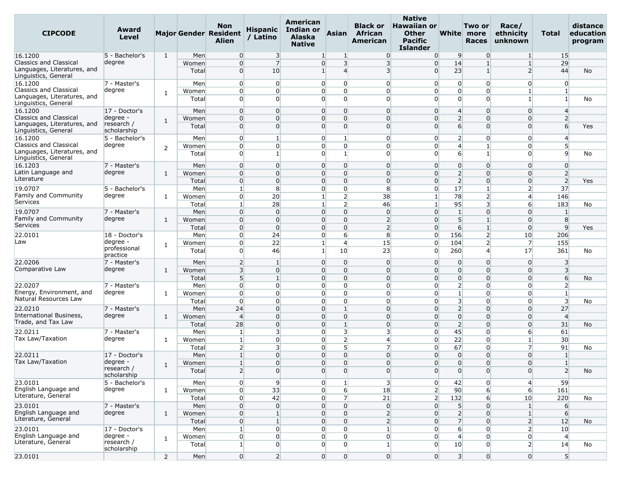| <b>CIPCODE</b>                                                                       | Award<br>Level                              |                |                | Non<br><b>Major Gender Resident</b><br><b>Alien</b> | <b>Hispanic</b><br>/ Latino      | American<br><b>Indian or</b><br><b>Alaska</b><br><b>Native</b> | Asian                                     | <b>Black or</b><br><b>African</b><br>American | <b>Native</b><br><b>Hawaiian or</b><br><b>Other</b><br><b>Pacific</b><br><b>Islander</b> |                                   | Two or<br>White more<br><b>Races</b> | Race/<br>ethnicity<br>unknown    | Total                            | distance<br>education<br>program |
|--------------------------------------------------------------------------------------|---------------------------------------------|----------------|----------------|-----------------------------------------------------|----------------------------------|----------------------------------------------------------------|-------------------------------------------|-----------------------------------------------|------------------------------------------------------------------------------------------|-----------------------------------|--------------------------------------|----------------------------------|----------------------------------|----------------------------------|
| 16.1200                                                                              | 5 - Bachelor's                              | $\mathbf{1}$   | Men            | $\overline{0}$                                      | $\overline{\mathbf{3}}$          | $\mathbf{1}$                                                   |                                           | $\overline{0}$                                | $\overline{0}$                                                                           | 9                                 | $\Omega$                             | 1                                | 15                               |                                  |
| <b>Classics and Classical</b><br>Languages, Literatures, and<br>Linguistics, General | degree                                      |                | Women<br>Total | $\overline{0}$<br>$\overline{0}$                    | $\overline{7}$<br>10             | $\overline{0}$<br>$\mathbf{1}$                                 | $\overline{\mathbf{3}}$<br>$\overline{4}$ | $\overline{3}$<br>$\overline{3}$              | $\overline{0}$<br>$\overline{0}$                                                         | 14<br>23                          | $\mathbf{1}$<br>$\mathbf{1}$         | $\mathbf{1}$<br>$\overline{2}$   | 29<br>44                         | No                               |
| 16.1200                                                                              | 7 - Master's                                |                | Men            | $\overline{0}$                                      | $\overline{0}$                   | $\overline{0}$                                                 | $\overline{0}$                            | $\Omega$                                      | $\overline{0}$                                                                           | $\overline{0}$                    | 0                                    | $\Omega$                         | $\overline{0}$                   |                                  |
| <b>Classics and Classical</b><br>Languages, Literatures, and<br>Linguistics, General | degree                                      | 1              | Women<br>Total | $\overline{0}$<br>$\overline{0}$                    | $\overline{0}$<br>$\overline{0}$ | $\Omega$<br>$\overline{0}$                                     | $\overline{0}$<br>$\Omega$                | $\overline{0}$<br>$\Omega$                    | $\overline{0}$<br>$\Omega$                                                               | $\overline{0}$<br>$\overline{0}$  | 0<br>$\Omega$                        | 1<br>1                           | $\mathbf{1}$<br>$\mathbf{1}$     | No                               |
| 16.1200                                                                              | 17 - Doctor's                               |                | Men            | $\overline{0}$                                      | $\Omega$                         | $\Omega$                                                       | $\Omega$                                  | $\Omega$                                      | $\overline{0}$                                                                           | $\overline{4}$                    | $\Omega$                             | $\Omega$                         | $\overline{4}$                   |                                  |
| <b>Classics and Classical</b><br>Languages, Literatures, and<br>Linguistics, General | degree -<br>research /<br>scholarship       | $\mathbf{1}$   | Women<br>Total | $\overline{0}$<br>$\overline{0}$                    | $\overline{0}$<br>$\Omega$       | $\overline{0}$<br>$\Omega$                                     | $\Omega$<br>$\Omega$                      | $\Omega$<br>$\Omega$                          | $\overline{0}$<br>$\Omega$                                                               | $\overline{2}$<br>$6 \overline{}$ | $\Omega$<br>$\Omega$                 | $\Omega$<br>$\Omega$             | $\overline{2}$<br>6              | Yes                              |
| 16.1200                                                                              | 5 - Bachelor's                              |                | Men            | $\overline{0}$                                      | $\mathbf{1}$                     | $\Omega$                                                       | $\mathbf{1}$                              | $\overline{0}$                                | $\overline{0}$                                                                           | $\overline{2}$                    | 0                                    | $\Omega$                         | $\overline{4}$                   |                                  |
| <b>Classics and Classical</b><br>Languages, Literatures, and<br>Linguistics, General | degree                                      | 2              | Women<br>Total | $\overline{0}$<br>$\overline{0}$                    | $\overline{0}$<br>$\mathbf{1}$   | $\overline{0}$<br>$\Omega$                                     | $\Omega$<br>$\mathbf{1}$                  | $\Omega$<br>$\Omega$                          | $\overline{0}$<br>$\Omega$                                                               | $\overline{4}$<br>6               | $\mathbf{1}$<br>$\mathbf{1}$         | $\overline{0}$<br><sub>0</sub>   | 5 <sup>1</sup><br>$\overline{9}$ | No                               |
| 16.1203                                                                              | 7 - Master's                                |                | Men            | $\overline{0}$                                      | $\Omega$                         | $\overline{0}$                                                 | $\overline{0}$                            | $\Omega$                                      | $\overline{0}$                                                                           | $\overline{0}$                    | $\mathbf 0$                          | $\Omega$                         | $\overline{0}$                   |                                  |
| Latin Language and                                                                   | degree                                      | $\mathbf{1}$   | Women          | $\overline{0}$                                      | $\Omega$                         | $\Omega$                                                       | $\Omega$                                  | $\Omega$                                      | $\Omega$                                                                                 | $\overline{2}$                    | $\Omega$                             | $\Omega$                         | $\overline{2}$                   |                                  |
| Literature                                                                           |                                             |                | Total          | $\overline{0}$                                      | $\overline{0}$                   | $\overline{0}$                                                 | $\overline{0}$                            | $\overline{0}$                                | $\overline{0}$                                                                           | $\overline{2}$                    | $\Omega$                             | $\overline{0}$                   | $\overline{2}$                   | Yes                              |
| 19.0707                                                                              | 5 - Bachelor's                              |                | Men            | 1                                                   | 8                                | $\overline{0}$                                                 | $\mathbf 0$                               | 8                                             | $\overline{0}$                                                                           | 17                                | $\mathbf{1}$                         | $\overline{2}$                   | 37                               |                                  |
| Family and Community                                                                 | degree                                      | 1              | Women          | $\overline{0}$                                      | 20                               | 1                                                              | $\overline{2}$                            | 38                                            | $\mathbf{1}$                                                                             | 78                                | $\overline{2}$                       | 4                                | 146                              |                                  |
| Services                                                                             |                                             |                | Total          | $\mathbf{1}$                                        | 28                               | 1                                                              | $\overline{2}$                            | 46                                            | $\mathbf{1}$                                                                             | 95                                | $\overline{\mathbf{3}}$              | 6                                | 183                              | No                               |
| 19.0707<br>Family and Community                                                      | 7 - Master's<br>degree                      | $\mathbf{1}$   | Men<br>Women   | $\overline{0}$<br>$\overline{0}$                    | $\Omega$<br>$\Omega$             | $\overline{0}$<br>$\overline{0}$                               | $\Omega$<br>$\Omega$                      | $\overline{0}$<br>$\overline{2}$              | $\overline{0}$<br>$\overline{0}$                                                         | $\mathbf{1}$<br>$5\overline{)}$   | $\Omega$                             | $\Omega$<br>$\Omega$             | $\mathbf{1}$<br>8                |                                  |
| Services                                                                             |                                             |                | Total          | $\overline{0}$                                      | $\overline{0}$                   | $\Omega$                                                       | $\Omega$                                  | $\overline{2}$                                | $\overline{0}$                                                                           | $6 \overline{}$                   | $\mathbf{1}$                         | $\overline{0}$                   | $\overline{9}$                   | Yes                              |
| 22.0101                                                                              | 18 - Doctor's                               |                | Men            | $\overline{0}$                                      | 24                               | $\overline{0}$                                                 | 6                                         | 8                                             | $\Omega$                                                                                 | 156                               | $\overline{2}$                       | 10                               | 206                              |                                  |
| Law                                                                                  | degree ·                                    | 1              | Women          | $\overline{0}$                                      | 22                               | $\mathbf{1}$                                                   | $\overline{4}$                            | 15                                            | $\Omega$                                                                                 | 104                               | $\overline{2}$                       | $\overline{7}$                   | 155                              |                                  |
|                                                                                      | professional<br>practice                    |                | Total          | $\overline{0}$                                      | 46                               | $\mathbf{1}$                                                   | 10                                        | 23                                            | $\overline{0}$                                                                           | 260                               | $\overline{4}$                       | 17                               | 361                              | No                               |
| 22.0206<br>Comparative Law                                                           | 7 - Master's<br>degree                      |                | Men            | $\overline{2}$<br>$\overline{\mathbf{3}}$           | $\mathbf{1}$<br>$\overline{0}$   | $\Omega$<br>$\overline{0}$                                     | $\Omega$<br>$\overline{0}$                | $\Omega$<br>$\overline{0}$                    | $\overline{0}$<br>$\overline{0}$                                                         | $\Omega$<br>$\overline{0}$        | $\Omega$<br>$\Omega$                 | 0<br>$\overline{0}$              | 3                                |                                  |
|                                                                                      |                                             | 1              | Women<br>Total | 5 <sup>1</sup>                                      | $\mathbf{1}$                     | $\Omega$                                                       | $\overline{0}$                            | $\Omega$                                      | $\overline{0}$                                                                           | $\overline{0}$                    | $\Omega$                             | $\Omega$                         | $\overline{\mathbf{3}}$<br>6     | No                               |
| 22.0207                                                                              | 7 - Master's                                |                | Men            | $\overline{0}$                                      | $\overline{0}$                   | $\overline{0}$                                                 | $\mathbf 0$                               | $\Omega$                                      | $\overline{0}$                                                                           | $\overline{2}$                    | $\Omega$                             | $\Omega$                         | $\overline{2}$                   |                                  |
| Energy, Environment, and                                                             | degree                                      | 1              | Women          | $\overline{0}$                                      | $\overline{0}$                   | $\Omega$                                                       | $\overline{0}$                            | $\overline{0}$                                | $\overline{0}$                                                                           | $\mathbf{1}$                      | 0                                    | $\overline{0}$                   | $\mathbf{1}$                     |                                  |
| Natural Resources Law                                                                |                                             |                | Total          | $\overline{0}$                                      | $\Omega$                         | $\overline{0}$                                                 | $\Omega$                                  | $\Omega$                                      | $\overline{0}$                                                                           | $\overline{\mathbf{3}}$           | $\Omega$                             | $\overline{0}$                   | $\overline{3}$                   | No                               |
| 22.0210                                                                              | 7 - Master's                                |                | Men            | 24                                                  | $\Omega$                         | $\overline{0}$                                                 |                                           | $\Omega$                                      | $\overline{0}$                                                                           | $\overline{2}$                    | $\Omega$                             | $\Omega$                         | 27                               |                                  |
| International Business,<br>Trade, and Tax Law                                        | degree                                      | 1              | Women          | $\overline{4}$                                      | $\Omega$                         | $\Omega$                                                       | $\overline{0}$                            | $\Omega$                                      | $\overline{0}$                                                                           | $\overline{0}$                    | $\mathbf 0$                          | $\Omega$                         | $\overline{4}$                   |                                  |
| 22.0211                                                                              | 7 - Master's                                |                | Total<br>Men   | 28<br>$\mathbf{1}$                                  | $\overline{0}$<br>$\overline{3}$ | $\overline{0}$<br>$\Omega$                                     | $\mathbf{1}$<br>3                         | $\Omega$<br>$\overline{3}$                    | $\overline{0}$<br>$\overline{0}$                                                         | $\overline{2}$<br>45              | $\mathbf 0$<br>$\Omega$              | $\Omega$<br>6                    | 31<br>61                         | No                               |
| Tax Law/Taxation                                                                     | degree                                      | 1              | Women          | $\mathbf{1}$                                        | $\overline{0}$                   | $\overline{0}$                                                 | $\overline{2}$                            | $\overline{4}$                                | $\overline{0}$                                                                           | 22                                | $\overline{0}$                       |                                  | 30                               |                                  |
|                                                                                      |                                             |                | Total          | $\overline{2}$                                      | 3                                | $\overline{0}$                                                 | 51                                        | $\overline{7}$                                | $\overline{0}$                                                                           | 67                                | 0                                    | $\overline{7}$                   | 91                               | No                               |
| 22.0211                                                                              | 17 - Doctor's                               |                | Men            | $\mathbf{1}$                                        | $\overline{0}$                   | $\overline{0}$                                                 | $\overline{0}$                            | $\overline{0}$                                | $\overline{0}$                                                                           | $\overline{0}$                    | $\Omega$                             | $\overline{0}$                   | $1\overline{ }$                  |                                  |
| Tax Law/Taxation                                                                     | degree -                                    | 1              | Women          | $\mathbf{1}$                                        | $\Omega$                         | $\Omega$                                                       | $\Omega$                                  | $\Omega$                                      | $\overline{0}$                                                                           | $\Omega$                          | $\Omega$                             | $\overline{0}$                   | $\mathbf{1}$                     |                                  |
| 23.0101                                                                              | research /<br>scholarship<br>5 - Bachelor's |                | Total<br>Men   | 2 <sup>1</sup>                                      | $\overline{0}$<br>9              | $\overline{0}$<br>$\overline{0}$                               | $\overline{0}$<br>1                       | $\overline{0}$                                | $\overline{0}$                                                                           | $\overline{0}$<br>42              | $\overline{0}$                       | $\overline{0}$<br>$\overline{4}$ | $\overline{2}$<br>59             | No                               |
| English Language and                                                                 | degree                                      | 1              | Women          | $\overline{0}$<br>$\overline{0}$                    | 33                               | $\overline{0}$                                                 | 6                                         | $\overline{\mathbf{3}}$<br>18                 | $\overline{0}$<br>$\overline{2}$                                                         | 90                                | $\overline{0}$<br>6                  | $6 \overline{6}$                 | 161                              |                                  |
| Literature, General                                                                  |                                             |                | Total          | $\overline{0}$                                      | 42                               | $\overline{0}$                                                 | $\overline{7}$                            | 21                                            | $\overline{2}$                                                                           | 132                               | 6                                    | 10                               | 220                              | No                               |
| 23.0101                                                                              | 7 - Master's                                |                | Men            | $\overline{0}$                                      | $\overline{0}$                   | $\overline{0}$                                                 | $\overline{0}$                            | $\overline{0}$                                | $\overline{0}$                                                                           | 5 <sup>1</sup>                    | $\overline{0}$                       | $\mathbf{1}$                     | 6                                |                                  |
| English Language and                                                                 | degree                                      | $\mathbf{1}$   | Women          | $\overline{0}$                                      | $\mathbf{1}$                     | $\overline{0}$                                                 | $\overline{0}$                            | $\overline{2}$                                | $\overline{0}$                                                                           | $\overline{2}$                    | $\Omega$                             | $\mathbf{1}$                     | 6                                |                                  |
| Literature, General                                                                  |                                             |                | Total          | $\overline{0}$                                      | $\mathbf{1}$                     | $\overline{0}$                                                 | $\overline{0}$                            | $\overline{2}$                                | $\overline{0}$                                                                           | $\overline{7}$                    | $\Omega$                             | 2                                | 12                               | No                               |
| 23.0101                                                                              | 17 - Doctor's                               |                | Men            | $1\overline{ }$                                     | $\overline{0}$                   | $\overline{0}$                                                 | $\overline{0}$                            | $\mathbf{1}$                                  | $\overline{0}$                                                                           | $6 \mid$                          | $\overline{0}$                       | 2 <sup>1</sup>                   | 10                               |                                  |
| English Language and<br>Literature, General                                          | degree -<br>research /<br>scholarship       | $\mathbf{1}$   | Women<br>Total | $\overline{0}$<br>$1\overline{ }$                   | $\overline{0}$<br>$\overline{0}$ | $\overline{0}$<br>$\overline{0}$                               | $\overline{0}$<br>$\Omega$                | $\overline{0}$<br>$1\overline{ }$             | $\overline{0}$<br>$\overline{0}$                                                         | $\overline{4}$<br>10              | $\overline{0}$<br>$\overline{0}$     | $\overline{0}$<br>$\overline{2}$ | $\overline{4}$<br>14             | No                               |
| 23.0101                                                                              |                                             | $\overline{2}$ | Men            | $\overline{0}$                                      | $\overline{2}$                   | $\overline{0}$                                                 | $\overline{0}$                            | $\overline{0}$                                | $\overline{0}$                                                                           | 3 <sup>l</sup>                    | $\overline{0}$                       | $\overline{0}$                   | 5 <sup>1</sup>                   |                                  |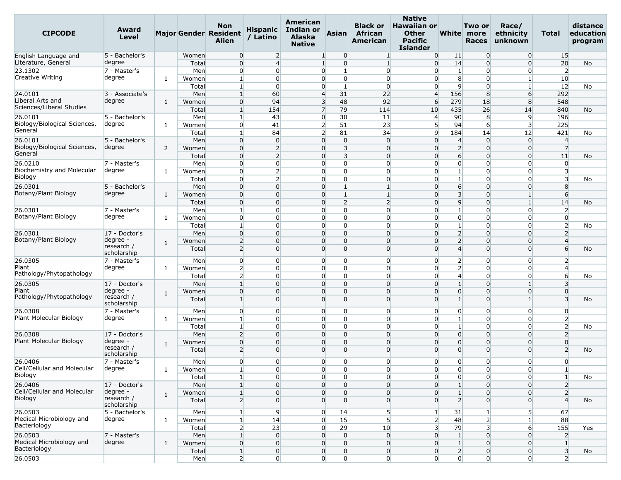| <b>CIPCODE</b>                               | Award<br>Level              |              |                | <b>Non</b><br><b>Major Gender Resident</b><br>Alien | <b>Hispanic</b><br>/ Latino | American<br>Indian or<br><b>Alaska</b><br><b>Native</b> | Asian                            | <b>Black or</b><br><b>African</b><br>American | <b>Native</b><br><b>Hawaiian or</b><br><b>Other</b><br>Pacific<br><b>Islander</b> |                                   | Two or<br><b>White</b> more<br><b>Races</b> | Race/<br>ethnicity<br>unknown | Total                   | distance<br>education<br>program |
|----------------------------------------------|-----------------------------|--------------|----------------|-----------------------------------------------------|-----------------------------|---------------------------------------------------------|----------------------------------|-----------------------------------------------|-----------------------------------------------------------------------------------|-----------------------------------|---------------------------------------------|-------------------------------|-------------------------|----------------------------------|
| English Language and                         | 5 - Bachelor's              |              | Women          | $\overline{0}$                                      | $\overline{2}$              | $\mathbf{1}$                                            | $\overline{0}$                   | $\mathbf{1}$                                  | $\overline{0}$                                                                    | 11                                | $\Omega$                                    | $\overline{0}$                | 15                      |                                  |
| Literature, General                          | degree                      |              | Total          | $\overline{0}$                                      | $\overline{4}$              | 1                                                       | $\Omega$                         | $\mathbf{1}$                                  | $\overline{0}$                                                                    | 14                                | $\Omega$                                    | $\overline{0}$                | 20                      | No                               |
| 23.1302                                      | 7 - Master's                |              | Men            | $\overline{0}$                                      | $\overline{0}$              |                                                         | 0<br>1                           | $\overline{0}$                                | $\overline{0}$                                                                    | $\mathbf{1}$                      | 0                                           | $\overline{0}$                | $\overline{2}$          |                                  |
| Creative Writing                             | degree                      | 1            | Women          | $\mathbf{1}$                                        | $\overline{0}$              |                                                         | $\overline{0}$<br>$\overline{0}$ | $\overline{0}$                                | $\overline{0}$                                                                    | 8                                 | $\Omega$                                    | $\mathbf{1}$                  | 10                      |                                  |
|                                              |                             |              | Total          | $\mathbf{1}$                                        | $\overline{0}$              |                                                         | $\overline{0}$<br>1              | $\overline{0}$                                | $\overline{0}$                                                                    | 9                                 | $\Omega$                                    | 1                             | 12                      | No                               |
| 24.0101                                      | 3 - Associate's             |              | Men            | $\vert$ 1                                           | 60                          |                                                         | 31<br>$\overline{4}$             | 22                                            | $\overline{4}$                                                                    | 156                               | 8                                           | $6 \overline{6}$              | 292                     |                                  |
| Liberal Arts and<br>Sciences/Liberal Studies | degree                      | 1            | Women          | $\overline{0}$                                      | 94                          |                                                         | 3<br>48                          | 92                                            | 6                                                                                 | 279                               | 18                                          | 8                             | 548                     |                                  |
|                                              |                             |              | Total          | $\mathbf{1}$                                        | 154                         |                                                         | 7<br>79                          | 114                                           | 10                                                                                | 435                               | 26                                          | 14                            | 840                     | No                               |
| 26.0101                                      | 5 - Bachelor's              |              | Men            | 1                                                   | 43                          |                                                         | $\overline{0}$<br>30             | 11                                            | $\overline{4}$                                                                    | 90                                | 8                                           | 9                             | 196                     |                                  |
| Biology/Biological Sciences,<br>General      | degree                      | 1            | Women          | $\overline{0}$                                      | 41                          |                                                         | 2<br>51                          | 23                                            | 5                                                                                 | 94                                | 6                                           | 3 <sup>1</sup>                | 225                     |                                  |
|                                              |                             |              | Total          | 1                                                   | 84                          |                                                         | $\overline{2}$<br>81             | 34                                            | 9                                                                                 | 184                               | 14                                          | 12                            | 421                     | No                               |
| 26.0101                                      | 5 - Bachelor's              |              | Men            | $\overline{0}$                                      | $\overline{0}$              |                                                         | $\overline{0}$<br>$\overline{0}$ | $\Omega$                                      | $\Omega$                                                                          | $\overline{4}$                    | $\Omega$                                    | $\overline{0}$                | $\overline{4}$          |                                  |
| Biology/Biological Sciences,<br>General      | degree                      | 2            | Women          | $\overline{0}$                                      | $\overline{2}$              |                                                         | 0<br>3                           | $\overline{0}$                                | $\Omega$                                                                          | $\overline{2}$                    | $\Omega$                                    | $\Omega$                      | 7                       |                                  |
|                                              |                             |              | Total          | $\overline{0}$                                      | $\overline{2}$              |                                                         | 0<br>$\overline{\mathbf{3}}$     | $\overline{0}$                                | $\Omega$                                                                          | $6 \overline{}$                   | $\Omega$                                    | $\overline{0}$                | 11                      | No                               |
| 26.0210<br>Biochemistry and Molecular        | 7 - Master's                |              | Men            | $\overline{0}$                                      | $\overline{0}$              |                                                         | $\overline{0}$<br>$\overline{0}$ | $\overline{0}$                                | $\overline{0}$                                                                    | $\overline{0}$                    | $\Omega$                                    | $\overline{0}$                | $\overline{0}$          |                                  |
| Biology                                      | degree                      | 1            | Women          | $\overline{0}$                                      | 2                           |                                                         | 0<br>0                           | $\Omega$                                      | $\overline{0}$                                                                    | $\mathbf{1}$                      | $\Omega$                                    | $\Omega$                      | 3                       |                                  |
|                                              | 5 - Bachelor's              |              | Total          | $\overline{0}$<br>$\overline{0}$                    | $\overline{2}$<br>$\Omega$  |                                                         | 0<br>$\overline{0}$              | $\Omega$<br>$\mathbf{1}$                      | $\Omega$                                                                          | $1\overline{ }$                   | 0<br>$\Omega$                               | 0<br>$\Omega$                 | 3<br>8                  | No                               |
| 26.0301<br>Botany/Plant Biology              | degree                      |              | Men            | $\overline{0}$                                      | $\Omega$                    |                                                         | 0<br>1<br>0<br>$\mathbf{1}$      | $\mathbf{1}$                                  | $\overline{0}$<br>$\Omega$                                                        | $6 \overline{}$<br>$\overline{3}$ | $\Omega$                                    | $\mathbf{1}$                  | $6 \overline{}$         |                                  |
|                                              |                             | 1            | Women          |                                                     | $\overline{0}$              |                                                         | $\overline{0}$                   | $\overline{2}$                                | $\Omega$                                                                          |                                   | $\Omega$                                    | $\mathbf{1}$                  | 14                      |                                  |
| 26.0301                                      | 7 - Master's                |              | Total<br>Men   | $\overline{0}$<br>1                                 | $\overline{0}$              |                                                         | $\overline{2}$<br>0<br>0         | $\Omega$                                      | $\overline{0}$                                                                    | 9<br>$\mathbf{1}$                 | 0                                           | $\overline{0}$                | $\overline{2}$          | No                               |
| Botany/Plant Biology                         | degree                      |              |                | $\overline{0}$                                      | $\overline{0}$              |                                                         | $\overline{0}$<br>$\overline{0}$ | $\overline{0}$                                | $\overline{0}$                                                                    | $\overline{0}$                    | $\Omega$                                    | $\overline{0}$                | $\overline{0}$          |                                  |
|                                              |                             | 1            | Women<br>Total | $\mathbf{1}$                                        | $\Omega$                    |                                                         | $\overline{0}$<br>0              | $\Omega$                                      | $\overline{0}$                                                                    | $\mathbf{1}$                      | $\Omega$                                    | $\Omega$                      | $\overline{2}$          |                                  |
| 26.0301                                      | 17 - Doctor's               |              | Men            | $\overline{0}$                                      | $\Omega$                    |                                                         | 0<br>0                           | $\Omega$                                      | $\Omega$                                                                          | $\overline{2}$                    | 0                                           | 0                             | $\overline{2}$          | No                               |
| Botany/Plant Biology                         | degree -                    |              | Women          | $\overline{2}$                                      | $\overline{0}$              |                                                         | 0<br>0                           | $\overline{0}$                                | $\overline{0}$                                                                    | $\overline{2}$                    | $\Omega$                                    | $\overline{0}$                | $\overline{4}$          |                                  |
|                                              | research /<br>scholarship   | 1            | Total          | $\overline{2}$                                      | $\Omega$                    |                                                         | $\overline{0}$<br>0              | $\overline{0}$                                | $\Omega$                                                                          | $\overline{4}$                    | $\Omega$                                    | $\Omega$                      | $6 \overline{}$         | No                               |
| 26.0305                                      | 7 - Master's                |              | Men            | $\overline{0}$                                      | $\overline{0}$              |                                                         | 0<br>0                           | $\overline{0}$                                | $\overline{0}$                                                                    | $\overline{2}$                    | $\Omega$                                    | 0                             | $\overline{2}$          |                                  |
| Plant                                        | degree                      | 1            | Women          | $\overline{2}$                                      | $\overline{0}$              |                                                         | 0<br>0                           | $\overline{0}$                                | $\Omega$                                                                          | $\overline{2}$                    | 0                                           | 0                             | $\overline{4}$          |                                  |
| Pathology/Phytopathology                     |                             |              | Total          | $\overline{2}$                                      | $\overline{0}$              |                                                         | $\overline{0}$<br>0              | $\Omega$                                      | $\overline{0}$                                                                    | $\overline{4}$                    | $\Omega$                                    | $\overline{0}$                | 6                       | No                               |
| 26.0305                                      | 17 - Doctor's               |              | Men            | $\mathbf{1}$                                        | $\overline{0}$              |                                                         | 0<br>$\overline{0}$              | $\overline{0}$                                | $\overline{0}$                                                                    | $\mathbf{1}$                      | $\Omega$                                    | $\mathbf{1}$                  | $\overline{3}$          |                                  |
| Plant                                        | degree -                    | $\mathbf{1}$ | Women          | $\overline{0}$                                      | $\Omega$                    |                                                         | 0<br>0                           | $\Omega$                                      | $\Omega$                                                                          | $\overline{0}$                    | $\Omega$                                    | $\overline{0}$                | $\Omega$                |                                  |
| Pathology/Phytopathology                     | research /<br>scholarship   |              | Total          | $\mathbf{1}$                                        | $\Omega$                    |                                                         | $\Omega$<br>0                    | $\Omega$                                      | 0                                                                                 | $\mathbf{1}$                      | O                                           | 1                             | 3                       | No                               |
| 26.0308                                      | 7 - Master's                |              | Men            | $\overline{0}$                                      | $\overline{0}$              |                                                         | 0<br>$\overline{0}$              | $\overline{0}$                                | $\overline{0}$                                                                    | $\overline{0}$                    | $\Omega$                                    | $\overline{0}$                | $\overline{0}$          |                                  |
| Plant Molecular Biology                      | degree                      | 1            | Women          | $\mathbf{1}$                                        | $\overline{0}$              |                                                         | $\overline{0}$<br>0              | $\overline{0}$                                | $\overline{0}$                                                                    | $\mathbf{1}$                      | $\Omega$                                    | $\overline{0}$                | $\overline{2}$          |                                  |
|                                              |                             |              | Total          | 1                                                   | $\overline{0}$              |                                                         | $\overline{0}$<br>0              | $\overline{0}$                                | $\overline{0}$                                                                    | $\mathbf{1}$                      | $\Omega$                                    | $\Omega$                      | $\overline{2}$          | No                               |
| 26.0308                                      | 17 - Doctor's               |              | Men            | $\overline{2}$                                      | $\Omega$                    |                                                         | 0<br>0                           | $\Omega$                                      | $\Omega$                                                                          | $\overline{0}$                    | $\Omega$                                    | $\overline{0}$                | $\overline{2}$          |                                  |
| Plant Molecular Biology                      | degree -                    | 1            | Women          | $\overline{0}$                                      | $\Omega$                    |                                                         | 0<br>0                           | $\Omega$                                      | $\overline{0}$                                                                    | $\overline{0}$                    | $\Omega$                                    | $\overline{0}$                | $\overline{0}$          |                                  |
|                                              | research /                  |              | Total          | $\overline{2}$                                      | $\Omega$                    |                                                         | 0<br>$\Omega$                    | $\Omega$                                      | $\Omega$                                                                          | $\Omega$                          | $\Omega$                                    | $\Omega$                      | $\overline{2}$          | No                               |
| 26.0406                                      | scholarship<br>7 - Master's |              | Men            | $\overline{0}$                                      | $\overline{0}$              |                                                         | 0<br>0                           | $\Omega$                                      | $\overline{0}$                                                                    | $\overline{0}$                    | 0                                           | 0                             | $\Omega$                |                                  |
| Cell/Cellular and Molecular                  | degree                      | 1            | Women          | $\mathbf{1}$                                        | $\overline{0}$              |                                                         | $\overline{0}$<br>$\overline{0}$ | $\mathbf{0}$                                  | $\overline{0}$                                                                    | $\overline{0}$                    | $\overline{0}$                              | $\overline{0}$                | 1 <sup>1</sup>          |                                  |
| Biology                                      |                             |              | Total          | $\mathbf{1}$                                        | $\overline{0}$              |                                                         | $\overline{0}$<br>$\overline{0}$ | $\overline{0}$                                | $\overline{0}$                                                                    | $\overline{0}$                    | $\overline{0}$                              | $\overline{0}$                | $1\overline{ }$         | No                               |
| 26.0406                                      | 17 - Doctor's               |              | Men            | $1\overline{ }$                                     | $\overline{0}$              |                                                         | $\overline{0}$<br>$\overline{0}$ | $\overline{0}$                                | $\overline{0}$                                                                    | $\mathbf{1}$                      | $\Omega$                                    | $\overline{0}$                | 2                       |                                  |
| Cell/Cellular and Molecular                  | degree -                    |              | Women          | $\mathbf{1}$                                        | $\overline{0}$              |                                                         | 0<br>$\overline{0}$              | $\overline{0}$                                | $\overline{0}$                                                                    | $\mathbf{1}$                      | $\Omega$                                    | $\Omega$                      | $\overline{2}$          |                                  |
| Biology                                      | research /<br>scholarship   | $\mathbf{1}$ | Total          | $\overline{2}$                                      | $\overline{0}$              |                                                         | $\overline{0}$<br>$\overline{0}$ | $\overline{0}$                                | $\overline{0}$                                                                    | $\overline{2}$                    | $\Omega$                                    | $\overline{0}$                | $\overline{4}$          | No                               |
| 26.0503                                      | 5 - Bachelor's              |              | Men            | $\mathbf{1}$                                        | 9                           |                                                         | $\overline{0}$<br>14             | 5 <sup>1</sup>                                | $\mathbf{1}$                                                                      | 31                                |                                             | 5 <sup>1</sup>                | 67                      |                                  |
| Medical Microbiology and                     | degree                      | $\mathbf{1}$ | Women          | $\mathbf{1}$                                        | 14                          |                                                         | 15<br>$\overline{0}$             | 5 <sup>1</sup>                                | $\overline{2}$                                                                    | 48                                | $\overline{2}$                              | $1\overline{ }$               | 88                      |                                  |
| Bacteriology                                 |                             |              | Total          | $\overline{2}$                                      | 23                          |                                                         | 29<br>$\overline{0}$             | 10                                            | 3 <sup>l</sup>                                                                    | 79                                | $\overline{\mathbf{3}}$                     | $6 \mid$                      | 155                     | Yes                              |
| 26.0503                                      | 7 - Master's                |              | Men            | $\mathbf{1}$                                        | $\overline{0}$              |                                                         | $\overline{0}$<br>$\overline{0}$ | $\overline{0}$                                | $\overline{0}$                                                                    | $\mathbf{1}$                      | $\Omega$                                    | $\overline{0}$                | $\overline{2}$          |                                  |
| Medical Microbiology and                     | degree                      | 1            | Women          | $\overline{0}$                                      | $\overline{0}$              |                                                         | $\overline{0}$<br>$\overline{0}$ | $\overline{0}$                                | $\overline{0}$                                                                    | $1\overline{ }$                   | $\overline{0}$                              | $\overline{0}$                | $\mathbf{1}$            |                                  |
| Bacteriology                                 |                             |              | Total          | $1\vert$                                            | $\overline{0}$              |                                                         | $\overline{0}$<br>$\overline{0}$ | $\overline{0}$                                | $\overline{0}$                                                                    | $\overline{2}$                    | $\overline{0}$                              | $\overline{0}$                | $\overline{\mathbf{3}}$ | No                               |
| 26.0503                                      |                             |              | Men            | $\overline{2}$                                      | $\overline{0}$              |                                                         | $\overline{0}$<br>$\overline{0}$ | $\overline{0}$                                | $\overline{0}$                                                                    | $\overline{0}$                    | $\overline{0}$                              | $\overline{0}$                | $\overline{2}$          |                                  |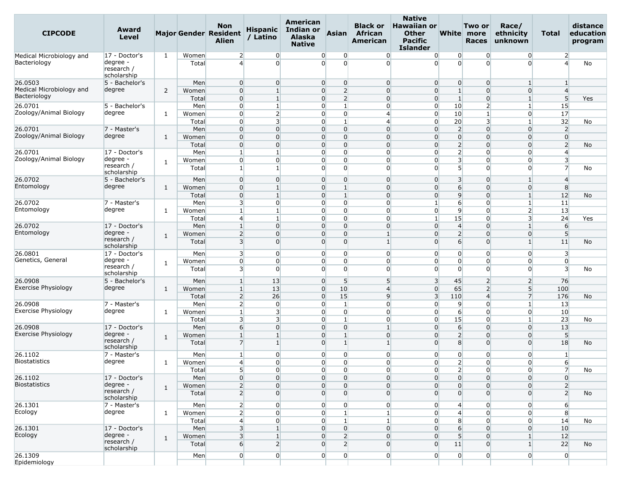| American<br><b>Non</b><br><b>Indian or</b><br><b>Hispanic</b><br>Award<br><b>CIPCODE</b><br>Major Gender Resident<br><b>Asian</b><br><b>Level</b><br>/ Latino<br><b>Alaska</b><br><b>Alien</b><br><b>Native</b> | <b>Native</b><br><b>Hawaiian or</b><br><b>Black or</b><br>Race/<br>Two or<br>White more<br><b>African</b><br><b>Other</b><br>ethnicity<br>Total<br><b>American</b><br>Pacific<br><b>Races</b><br>unknown<br><b>Islander</b> | distance<br>education<br>program |
|-----------------------------------------------------------------------------------------------------------------------------------------------------------------------------------------------------------------|-----------------------------------------------------------------------------------------------------------------------------------------------------------------------------------------------------------------------------|----------------------------------|
| 17 - Doctor's<br>1<br>Women<br>$\overline{2}$<br>$\overline{0}$<br>0<br>$\overline{0}$<br>Medical Microbiology and                                                                                              | $\overline{0}$<br>$\overline{0}$<br>$\overline{0}$<br>$\overline{2}$<br>0<br>0                                                                                                                                              |                                  |
| degree<br>Bacteriology<br>$\overline{4}$<br>$\Omega$<br>$\overline{0}$<br>$\Omega$<br>Total<br>research /<br>scholarship                                                                                        | $\Omega$<br>$\Omega$<br>$\Omega$<br>$\overline{a}$<br>$\Omega$<br>$\overline{0}$                                                                                                                                            | No                               |
| $\overline{0}$<br>$\overline{0}$<br>$\overline{0}$<br>$\overline{0}$<br>26.0503<br>5 - Bachelor's<br>Men                                                                                                        | $\overline{0}$<br>$\overline{0}$<br>$\overline{0}$<br>$\mathbf 0$<br>$\mathbf{1}$<br>1                                                                                                                                      |                                  |
| Medical Microbiology and<br>degree<br>$\overline{2}$<br>$\overline{0}$<br>$\overline{0}$<br>2<br>Women<br>$\mathbf{1}$                                                                                          | $\overline{0}$<br>$\mathbf{1}$<br>$\overline{4}$<br>$\overline{0}$<br>$\Omega$<br>$\overline{0}$                                                                                                                            |                                  |
| Bacteriology<br>$\overline{0}$<br>$\mathbf{1}$<br>$\overline{0}$<br>$\overline{2}$<br>Total                                                                                                                     | 5<br>$\overline{0}$<br>$\overline{0}$<br>$\mathbf{1}$<br>$\Omega$<br>$1\vert$                                                                                                                                               | Yes                              |
| 26.0701<br>5 - Bachelor's<br>$\overline{0}$<br>$\mathbf{1}$<br>$\overline{0}$<br>$\mathbf{1}$<br>Men                                                                                                            | 15<br>$\overline{0}$<br>$\overline{0}$<br>10<br>$\overline{2}$<br>$\mathbf{1}$                                                                                                                                              |                                  |
| Zoology/Animal Biology<br>degree<br>$\overline{2}$<br>$\overline{0}$<br>$\overline{0}$<br>$\overline{0}$<br>Women<br>1                                                                                          | 17<br>$\overline{4}$<br>$\overline{0}$<br>10<br>$\overline{1}$<br>$\overline{0}$                                                                                                                                            |                                  |
| 3<br>Total<br>$\overline{0}$<br>0<br>$\mathbf{1}$<br>$\overline{0}$<br>Men<br>$\overline{0}$<br>$\overline{0}$<br>$\overline{0}$<br>26.0701                                                                     | $\overline{0}$<br>20<br>3<br>32<br>$\overline{4}$<br>1<br>$\overline{0}$<br>$\overline{2}$<br>$\overline{2}$<br>$\overline{0}$<br>$\Omega$                                                                                  | No                               |
| 7 - Master's<br>Zoology/Animal Biology<br>degree<br>$\overline{0}$<br>$\overline{0}$<br>$\overline{0}$<br>$\overline{0}$<br>Women                                                                               | $\overline{0}$<br>$\overline{0}$<br>$\overline{0}$<br>$\overline{0}$<br>$\Omega$<br>$\Omega$<br>$\overline{0}$                                                                                                              |                                  |
| 1<br>Total<br>$\overline{0}$<br>$\Omega$<br>$\overline{0}$<br>$\overline{0}$                                                                                                                                    | $\overline{2}$<br>$\overline{2}$<br>$\mathbf{0}$<br>$\Omega$<br>$\overline{0}$<br>0                                                                                                                                         | No                               |
| 0<br>$\overline{0}$<br>26.0701<br>17 - Doctor's<br>Men<br>$\mathbf{1}$<br>$\mathbf{1}$                                                                                                                          | $\overline{2}$<br>$\overline{0}$<br>$\overline{0}$<br>$\mathbf 0$<br>$\overline{0}$<br>$\overline{4}$                                                                                                                       |                                  |
| Zoology/Animal Biology<br>degree<br>$\overline{0}$<br>$\overline{0}$<br>$\overline{0}$<br>$\overline{0}$<br>Women                                                                                               | 3<br>$\overline{\mathbf{3}}$<br>$\overline{0}$<br>$\Omega$<br>$\Omega$<br>$\overline{0}$                                                                                                                                    |                                  |
| 1<br>research /<br>$\mathbf{1}$<br>$\overline{0}$<br>$\overline{0}$<br>Total<br>scholarship                                                                                                                     | 5 <sup>1</sup><br>$\mathbf 0$<br>7<br>0<br>$\Omega$<br>$\overline{0}$                                                                                                                                                       | No                               |
| 26.0702<br>$\overline{0}$<br>$\overline{0}$<br>$\overline{0}$<br>5 - Bachelor's<br>Men<br>$\overline{0}$                                                                                                        | $\overline{0}$<br>3 <sup>l</sup><br>$\overline{0}$<br>$\Omega$<br>$1\vert$<br>$\overline{4}$                                                                                                                                |                                  |
| Entomology<br>degree<br>$\overline{0}$<br>$\overline{0}$<br>Women<br>$\mathbf{1}$<br>$\mathbf{1}$<br>1                                                                                                          | $6 \overline{}$<br>8<br>$\overline{0}$<br>$\Omega$<br>$\Omega$<br>$\overline{0}$                                                                                                                                            |                                  |
| $\overline{0}$<br>$\mathbf{1}$<br>Total<br>$\mathbf{1}$<br>$\overline{0}$                                                                                                                                       | 9<br>$\overline{0}$<br>12<br>$\Omega$<br>$\Omega$<br>$1\vert$                                                                                                                                                               | No                               |
| 26.0702<br>3 <sup>l</sup><br>$\overline{0}$<br>$\overline{0}$<br>$\overline{0}$<br>7 - Master's<br>Men                                                                                                          | $\overline{0}$<br>$\mathbf{1}$<br>$6 \overline{6}$<br>11<br>$\Omega$<br>$1\vert$                                                                                                                                            |                                  |
| Entomology<br>degree<br>0<br>Women<br>$\mathbf{1}$<br>$\Omega$<br>1<br>1<br>1                                                                                                                                   | $\overline{0}$<br>$\overline{0}$<br>9<br>$\overline{2}$<br>13<br>0<br>$\overline{0}$<br>$\Omega$                                                                                                                            |                                  |
| $\overline{4}$<br>$\overline{0}$<br>$\overline{0}$<br>Total<br>26.0702<br>$\overline{0}$<br>$\overline{0}$<br>$\overline{0}$<br>17 - Doctor's<br>Men<br>$\mathbf{1}$                                            | 15<br>3 <sup>1</sup><br>24<br>$1\overline{ }$<br>$\overline{0}$<br>$\overline{4}$<br>$\overline{0}$<br>$\Omega$<br>1 <sup>1</sup><br>6                                                                                      | Yes                              |
| Entomology<br>degree<br>$\overline{2}$<br>$\overline{0}$<br>Women<br>$\Omega$<br>$\overline{0}$                                                                                                                 | $\overline{2}$<br>$\mathbf{1}$<br>5<br>$\Omega$<br>$\Omega$<br>$\overline{0}$                                                                                                                                               |                                  |
| 1<br>research /<br>$\overline{\mathbf{3}}$<br>$\Omega$<br>$\overline{0}$<br>$\Omega$<br>Total<br>scholarship                                                                                                    | $6 \overline{6}$<br>$\vert$ 1<br>$\Omega$<br>$\Omega$<br>1 <sup>1</sup><br>11                                                                                                                                               | No                               |
| 26.0801<br>3 <sup>l</sup><br>$\overline{0}$<br>$\overline{0}$<br>$\overline{0}$<br>17 - Doctor's<br>Men                                                                                                         | $\overline{0}$<br>$\overline{0}$<br>$\overline{0}$<br>$\mathbf 0$<br>$\overline{0}$<br>3                                                                                                                                    |                                  |
| Genetics, General<br>degree<br>$\overline{0}$<br>$\overline{0}$<br>$\Omega$<br>Women<br>$\Omega$<br>1                                                                                                           | $\overline{0}$<br>$\overline{0}$<br>$\overline{0}$<br>$\Omega$<br>0<br>$\overline{0}$                                                                                                                                       |                                  |
| research /<br>3 <sup>l</sup><br>$\overline{0}$<br>$\overline{0}$<br>$\overline{0}$<br>Total<br>scholarship                                                                                                      | $\overline{0}$<br>$\overline{\mathbf{3}}$<br>$\overline{0}$<br>$\Omega$<br>$\overline{0}$<br>$\Omega$                                                                                                                       | No                               |
| 26.0908<br>5 - Bachelor's<br>5 <sup>1</sup><br>Men<br>13<br>$\overline{0}$<br>1<br><b>Exercise Physiology</b>                                                                                                   | 5<br>3<br>45<br>76<br>2<br>$\overline{2}$                                                                                                                                                                                   |                                  |
| degree<br>$\mathbf{1}$<br>13<br>$\overline{0}$<br>10<br>Women<br>1<br>$\overline{2}$<br>26<br>15                                                                                                                | 5 <sup>1</sup><br>$\overline{4}$<br>$\overline{0}$<br>65<br>$\overline{2}$<br>100<br>$\overline{9}$<br>$\overline{3}$<br>$\overline{7}$<br>110<br>176<br>4                                                                  |                                  |
| $\overline{0}$<br>Total<br>$\overline{2}$<br>$\overline{0}$<br>26.0908<br>7 - Master's<br>Men<br>$\overline{0}$<br>$\vert$ 1                                                                                    | $\overline{0}$<br>$\overline{0}$<br>9<br>$\Omega$<br>$\mathbf{1}$<br>13                                                                                                                                                     | No                               |
| Exercise Physiology<br>degree<br>3<br>$\overline{0}$<br>$\overline{0}$<br>Women<br>$\mathbf{1}$<br>1                                                                                                            | $6 \overline{6}$<br>$\overline{0}$<br>$\overline{0}$<br>10<br>0<br>$\overline{0}$                                                                                                                                           |                                  |
| 3 <sup>l</sup><br>3<br>$\overline{0}$<br>1 <sup>1</sup><br>Total                                                                                                                                                | $\overline{0}$<br>$\overline{0}$<br>15<br>23<br>$\Omega$<br>$1\vert$                                                                                                                                                        | No                               |
| 26.0908<br>$6 \overline{6}$<br>$\overline{0}$<br>17 - Doctor's<br>Men<br>$\Omega$<br>$\overline{0}$                                                                                                             | $6 \overline{6}$<br>$\mathbf{1}$<br>$\overline{0}$<br>$\Omega$<br>$\overline{0}$<br>13                                                                                                                                      |                                  |
| <b>Exercise Physiology</b><br>degree -<br>$\mathbf{1}$<br>Women<br>$\overline{0}$<br>$\mathbf{1}$<br>$\mathbf{1}$<br>1                                                                                          | $\overline{2}$<br>5<br>$\overline{0}$<br>$\Omega$<br>$\Omega$<br>$\overline{0}$                                                                                                                                             |                                  |
| research /<br>$\overline{7}$<br>$\overline{0}$<br>Total<br>$\mathbf{1}$<br>$\mathbf{1}$<br>scholarship                                                                                                          | $\mathbf{1}$<br>$\Omega$<br>8<br>$\Omega$<br>18<br>$\overline{0}$                                                                                                                                                           | No                               |
| $\overline{0}$<br>0<br>$\overline{0}$<br>26.1102<br>7 - Master's<br>Men<br>$\mathbf{1}$                                                                                                                         | $\overline{0}$<br>$\overline{0}$<br>$\overline{0}$<br>$\mathbf 0$<br>$\overline{0}$<br>1                                                                                                                                    |                                  |
| <b>Biostatistics</b><br>degree<br>$\overline{0}$<br>$\overline{0}$<br>1<br>Women<br>$\overline{4}$<br>$\Omega$                                                                                                  | 2<br>$\overline{0}$<br>$\Omega$<br>$\overline{0}$<br>$6 \overline{6}$<br>$\Omega$                                                                                                                                           |                                  |
| 5 <sub>l</sub><br>$\overline{0}$<br>$\overline{0}$<br>Total<br>$\overline{0}$                                                                                                                                   | 2<br>$\overline{0}$<br>$\overline{0}$<br>$\overline{0}$<br>$\overline{0}$<br>$\overline{7}$                                                                                                                                 | No                               |
| $\overline{0}$<br>$\overline{0}$<br>$\overline{0}$<br>$\overline{0}$<br>26.1102<br>17 - Doctor's<br>Men<br><b>Biostatistics</b><br>degree -                                                                     | $\overline{0}$<br>$\overline{0}$<br>$\overline{0}$<br>$\overline{0}$<br>$\overline{0}$<br>$\overline{0}$                                                                                                                    |                                  |
| $\overline{2}$<br>$\overline{0}$<br>$\overline{0}$<br>$\overline{0}$<br>Women<br>$\mathbf{1}$<br>research /<br>2<br>$\overline{0}$<br>$\overline{0}$<br>$\Omega$<br>Total<br>scholarship                        | $\overline{0}$<br>$\overline{0}$<br>$\overline{2}$<br>$\overline{0}$<br>$\mathbf{0}$<br>$\overline{0}$<br>$\overline{0}$<br>$\overline{0}$<br>$\overline{0}$<br>$\Omega$<br>$\overline{2}$<br>$\Omega$                      | No                               |
| $2 \vert$<br>26.1301<br>7 - Master's<br>$\overline{0}$<br>$\overline{0}$<br>$\overline{0}$<br>Men                                                                                                               | $\overline{0}$<br>$\overline{0}$<br>$\overline{4}$<br>$\overline{0}$<br>$\overline{0}$<br>$6 \overline{}$                                                                                                                   |                                  |
| Ecology<br>degree<br>$\overline{2}$<br>$\overline{0}$<br>$\overline{0}$<br>1 <sup>1</sup><br>$\mathbf{1}$<br>Women                                                                                              | $\mathbf{1}$<br>$\overline{4}$<br>8<br>$\overline{0}$<br>$\overline{0}$<br>$\overline{0}$                                                                                                                                   |                                  |
| $\overline{4}$<br>$\mathbf{1}$<br>Total<br>$\overline{0}$<br>$\overline{0}$                                                                                                                                     | $\mathbf{1}$<br>$\overline{0}$<br>8 <sup>1</sup><br>14<br>$\overline{0}$<br>$\overline{0}$                                                                                                                                  | No                               |
| 3 <sup>l</sup><br>26.1301<br>17 - Doctor's<br>Men<br>$\overline{0}$<br>$\overline{0}$<br>$1\overline{ }$                                                                                                        | $6 \overline{6}$<br>$\overline{0}$<br>10<br>$\overline{0}$<br>$\overline{0}$<br>$\overline{0}$                                                                                                                              |                                  |
| Ecology<br>degree -<br>3<br>$\overline{2}$<br>$\mathbf{1}$<br>$\overline{0}$<br>Women<br>$\mathbf{1}$                                                                                                           | 5 <sup>1</sup><br>$\overline{0}$<br>$\overline{0}$<br>12<br>$\Omega$<br>$1\vert$                                                                                                                                            |                                  |
| research /<br>$6 \mid$<br>2<br>2<br>$\overline{0}$<br>Total<br>scholarship                                                                                                                                      | $\overline{0}$<br>11<br>$\overline{0}$<br>$\Omega$<br>1 <sup>1</sup><br>22                                                                                                                                                  | No                               |
| $\overline{0}$<br>$\overline{0}$<br>$\overline{0}$<br>26.1309<br>$\overline{0}$<br>Men<br>Epidemiology                                                                                                          | $\overline{0}$<br>$\overline{0}$<br>$\overline{0}$<br>$\overline{0}$<br>$\overline{0}$<br>$\overline{0}$                                                                                                                    |                                  |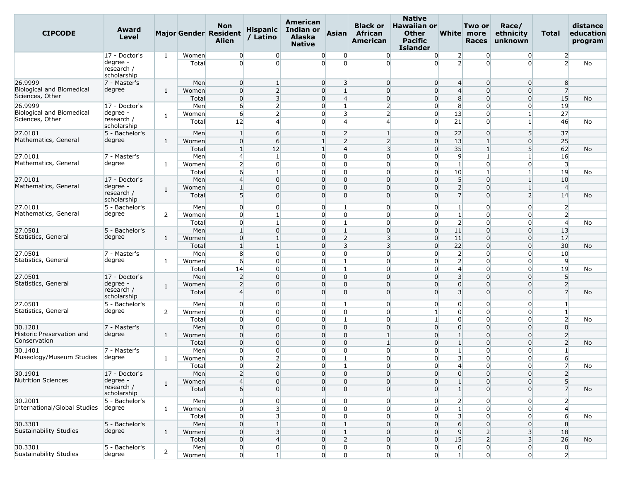| <b>CIPCODE</b>                                                 | Award<br>Level                                         |                |                       | Non<br><b>Major Gender Resident</b><br><b>Alien</b> | <b>Hispanic</b><br>/ Latino                                          | American<br>Indian or<br><b>Alaska</b><br><b>Native</b> | <b>Asian</b>                                              | <b>Black or</b><br>African<br>American             | <b>Native</b><br><b>Hawaiian or</b><br><b>Other</b><br><b>Pacific</b><br><b>Islander</b> |                                                              | Two or<br>White more<br><b>Races</b>               | Race/<br>ethnicity<br>unknown                                        | Total                                                | distance<br>education<br>program |
|----------------------------------------------------------------|--------------------------------------------------------|----------------|-----------------------|-----------------------------------------------------|----------------------------------------------------------------------|---------------------------------------------------------|-----------------------------------------------------------|----------------------------------------------------|------------------------------------------------------------------------------------------|--------------------------------------------------------------|----------------------------------------------------|----------------------------------------------------------------------|------------------------------------------------------|----------------------------------|
|                                                                | 17 - Doctor's<br>degree -<br>research /<br>scholarship | 1              | Women<br>Total        | $\overline{0}$<br>$\overline{0}$                    | $\overline{0}$<br>$\Omega$                                           | $\overline{0}$<br>$\overline{0}$                        | $\overline{0}$<br>$\Omega$                                | $\overline{0}$<br>$\Omega$                         | $\overline{0}$<br>$\Omega$                                                               | $\overline{2}$<br>2                                          | 0<br>$\Omega$                                      | $\overline{0}$<br>$\overline{0}$                                     | $\overline{2}$<br>$\overline{2}$                     | No                               |
| 26.9999<br><b>Biological and Biomedical</b><br>Sciences, Other | 7 - Master's<br>degree                                 | 1              | Men<br>Women<br>Total | $\overline{0}$<br>$\overline{0}$<br>$\overline{0}$  | $\overline{1}$<br>$\overline{2}$<br>$\overline{3}$                   | $\overline{0}$<br>$\overline{0}$<br>$\overline{0}$      | $\overline{3}$<br>$\mathbf{1}$<br>$\overline{4}$          | $\overline{0}$<br>$\overline{0}$<br>$\overline{0}$ | $\overline{0}$<br>$\overline{0}$<br>$\overline{0}$                                       | $\overline{4}$<br>$\overline{4}$<br>8                        | $\overline{0}$<br>$\Omega$<br>$\overline{0}$       | $\overline{0}$<br>$\overline{0}$<br>$\overline{0}$                   | 8<br>$\overline{7}$<br>15                            | No                               |
| 26.9999<br>Biological and Biomedical<br>Sciences, Other        | 17 - Doctor's<br>degree -<br>research /<br>scholarship | 1              | Men<br>Women<br>Total | 6<br>6<br>12                                        | $\overline{2}$<br>$\overline{2}$<br>$\overline{a}$                   | $\overline{0}$<br>$\overline{0}$<br>$\Omega$            | $\mathbf{1}$<br>3<br>4                                    | $\overline{2}$<br>$\overline{2}$<br>$\overline{4}$ | $\overline{0}$<br>$\overline{0}$<br>$\overline{0}$                                       | 8<br>13<br>21                                                | $\Omega$<br>$\overline{0}$<br>$\Omega$             | 0<br>$\mathbf{1}$                                                    | 19<br>27<br>46                                       | No                               |
| 27.0101<br>Mathematics, General                                | 5 - Bachelor's<br>degree                               | 1              | Men<br>Women<br>Total | $\mathbf{1}$<br>$\overline{0}$<br>$\mathbf{1}$      | $6 \overline{}$<br>6<br>12                                           | $\overline{0}$<br>$\mathbf{1}$<br>$\mathbf{1}$          | $\overline{2}$<br>$\overline{2}$<br>$\overline{4}$        | -1<br>$\overline{2}$<br>$\overline{3}$             | $\overline{0}$<br>$\overline{0}$<br>$\overline{0}$                                       | 22<br>13<br>35                                               | $\overline{0}$<br>$\mathbf{1}$<br>$\overline{1}$   | 5 <sup>1</sup><br>$\overline{0}$<br>5 <sup>1</sup>                   | 37<br>25<br>62                                       | No                               |
| 27.0101<br>Mathematics, General                                | 7 - Master's<br>degree                                 | 1              | Men<br>Women<br>Total | $\overline{4}$<br>$\overline{2}$<br>6               | $\mathbf{1}$<br>$\overline{0}$<br>$\mathbf{1}$                       | $\Omega$<br>$\overline{0}$<br>$\overline{0}$            | $\overline{0}$<br>$\overline{0}$<br>$\overline{0}$        | $\overline{0}$<br>$\overline{0}$<br>$\Omega$       | $\overline{0}$<br>$\overline{0}$<br>$\overline{0}$                                       | $\overline{9}$<br>$1\overline{ }$<br>10                      | $\mathbf{1}$<br>$\overline{0}$<br>$\mathbf{1}$     | $\mathbf{1}$<br>$\overline{0}$<br>$\mathbf{1}$                       | 16<br>$\overline{3}$<br>19                           | No                               |
| 27.0101<br>Mathematics, General                                | 17 - Doctor's<br>degree -<br>research /<br>scholarship | 1              | Men<br>Women<br>Total | $\overline{4}$<br>$\mathbf{1}$<br>5 <sup>5</sup>    | $\overline{0}$<br>$\Omega$<br>$\Omega$                               | $\overline{0}$<br>$\overline{0}$<br>$\Omega$            | $\overline{0}$<br>$\overline{0}$<br>$\Omega$              | $\overline{0}$<br>$\Omega$<br>$\Omega$             | $\overline{0}$<br>$\Omega$<br>$\Omega$                                                   | 5 <sup>5</sup><br>$\overline{2}$<br>$\overline{7}$           | $\overline{0}$<br>$\Omega$<br>$\Omega$             | 1<br>$\mathbf{1}$<br>$\overline{2}$                                  | 10<br>$\overline{4}$<br>14                           | No                               |
| 27.0101<br>Mathematics, General                                | 5 - Bachelor's<br>degree                               | 2              | Men<br>Women<br>Total | $\overline{0}$<br>$\overline{0}$<br>$\overline{0}$  | $\overline{0}$<br>$\mathbf{1}$<br>$\mathbf{1}$                       | $\overline{0}$<br>$\overline{0}$<br>$\overline{0}$      | 1<br>$\overline{0}$<br>1                                  | $\overline{0}$<br>$\overline{0}$<br>$\overline{0}$ | $\overline{0}$<br>$\overline{0}$<br>$\overline{0}$                                       | $\mathbf{1}$<br>$\mathbf{1}$<br>$\overline{2}$               | $\overline{0}$<br>$\overline{0}$<br>$\overline{0}$ | $\overline{0}$<br>0<br>$\overline{0}$                                | $\overline{2}$<br>$\overline{2}$<br>$\overline{4}$   | No                               |
| 27.0501<br>Statistics, General                                 | 5 - Bachelor's<br>degree                               | 1              | Men<br>Women<br>Total | $\mathbf{1}$<br>$\overline{0}$<br>$\mathbf{1}$      | $\overline{0}$<br>$\mathbf{1}$<br>$\overline{1}$                     | $\overline{0}$<br>$\overline{0}$<br>$\overline{0}$      | $\mathbf{1}$<br>$\overline{2}$<br>$\overline{\mathbf{3}}$ | $\overline{0}$<br>$\overline{3}$<br>$\overline{3}$ | $\overline{0}$<br>$\overline{0}$<br>$\overline{0}$                                       | 11<br>11<br>22                                               | $\overline{0}$<br>$\Omega$<br>$\Omega$             | $\overline{0}$<br>$\Omega$<br>$\overline{0}$                         | 13<br>17<br>30                                       | No                               |
| 27.0501<br>Statistics, General                                 | 7 - Master's<br>degree                                 | 1              | Men<br>Women<br>Total | 8<br>$6 \overline{6}$<br>14                         | $\overline{0}$<br>$\overline{0}$<br>$\overline{0}$                   | $\overline{0}$<br>$\overline{0}$<br>$\overline{0}$      | $\overline{0}$<br>$\mathbf{1}$<br>$\mathbf{1}$            | $\overline{0}$<br>$\Omega$<br>$\overline{0}$       | $\overline{0}$<br>$\overline{0}$<br>$\overline{0}$                                       | $\overline{2}$<br>$\overline{2}$<br>$\overline{4}$           | $\overline{0}$<br>$\Omega$<br>$\overline{0}$       | $\overline{0}$<br>$\overline{0}$<br>0                                | 10<br>9<br>19                                        | No                               |
| 27.0501<br>Statistics, General                                 | 17 - Doctor's<br>degree -<br>research /<br>scholarship | 1              | Men<br>Women<br>Total | $\overline{2}$<br>$\overline{2}$<br>$\overline{4}$  | $\overline{0}$<br>$\overline{0}$<br>$\overline{0}$                   | $\overline{0}$<br>$\overline{0}$<br>$\overline{0}$      | $\overline{0}$<br>$\overline{0}$<br>$\overline{0}$        | $\overline{0}$<br>$\overline{0}$<br>$\overline{0}$ | $\overline{0}$<br>$\overline{0}$<br>$\overline{0}$                                       | $\overline{\mathbf{3}}$<br>$\overline{0}$<br>$\overline{3}$  | $\overline{0}$<br>$\Omega$<br>$\Omega$             | $\overline{0}$<br>$\overline{0}$<br>$\Omega$                         | $5\overline{)}$<br>$\overline{2}$<br>$\overline{7}$  | No                               |
| 27.0501<br>Statistics, General                                 | 5 - Bachelor's<br>degree                               | 2              | Men<br>Women<br>Total | $\overline{0}$<br>$\overline{0}$<br>$\overline{0}$  | $\overline{0}$<br>$\overline{0}$<br>$\overline{0}$                   | $\overline{0}$<br>$\overline{0}$<br>$\overline{0}$      | $\mathbf{1}$<br>$\overline{0}$<br>$\mathbf{1}$            | $\overline{0}$<br>$\overline{0}$<br>$\overline{0}$ | $\overline{0}$<br>$\mathbf{1}$<br>$\mathbf{1}$                                           | $\overline{0}$<br>$\overline{0}$<br>$\overline{0}$           | $\overline{0}$<br>$\overline{0}$<br>$\overline{0}$ | 0<br>$\overline{0}$<br>$\overline{0}$                                | 1<br>$\mathbf{1}$<br>$\overline{2}$                  | No                               |
| 30.1201<br>Historic Preservation and<br>Conservation           | 7 - Master's<br>degree                                 | 1              | Men<br>Women<br>Total | $\overline{0}$<br>$\overline{0}$<br>$\overline{0}$  | $\overline{0}$<br>$\overline{0}$<br>$\overline{0}$                   | $\overline{0}$<br>$\overline{0}$<br>$\overline{0}$      | $\overline{0}$<br>$\overline{0}$<br>$\overline{0}$        | $\Omega$<br>$\mathbf{1}$                           | $\overline{0}$<br>$\overline{0}$<br>$\overline{0}$                                       | $\overline{0}$<br>$\mathbf{1}$<br>$\mathbf{1}$               | $\Omega$<br>$\overline{0}$<br>$\overline{0}$       | $\overline{0}$<br>$\overline{0}$<br>$\overline{0}$                   | $\overline{0}$<br>$\overline{2}$<br>$\overline{2}$   | No                               |
| 30.1401<br>Museology/Museum Studies                            | 7 - Master's<br>degree                                 | 1              | Men<br>Women<br>Total | $\overline{0}$<br>$\overline{0}$<br>$\overline{0}$  | $\overline{0}$<br>$\overline{2}$<br>$\overline{2}$                   | $\Omega$<br>$\overline{0}$<br>$\Omega$                  | $\overline{0}$<br>$\mathbf{1}$                            | $\overline{0}$<br>$\overline{0}$<br>$\Omega$       | $\overline{0}$<br>$\overline{0}$<br>$\overline{0}$                                       | $\mathbf{1}$<br>$\overline{\mathbf{3}}$<br>$\overline{4}$    | $\Omega$<br>$\overline{0}$<br>$\Omega$             | 0<br>$\overline{0}$<br>0                                             | $\mathbf{1}$<br>$6 \overline{}$                      | No                               |
| 30.1901<br><b>Nutrition Sciences</b>                           | 17 - Doctor's<br>degree -<br>research /<br>scholarship | $\mathbf{1}$   | Men<br>Women<br>Total | $\overline{2}$<br>4<br>6                            | $\mathbf{0}$<br>$\overline{0}$<br>$\overline{0}$                     | $\overline{0}$<br>$\overline{0}$<br>$\overline{0}$      | $\overline{0}$<br>0<br>$\Omega$                           | $\overline{0}$<br>$\overline{0}$<br>$\overline{0}$ | $\overline{0}$<br>$\overline{0}$<br>$\overline{0}$                                       | $\overline{0}$<br>$\mathbf{1}$<br>$\mathbf{1}$               | $\overline{0}$<br>$\overline{0}$<br>$\Omega$       | $\overline{0}$<br>0<br>$\overline{0}$                                | $\overline{2}$<br>5 <sup>1</sup><br>7                | No                               |
| 30.2001<br>International/Global Studies                        | 5 - Bachelor's<br>degree                               | 1              | Men<br>Women<br>Total | $\overline{0}$<br>$\overline{0}$<br>$\overline{0}$  | $\overline{0}$<br>$\overline{\mathbf{3}}$<br>$\overline{\mathbf{3}}$ | $\overline{0}$<br>$\overline{0}$<br>$\overline{0}$      | $\overline{0}$<br>$\overline{0}$<br>$\overline{0}$        | 0<br>$\overline{0}$<br>$\overline{0}$              | $\overline{0}$<br>$\overline{0}$<br>$\overline{0}$                                       | $\overline{2}$<br>$1\overline{ }$<br>$\overline{\mathbf{3}}$ | $\overline{0}$<br>$\overline{0}$<br>$\overline{0}$ | $\overline{0}$<br>$\overline{0}$<br>0                                | $\overline{2}$<br>$\overline{4}$<br>$6 \overline{6}$ | No                               |
| 30.3301<br>Sustainability Studies                              | 5 - Bachelor's<br>degree                               | $\mathbf{1}$   | Men<br>Women<br>Total | $\overline{0}$<br>$\overline{0}$<br>$\overline{0}$  | $\mathbf{1}$<br>$\overline{\mathbf{3}}$<br>$\overline{4}$            | $\overline{0}$<br>$\overline{0}$<br>$\overline{0}$      | $\mathbf{1}$<br>$\mathbf{1}$<br>$\overline{2}$            | $\overline{0}$<br>$\overline{0}$<br>$\overline{0}$ | $\overline{0}$<br>$\overline{0}$<br>$\overline{0}$                                       | $6 \overline{}$<br>9<br>15                                   | $\overline{0}$<br>$\overline{2}$<br>$\overline{2}$ | $\overline{0}$<br>$\overline{\mathbf{3}}$<br>$\overline{\mathbf{3}}$ | 8<br>18<br>26                                        | No                               |
| 30.3301<br>Sustainability Studies                              | 5 - Bachelor's<br>degree                               | $\overline{2}$ | Men<br>Women          | $\overline{0}$<br>$\overline{0}$                    | $\overline{0}$<br>$\mathbf{1}$                                       | $\overline{0}$<br>$\mathbf{0}$                          | $\overline{0}$<br>$\overline{0}$                          | $\overline{0}$<br>$\overline{0}$                   | $\overline{0}$<br>$\overline{0}$                                                         | $\overline{0}$<br>$1\vert$                                   | $\overline{0}$<br>$\overline{0}$                   | $\overline{0}$<br>$\overline{0}$                                     | $\overline{0}$<br>$\overline{2}$                     |                                  |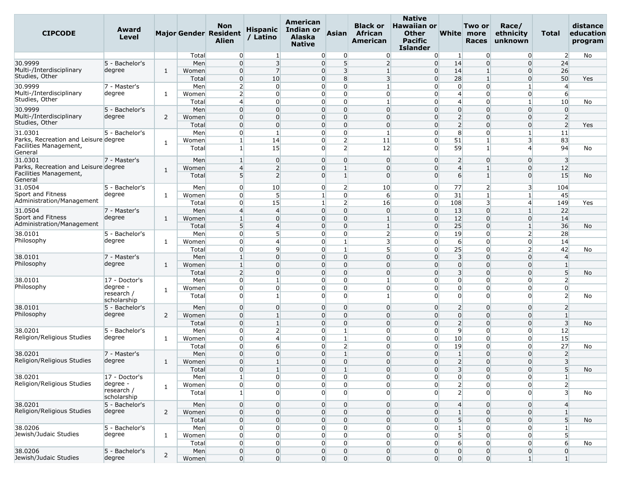| <b>CIPCODE</b>                                  | Award<br><b>Level</b>  |                |       | <b>Non</b><br>Major Gender Resident<br><b>Alien</b> | <b>Hispanic</b><br>/ Latino | American<br>Indian or<br>Alaska<br><b>Native</b> | <b>Asian</b>                     | <b>Black or</b><br><b>African</b><br>American | <b>Native</b><br><b>Hawaiian or</b><br><b>Other</b><br><b>Pacific</b><br><b>Islander</b> |                                  | Two or<br>White more<br><b>Races</b> | Race/<br>ethnicity<br>unknown | Total                   | distance<br>education<br>program |
|-------------------------------------------------|------------------------|----------------|-------|-----------------------------------------------------|-----------------------------|--------------------------------------------------|----------------------------------|-----------------------------------------------|------------------------------------------------------------------------------------------|----------------------------------|--------------------------------------|-------------------------------|-------------------------|----------------------------------|
|                                                 |                        |                | Total | $\overline{0}$                                      | $\mathbf{1}$                | $\Omega$                                         | $\overline{0}$                   | $\overline{0}$                                | $\overline{0}$                                                                           | -1                               | 0                                    | $\overline{0}$                | $\overline{2}$          | No                               |
| 30.9999                                         | 5 - Bachelor's         |                | Men   | $\overline{0}$                                      | $\overline{3}$              | $\overline{0}$                                   | 5 <sup>1</sup>                   | $\overline{2}$                                | $\overline{0}$                                                                           | 14                               | $\Omega$                             | $\Omega$                      | 24                      |                                  |
| Multi-/Interdisciplinary                        | degree                 | 1              | Women | $\overline{0}$                                      | $\overline{7}$              | $\overline{0}$                                   | 3                                | $\mathbf{1}$                                  | $\overline{0}$                                                                           | 14                               | $\overline{1}$                       | $\overline{0}$                | 26                      |                                  |
| Studies, Other                                  |                        |                | Total | $\overline{0}$                                      | 10                          | $\Omega$                                         | 8                                | $\overline{3}$                                | $\overline{0}$                                                                           | 28                               | $\mathbf{1}$                         | $\Omega$                      | 50                      | Yes                              |
| 30.9999                                         | 7 - Master's           |                | Men   | 2                                                   | $\overline{0}$              | $\overline{0}$                                   | $\overline{0}$                   | 1                                             | $\overline{0}$                                                                           | $\overline{0}$                   | $\mathbf 0$                          | 1                             | $\overline{4}$          |                                  |
| Multi-/Interdisciplinary                        | degree                 | 1              | Women | $\overline{2}$                                      | $\overline{0}$              | $\overline{0}$                                   | $\overline{0}$                   | $\Omega$                                      | $\overline{0}$                                                                           | $\overline{4}$                   | $\mathbf 0$                          | $\overline{0}$                | 6                       |                                  |
| Studies, Other                                  |                        |                | Total | $\overline{4}$                                      | $\Omega$                    | $\overline{0}$                                   | $\overline{0}$                   |                                               | $\Omega$                                                                                 | $\overline{4}$                   | 0                                    |                               | 10                      | No                               |
| 30.9999                                         | 5 - Bachelor's         |                | Men   | $\overline{0}$                                      | $\overline{0}$              | $\Omega$                                         | $\overline{0}$                   | $\overline{0}$                                | $\overline{0}$                                                                           | $\overline{0}$                   | $\mathbf 0$                          | $\Omega$                      | $\overline{0}$          |                                  |
| Multi-/Interdisciplinary                        | degree                 | 2              | Women | $\overline{0}$                                      | $\Omega$                    | $\overline{0}$                                   | $\Omega$                         | $\Omega$                                      | $\Omega$                                                                                 | $\overline{2}$                   | $\Omega$                             | $\Omega$                      | $\overline{2}$          |                                  |
| Studies, Other                                  |                        |                | Total | $\overline{0}$                                      | $\Omega$                    | $\overline{0}$                                   | $\overline{0}$                   | $\Omega$                                      | $\Omega$                                                                                 | $\overline{2}$                   | $\mathbf 0$                          | $\Omega$                      | $\overline{2}$          | Yes                              |
| 31.0301                                         | 5 - Bachelor's         |                | Men   | $\overline{0}$                                      | 1                           | $\Omega$                                         | $\overline{0}$                   | 1                                             | $\overline{0}$                                                                           | 8                                | 0                                    | 1                             | 11                      |                                  |
| Parks, Recreation and Leisure degree            |                        | 1              | Women | $\mathbf{1}$                                        | 14                          | $\Omega$                                         | 2                                | 11                                            | $\overline{0}$                                                                           | 51                               | $\overline{1}$                       | $\overline{\mathbf{3}}$       | 83                      |                                  |
| Facilities Management,                          |                        |                | Total | $\mathbf{1}$                                        | 15                          | $\overline{0}$                                   | $\overline{2}$                   | 12                                            | $\overline{0}$                                                                           | 59                               | $\mathbf{1}$                         | ⊿                             | 94                      | No                               |
| General                                         |                        |                |       |                                                     |                             |                                                  |                                  |                                               |                                                                                          |                                  |                                      |                               |                         |                                  |
| 31.0301<br>Parks, Recreation and Leisure degree | 7 - Master's           |                | Men   | $\mathbf{1}$                                        | $\overline{0}$              | $\overline{0}$                                   | $\overline{0}$                   | $\Omega$                                      | $\overline{0}$                                                                           | $\overline{2}$                   | $\mathbf 0$                          | $\Omega$                      | $\overline{3}$          |                                  |
| Facilities Management,                          |                        | 1              | Women | $\overline{4}$                                      | $\overline{2}$              | $\Omega$                                         |                                  | $\Omega$                                      | $\Omega$                                                                                 | $\overline{4}$                   |                                      | 0                             | 12                      |                                  |
| General                                         |                        |                | Total | 5 <sup>5</sup>                                      | $\overline{2}$              | $\overline{0}$                                   | $\mathbf{1}$                     | $\overline{0}$                                | $\Omega$                                                                                 | $6 \overline{}$                  | $\mathbf{1}$                         | $\Omega$                      | 15                      | No                               |
| 31.0504                                         | 5 - Bachelor's         |                | Men   | $\overline{0}$                                      | 10                          |                                                  | $\overline{0}$<br>$\overline{2}$ | 10                                            | $\overline{0}$                                                                           | 77                               | $\overline{2}$                       | $\overline{\mathbf{3}}$       | 104                     |                                  |
| Sport and Fitness                               | degree                 | 1              | Women | $\overline{0}$                                      | 5                           | $\mathbf{1}$                                     | $\overline{0}$                   | 6                                             | $\overline{0}$                                                                           | 31                               | $\mathbf{1}$                         | 1                             | 45                      |                                  |
| Administration/Management                       |                        |                | Total | $\overline{0}$                                      | 15                          | $\mathbf{1}$                                     | $\overline{2}$                   | 16                                            | $\overline{0}$                                                                           | 108                              | 3                                    | 4                             | 149                     | Yes                              |
| 31.0504                                         | 7 - Master's           |                | Men   | $\overline{4}$                                      | $\overline{4}$              | $\overline{0}$                                   | $\overline{0}$                   | $\Omega$                                      | $\overline{0}$                                                                           | 13                               | $\mathbf 0$                          | 1                             | 22                      |                                  |
| Sport and Fitness                               | degree                 | 1              | Women | $\mathbf{1}$                                        | $\Omega$                    | $\overline{0}$                                   | $\mathbf 0$                      | 1                                             | $\overline{0}$                                                                           | 12                               | $\mathbf 0$                          | $\overline{0}$                | 14                      |                                  |
| Administration/Management                       |                        |                | Total | 5 <sup>5</sup>                                      | $\overline{4}$              | $\overline{0}$                                   | $\overline{0}$                   | $\mathbf{1}$                                  | $\overline{0}$                                                                           | 25                               | $\mathbf 0$                          | $\mathbf{1}$                  | 36                      | No                               |
| 38.0101                                         | 5 - Bachelor's         |                | Men   | $\overline{0}$                                      | 5                           | $\Omega$                                         | $\overline{0}$                   | $\overline{2}$                                | $\Omega$                                                                                 | 19                               | 0                                    | $\overline{2}$                | 28                      |                                  |
| Philosophy                                      | degree                 | 1              |       | $\overline{0}$                                      | $\overline{4}$              | $\overline{0}$                                   | $\mathbf{1}$                     | $\overline{3}$                                | $\overline{0}$                                                                           | $6 \overline{}$                  | $\mathbf 0$                          | $\overline{0}$                | 14                      |                                  |
|                                                 |                        |                | Women | $\overline{0}$                                      | 9                           | $\overline{0}$                                   | $\mathbf{1}$                     | $\overline{5}$                                | $\overline{0}$                                                                           | 25                               | 0                                    | $\overline{2}$                |                         |                                  |
|                                                 | 7 - Master's           |                | Total | $\mathbf{1}$                                        | $\Omega$                    | $\overline{0}$                                   | $\overline{0}$                   | $\Omega$                                      | $\Omega$                                                                                 | $\overline{\mathbf{3}}$          | $\mathbf 0$                          | $\Omega$                      | 42<br>$\overline{4}$    | No                               |
| 38.0101<br>Philosophy                           | degree                 |                | Men   |                                                     |                             | $\Omega$                                         |                                  | $\overline{0}$                                |                                                                                          |                                  |                                      | $\Omega$                      | $\mathbf{1}$            |                                  |
|                                                 |                        | 1              | Women | $\mathbf{1}$                                        | $\overline{0}$<br>$\Omega$  |                                                  | $\overline{0}$                   | $\Omega$                                      | $\overline{0}$                                                                           | $\overline{0}$<br>$\overline{3}$ | $\mathbf 0$                          |                               | 5                       |                                  |
|                                                 |                        |                | Total | $\overline{2}$                                      |                             | $\overline{0}$                                   | $\Omega$                         | 1                                             | $\overline{0}$                                                                           |                                  | $\Omega$                             | $\overline{0}$                |                         | No                               |
| 38.0101                                         | 17 - Doctor's          |                | Men   | $\overline{0}$                                      | $\vert$                     | $\overline{0}$                                   | $\overline{0}$                   |                                               | $\overline{0}$                                                                           | $\overline{0}$                   | $\mathbf 0$                          | $\Omega$                      | $\overline{2}$          |                                  |
| Philosophy                                      | degree -<br>research / | 1              | Women | $\overline{0}$                                      | $\overline{0}$              | $\Omega$                                         | $\overline{0}$                   | $\overline{0}$                                | $\overline{0}$                                                                           | $\overline{0}$                   | $\mathbf 0$                          | $\Omega$                      | $\overline{0}$          |                                  |
|                                                 | scholarship            |                | Total | $\overline{0}$                                      | $\mathbf{1}$                | $\overline{0}$                                   | $\overline{0}$                   | 1                                             | $\Omega$                                                                                 | $\overline{0}$                   | $\mathbf 0$                          | $\overline{0}$                | $\overline{2}$          | No                               |
| 38.0101                                         | 5 - Bachelor's         |                | Men   | $\overline{0}$                                      | $\overline{0}$              | $\overline{0}$                                   | $\overline{0}$                   | $\overline{0}$                                | $\overline{0}$                                                                           | $\overline{2}$                   | $\mathbf 0$                          | $\overline{0}$                | $\overline{2}$          |                                  |
| Philosophy                                      | degree                 | $\overline{2}$ | Women | $\overline{0}$                                      | $\mathbf{1}$                | $\overline{0}$                                   | $\overline{0}$                   | $\Omega$                                      | $\Omega$                                                                                 | $\overline{0}$                   | $\mathbf 0$                          | $\Omega$                      | $\mathbf{1}$            |                                  |
|                                                 |                        |                | Total | $\overline{0}$                                      | $\mathbf{1}$                | $\Omega$                                         | $\mathbf{0}$                     | $\Omega$                                      | $\Omega$                                                                                 | $\overline{2}$                   | $\mathbf 0$                          | 0                             | $\overline{3}$          | No                               |
| 38.0201                                         | 5 - Bachelor's         |                | Men   | $\overline{0}$                                      | $\overline{2}$              | $\Omega$                                         | $\mathbf{1}$                     | $\overline{0}$                                | $\overline{0}$                                                                           | $\overline{9}$                   | $\mathbf 0$                          | $\overline{0}$                | 12                      |                                  |
| Religion/Religious Studies                      | degree                 | 1              | Women | $\overline{0}$                                      | $\overline{4}$              | $\Omega$                                         | $\mathbf{1}$                     | $\overline{0}$                                | $\overline{0}$                                                                           | 10                               | $\mathbf 0$                          | $\Omega$                      | 15                      |                                  |
|                                                 |                        |                | Total | $\overline{0}$                                      | 6                           | $\overline{0}$                                   | $\overline{2}$                   | $\Omega$                                      | $\overline{0}$                                                                           | 19                               | 0                                    | $\Omega$                      | 27                      | No                               |
| 38.0201                                         | 7 - Master's           |                | Men   | $\overline{0}$                                      | $\overline{0}$              | $\Omega$                                         | $\mathbf{1}$                     | $\overline{0}$                                | $\overline{0}$                                                                           | $\mathbf{1}$                     | $\mathbf 0$                          | $\Omega$                      | $\overline{2}$          |                                  |
| Religion/Religious Studies                      | degree                 | 1              | Women | $\overline{0}$                                      | $\mathbf{1}$                |                                                  | $\overline{0}$<br>$\overline{0}$ | $\overline{0}$                                | $\overline{0}$                                                                           | $\overline{2}$                   | $\mathbf{0}$                         | $\overline{0}$                | 3                       |                                  |
|                                                 |                        |                | Total | $\overline{0}$                                      | $\mathbf{1}$                | $\overline{0}$                                   | $\mathbf{1}$                     | $\overline{0}$                                | $\overline{0}$                                                                           | $\mathbf{3}$                     | $\overline{0}$                       | $\overline{0}$                | 5                       | No                               |
| 38.0201                                         | 17 - Doctor's          |                | Men   | $\mathbf{1}$                                        | $\overline{0}$              |                                                  | $\overline{0}$<br>$\overline{0}$ | $\overline{0}$                                | $\overline{0}$                                                                           | $\overline{0}$                   | $\overline{0}$                       | $\overline{0}$                | $\mathbf{1}$            |                                  |
| Religion/Religious Studies                      | degree -               |                | Women | $\overline{0}$                                      | $\overline{0}$              |                                                  | $\overline{0}$<br>$\overline{0}$ | $\overline{0}$                                | $\overline{0}$                                                                           | $\overline{2}$                   | $\overline{0}$                       | $\overline{0}$                | $\overline{2}$          |                                  |
|                                                 | research /             | 1              | Total | $\mathbf{1}$                                        | $\overline{0}$              |                                                  | $\overline{0}$<br>$\Omega$       | $\Omega$                                      | $\Omega$                                                                                 | $\overline{2}$                   | $\Omega$                             | $\overline{0}$                | $\overline{\mathbf{3}}$ | No                               |
|                                                 | scholarship            |                |       |                                                     |                             |                                                  |                                  |                                               |                                                                                          |                                  |                                      |                               |                         |                                  |
| 38.0201                                         | 5 - Bachelor's         |                | Men   | $\overline{0}$                                      | $\overline{0}$              | $\overline{0}$                                   | $\overline{0}$                   | $\overline{0}$                                | $\overline{0}$                                                                           | $\overline{4}$                   | $\overline{0}$                       | $\overline{0}$                | $\overline{4}$          |                                  |
| Religion/Religious Studies                      | degree                 | $\overline{2}$ | Women | $\overline{0}$                                      | $\overline{0}$              | $\overline{0}$                                   | $\overline{0}$                   | $\overline{0}$                                | $\overline{0}$                                                                           |                                  | $\mathbf 0$                          | $\overline{0}$                | $\mathbf{1}$            |                                  |
|                                                 |                        |                | Total | $\overline{0}$                                      | $\overline{0}$              | $\overline{0}$                                   | $\overline{0}$                   | $\overline{0}$                                | $\overline{0}$                                                                           | 5 <sub>l</sub>                   | $\overline{0}$                       | $\overline{0}$                | 5 <sup>5</sup>          | No                               |
| 38.0206                                         | 5 - Bachelor's         |                | Men   | $\overline{0}$                                      | $\overline{0}$              |                                                  | $\overline{0}$<br>$\overline{0}$ | $\overline{0}$                                | $\overline{0}$                                                                           | $1\vert$                         | $\overline{0}$                       | $\overline{0}$                | $\mathbf{1}$            |                                  |
| Jewish/Judaic Studies                           | degree                 | 1              | Women | $\overline{0}$                                      | $\overline{0}$              | $\overline{0}$                                   | $\overline{0}$                   | $\overline{0}$                                | $\overline{0}$                                                                           | 5 <sub>l</sub>                   | $\overline{0}$                       | $\overline{0}$                | 5                       |                                  |
|                                                 |                        |                | Total | $\overline{0}$                                      | $\overline{0}$              | $\overline{0}$                                   | $\overline{0}$                   | $\overline{0}$                                | $\overline{0}$                                                                           | $6 \overline{6}$                 | $\overline{0}$                       | $\overline{0}$                | $6 \overline{}$         | No                               |
| 38.0206                                         | 5 - Bachelor's         |                | Men   | $\overline{0}$                                      | $\overline{0}$              |                                                  | $\overline{0}$<br>$\overline{0}$ | $\overline{0}$                                | $\overline{0}$                                                                           | $\boldsymbol{0}$                 | $\overline{0}$                       | $\overline{0}$                | $\overline{0}$          |                                  |
| Jewish/Judaic Studies                           | degree                 | $\overline{2}$ | Women | $\overline{0}$                                      | $\overline{0}$              |                                                  | $\overline{0}$<br>$\overline{0}$ | $\overline{0}$                                | $\overline{0}$                                                                           | $\overline{0}$                   | $\overline{0}$                       | 1 <sup>1</sup>                | $\mathbf{1}$            |                                  |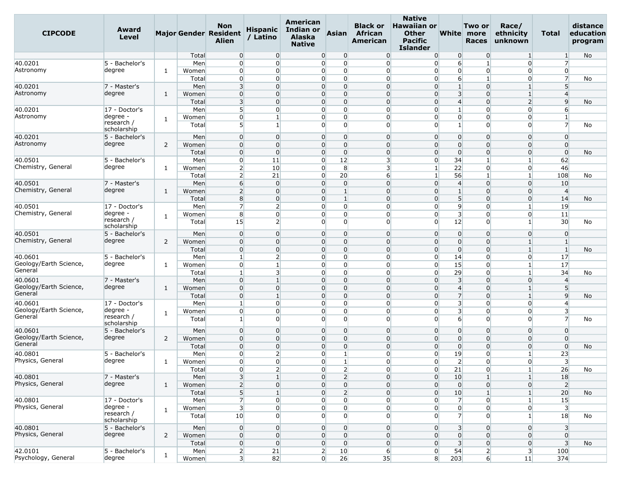| <b>CIPCODE</b>                    | Award<br>Level            |                |       | Non<br><b>Major Gender Resident</b><br><b>Alien</b> | <b>Hispanic</b><br>/ Latino | American<br>Indian or<br><b>Alaska</b><br><b>Native</b> | <b>Asian</b>                     | <b>Black or</b><br>African<br>American | <b>Native</b><br><b>Hawaiian or</b><br><b>Other</b><br><b>Pacific</b><br><b>Islander</b> |                         | Two or<br>White more<br><b>Races</b> | Race/<br>ethnicity<br>unknown | Total                   | distance<br>education<br>program |
|-----------------------------------|---------------------------|----------------|-------|-----------------------------------------------------|-----------------------------|---------------------------------------------------------|----------------------------------|----------------------------------------|------------------------------------------------------------------------------------------|-------------------------|--------------------------------------|-------------------------------|-------------------------|----------------------------------|
|                                   |                           |                | Total | $\overline{0}$                                      | $\overline{0}$              | $\overline{0}$                                          | $\overline{0}$                   | $\overline{0}$                         | $\overline{0}$                                                                           | $\mathbf{0}$            | $\overline{0}$                       | $\mathbf{1}$                  | $\mathbf{1}$            | No                               |
| 40.0201                           | 5 - Bachelor's            |                | Men   | $\overline{0}$                                      | $\overline{0}$              | $\overline{0}$                                          | $\overline{0}$                   | $\overline{0}$                         | $\overline{0}$                                                                           | 6                       | $\mathbf{1}$                         | $\overline{0}$                | $\overline{7}$          |                                  |
| Astronomy                         | degree                    | 1              | Women | $\overline{0}$                                      | $\overline{0}$              | $\overline{0}$                                          | $\overline{0}$                   | $\overline{0}$                         | $\overline{0}$                                                                           | $\overline{0}$          | $\overline{0}$                       | $\overline{0}$                | $\overline{0}$          |                                  |
|                                   |                           |                | Total | $\overline{0}$                                      | $\overline{0}$              | $\overline{0}$                                          | $\overline{0}$                   | $\overline{0}$                         | $\overline{0}$                                                                           | 6                       | $\mathbf{1}$                         | $\Omega$                      | $\overline{7}$          | No                               |
| 40.0201                           | 7 - Master's              |                | Men   | $\overline{3}$                                      | $\overline{0}$              | $\overline{0}$                                          | $\overline{0}$                   | $\overline{0}$                         | $\overline{0}$                                                                           | $1\overline{ }$         | $\mathbf 0$                          | 1                             | 5 <sup>1</sup>          |                                  |
| Astronomy                         | degree                    | $\mathbf{1}$   | Women | $\overline{0}$                                      | $\overline{0}$              | $\overline{0}$                                          | $\overline{0}$                   | $\overline{0}$                         | $\overline{0}$                                                                           | $\overline{\mathbf{3}}$ | $\mathbf 0$                          | $\mathbf{1}$                  | $\overline{4}$          |                                  |
|                                   |                           |                | Total | $\overline{\mathbf{3}}$                             | $\Omega$                    | $\overline{0}$                                          | 0                                | $\Omega$                               | $\Omega$                                                                                 | $\overline{4}$          | $\Omega$                             | $\overline{2}$                | $\overline{9}$          | No                               |
| 40.0201                           | 17 - Doctor's             |                | Men   | 5                                                   | $\overline{0}$              |                                                         | $\overline{0}$<br>$\overline{0}$ | $\overline{0}$                         | $\overline{0}$                                                                           | $1\overline{ }$         | $\overline{0}$                       | $\overline{0}$                | 6                       |                                  |
| Astronomy                         | degree -                  | 1              | Women | $\overline{0}$                                      | $\mathbf{1}$                | $\overline{0}$                                          | $\overline{0}$                   | $\overline{0}$                         | $\overline{0}$                                                                           | $\overline{0}$          | $\overline{0}$                       | $\overline{0}$                | $\mathbf{1}$            |                                  |
|                                   | research /<br>scholarship |                | Total | 5 <sup>1</sup>                                      | $\mathbf{1}$                | $\Omega$                                                | $\Omega$                         | $\Omega$                               | $\overline{0}$                                                                           | $\mathbf{1}$            | $\mathbf 0$                          | $\Omega$                      | $\overline{7}$          | No                               |
| 40.0201                           | 5 - Bachelor's            |                | Men   | $\overline{0}$                                      | $\overline{0}$              | $\Omega$                                                | $\overline{0}$                   | $\overline{0}$                         | $\overline{0}$                                                                           | $\overline{0}$          | $\mathbf 0$                          | $\Omega$                      | $\overline{0}$          |                                  |
| Astronomy                         | degree                    | 2              | Women | $\overline{0}$                                      | $\overline{0}$              | $\overline{0}$                                          | $\overline{0}$                   | $\overline{0}$                         | $\overline{0}$                                                                           | $\overline{0}$          | $\mathbf 0$                          | $\overline{0}$                | $\overline{0}$          |                                  |
|                                   |                           |                | Total | $\overline{0}$                                      | $\overline{0}$              | $\overline{0}$                                          | $\overline{0}$                   | $\overline{0}$                         | $\overline{0}$                                                                           | $\overline{0}$          | $\mathbf 0$                          | $\Omega$                      | $\overline{0}$          | No                               |
| 40.0501                           | 5 - Bachelor's            |                | Men   | $\overline{0}$                                      | 11                          | $\overline{0}$                                          | 12                               | $\overline{\mathbf{3}}$                | $\overline{0}$                                                                           | 34                      | $\mathbf{1}$                         |                               | 62                      |                                  |
| Chemistry, General                | degree                    | 1              | Women | $\overline{2}$                                      | 10                          | $\Omega$                                                | 8                                | $\overline{\mathbf{3}}$                | $\mathbf{1}$                                                                             | 22                      | 0                                    | $\overline{0}$                | 46                      |                                  |
|                                   |                           |                | Total | $\overline{2}$                                      | 21                          |                                                         | 20<br>$\overline{0}$             | $6 \overline{6}$                       | $\mathbf{1}$                                                                             | 56                      | $\mathbf{1}$                         | $\mathbf{1}$                  | 108                     | No                               |
| 40.0501                           | 7 - Master's              |                | Men   | 6                                                   | $\overline{0}$              |                                                         | $\overline{0}$<br>$\overline{0}$ | $\Omega$                               | $\overline{0}$                                                                           | $\overline{4}$          | $\mathbf 0$                          | $\Omega$                      | 10                      |                                  |
| Chemistry, General                | degree                    | $\mathbf{1}$   | Women | $\overline{2}$                                      | $\Omega$                    | $\overline{0}$                                          | 1                                | $\Omega$                               | $\Omega$                                                                                 |                         | $\Omega$                             | 0                             | $\overline{4}$          |                                  |
|                                   |                           |                | Total | 8                                                   | $\overline{0}$              |                                                         | $\overline{0}$<br>$\mathbf{1}$   | $\overline{0}$                         | $\overline{0}$                                                                           | 5 <sub>5</sub>          | $\mathbf 0$                          | $\overline{0}$                | 14                      | No                               |
| 40.0501                           | 17 - Doctor's             |                | Men   | $\overline{7}$                                      | $\overline{2}$              | $\overline{0}$                                          | $\overline{0}$                   | $\overline{0}$                         | $\overline{0}$                                                                           | $\overline{9}$          | $\mathbf 0$                          | 1                             | 19                      |                                  |
| Chemistry, General                | degree -                  | $\mathbf{1}$   | Women | 8                                                   | $\overline{0}$              | $\overline{0}$                                          | $\overline{0}$                   | $\overline{0}$                         | $\overline{0}$                                                                           | $\overline{3}$          | $\mathbf 0$                          | $\Omega$                      | 11                      |                                  |
|                                   | research /<br>scholarship |                | Total | 15                                                  | $\overline{2}$              | $\overline{0}$                                          | $\Omega$                         | $\Omega$                               | $\overline{0}$                                                                           | 12                      | $\Omega$                             | 1                             | 30                      | No                               |
| 40.0501                           | 5 - Bachelor's            |                | Men   | $\overline{0}$                                      | $\overline{0}$              | $\overline{0}$                                          | $\overline{0}$                   | $\overline{0}$                         | $\overline{0}$                                                                           | $\overline{0}$          | $\mathbf 0$                          | $\Omega$                      | $\overline{0}$          |                                  |
| Chemistry, General                | degree                    | 2              | Women | $\overline{0}$                                      | $\overline{0}$              | $\overline{0}$                                          | $\overline{0}$                   | $\overline{0}$                         | $\overline{0}$                                                                           | $\overline{0}$          | $\Omega$                             | 1                             | $\mathbf{1}$            |                                  |
|                                   |                           |                | Total | $\overline{0}$                                      | $\overline{0}$              |                                                         | $\overline{0}$<br>$\overline{0}$ | $\overline{0}$                         | $\overline{0}$                                                                           | $\overline{0}$          | $\mathbf 0$                          | $\mathbf{1}$                  | $\mathbf{1}$            | No                               |
| 40.0601                           | 5 - Bachelor's            |                | Men   | $\mathbf{1}$                                        | $\overline{2}$              | $\overline{0}$                                          | $\mathbf 0$                      | $\overline{0}$                         | $\overline{0}$                                                                           | 14                      | 0                                    | $\Omega$                      | 17                      |                                  |
| Geology/Earth Science,            | degree                    | 1              | Women | $\overline{0}$                                      | $\mathbf{1}$                |                                                         | $\overline{0}$<br>$\overline{0}$ | $\overline{0}$                         | $\overline{0}$                                                                           | 15                      | $\mathbf 0$                          | 1                             | 17                      |                                  |
| General                           |                           |                | Total | $\mathbf{1}$                                        | 3                           |                                                         | $\overline{0}$<br>$\overline{0}$ | $\Omega$                               | $\overline{0}$                                                                           | 29                      | $\mathbf 0$                          | 1                             | 34                      | No                               |
| 40.0601                           | 7 - Master's              |                | Men   | $\overline{0}$                                      | $\mathbf{1}$                | $\overline{0}$                                          | $\overline{0}$                   | $\Omega$                               | $\overline{0}$                                                                           | $\overline{\mathbf{3}}$ | $\Omega$                             | $\Omega$                      | $\overline{4}$          |                                  |
| Geology/Earth Science,            | degree                    | $\mathbf{1}$   | Women | $\overline{0}$                                      | $\overline{0}$              | $\overline{0}$                                          | $\overline{0}$                   | $\overline{0}$                         | $\overline{0}$                                                                           | $\overline{4}$          | $\mathbf 0$                          | 1                             | 5 <sup>5</sup>          |                                  |
| General                           |                           |                | Total | $\overline{0}$                                      | $\vert$ 1                   | $\overline{0}$                                          | $\Omega$                         | $\overline{0}$                         | $\overline{0}$                                                                           | $\overline{7}$          | $\Omega$                             | $\mathbf{1}$                  | $\overline{9}$          | No                               |
| 40.0601                           | 17 - Doctor's             |                | Men   | $\mathbf{1}$                                        | $\overline{0}$              | $\overline{0}$                                          | $\overline{0}$                   | $\overline{0}$                         | $\overline{0}$                                                                           | $\overline{\mathbf{3}}$ | 0                                    | $\overline{0}$                | $\overline{4}$          |                                  |
| Geology/Earth Science,            | degree -                  | 1              | Women | $\overline{0}$                                      | $\overline{0}$              | $\Omega$                                                | $\overline{0}$                   | $\overline{0}$                         | $\overline{0}$                                                                           | $\overline{3}$          | $\overline{0}$                       | 0                             | $\overline{\mathbf{3}}$ |                                  |
| General                           | research /                |                | Total | $\mathbf{1}$                                        | $\overline{0}$              |                                                         | $\overline{0}$<br>$\overline{0}$ | $\overline{0}$                         | $\Omega$                                                                                 | $6 \overline{6}$        | $\overline{0}$                       | $\overline{0}$                | $\overline{7}$          | No                               |
|                                   | scholarship               |                |       |                                                     |                             |                                                         |                                  |                                        |                                                                                          |                         |                                      |                               |                         |                                  |
| 40.0601                           | 5 - Bachelor's            |                | Men   | $\overline{0}$                                      | $\overline{0}$              | $\overline{0}$                                          | $\overline{0}$                   | $\overline{0}$                         | $\overline{0}$                                                                           | $\overline{0}$          | $\mathbf 0$                          | $\overline{0}$                | $\overline{0}$          |                                  |
| Geology/Earth Science,<br>General | degree                    | 2              | Women | $\overline{0}$                                      | $\overline{0}$              | $\overline{0}$                                          | $\overline{0}$                   | $\overline{0}$                         | $\overline{0}$                                                                           | $\overline{0}$          | $\overline{0}$                       | $\overline{0}$                | $\overline{0}$          |                                  |
|                                   |                           |                | Total | $\overline{0}$                                      | $\mathbf{0}$                | $\Omega$                                                | $\Omega$                         | $\Omega$                               | $\Omega$                                                                                 | $\overline{0}$          | $\Omega$                             | $\Omega$                      | $\overline{0}$          | No                               |
| 40.0801                           | 5 - Bachelor's            |                | Men   | $\overline{0}$                                      | $\overline{2}$              | $\overline{0}$                                          | $\mathbf{1}$                     | $\overline{0}$                         | $\overline{0}$                                                                           | 19                      | $\overline{0}$                       | $\mathbf{1}$                  | 23                      |                                  |
| Physics, General                  | degree                    | 1              | Women | $\overline{0}$                                      | $\overline{0}$              |                                                         | $\overline{0}$<br>$\mathbf{1}$   | $\overline{0}$                         | $\overline{0}$                                                                           | $\overline{2}$          | $\overline{0}$                       | $\overline{0}$                | 3                       |                                  |
|                                   |                           |                | Total | $\overline{0}$                                      | $\mathbf{2}$                | $\overline{0}$                                          | $\overline{2}$                   | 0                                      | $\overline{0}$                                                                           | 21                      | $\overline{0}$                       | $\mathbf{1}$                  | 26                      | No                               |
| 40.0801                           | 7 - Master's              |                | Men   | $\overline{3}$                                      | $\mathbf{1}$                |                                                         | $\overline{2}$<br>$\overline{0}$ | $\overline{0}$                         | $\overline{0}$                                                                           | 10                      | $\mathbf{1}$                         | $\mathbf{1}$                  | 18                      |                                  |
| Physics, General                  | degree                    | $\mathbf{1}$   | Women | $\overline{2}$                                      | $\overline{0}$              |                                                         | $\overline{0}$<br>$\overline{0}$ | $\overline{0}$                         | $\overline{0}$                                                                           | $\overline{0}$          | $\overline{0}$                       | $\overline{0}$                | $\overline{2}$          |                                  |
|                                   |                           |                | Total | $5\overline{)}$                                     | $\mathbf{1}$                |                                                         | $\overline{0}$<br>$\overline{2}$ | $\overline{0}$                         | $\overline{0}$                                                                           | 10                      |                                      | $\mathbf{1}$                  | 20                      | No                               |
| 40.0801                           | 17 - Doctor's             |                | Men   | $\overline{7}$                                      | $\overline{0}$              | $\overline{0}$                                          | $\overline{0}$                   | $\overline{0}$                         | $\overline{0}$                                                                           | $\overline{7}$          | $\overline{0}$                       | 1                             | 15                      |                                  |
| Physics, General                  | degree -                  | $\mathbf{1}$   | Women | $\overline{\mathbf{3}}$                             | $\overline{0}$              | $\overline{0}$                                          | $\overline{0}$                   | $\overline{0}$                         | $\overline{0}$                                                                           | $\overline{0}$          | $\overline{0}$                       | $\overline{0}$                | $\overline{\mathbf{3}}$ |                                  |
|                                   | research /<br>scholarship |                | Total | 10                                                  | $\overline{0}$              | $\overline{0}$                                          | $\overline{0}$                   | $\overline{0}$                         | $\overline{0}$                                                                           | $\overline{7}$          | $\overline{0}$                       | $1\vert$                      | 18                      | No                               |
| 40.0801                           | 5 - Bachelor's            |                | Men   | $\overline{0}$                                      | $\overline{0}$              | $\overline{0}$                                          | $\overline{0}$                   | $\overline{0}$                         | $\overline{0}$                                                                           | 3 <sup>l</sup>          | $\overline{0}$                       | $\overline{0}$                | 3                       |                                  |
| Physics, General                  | degree                    | $\overline{2}$ | Women | $\overline{0}$                                      | $\overline{0}$              |                                                         | $\overline{0}$<br>$\overline{0}$ | $\overline{0}$                         | $\overline{0}$                                                                           | $\overline{0}$          | $\overline{0}$                       | $\overline{0}$                | $\overline{0}$          |                                  |
|                                   |                           |                | Total | $\overline{0}$                                      | $\overline{0}$              | $\overline{0}$                                          | $\overline{0}$                   | $\overline{0}$                         | $\overline{0}$                                                                           | $\overline{\mathbf{3}}$ | $\overline{0}$                       | $\overline{0}$                | $\overline{\mathbf{3}}$ | No                               |
| 42.0101                           | 5 - Bachelor's            | 1              | Men   | $\mathbf{2}$                                        | 21                          |                                                         | $2 \overline{ }$<br>10           | $6 \overline{}$                        | $\overline{0}$                                                                           | 54                      | $\overline{2}$                       | 3 <sup>1</sup>                | 100                     |                                  |
| Psychology, General               | degree                    |                | Women | $\overline{3}$                                      | 82                          | $\overline{0}$                                          | 26                               | 35                                     | 8 <sup>1</sup>                                                                           | 203                     | $6 \mid$                             | 11                            | 374                     |                                  |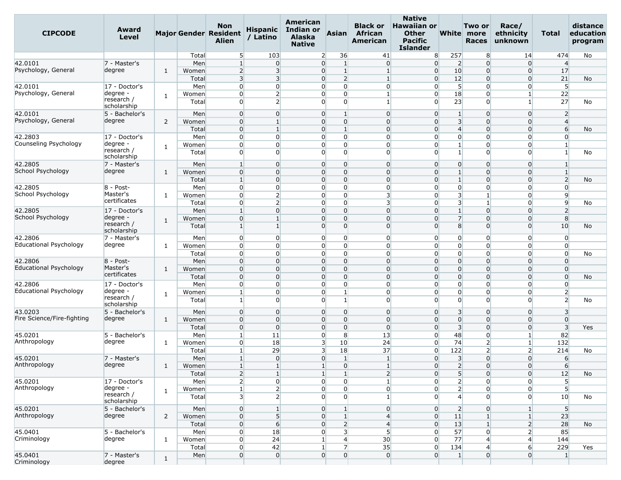| <b>CIPCODE</b>                | Award<br><b>Level</b>     |                |       | <b>Non</b><br><b>Major Gender Resident</b><br><b>Alien</b> | <b>Hispanic</b><br>/ Latino | <b>American</b><br><b>Indian or</b><br><b>Alaska</b><br><b>Native</b> | <b>Asian</b>                     | <b>Black or</b><br>African<br>American | <b>Native</b><br><b>Hawaiian or</b><br><b>Other</b><br><b>Pacific</b><br><b>Islander</b> |                         | Two or<br>White more<br><b>Races</b> | Race/<br>ethnicity<br>unknown | Total                   | distance<br>education<br>program |
|-------------------------------|---------------------------|----------------|-------|------------------------------------------------------------|-----------------------------|-----------------------------------------------------------------------|----------------------------------|----------------------------------------|------------------------------------------------------------------------------------------|-------------------------|--------------------------------------|-------------------------------|-------------------------|----------------------------------|
|                               |                           |                | Total | 5                                                          | 103                         |                                                                       | 36<br>$\overline{2}$             | 41                                     | 8 <sup>°</sup>                                                                           | 257                     | 8                                    | 14                            | 474                     | No                               |
| 42.0101                       | 7 - Master's              |                | Men   | $\mathbf{1}$                                               | $\overline{0}$              |                                                                       | $\overline{0}$<br>1              | $\overline{0}$                         | $\overline{0}$                                                                           | $\overline{2}$          | $\Omega$                             | $\overline{0}$                | $\overline{4}$          |                                  |
| Psychology, General           | degree                    | 1              | Women | $\overline{2}$                                             | $\overline{\mathbf{3}}$     |                                                                       | $\overline{0}$<br>$\mathbf{1}$   | $\mathbf{1}$                           | $\overline{0}$                                                                           | 10                      | $\Omega$                             | $\overline{0}$                | 17                      |                                  |
|                               |                           |                | Total | $\overline{3}$                                             | 3                           |                                                                       | $\overline{0}$<br>2              |                                        | $\overline{0}$                                                                           | 12                      | $\Omega$                             | $\overline{0}$                | 21                      | No                               |
| 42.0101                       | $ 17 -$ Doctor's          |                | Men   | $\overline{0}$                                             | $\overline{0}$              |                                                                       | $\overline{0}$<br>$\overline{0}$ | $\overline{0}$                         | $\overline{0}$                                                                           | 5 <sup>1</sup>          | $\Omega$                             | $\overline{0}$                | 5                       |                                  |
| Psychology, General           | degree                    | 1              | Women | $\overline{0}$                                             | $\overline{2}$              |                                                                       | $\overline{0}$<br>$\overline{0}$ | $\mathbf{1}$                           | $\overline{0}$                                                                           | 18                      | $\mathbf 0$                          | $1\vert$                      | 22                      |                                  |
|                               | research /<br>scholarship |                | Total | $\overline{0}$                                             | $\overline{2}$              |                                                                       | $\Omega$<br>$\overline{0}$       | $\mathbf{1}$                           | $\overline{0}$                                                                           | 23                      | 0                                    | $\mathbf{1}$                  | 27                      | No                               |
| 42.0101                       | 5 - Bachelor's            |                | Men   | $\overline{0}$                                             | $\overline{0}$              |                                                                       | $\overline{0}$<br>$\mathbf{1}$   | $\Omega$                               | $\overline{0}$                                                                           | $\mathbf{1}$            | $\Omega$                             | $\overline{0}$                | $\overline{2}$          |                                  |
| Psychology, General           | degree                    | 2              | Women | $\overline{0}$                                             | $\mathbf{1}$                |                                                                       | $\overline{0}$<br>$\overline{0}$ | $\Omega$                               | $\overline{0}$                                                                           | 3 <sup>1</sup>          | $\Omega$                             | $\overline{0}$                | $\overline{4}$          |                                  |
|                               |                           |                | Total | $\overline{0}$                                             | $\mathbf{1}$                |                                                                       | $\overline{0}$<br>1              | $\overline{0}$                         | $\overline{0}$                                                                           | $\overline{4}$          | $\Omega$                             | $\overline{0}$                | 6                       | No                               |
| 42.2803                       | 17 - Doctor's             |                | Men   | $\overline{0}$                                             | $\overline{0}$              |                                                                       | $\overline{0}$<br>$\overline{0}$ | $\overline{0}$                         | $\overline{0}$                                                                           | $\overline{0}$          | $\mathbf 0$                          | $\overline{0}$                | $\mathbf{0}$            |                                  |
| Counseling Psychology         | degree ·                  |                | Women | $\overline{0}$                                             | $\overline{0}$              |                                                                       | $\overline{0}$<br>$\overline{0}$ | $\overline{0}$                         | $\overline{0}$                                                                           | $\mathbf{1}$            | 0                                    | $\overline{0}$                | 1                       |                                  |
|                               | research /<br>scholarship | 1              | Total | $\overline{0}$                                             | $\Omega$                    |                                                                       | $\overline{0}$<br>$\Omega$       | $\Omega$                               | $\Omega$                                                                                 | $\mathbf{1}$            | $\Omega$                             | $\overline{0}$                | $\mathbf{1}$            | No                               |
| 42.2805                       | 7 - Master's              |                | Men   | $\mathbf{1}$                                               | $\Omega$                    |                                                                       | $\overline{0}$<br>$\overline{0}$ | $\Omega$                               | $\overline{0}$                                                                           | $\overline{0}$          | $\Omega$                             | $\overline{0}$                | 1                       |                                  |
| School Psychology             | degree                    |                |       | $\overline{0}$                                             | $\overline{0}$              |                                                                       | $\overline{0}$<br>0              | $\Omega$                               | $\overline{0}$                                                                           | $\mathbf{1}$            | $\Omega$                             | $\overline{0}$                | $\mathbf{1}$            |                                  |
|                               |                           | 1              | Women |                                                            |                             |                                                                       |                                  | $\overline{0}$                         |                                                                                          | $\mathbf{1}$            | $\Omega$                             |                               |                         |                                  |
|                               |                           |                | Total | 1                                                          | $\overline{0}$              |                                                                       | $\overline{0}$<br>$\overline{0}$ |                                        | $\overline{0}$                                                                           |                         |                                      | $\overline{0}$                | $\overline{2}$          | No                               |
| 42.2805                       | $8 - Post -$<br>Master's  |                | Men   | $\overline{0}$                                             | $\overline{0}$              |                                                                       | $\overline{0}$<br>$\overline{0}$ | $\overline{0}$                         | $\overline{0}$                                                                           | $\overline{0}$          | $\Omega$                             | $\overline{0}$                | $\mathbf{0}$            |                                  |
| School Psychology             | certificates              | 1              | Women | $\overline{0}$                                             | $\overline{2}$              |                                                                       | $\overline{0}$<br>$\overline{0}$ | 3                                      | $\overline{0}$                                                                           | $\overline{\mathbf{3}}$ | $\mathbf{1}$                         | $\overline{0}$                | $\overline{9}$          |                                  |
|                               |                           |                | Total | $\overline{0}$                                             | $\overline{2}$              |                                                                       | $\overline{0}$<br>$\overline{0}$ | 3                                      | $\overline{0}$                                                                           | 3 <sup>l</sup>          | $\overline{1}$                       | $\overline{0}$                | $\overline{9}$          | No                               |
| 42.2805                       | 17 - Doctor's             |                | Men   | $\mathbf{1}$                                               | $\overline{0}$              |                                                                       | $\overline{0}$<br>$\overline{0}$ | $\Omega$                               | $\overline{0}$                                                                           | $\mathbf{1}$            | $\overline{0}$                       | $\overline{0}$                | $\overline{2}$          |                                  |
| School Psychology             | degree -                  | 1              | Women | $\overline{0}$                                             | $\mathbf{1}$                |                                                                       | 0<br>$\overline{0}$              | $\Omega$                               | $\overline{0}$                                                                           | 7                       | $\Omega$                             | $\overline{0}$                | 8                       |                                  |
|                               | research /<br>scholarship |                | Total | $\mathbf{1}$                                               | $\mathbf{1}$                |                                                                       | $\overline{0}$<br>0              | $\Omega$                               | $\overline{0}$                                                                           | 8 <sup>1</sup>          | 0                                    | $\overline{0}$                | 10                      | No                               |
| 42.2806                       | 7 - Master's              |                | Men   | $\overline{0}$                                             | $\overline{0}$              |                                                                       | $\overline{0}$<br>0              | 0                                      | $\overline{0}$                                                                           | $\overline{0}$          | O                                    | $\overline{0}$                | $\Omega$                |                                  |
| Educational Psychology        | degree                    | 1              | Women | $\overline{0}$                                             | $\overline{0}$              |                                                                       | $\overline{0}$<br>$\overline{0}$ | $\overline{0}$                         | $\overline{0}$                                                                           | $\overline{0}$          | 0                                    | $\overline{0}$                | $\overline{0}$          |                                  |
|                               |                           |                | Total | $\overline{0}$                                             | $\Omega$                    |                                                                       | $\overline{0}$<br>$\overline{0}$ | $\overline{0}$                         | $\overline{0}$                                                                           | $\overline{0}$          | O                                    | $\overline{0}$                | $\mathbf{0}$            | No                               |
| 42.2806                       | $8 - Post-$               |                | Men   | $\overline{0}$                                             | $\Omega$                    |                                                                       | $\overline{0}$<br>$\overline{0}$ | $\Omega$                               | $\overline{0}$                                                                           | $\overline{0}$          | $\Omega$                             | $\overline{0}$                | $\Omega$                |                                  |
| <b>Educational Psychology</b> | Master's                  | 1              | Women | $\overline{0}$                                             | $\overline{0}$              |                                                                       | 0<br>$\overline{0}$              | $\overline{0}$                         | $\overline{0}$                                                                           | $\overline{0}$          | $\Omega$                             | $\overline{0}$                | $\Omega$                |                                  |
|                               | certificates              |                | Total | $\overline{0}$                                             | $\Omega$                    |                                                                       | $\overline{0}$<br>$\overline{0}$ | $\Omega$                               | $\overline{0}$                                                                           | $\overline{0}$          | $\overline{0}$                       | $\overline{0}$                | $\Omega$                | No                               |
| 42.2806                       | 17 - Doctor's             |                | Men   | $\overline{0}$                                             | $\overline{0}$              |                                                                       | $\overline{0}$<br>$\overline{0}$ | $\overline{0}$                         | $\overline{0}$                                                                           | $\overline{0}$          | 0                                    | $\overline{0}$                | $\Omega$                |                                  |
| Educational Psychology        | degree -                  |                | Women | 1                                                          | $\overline{0}$              |                                                                       | $\overline{0}$                   | $\Omega$                               | $\overline{0}$                                                                           | $\overline{0}$          | 0                                    | $\overline{0}$                | $\overline{2}$          |                                  |
|                               | research /<br>scholarship | 1              | Total | $\mathbf{1}$                                               | $\Omega$                    |                                                                       | $\overline{0}$<br>1              | $\Omega$                               | $\Omega$                                                                                 | $\overline{0}$          | $\Omega$                             | $\overline{0}$                | $\overline{2}$          | No                               |
| 43.0203                       | 5 - Bachelor's            |                | Men   | $\overline{0}$                                             | $\overline{0}$              |                                                                       | $\overline{0}$<br>$\overline{0}$ | $\overline{0}$                         | $\overline{0}$                                                                           | $\overline{\mathbf{3}}$ | $\overline{0}$                       | $\overline{0}$                | $\overline{\mathbf{3}}$ |                                  |
| Fire Science/Fire-fighting    | degree                    | 1              | Women | $\overline{0}$                                             | $\Omega$                    |                                                                       | $\overline{0}$<br>$\overline{0}$ | $\Omega$                               | $\overline{0}$                                                                           | $\overline{0}$          | $\Omega$                             | $\overline{0}$                | $\Omega$                |                                  |
|                               |                           |                | Total | $\overline{0}$                                             | $\Omega$                    |                                                                       | $\overline{0}$<br>0              | $\Omega$                               | $\overline{0}$                                                                           | $\overline{\mathbf{3}}$ | $\Omega$                             | $\overline{0}$                | 3                       | Yes                              |
| 45.0201                       | 5 - Bachelor's            |                | Men   | 1                                                          | 11                          |                                                                       | $\overline{0}$<br>8              | 13                                     | $\overline{0}$                                                                           | 48                      | $\overline{0}$                       | $\mathbf{1}$                  | 82                      |                                  |
| Anthropology                  | degree                    | 1              | Women | $\overline{0}$                                             | 18                          |                                                                       | 3 <sup>l</sup><br>10             | 24                                     | $\overline{0}$                                                                           | 74                      | $\overline{2}$                       | $\mathbf{1}$                  | 132                     |                                  |
|                               |                           |                | Total | 1                                                          | 29                          |                                                                       | 3<br>18                          | 37                                     | $\overline{0}$                                                                           | 122                     | 2                                    | $\overline{2}$                | 214                     | No                               |
| 45.0201                       | 7 - Master's              |                | Men   | $\mathbf{1}$                                               | $\overline{0}$              |                                                                       | 0<br>$\vert$ 1                   | $\mathbf{1}$                           | $\overline{0}$                                                                           | $\overline{\mathbf{3}}$ | $\Omega$                             | $\overline{0}$                | $6 \overline{}$         |                                  |
| Anthropology                  | degree                    | $\mathbf{1}$   | Women | $\mathbf{1}$                                               | $\mathbf{1}$                | $\mathbf{1}$                                                          | $\overline{0}$                   | $\mathbf{1}$                           | $\overline{0}$                                                                           | $\overline{2}$          | $\Omega$                             | $\overline{0}$                | 6                       |                                  |
|                               |                           |                | Total | $\overline{2}$                                             | $\mathbf{1}$                | $\mathbf{1}$                                                          | $\vert$ 1                        | $\overline{2}$                         | $\overline{0}$                                                                           | 5 <sub>l</sub>          | $\overline{0}$                       | $\overline{0}$                | 12                      | No                               |
| 45.0201                       | 17 - Doctor's             |                | Men   | 2                                                          | $\overline{0}$              |                                                                       | $\overline{0}$<br>$\overline{0}$ | $\mathbf{1}$                           | $\overline{0}$                                                                           | $\overline{2}$          | $\overline{0}$                       | $\overline{0}$                | 5                       |                                  |
| Anthropology                  | degree -                  |                | Women | $\mathbf{1}$                                               | $\overline{2}$              |                                                                       | $\overline{0}$<br>$\overline{0}$ | $\overline{0}$                         | $\overline{0}$                                                                           | $\overline{2}$          | $\Omega$                             | $\overline{0}$                | 5 <sup>1</sup>          |                                  |
|                               | research /                | $\mathbf{1}$   | Total | $\overline{\mathbf{3}}$                                    | $\overline{2}$              |                                                                       | $\overline{0}$<br>$\overline{0}$ | $\mathbf{1}$                           | $\overline{0}$                                                                           | $\overline{4}$          | $\Omega$                             | $\overline{0}$                | 10                      | No                               |
|                               | scholarship               |                |       |                                                            |                             |                                                                       |                                  |                                        |                                                                                          |                         |                                      |                               |                         |                                  |
| 45.0201                       | 5 - Bachelor's            |                | Men   | $\overline{0}$                                             | $\mathbf{1}$                |                                                                       | $\overline{0}$<br>$\vert$ 1      | $\overline{0}$                         | $\overline{0}$                                                                           | 2 <sup>1</sup>          | $\overline{0}$                       | $1\overline{ }$               | 5                       |                                  |
| Anthropology                  | degree                    | $\overline{2}$ | Women | $\overline{0}$                                             | 5                           |                                                                       | $\overline{0}$<br>$\mathbf{1}$   | $\overline{4}$                         | $\overline{0}$                                                                           | 11                      |                                      | 1 <sup>1</sup>                | 23                      |                                  |
|                               |                           |                | Total | $\overline{0}$                                             | $6 \overline{}$             |                                                                       | $\overline{0}$<br>$\overline{2}$ | $\overline{4}$                         | $\overline{0}$                                                                           | 13                      | $\mathbf{1}$                         | 2 <sup>1</sup>                | 28                      | No                               |
| 45.0401                       | 5 - Bachelor's            |                | Men   | $\overline{0}$                                             | 18                          |                                                                       | $\overline{0}$<br>3              | 5                                      | $\overline{0}$                                                                           | 57                      | $\overline{0}$                       | $\overline{2}$                | 85                      |                                  |
| Criminology                   | degree                    | $\mathbf{1}$   | Women | $\overline{0}$                                             | 24                          |                                                                       | $\mathbf{1}$<br>4                | 30                                     | $\overline{0}$                                                                           | 77                      | $\overline{4}$                       | $\overline{4}$                | 144                     |                                  |
|                               |                           |                | Total | $\overline{0}$                                             | 42                          |                                                                       | $\overline{7}$                   | 35                                     | $\overline{0}$                                                                           | 134                     | $\overline{4}$                       | $6 \overline{6}$              | 229                     | Yes                              |
| 45.0401                       | 7 - Master's              | $\mathbf{1}$   | Men   | $\overline{0}$                                             | $\overline{0}$              |                                                                       | $\overline{0}$<br>$\overline{0}$ | $\overline{0}$                         | $\overline{0}$                                                                           | $\mathbf{1}$            | $\overline{0}$                       | $\overline{0}$                | $\mathbf{1}$            |                                  |
| Criminology                   | degree                    |                |       |                                                            |                             |                                                                       |                                  |                                        |                                                                                          |                         |                                      |                               |                         |                                  |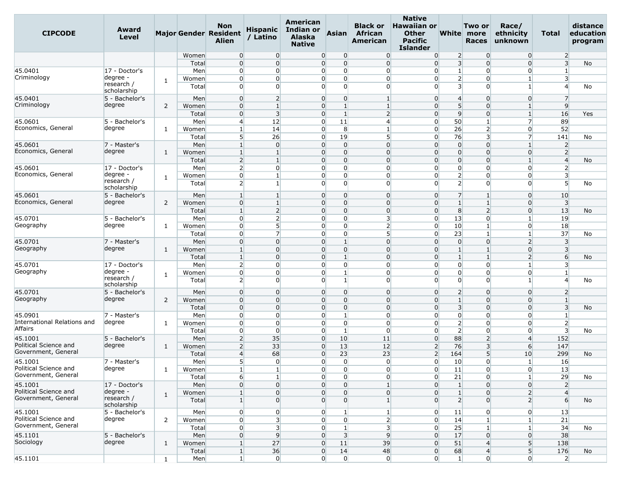| <b>CIPCODE</b>                               | Award<br>Level            |              |              | <b>Non</b><br><b>Major Gender Resident</b><br>Alien | <b>Hispanic</b><br>/ Latino | American<br>Indian or<br><b>Alaska</b><br><b>Native</b> | <b>Asian</b>                     | <b>Black or</b><br>African<br>American | <b>Native</b><br><b>Hawaiian or</b><br><b>Other</b><br><b>Pacific</b><br><b>Islander</b> |                         | Two or<br>White more<br><b>Races</b> | Race/<br>ethnicity<br>unknown  | Total                            | distance<br>education<br>program |
|----------------------------------------------|---------------------------|--------------|--------------|-----------------------------------------------------|-----------------------------|---------------------------------------------------------|----------------------------------|----------------------------------------|------------------------------------------------------------------------------------------|-------------------------|--------------------------------------|--------------------------------|----------------------------------|----------------------------------|
|                                              |                           |              | Women        | $\overline{0}$                                      | $\overline{0}$              |                                                         | $\overline{0}$<br>$\overline{0}$ | $\overline{0}$                         | $\overline{0}$                                                                           | $\overline{2}$          | $\Omega$                             | $\overline{0}$                 | $\overline{2}$                   |                                  |
|                                              |                           |              | Total        | $\overline{0}$                                      | $\overline{0}$              |                                                         | $\overline{0}$<br>$\overline{0}$ | $\overline{0}$                         | $\overline{0}$                                                                           | $\overline{3}$          | $\Omega$                             | $\overline{0}$                 | $\overline{3}$                   | No                               |
| 45.0401                                      | 17 - Doctor's             |              | Men          | $\overline{0}$                                      | $\overline{0}$              |                                                         | $\overline{0}$<br>$\overline{0}$ | $\overline{0}$                         | $\overline{0}$                                                                           | $\mathbf{1}$            | $\overline{0}$                       | $\overline{0}$                 | $\mathbf{1}$                     |                                  |
| Criminology                                  | degree -<br>research /    | 1            | Women        | $\overline{0}$                                      | $\overline{0}$              | $\overline{0}$                                          | 0                                | $\Omega$                               | $\overline{0}$                                                                           | $\overline{2}$          | $\Omega$                             | 1                              | 3                                |                                  |
|                                              | scholarship               |              | Total        | $\overline{0}$                                      | $\Omega$                    |                                                         | $\overline{0}$<br>$\Omega$       | $\Omega$                               | $\overline{0}$                                                                           | $\overline{3}$          | $\Omega$                             | 1                              | $\overline{4}$                   | No                               |
| 45.0401<br>Criminology                       | 5 - Bachelor's            |              | Men          | $\overline{0}$                                      | $\overline{2}$              | $\overline{0}$                                          | $\overline{0}$                   | $\mathbf{1}$                           | $\overline{0}$                                                                           | $\overline{4}$          | $\Omega$                             | $\overline{0}$                 | $\overline{7}$                   |                                  |
|                                              | degree                    | 2            | Women        | $\overline{0}$                                      | $\mathbf{1}$                |                                                         | $\overline{0}$<br>$\mathbf{1}$   | $\mathbf{1}$                           | $\overline{0}$                                                                           | $5\overline{)}$         | $\Omega$                             | $\mathbf{1}$                   | $\overline{9}$                   |                                  |
|                                              |                           |              | Total        | $\overline{0}$                                      | 3<br>12                     | $\overline{0}$                                          | $\overline{0}$<br>1              | $\overline{2}$<br>$\overline{4}$       | $\overline{0}$<br>$\overline{0}$                                                         | 9<br>50                 | $\Omega$<br>$\mathbf{1}$             | $\mathbf{1}$<br>$\overline{7}$ | 16                               | Yes                              |
| 45.0601<br>Economics, General                | 5 - Bachelor's<br>degree  |              | Men          | $\overline{4}$<br>1                                 | 14                          |                                                         | 11<br>8<br>$\overline{0}$        | $\mathbf{1}$                           | $\overline{0}$                                                                           | 26                      | $\overline{2}$                       | $\overline{0}$                 | 89<br>52                         |                                  |
|                                              |                           | 1            | Women        |                                                     | 26                          |                                                         | 19<br>0                          | 5 <sup>1</sup>                         |                                                                                          | 76                      | 3                                    | 7                              | 141                              |                                  |
| 45.0601                                      | 7 - Master's              |              | Total<br>Men | 5<br>$\mathbf{1}$                                   | $\overline{0}$              |                                                         | $\overline{0}$<br>$\overline{0}$ | $\overline{0}$                         | $\overline{0}$<br>$\overline{0}$                                                         | $\overline{0}$          | $\Omega$                             | 1                              |                                  | No                               |
| Economics, General                           | degree                    | 1            | Women        | $\mathbf{1}$                                        | $\mathbf{1}$                |                                                         | $\overline{0}$<br>$\overline{0}$ | $\overline{0}$                         | $\overline{0}$                                                                           | $\overline{0}$          | $\Omega$                             | $\overline{0}$                 | $\overline{2}$<br>$\overline{2}$ |                                  |
|                                              |                           |              | Total        | $\overline{2}$                                      | $\mathbf{1}$                |                                                         | $\overline{0}$<br>$\overline{0}$ | $\overline{0}$                         | $\overline{0}$                                                                           | $\overline{0}$          | $\Omega$                             | $\mathbf{1}$                   | $\overline{4}$                   | No                               |
| 45.0601                                      | 17 - Doctor's             |              | Men          | $\overline{2}$                                      | 0                           |                                                         | 0<br>0                           | $\Omega$                               | $\Omega$                                                                                 | $\overline{0}$          | $\Omega$                             | $\Omega$                       | $\overline{2}$                   |                                  |
| Economics, General                           | degree -                  |              | Women        | $\overline{0}$                                      | 1                           |                                                         | $\overline{0}$<br>$\overline{0}$ | $\overline{0}$                         | $\overline{0}$                                                                           | $\overline{2}$          | $\overline{0}$                       | $\overline{0}$                 | 3                                |                                  |
|                                              | research /<br>scholarship | 1            | Total        | $\overline{2}$                                      | $\mathbf{1}$                |                                                         | $\overline{0}$<br>$\overline{0}$ | $\Omega$                               | $\overline{0}$                                                                           | $\overline{2}$          | $\Omega$                             | $\Omega$                       | $5\overline{)}$                  | No                               |
| 45.0601                                      | 5 - Bachelor's            |              | Men          | 1                                                   | 1                           | $\overline{0}$                                          | $\overline{0}$                   | $\overline{0}$                         | $\overline{0}$                                                                           | $\overline{7}$          |                                      | $\overline{0}$                 | 10                               |                                  |
| Economics, General                           | degree                    | 2            | Women        | $\overline{0}$                                      | $\mathbf{1}$                |                                                         | 0<br>$\overline{0}$              | $\overline{0}$                         | $\overline{0}$                                                                           | $\mathbf{1}$            | $\mathbf{1}$                         | $\overline{0}$                 | $\overline{\mathbf{3}}$          |                                  |
|                                              |                           |              | Total        | $\mathbf{1}$                                        | $\overline{2}$              |                                                         | $\overline{0}$<br>$\overline{0}$ | $\overline{0}$                         | $\overline{0}$                                                                           | 8                       | $\overline{2}$                       | $\overline{0}$                 | 13                               | No                               |
| 45.0701                                      | 5 - Bachelor's            |              | Men          | $\overline{0}$                                      | $\overline{2}$              |                                                         | $\overline{0}$<br>$\overline{0}$ | 3                                      | $\overline{0}$                                                                           | 13                      | 0                                    | 1                              | 19                               |                                  |
| Geography                                    | degree                    | 1            | Women        | $\overline{0}$                                      | 5                           |                                                         | $\overline{0}$<br>$\overline{0}$ | $\overline{2}$                         | $\overline{0}$                                                                           | 10                      | $\overline{1}$                       | $\overline{0}$                 | 18                               |                                  |
|                                              |                           |              | Total        | $\overline{0}$                                      | 7                           |                                                         | 0<br>0                           | 5                                      | $\overline{0}$                                                                           | 23                      |                                      | 1                              | 37                               | No                               |
| 45.0701                                      | 7 - Master's              |              | Men          | $\overline{0}$                                      | $\overline{0}$              |                                                         | $\overline{0}$<br>$\mathbf{1}$   | $\overline{0}$                         | $\overline{0}$                                                                           | $\overline{0}$          | $\mathbf 0$                          | $\overline{2}$                 | $\overline{\mathbf{3}}$          |                                  |
| Geography                                    | degree                    | 1            | Women        | $\mathbf{1}$                                        | $\Omega$                    |                                                         | $\overline{0}$<br>$\overline{0}$ | $\overline{0}$                         | $\overline{0}$                                                                           | $\mathbf{1}$            |                                      | $\overline{0}$                 | $\overline{3}$                   |                                  |
|                                              |                           |              | Total        | 1                                                   | $\overline{0}$              |                                                         | $\overline{0}$                   | $\Omega$                               | $\overline{0}$                                                                           | $\mathbf{1}$            |                                      | $\overline{2}$                 | $6 \overline{}$                  | No                               |
| 45.0701                                      | 17 - Doctor's             |              | Men          | $\overline{2}$                                      | $\overline{0}$              |                                                         | $\overline{0}$<br>$\overline{0}$ | $\overline{0}$                         | $\overline{0}$                                                                           | $\overline{0}$          | $\mathbf 0$                          | $1\overline{ }$                | 3                                |                                  |
| Geography                                    | degree -                  | 1            | Women        | $\overline{0}$                                      | $\overline{0}$              |                                                         | $\overline{0}$<br>$\mathbf{1}$   | $\overline{0}$                         | $\overline{0}$                                                                           | $\overline{0}$          | $\Omega$                             | $\overline{0}$                 | $\mathbf{1}$                     |                                  |
|                                              | research /<br>scholarship |              | Total        | $\overline{2}$                                      | $\Omega$                    |                                                         | $\Omega$<br>$\mathbf{1}$         | $\Omega$                               | $\Omega$                                                                                 | $\overline{0}$          | $\Omega$                             | 1                              | $\overline{4}$                   | No                               |
| 45.0701                                      | 5 - Bachelor's            |              | Men          | $\overline{0}$                                      | $\overline{0}$              |                                                         | $\overline{0}$<br>$\overline{0}$ | $\overline{0}$                         | $\overline{0}$                                                                           | $\overline{2}$          | $\Omega$                             | $\overline{0}$                 | $\overline{2}$                   |                                  |
| Geography                                    | degree                    | 2            | Women        | $\overline{0}$                                      | $\overline{0}$              |                                                         | $\overline{0}$<br>$\overline{0}$ | $\overline{0}$                         | $\overline{0}$                                                                           | $\mathbf{1}$            | $\Omega$                             | $\overline{0}$                 | $\mathbf{1}$                     |                                  |
|                                              |                           |              | Total        | $\overline{0}$                                      | $\overline{0}$              |                                                         | $\overline{0}$<br>$\overline{0}$ | $\overline{0}$                         | $\overline{0}$                                                                           | $\overline{\mathbf{3}}$ | $\mathbf 0$                          | $\overline{0}$                 | $\overline{3}$                   | No                               |
| 45.0901                                      | 7 - Master's              |              | Men          | $\overline{0}$                                      | $\overline{0}$              |                                                         | $\overline{0}$<br>1              | $\overline{0}$                         | $\overline{0}$                                                                           | $\overline{0}$          | $\Omega$                             | $\Omega$                       | $\mathbf{1}$                     |                                  |
| International Relations and                  | degree                    | 1            | Women        | $\overline{0}$                                      | $\overline{0}$              | $\overline{0}$                                          | $\overline{0}$                   | $\Omega$                               | $\overline{0}$                                                                           | $\overline{2}$          | $\Omega$                             | $\Omega$                       | $\overline{2}$                   |                                  |
| Affairs                                      |                           |              | Total        | $\overline{0}$                                      | $\overline{0}$              | $\overline{0}$                                          | $\mathbf{1}$                     | $\overline{0}$                         | $\overline{0}$                                                                           | $\overline{2}$          | $\overline{0}$                       | $\overline{0}$                 | 3                                | No                               |
| 45.1001                                      | 5 - Bachelor's            |              | Men          | $\overline{2}$                                      | 35                          |                                                         | $\overline{0}$<br>10             | 11                                     | $\overline{0}$                                                                           | 88                      | $\overline{2}$                       | $\overline{4}$                 | 152                              |                                  |
| Political Science and                        | degree                    | 1            | Women        | $\overline{2}$                                      | 33                          | $\overline{0}$                                          | 13                               | 12                                     | $\overline{2}$                                                                           | 76                      | 3                                    | 6                              | 147                              |                                  |
| Government, General                          |                           |              | Total        | $\overline{4}$                                      | 68                          |                                                         | $\overline{0}$<br>23             | 23                                     | $\overline{2}$                                                                           | 164                     | 5                                    | 10                             | 299                              | No                               |
| 45.1001                                      | 7 - Master's              |              | Men          | 5 <sup>1</sup>                                      | $\overline{0}$              |                                                         | $\overline{0}$<br>$\overline{0}$ | $\overline{0}$                         | $\overline{0}$                                                                           | 10                      | $\Omega$                             | $\mathbf{1}$                   | 16                               |                                  |
| Political Science and<br>Government, General | degree                    | 1            | Women        | $\mathbf{1}$                                        | 1 <sub>1</sub>              |                                                         | $\overline{0}$<br>$\overline{0}$ | $\overline{0}$                         | $\overline{0}$                                                                           | 11                      | $\overline{0}$                       | $\overline{0}$                 | 13                               |                                  |
|                                              |                           |              | Total        | $6 \overline{6}$                                    | $\mathbf{1}$                |                                                         | $\overline{0}$<br>$\overline{0}$ | $\overline{0}$                         | $\overline{0}$                                                                           | 21                      | $\overline{0}$                       | $1\overline{ }$                | 29                               | No                               |
| 45.1001                                      | 17 - Doctor's             |              | Men          | $\overline{0}$                                      | $\overline{0}$              |                                                         | $\overline{0}$<br>$\overline{0}$ | $\mathbf{1}$                           | $\overline{0}$                                                                           | $\mathbf{1}$            | $\Omega$                             | $\overline{0}$                 | $\overline{2}$                   |                                  |
| Political Science and<br>Government, General | degree -<br>research /    | $\mathbf{1}$ | Women        | $\mathbf{1}$                                        | $\overline{0}$              |                                                         | 0<br>$\overline{0}$              | $\overline{0}$                         | $\overline{0}$                                                                           | $1\overline{ }$         | $\Omega$                             | 2                              | $\overline{4}$                   |                                  |
|                                              | scholarship               |              | Total        | $1\overline{ }$                                     | $\overline{0}$              |                                                         | $\overline{0}$<br>$\overline{0}$ | $\mathbf{1}$                           | $\overline{0}$                                                                           | $\overline{2}$          | $\Omega$                             | 2 <sup>1</sup>                 | $6 \overline{6}$                 | No                               |
| 45.1001                                      | 5 - Bachelor's            |              | Men          | $\overline{0}$                                      | $\overline{0}$              |                                                         | $\overline{0}$                   | 1                                      | $\overline{0}$                                                                           | 11                      | $\overline{0}$                       | $\overline{0}$                 | 13                               |                                  |
| Political Science and<br>Government, General | degree                    | 2            | Women        | $\overline{0}$                                      | 3 <sup>l</sup>              | $\overline{0}$                                          | $\overline{0}$                   | 2                                      | $\overline{0}$                                                                           | 14                      | $\mathbf{1}$                         | $1\overline{ }$                | 21                               |                                  |
|                                              |                           |              | Total        | $\overline{0}$                                      | $\overline{3}$              |                                                         | $\overline{0}$<br>$\mathbf{1}$   | $\overline{3}$                         | $\overline{0}$                                                                           | 25                      | $\mathbf{1}$                         | $\mathbf{1}$                   | 34                               | No                               |
| 45.1101                                      | 5 - Bachelor's            |              | Men          | $\overline{0}$                                      | 9                           |                                                         | $\Omega$<br>$\overline{3}$       | 9                                      | $\overline{0}$                                                                           | 17                      | $\overline{0}$                       | $\overline{0}$                 | 38                               |                                  |
| Sociology                                    | degree                    | $\mathbf{1}$ | Women        | $\mathbf{1}$                                        | 27                          |                                                         | 11<br>$\overline{0}$             | 39                                     | $\overline{0}$                                                                           | 51                      | $\overline{4}$                       | 5 <sup>1</sup>                 | 138                              |                                  |
|                                              |                           |              | Total        | $\vert$ 1                                           | 36                          | $\overline{0}$                                          | 14                               | 48                                     | $\overline{0}$                                                                           | 68                      | $\overline{4}$                       | 5 <sup>1</sup>                 | 176                              | No                               |
| 45.1101                                      |                           | $\mathbf{1}$ | Men          | $\mathbf{1}$                                        | $\overline{0}$              |                                                         | $\overline{0}$<br>$\overline{0}$ | $\overline{0}$                         | $\overline{0}$                                                                           | $1\vert$                | $\overline{0}$                       | $\overline{0}$                 | $\overline{2}$                   |                                  |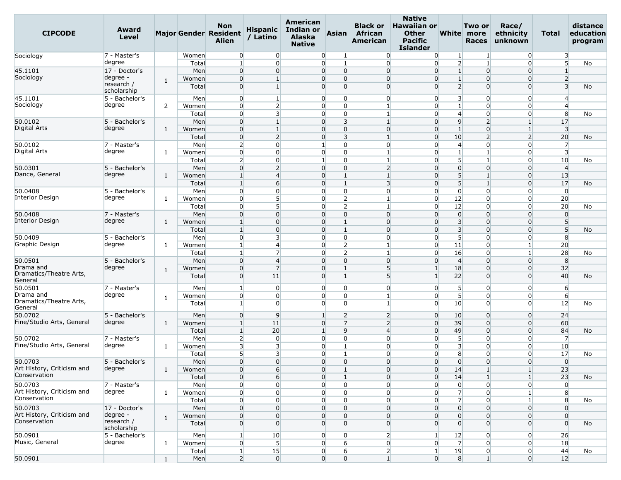| <b>CIPCODE</b>                     | Award<br>Level            |              |                | <b>Non</b><br><b>Major Gender Resident</b><br><b>Alien</b> | <b>Hispanic</b><br>/ Latino | American<br>Indian or<br><b>Alaska</b><br><b>Native</b> | <b>Asian</b>                             | <b>Black or</b><br><b>African</b><br>American | <b>Native</b><br><b>Hawaiian or</b><br><b>Other</b><br>Pacific<br><b>Islander</b> |                         | Two or<br>White more<br><b>Races</b> | Race/<br>ethnicity<br>unknown | Total                   | distance<br>education<br>program |
|------------------------------------|---------------------------|--------------|----------------|------------------------------------------------------------|-----------------------------|---------------------------------------------------------|------------------------------------------|-----------------------------------------------|-----------------------------------------------------------------------------------|-------------------------|--------------------------------------|-------------------------------|-------------------------|----------------------------------|
| Sociology                          | 7 - Master's              |              | Women          | $\overline{0}$                                             | $\overline{0}$              | $\overline{0}$                                          | 1                                        | $\overline{0}$                                | $\overline{0}$                                                                    | $\mathbf{1}$            | -1                                   | $\overline{0}$                | 3                       |                                  |
|                                    | degree                    |              | Total          | $\mathbf{1}$                                               | $\overline{0}$              |                                                         | $\overline{0}$<br>$\mathbf{1}$           | $\overline{0}$                                | $\overline{0}$                                                                    | $\overline{2}$          | $\mathbf{1}$                         | $\overline{0}$                | $5\overline{)}$         | No                               |
| 45.1101                            | 17 - Doctor's             |              | Men            | $\overline{0}$                                             | $\overline{0}$              |                                                         | 0<br>$\overline{0}$                      | $\Omega$                                      | $\Omega$                                                                          | $\mathbf{1}$            | $\Omega$                             | $\overline{0}$                | $\mathbf{1}$            |                                  |
| Sociology                          | degree -                  | 1            | Women          | $\overline{0}$                                             | 1                           |                                                         | $\overline{0}$<br>0                      | $\overline{0}$                                | $\overline{0}$                                                                    | $\mathbf{1}$            | $\Omega$                             | $\overline{0}$                | $\overline{2}$          |                                  |
|                                    | research /<br>scholarship |              | Total          | $\overline{0}$                                             | $\mathbf{1}$                |                                                         | 0<br>$\overline{0}$                      | $\Omega$                                      | $\Omega$                                                                          | $\overline{2}$          | $\Omega$                             | $\overline{0}$                | $\overline{3}$          | No                               |
| 45.1101                            | 5 - Bachelor's            |              | Men            | $\overline{0}$                                             | 1                           |                                                         | $\overline{0}$<br>0                      | $\overline{0}$                                | $\overline{0}$                                                                    | 3                       | $\Omega$                             | $\overline{0}$                | $\overline{4}$          |                                  |
| Sociology                          | degree                    | 2            | Women          | $\overline{0}$                                             | $\overline{2}$              |                                                         | $\overline{0}$<br>$\overline{0}$         | $\mathbf{1}$                                  | $\overline{0}$                                                                    | $\mathbf{1}$            | $\Omega$                             | $\Omega$                      | $\overline{4}$          |                                  |
|                                    |                           |              | Total          | $\overline{0}$                                             | 3                           |                                                         | $\overline{0}$<br>$\overline{0}$         | $\mathbf{1}$                                  | $\overline{0}$                                                                    | $\overline{4}$          | 0                                    | $\overline{0}$                | 8                       | No                               |
| 50.0102                            | 5 - Bachelor's            |              | Men            | $\overline{0}$                                             | $\mathbf{1}$                |                                                         | 3<br>$\overline{0}$                      | $\mathbf{1}$                                  | $\Omega$                                                                          | 9                       | $\overline{2}$                       | $\mathbf{1}$                  | 17                      |                                  |
| Digital Arts                       | degree                    | 1            | Women          | $\overline{0}$                                             | $\mathbf{1}$                |                                                         | $\overline{0}$<br>0                      | $\overline{0}$                                | $\overline{0}$                                                                    | $\mathbf{1}$            | $\Omega$                             | $\mathbf{1}$                  | $\overline{\mathbf{3}}$ |                                  |
|                                    |                           |              | Total          | $\overline{0}$                                             | $\overline{2}$              |                                                         | 0<br>$\overline{\mathbf{3}}$             | $\mathbf{1}$                                  | $\overline{0}$                                                                    | 10                      | 2                                    | $\overline{2}$                | 20                      | No                               |
| 50.0102                            | 7 - Master's              |              | Men            | $\overline{2}$                                             | $\overline{0}$              |                                                         | 0<br>$\mathbf{1}$                        | $\overline{0}$                                | $\overline{0}$                                                                    | $\overline{4}$          | $\Omega$                             | $\overline{0}$                | $\overline{7}$          |                                  |
| Digital Arts                       | degree                    | 1            | Women          | $\overline{0}$                                             | $\overline{0}$              |                                                         | $\overline{0}$<br>$\overline{0}$         | $\mathbf{1}$                                  | $\overline{0}$                                                                    | $\mathbf{1}$            |                                      | $\Omega$                      | $\overline{\mathbf{3}}$ |                                  |
|                                    |                           |              | Total          | $\overline{2}$                                             | $\overline{0}$              | $\mathbf{1}$                                            | $\overline{0}$                           | $\mathbf{1}$                                  | $\Omega$                                                                          | 5 <sup>1</sup>          |                                      | 0                             | 10                      | No                               |
| 50.0301                            | 5 - Bachelor's            |              | Men            | $\overline{0}$                                             | 2                           |                                                         | $\overline{0}$<br>0                      | $\overline{2}$                                | $\Omega$                                                                          | $\overline{0}$          | $\Omega$                             | $\Omega$                      | $\overline{4}$          |                                  |
| Dance, General                     | degree                    | 1            | Women          | $\mathbf{1}$                                               | $\overline{4}$              |                                                         | 0<br>$\mathbf{1}$                        | $\mathbf{1}$                                  | $\overline{0}$                                                                    | 5 <sub>5</sub>          | $\mathbf{1}$                         | $\overline{0}$                | 13                      |                                  |
|                                    |                           |              | Total          | $\mathbf{1}$                                               | 6                           |                                                         | 0<br>$\mathbf{1}$                        | $\overline{3}$                                | $\overline{0}$                                                                    | 5 <sup>1</sup>          | $\mathbf{1}$                         | $\overline{0}$                | 17                      | No                               |
| 50.0408                            | 5 - Bachelor's            |              | Men            | $\overline{0}$                                             | $\overline{0}$              |                                                         | 0<br>0                                   | $\Omega$                                      | $\overline{0}$                                                                    | $\overline{0}$          | 0                                    | 0                             | $\overline{0}$          |                                  |
| <b>Interior Design</b>             | degree                    | 1            | Women          | $\overline{0}$                                             | 5                           |                                                         | $\overline{0}$<br>$\overline{2}$         | $\mathbf{1}$                                  | $\overline{0}$                                                                    | 12                      | $\mathbf 0$                          | $\overline{0}$                | 20                      |                                  |
|                                    |                           |              | Total          | $\overline{0}$                                             | 5                           |                                                         | $\overline{0}$<br>$\overline{2}$         | $\mathbf{1}$                                  | $\overline{0}$                                                                    | 12                      | $\Omega$                             | $\overline{0}$                | 20                      | No                               |
| 50.0408                            | 7 - Master's              |              | Men            | $\overline{0}$                                             | $\Omega$                    |                                                         | 0<br>0                                   | $\Omega$                                      | $\Omega$                                                                          | $\overline{0}$          | 0                                    | $\overline{0}$                | $\overline{0}$          |                                  |
| <b>Interior Design</b>             | degree                    | 1            | Women          | $\mathbf{1}$                                               | $\overline{0}$              |                                                         | 0<br>$\mathbf{1}$                        | $\overline{0}$                                | $\overline{0}$                                                                    | $\overline{\mathbf{3}}$ | $\Omega$                             | $\overline{0}$                | 5                       |                                  |
|                                    |                           |              | Total          | $\mathbf{1}$                                               | $\overline{0}$              |                                                         | $\overline{0}$<br>$\mathbf{1}$           | $\overline{0}$                                | $\overline{0}$                                                                    | $\overline{\mathbf{3}}$ | $\Omega$                             | $\overline{0}$                | 5                       | No                               |
| 50.0409                            | 5 - Bachelor's            |              | Men            | $\overline{0}$                                             | 3                           |                                                         | 0<br>$\overline{0}$                      | $\overline{0}$                                | $\overline{0}$                                                                    | 5                       | $\Omega$                             | $\Omega$                      | 8                       |                                  |
| Graphic Design                     | degree                    | 1            | Women          | 1                                                          | $\overline{4}$              |                                                         | 0<br>$\overline{2}$                      | 1                                             | $\overline{0}$                                                                    | 11                      | $\Omega$                             | 1                             | 20                      |                                  |
|                                    |                           |              | Total          | $\mathbf{1}$                                               | 7                           |                                                         | $\overline{0}$<br>$\overline{2}$         | $\mathbf{1}$                                  | $\overline{0}$                                                                    | 16                      | $\Omega$                             | $\mathbf{1}$                  | 28                      | No                               |
|                                    | 5 - Bachelor's            |              |                | $\overline{0}$                                             | $\overline{4}$              |                                                         | 0<br>$\overline{0}$                      | $\overline{0}$                                | $\overline{0}$                                                                    | $\overline{4}$          | $\Omega$                             | $\overline{0}$                | 8                       |                                  |
| 50.0501<br>Drama and               |                           |              | Men            |                                                            |                             |                                                         |                                          |                                               |                                                                                   |                         |                                      |                               |                         |                                  |
| Dramatics/Theatre Arts,<br>General | degree                    | $\mathbf{1}$ | Women<br>Total | $\overline{0}$<br>$\overline{0}$                           | $\overline{7}$<br>11        |                                                         | 0<br>$\mathbf{1}$<br>$\overline{0}$<br>1 | $5\overline{)}$<br>5                          | $\mathbf{1}$<br>$\mathbf{1}$                                                      | 18<br>22                | $\Omega$<br>$\Omega$                 | $\overline{0}$<br>$\Omega$    | 32<br>40                | No                               |
| 50.0501                            | 7 - Master's              |              | Men            | 1                                                          | $\overline{0}$              |                                                         | $\overline{0}$<br>$\overline{0}$         | $\overline{0}$                                | $\overline{0}$                                                                    | 5 <sup>1</sup>          | $\overline{0}$                       | $\overline{0}$                | 6                       |                                  |
| Drama and                          | degree                    |              | Women          | $\overline{0}$                                             | $\overline{0}$              |                                                         | 0<br>0                                   | $\mathbf{1}$                                  | $\overline{0}$                                                                    | 5 <sup>1</sup>          | $\Omega$                             | $\overline{0}$                | $6 \overline{}$         |                                  |
| Dramatics/Theatre Arts,<br>General |                           | 1            | Total          | $1\vert$                                                   | $\overline{0}$              |                                                         | $\overline{0}$<br>$\overline{0}$         | $\mathbf{1}$                                  | $\overline{0}$                                                                    | 10                      | 0                                    | $\Omega$                      | 12                      | No                               |
| 50.0702                            | 5 - Bachelor's            |              | Men            | $\overline{0}$                                             | 9                           | $\mathbf{1}$                                            | $\overline{2}$                           | $\overline{2}$                                | $\overline{0}$                                                                    | 10                      | $\Omega$                             | $\overline{0}$                | 24                      |                                  |
| Fine/Studio Arts, General          | degree                    | 1            | Women          | 1                                                          | 11                          |                                                         | $\overline{0}$<br>$\overline{7}$         | $\overline{2}$                                | $\overline{0}$                                                                    | 39                      | $\Omega$                             | $\overline{0}$                | 60                      |                                  |
|                                    |                           |              | Total          | $\mathbf{1}$                                               | 20                          |                                                         | $\overline{9}$<br>$\mathbf{1}$           | $\overline{4}$                                | $\overline{0}$                                                                    | 49                      | $\Omega$                             | $\overline{0}$                | 84                      | No                               |
| 50.0702                            | 7 - Master's              |              | Men            | $\overline{2}$                                             | $\overline{0}$              |                                                         | $\overline{0}$<br>$\overline{0}$         | $\overline{0}$                                | $\overline{0}$                                                                    | 5 <sup>1</sup>          | $\overline{0}$                       | $\overline{0}$                | $\overline{7}$          |                                  |
| Fine/Studio Arts, General          | degree                    | 1            | Women          | $\overline{\mathbf{3}}$                                    | 3                           |                                                         | 0                                        | $\Omega$                                      | $\Omega$                                                                          | $\overline{3}$          | 0                                    | $\Omega$                      | 10                      |                                  |
|                                    |                           |              | Total          | 5                                                          | 3                           |                                                         | $\overline{0}$<br>$\mathbf{1}$           | $\overline{0}$                                | $\overline{0}$                                                                    | 8                       | 0                                    | $\overline{0}$                | 17                      | No                               |
| 50.0703                            | 5 - Bachelor's            |              | Men            | $\overline{0}$                                             | $\overline{0}$              |                                                         | 0<br>0                                   | $\overline{0}$                                | $\overline{0}$                                                                    | $\overline{0}$          | $\Omega$                             | $\overline{0}$                | $\overline{0}$          |                                  |
| Art History, Criticism and         | degree                    | 1            | Women          | $\overline{0}$                                             | 6                           |                                                         | $\overline{0}$<br>$\mathbf{1}$           | $\overline{0}$                                | $\overline{0}$                                                                    | 14                      | -1                                   | 1 <sup>1</sup>                | 23                      |                                  |
| Conservation                       |                           |              | Total          | $\overline{0}$                                             | $6 \overline{6}$            |                                                         | $\overline{0}$<br>$\mathbf{1}$           | $\overline{0}$                                | $\overline{0}$                                                                    | 14                      | $\mathbf{1}$                         | 1 <sup>1</sup>                | 23                      | No                               |
| 50.0703                            | 7 - Master's              |              | Men            | $\overline{0}$                                             | $\overline{0}$              |                                                         | $\overline{0}$<br>$\overline{0}$         | $\overline{0}$                                | $\overline{0}$                                                                    | $\overline{0}$          | $\overline{0}$                       | $\overline{0}$                | $\overline{0}$          |                                  |
| Art History, Criticism and         | degree                    | $\mathbf{1}$ | Women          | $\overline{0}$                                             | $\overline{0}$              |                                                         | $\overline{0}$<br>$\Omega$               | $\overline{0}$                                | $\overline{0}$                                                                    | $\overline{7}$          | $\overline{0}$                       | $1\vert$                      | 8                       |                                  |
| Conservation                       |                           |              |                |                                                            | $\overline{0}$              |                                                         | $\overline{0}$<br>$\overline{0}$         | $\overline{0}$                                | $\overline{0}$                                                                    | $\overline{7}$          | $\overline{0}$                       | $\mathbf{1}$                  |                         |                                  |
| 50.0703                            | 17 - Doctor's             |              | Total<br>Men   | $\overline{0}$<br>$\overline{0}$                           | $\overline{0}$              |                                                         | $\overline{0}$<br>$\overline{0}$         | $\overline{0}$                                | $\overline{0}$                                                                    | $\overline{0}$          | $\Omega$                             | $\overline{0}$                | 8<br>$\overline{0}$     | No                               |
| Art History, Criticism and         | degree -                  |              |                |                                                            |                             |                                                         |                                          |                                               |                                                                                   |                         |                                      |                               |                         |                                  |
| Conservation                       | research /                | $\mathbf{1}$ | Women          | $\overline{0}$                                             | $\overline{0}$              |                                                         | $\overline{0}$<br>$\Omega$               | $\overline{0}$                                | $\overline{0}$                                                                    | $\overline{0}$          | $\Omega$                             | $\overline{0}$                | $\overline{0}$          |                                  |
|                                    | scholarship               |              | Total          | $\overline{0}$                                             | $\overline{0}$              |                                                         | $\overline{0}$<br>$\overline{0}$         | $\overline{0}$                                | $\overline{0}$                                                                    | $\overline{0}$          | $\Omega$                             | $\overline{0}$                | $\overline{0}$          | <b>No</b>                        |
| 50.0901                            | 5 - Bachelor's            |              | Men            | $\mathbf{1}$                                               | 10                          | $\overline{0}$                                          | $\overline{0}$                           | $\overline{2}$                                | $\mathbf{1}$                                                                      | 12                      | $\overline{0}$                       | $\overline{0}$                | 26                      |                                  |
| Music, General                     | degree                    | $\mathbf{1}$ | Women          | $\overline{0}$                                             | 5 <sup>1</sup>              | $\overline{0}$                                          | $6 \overline{6}$                         | $\overline{0}$                                | $\overline{0}$                                                                    | $\overline{7}$          | $\overline{0}$                       | $\overline{0}$                | 18                      |                                  |
|                                    |                           |              | Total          | $\mathbf{1}$                                               | 15                          |                                                         | $\overline{0}$<br>$6 \mid$               | $\overline{2}$                                | $\mathbf{1}$                                                                      | 19                      | $\overline{0}$                       | $\overline{0}$                | 44                      | No                               |
| 50.0901                            |                           | $\mathbf{1}$ | Men            | $\overline{2}$                                             | $\overline{0}$              |                                                         | $\overline{0}$<br>$\overline{0}$         | $1\overline{ }$                               | $\overline{0}$                                                                    | 8 <sup>1</sup>          | $1\vert$                             | $\overline{0}$                | 12                      |                                  |
|                                    |                           |              |                |                                                            |                             |                                                         |                                          |                                               |                                                                                   |                         |                                      |                               |                         |                                  |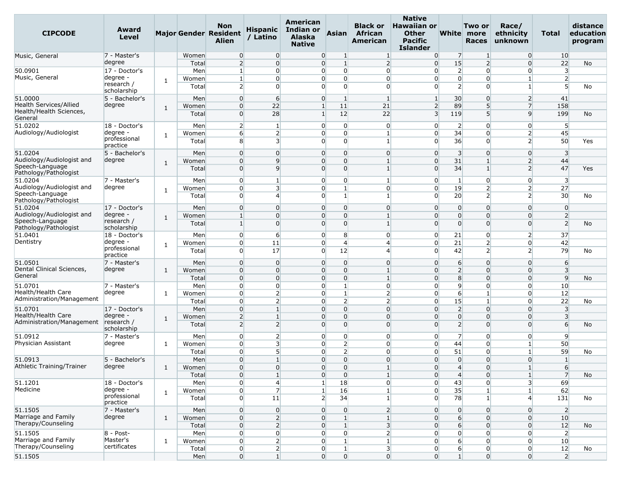| <b>CIPCODE</b>                                  | Award<br>Level           |              |              | <b>Non</b><br><b>Major Gender Resident</b><br><b>Alien</b> | <b>Hispanic</b><br>/ Latino | American<br>Indian or<br><b>Alaska</b><br><b>Native</b> | <b>Asian</b>                                                         | <b>Black or</b><br>African<br>American | <b>Native</b><br><b>Hawaiian or</b><br><b>Other</b><br>Pacific<br><b>Islander</b> |                                  | Two or<br>White more<br><b>Races</b> | Race/<br>ethnicity<br>unknown    | Total                            | distance<br>education<br>program |
|-------------------------------------------------|--------------------------|--------------|--------------|------------------------------------------------------------|-----------------------------|---------------------------------------------------------|----------------------------------------------------------------------|----------------------------------------|-----------------------------------------------------------------------------------|----------------------------------|--------------------------------------|----------------------------------|----------------------------------|----------------------------------|
| Music, General                                  | 7 - Master's             |              | Women        | $\overline{0}$                                             | $\overline{0}$              |                                                         | $\overline{0}$<br>1                                                  | $\mathbf{1}$                           | $\overline{0}$                                                                    | 7                                | 1                                    | $\overline{0}$                   | 10                               |                                  |
|                                                 | degree                   |              | Total        | 2                                                          | $\overline{0}$              |                                                         | $\overline{0}$<br>$\overline{1}$                                     | $\overline{2}$                         | $\overline{0}$                                                                    | 15                               | $\overline{2}$                       | $\overline{0}$                   | 22                               | No                               |
| 50.0901                                         | 17 - Doctor's            |              | Men          | $\mathbf{1}$                                               | $\overline{0}$              |                                                         | $\overline{0}$<br>$\overline{0}$                                     | $\overline{0}$                         | $\overline{0}$                                                                    | $\overline{2}$                   | $\overline{0}$                       | $\overline{0}$                   | $\overline{\mathbf{3}}$          |                                  |
| Music, General                                  | degree -<br>research /   | 1            | Women        | 1                                                          | 0                           |                                                         | $\overline{0}$<br>$\Omega$                                           | $\Omega$                               | $\overline{0}$                                                                    | $\overline{0}$                   | 0                                    | $\mathbf{1}$                     | $\overline{2}$                   |                                  |
|                                                 | scholarship              |              | Total        | 2                                                          | <sub>0</sub>                |                                                         | $\overline{0}$<br>$\Omega$                                           | $\Omega$                               | $\Omega$                                                                          | $\overline{2}$                   | $\Omega$                             | 1                                | $\overline{5}$                   | No                               |
| 51.0000                                         | 5 - Bachelor's           |              | Men          | $\overline{0}$                                             | 6                           | $\overline{0}$                                          | $\vert$ 1                                                            | $\mathbf{1}$                           | $\mathbf{1}$                                                                      | 30 <sup>°</sup>                  | $\overline{0}$                       | $\overline{2}$                   | 41                               |                                  |
| <b>Health Services/Allied</b>                   | degree                   | $\mathbf{1}$ | Women        | $\overline{0}$                                             | 22                          | $\mathbf{1}$                                            | 11                                                                   | 21                                     | $\overline{2}$                                                                    | 89                               | 5                                    | $\overline{7}$                   | 158                              |                                  |
| Health/Health Sciences,                         |                          |              | Total        | $\overline{0}$                                             | 28                          | 1 <sup>1</sup>                                          | 12                                                                   | 22                                     | $\overline{\mathbf{3}}$                                                           | 119                              | 5                                    | q                                | 199                              | No                               |
| General<br>51.0202                              | 18 - Doctor's            |              | Men          | $\overline{2}$                                             | $\mathbf{1}$                |                                                         | $\overline{0}$<br>$\overline{0}$                                     | $\overline{0}$                         | $\overline{0}$                                                                    | $\overline{2}$                   | O                                    | 0                                | 5                                |                                  |
| Audiology/Audiologist                           | degree ·                 |              | Women        | $6 \overline{}$                                            | $\overline{2}$              |                                                         | $\overline{0}$<br>$\Omega$                                           | $\mathbf{1}$                           | $\overline{0}$                                                                    | 34                               | $\Omega$                             | 2                                | 45                               |                                  |
|                                                 | professional             | 1            | Total        | 8                                                          | $\overline{\mathbf{3}}$     |                                                         | $\overline{0}$<br>$\Omega$                                           | $\mathbf{1}$                           | $\Omega$                                                                          | 36                               | 0                                    | $\overline{2}$                   | 50                               | Yes                              |
|                                                 | practice                 |              |              |                                                            |                             |                                                         |                                                                      |                                        |                                                                                   |                                  |                                      |                                  |                                  |                                  |
| 51.0204                                         | 5 - Bachelor's           |              | Men          | $\overline{0}$                                             | $\mathbf{0}$                | $\Omega$                                                | $\overline{0}$                                                       | $\overline{0}$                         | $\overline{0}$                                                                    | $\overline{\mathbf{3}}$          | $\Omega$                             | $\Omega$                         | $\overline{3}$                   |                                  |
| Audiology/Audiologist and                       | degree                   | 1            | Women        | $\overline{0}$                                             | 9                           |                                                         | $\overline{0}$<br>$\overline{0}$                                     | $\mathbf{1}$                           | $\overline{0}$                                                                    | 31                               |                                      | $\overline{2}$                   | 44                               |                                  |
| Speech-Language<br>Pathology/Pathologist        |                          |              | Total        | $\overline{0}$                                             | q                           |                                                         | $\overline{0}$<br>$\overline{0}$                                     | $\mathbf{1}$                           | $\overline{0}$                                                                    | 34                               |                                      | $\overline{2}$                   | 47                               | Yes                              |
| 51.0204                                         | 7 - Master's             |              | Men          | $\overline{0}$                                             | $\mathbf{1}$                |                                                         | $\overline{0}$<br>$\overline{0}$                                     | $\mathbf{1}$                           | $\overline{0}$                                                                    | $\mathbf{1}$                     | $\Omega$                             | $\overline{0}$                   | $\overline{\mathbf{3}}$          |                                  |
| Audiology/Audiologist and                       | degree                   | 1            | Women        | $\overline{0}$                                             | $\overline{\mathbf{3}}$     |                                                         | $\overline{0}$<br>$\mathbf{1}$                                       | $\overline{0}$                         | $\overline{0}$                                                                    | 19                               | $\overline{2}$                       | $\overline{2}$                   | 27                               |                                  |
| Speech-Language                                 |                          |              | Total        | $\overline{0}$                                             | ⊿                           |                                                         | $\overline{0}$<br>$\mathbf{1}$                                       | $\mathbf{1}$                           | $\overline{0}$                                                                    | 20                               | 2                                    | $\overline{2}$                   | 30                               | No                               |
| Pathology/Pathologist                           |                          |              |              |                                                            |                             |                                                         |                                                                      |                                        | $\Omega$                                                                          |                                  |                                      |                                  |                                  |                                  |
| 51.0204<br>Audiology/Audiologist and            | 17 - Doctor's<br>degree  |              | Men<br>Women | $\overline{0}$<br>$\mathbf{1}$                             | $\mathbf{0}$<br>$\Omega$    |                                                         | $\overline{0}$<br>$\overline{0}$<br>$\overline{0}$<br>$\overline{0}$ | $\overline{0}$<br>$\mathbf{1}$         | $\Omega$                                                                          | $\overline{0}$<br>$\overline{0}$ | 0<br>0                               | $\overline{0}$<br>$\overline{0}$ | $\overline{0}$<br>$\overline{2}$ |                                  |
| Speech-Language                                 | research /               | 1            | Total        | $\mathbf{1}$                                               | $\Omega$                    |                                                         | $\overline{0}$<br>$\Omega$                                           | $\vert$                                | $\Omega$                                                                          | $\overline{0}$                   | $\Omega$                             | $\Omega$                         | $\overline{2}$                   | No                               |
| Pathology/Pathologist                           | scholarship              |              |              |                                                            |                             |                                                         |                                                                      |                                        |                                                                                   |                                  |                                      |                                  |                                  |                                  |
| 51.0401                                         | 18 - Doctor's            |              | Men          | $\overline{0}$                                             | 6                           |                                                         | $\overline{0}$<br>8                                                  | $\overline{0}$                         | $\overline{0}$                                                                    | 21                               | 0                                    | $\overline{2}$                   | 37                               |                                  |
| Dentistry                                       | degree ·                 | 1            | Women        | $\overline{0}$                                             | 11                          |                                                         | $\overline{0}$<br>$\overline{4}$                                     | $\overline{a}$                         | $\overline{0}$                                                                    | 21                               | 2                                    | 0                                | 42                               |                                  |
|                                                 | professional<br>practice |              | Total        | $\overline{0}$                                             | 17                          | $\overline{0}$                                          | 12                                                                   | $\Delta$                               | $\overline{0}$                                                                    | 42                               | $\overline{2}$                       | $\overline{2}$                   | 79                               | No                               |
| 51.0501                                         | 7 - Master's             |              | Men          | $\overline{0}$                                             | $\Omega$                    |                                                         | $\overline{0}$<br>$\overline{0}$                                     | $\overline{0}$                         | $\overline{0}$                                                                    | 6                                | $\Omega$                             | $\overline{0}$                   | 6                                |                                  |
| Dental Clinical Sciences,                       | degree                   | 1            | Women        | $\overline{0}$                                             | $\mathbf{0}$                |                                                         | $\overline{0}$<br>$\Omega$                                           | $\mathbf{1}$                           | $\overline{0}$                                                                    | $\overline{2}$                   | $\Omega$                             | $\Omega$                         | $\overline{3}$                   |                                  |
| General                                         |                          |              | Total        | $\overline{0}$                                             | 0                           |                                                         | $\overline{0}$<br>$\overline{0}$                                     | $\mathbf{1}$                           | $\overline{0}$                                                                    | 8                                | $\Omega$                             | $\overline{0}$                   | $\overline{9}$                   | No                               |
| 51.0701                                         | 7 - Master's             |              | Men          | $\overline{0}$                                             | $\Omega$                    |                                                         | $\overline{0}$<br>$\mathbf{1}$                                       | $\overline{0}$                         | $\overline{0}$                                                                    | 9                                | $\overline{0}$                       | $\Omega$                         | 10                               |                                  |
| Health/Health Care                              | degree                   | 1            | Women        | $\overline{0}$                                             | $\overline{2}$              |                                                         | $\mathbf{1}$<br>$\overline{0}$                                       | $\overline{2}$                         | $\overline{0}$                                                                    | 6                                | $\mathbf{1}$                         | $\overline{0}$                   | 12                               |                                  |
| Administration/Management                       |                          |              | Total        | $\overline{0}$                                             | $\overline{2}$              |                                                         | $\overline{0}$<br>$\overline{2}$                                     | $\overline{2}$                         | $\overline{0}$                                                                    | 15                               | $\mathbf{1}$                         | $\Omega$                         | 22                               | No                               |
| 51.0701                                         | 17 - Doctor's            |              | Men          | $\overline{0}$                                             |                             | $\Omega$                                                | $\overline{0}$                                                       | $\Omega$                               | $\Omega$                                                                          | $\overline{2}$                   | $\Omega$                             | $\Omega$                         | $\overline{\mathbf{3}}$          |                                  |
| Health/Health Care<br>Administration/Management | degree ·<br>research /   | 1            | Women        | $\overline{2}$                                             | $\mathbf{1}$                |                                                         | $\overline{0}$<br>$\overline{0}$                                     | $\overline{0}$                         | $\overline{0}$                                                                    | $\overline{0}$                   | $\overline{0}$                       | $\overline{0}$                   | $\overline{3}$                   |                                  |
|                                                 | scholarship              |              | Total        | $\overline{2}$                                             | $\overline{2}$              |                                                         | $\overline{0}$<br>$\Omega$                                           | $\Omega$                               | $\Omega$                                                                          | $\overline{2}$                   | $\Omega$                             | $\Omega$                         | 6                                | No                               |
| 51.0912                                         | 7 - Master's             |              | Men          | $\overline{0}$                                             | $\overline{2}$              |                                                         | $\overline{0}$<br>$\overline{0}$                                     | $\overline{0}$                         | $\overline{0}$                                                                    | $\overline{7}$                   | $\Omega$                             | $\overline{0}$                   | 9                                |                                  |
| Physician Assistant                             | degree                   | 1            | Women        | $\overline{0}$                                             | 3                           |                                                         | $\overline{0}$<br>2                                                  | $\overline{0}$                         | $\overline{0}$                                                                    | 44                               | 0                                    | 1                                | 50                               |                                  |
|                                                 |                          |              | Total        | $\overline{0}$                                             | 5                           |                                                         | $\overline{0}$<br>$\overline{2}$                                     | $\Omega$                               | $\Omega$                                                                          | 51                               | $\overline{0}$                       | $\mathbf{1}$                     | 59                               | No                               |
| 51.0913                                         | 5 - Bachelor's           |              | Men          | $\Omega$                                                   | $\mathbf{1}$                |                                                         | $\overline{0}$<br>$\Omega$                                           | $\Omega$                               | $\Omega$                                                                          | $\overline{0}$                   | $\Omega$                             | $\Omega$                         | $\mathbf{1}$                     |                                  |
| Athletic Training/Trainer                       | degree                   | $\mathbf{1}$ | Women        | $\overline{0}$                                             | $\overline{0}$              |                                                         | $\overline{0}$<br>$\overline{0}$                                     | $\mathbf{1}$                           | $\overline{0}$                                                                    | $\overline{4}$                   | $\overline{0}$                       | $1\vert$                         | 6                                |                                  |
|                                                 |                          |              | Total        | $\overline{0}$                                             | 1                           | $\overline{0}$                                          | $\overline{0}$                                                       | $\mathbf{1}$                           | $\overline{0}$                                                                    | $\overline{4}$                   | $\overline{0}$                       | $1\overline{ }$                  | $\overline{7}$                   | No                               |
| 51.1201                                         | 18 - Doctor's            |              | Men          | $\overline{0}$                                             | $\overline{4}$              | 1 <sup>1</sup>                                          | 18                                                                   | $\overline{0}$                         | $\overline{0}$                                                                    | 43                               | $\Omega$                             | 3 <sup>l</sup>                   | 69                               |                                  |
| Medicine                                        | degree -<br>professional | $\mathbf{1}$ | Women        | $\overline{0}$                                             | 7                           | 1 <sup>1</sup>                                          | 16                                                                   | $\mathbf{1}$                           | $\overline{0}$                                                                    | 35                               | $\mathbf{1}$                         | $1\overline{ }$                  | 62                               |                                  |
|                                                 | practice                 |              | Total        | $\overline{0}$                                             | 11                          |                                                         | $\overline{2}$<br>34                                                 | $\mathbf{1}$                           | $\overline{0}$                                                                    | 78                               |                                      | 4                                | 131                              | No                               |
| 51.1505                                         | 7 - Master's             |              | Men          | $\overline{0}$                                             | $\overline{0}$              | $\overline{0}$                                          | $\overline{0}$                                                       | 2                                      | $\overline{0}$                                                                    | $\overline{0}$                   | $\overline{0}$                       | $\overline{0}$                   | $\overline{2}$                   |                                  |
| Marriage and Family                             | degree                   | $\mathbf{1}$ | Women        | $\overline{0}$                                             | $\overline{2}$              | $\overline{0}$                                          | $\vert$ 1                                                            | $\mathbf{1}$                           | $\overline{0}$                                                                    | 6                                | $\overline{0}$                       | $\overline{0}$                   | 10                               |                                  |
| Therapy/Counseling                              |                          |              | Total        | $\overline{0}$                                             | $\overline{2}$              |                                                         | $\overline{0}$<br>$1\overline{ }$                                    | $\overline{\mathbf{3}}$                | $\overline{0}$                                                                    | $6 \overline{6}$                 | $\Omega$                             | $\overline{0}$                   | 12                               | No                               |
| 51.1505                                         | $8 - Post -$             |              | Men          | $\overline{0}$                                             | $\overline{0}$              |                                                         | $\overline{0}$<br>$\overline{0}$                                     | 2                                      | $\overline{0}$                                                                    | $\overline{0}$                   | $\overline{0}$                       | $\overline{0}$                   | $\overline{2}$                   |                                  |
| Marriage and Family                             | Master's                 | 1            | Women        | $\overline{0}$                                             | $\overline{2}$              | $\overline{0}$                                          | $\mathbf{1}$                                                         | $\mathbf{1}$                           | $\overline{0}$                                                                    | $6 \overline{6}$                 | $\overline{0}$                       | $\overline{0}$                   | 10                               |                                  |
| Therapy/Counseling                              | certificates             |              | Total        | $\overline{0}$                                             | $\overline{2}$              | $\overline{0}$                                          | $\mathbf{1}$                                                         | 3 <sup>l</sup>                         | $\overline{0}$                                                                    | 6                                | $\overline{0}$                       | $\overline{0}$                   | 12                               | No                               |
| 51.1505                                         |                          |              | Men          | $\overline{0}$                                             | 1 <sup>1</sup>              | $\overline{0}$                                          | $\overline{0}$                                                       | $\overline{0}$                         | $\overline{0}$                                                                    | 1 <sup>1</sup>                   | $\overline{0}$                       | $\Omega$                         | 2                                |                                  |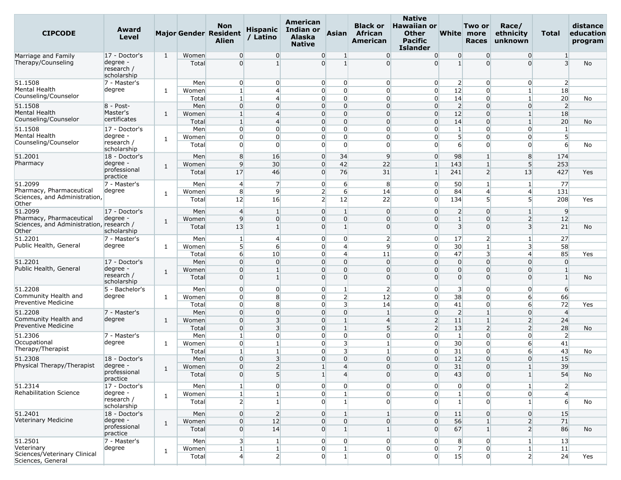| <b>CIPCODE</b>                         | Award<br>Level                        |              |       | <b>Non</b><br><b>Major Gender Resident</b><br><b>Alien</b> | <b>Hispanic</b><br>/ Latino      | American<br><b>Indian or</b><br><b>Alaska</b><br><b>Native</b> | Asian                            | <b>Black or</b><br>African<br>American | <b>Native</b><br><b>Hawaiian or</b><br><b>Other</b><br>Pacific<br><b>Islander</b> |                                   | Two or<br>White more<br><b>Races</b> | Race/<br>ethnicity<br>unknown    | Total                | distance<br>education<br>program |
|----------------------------------------|---------------------------------------|--------------|-------|------------------------------------------------------------|----------------------------------|----------------------------------------------------------------|----------------------------------|----------------------------------------|-----------------------------------------------------------------------------------|-----------------------------------|--------------------------------------|----------------------------------|----------------------|----------------------------------|
| Marriage and Family                    | 17 - Doctor's                         | 1            | Women | $\overline{0}$                                             | $\overline{0}$                   | $\overline{0}$                                                 | $\mathbf{1}$                     | $\overline{0}$                         | $\overline{0}$                                                                    | $\overline{0}$                    | $\Omega$                             | $\overline{0}$                   | 1                    |                                  |
| Therapy/Counseling                     | degree -<br>research /<br>scholarship |              | Total | $\overline{0}$                                             | $\mathbf{1}$                     | $\overline{0}$                                                 | $\mathbf{1}$                     | $\Omega$                               | $\Omega$                                                                          | $\mathbf{1}$                      | $\Omega$                             | $\Omega$                         | $\overline{3}$       | No                               |
| 51.1508                                | 7 - Master's                          |              | Men   | $\overline{0}$                                             | $\overline{0}$                   | $\overline{0}$                                                 | $\overline{0}$                   | $\overline{0}$                         | $\overline{0}$                                                                    | $\overline{2}$                    | $\Omega$                             | $\overline{0}$                   | $\overline{2}$       |                                  |
| Mental Health                          | degree                                | 1            | Women | $\mathbf{1}$                                               | $\overline{4}$                   | $\overline{0}$                                                 | $\overline{0}$                   | $\overline{0}$                         | $\overline{0}$                                                                    | 12                                | 0                                    | 11                               | 18                   |                                  |
| Counseling/Counselor                   |                                       |              | Total | $\mathbf{1}$                                               | $\overline{4}$                   | $\overline{0}$                                                 | $\Omega$                         | $\overline{0}$                         | $\overline{0}$                                                                    | 14                                | $\Omega$                             | $\mathbf{1}$                     | 20                   | No                               |
| 51.1508                                | $8 - Post -$                          |              | Men   | $\overline{0}$                                             | $\Omega$                         | $\overline{0}$                                                 | $\overline{0}$                   | $\overline{0}$                         | $\overline{0}$                                                                    | $\overline{2}$                    | $\Omega$                             | $\overline{0}$                   | $\overline{2}$       |                                  |
| Mental Health<br>Counseling/Counselor  | Master's<br>certificates              | 1            | Women | $\mathbf{1}$                                               | $\overline{4}$                   | $\overline{0}$                                                 | $\overline{0}$                   | $\overline{0}$                         | $\overline{0}$                                                                    | 12                                | $\Omega$                             | 1                                | 18                   |                                  |
|                                        |                                       |              | Total | $\mathbf{1}$                                               | $\overline{4}$                   | $\overline{0}$                                                 | $\overline{0}$                   | $\overline{0}$                         | $\overline{0}$                                                                    | 14                                | $\Omega$                             | $\mathbf{1}$                     | 20                   | No                               |
| 51.1508<br>Mental Health               | 17 - Doctor's<br>degree -             |              | Men   | $\overline{0}$                                             | $\overline{0}$                   | $\overline{0}$                                                 | $\Omega$                         | $\overline{0}$                         | $\overline{0}$                                                                    | $\mathbf{1}$                      | $\Omega$                             | $\overline{0}$                   | $\mathbf{1}$         |                                  |
| Counseling/Counselor                   | research /                            | 1            | Women | $\overline{0}$<br>$\overline{0}$                           | $\overline{0}$<br>$\Omega$       | $\overline{0}$<br>$\Omega$                                     | $\overline{0}$<br>$\Omega$       | $\overline{0}$<br>$\Omega$             | $\overline{0}$<br>$\Omega$                                                        | 5 <sup>1</sup><br>$6 \overline{}$ | $\Omega$<br>$\Omega$                 | $\overline{0}$<br>$\overline{0}$ | $5\overline{)}$<br>6 |                                  |
|                                        | scholarship                           |              | Total |                                                            |                                  |                                                                |                                  |                                        |                                                                                   |                                   |                                      |                                  |                      | No                               |
| 51.2001                                | 18 - Doctor's                         |              | Men   | 8                                                          | 16                               | $\overline{0}$                                                 | 34                               | 9                                      | $\overline{0}$                                                                    | 98                                | $\mathbf{1}$                         | 8                                | 174                  |                                  |
| Pharmacy                               | degree                                | 1            | Women | 9                                                          | 30 <sup>°</sup>                  | $\overline{0}$                                                 | 42                               | 22                                     | $\mathbf{1}$                                                                      | 143                               | $\overline{1}$                       | 5 <sup>5</sup>                   | 253                  |                                  |
|                                        | professional<br>practice              |              | Total | 17                                                         | 46                               | $\overline{0}$                                                 | 76                               | 31                                     | $\mathbf{1}$                                                                      | 241                               | $\overline{2}$                       | 13                               | 427                  | Yes                              |
| 51.2099                                | 7 - Master's                          |              | Men   | $\overline{4}$                                             | $\overline{7}$                   | $\overline{0}$                                                 | 6                                | 8                                      | $\overline{0}$                                                                    | 50                                | -1                                   | $\mathbf{1}$                     | 77                   |                                  |
| Pharmacy, Pharmaceutical               | degree                                |              | Women | 8                                                          | 9                                | $\overline{2}$                                                 | $6 \overline{6}$                 | 14                                     | $\overline{0}$                                                                    | 84                                | 4                                    | $\overline{4}$                   | 131                  |                                  |
| Sciences, and Administration,          |                                       | 1            | Total | 12                                                         | 16                               | $\overline{2}$                                                 | 12                               | 22                                     | $\overline{0}$                                                                    | 134                               | 5                                    | 5 <sup>1</sup>                   | 208                  | Yes                              |
| Other                                  |                                       |              |       |                                                            |                                  |                                                                |                                  |                                        |                                                                                   |                                   |                                      |                                  |                      |                                  |
| 51.2099<br>Pharmacy, Pharmaceutical    | 17 - Doctor's                         |              | Men   | $\overline{4}$                                             | $\mathbf{1}$                     | $\overline{0}$                                                 | $\mathbf{1}$                     | $\overline{0}$                         | $\overline{0}$                                                                    | $\overline{2}$                    | $\Omega$                             | 1 <sup>1</sup>                   | 9                    |                                  |
| Sciences, and Administration, research | degree                                | $\mathbf{1}$ | Women | 9                                                          | $\overline{0}$                   | $\overline{0}$                                                 | $\Omega$                         | $\overline{0}$                         | $\overline{0}$                                                                    | $\mathbf{1}$                      | $\Omega$                             | $\overline{2}$                   | 12                   |                                  |
| Other                                  | scholarship                           |              | Total | 13                                                         | $1\vert$                         | $\overline{0}$                                                 | $\mathbf{1}$                     | $\overline{0}$                         | $\overline{0}$                                                                    | $\overline{\mathbf{3}}$           | $\Omega$                             | $\overline{\mathbf{3}}$          | 21                   | No                               |
| 51.2201                                | 7 - Master's                          |              | Men   | $\vert$ 1                                                  | $\overline{4}$                   | $\overline{0}$                                                 | $\Omega$                         | $\overline{2}$                         | $\overline{0}$                                                                    | 17                                | 2                                    | 1                                | 27                   |                                  |
| Public Health, General                 | degree                                | 1            | Women | 5 <sup>1</sup>                                             | 6                                | $\overline{0}$                                                 | $\overline{4}$                   | 9                                      | $\overline{0}$                                                                    | 30                                | $\overline{1}$                       | $\overline{\mathbf{3}}$          | 58                   |                                  |
|                                        |                                       |              | Total | $6 \overline{6}$                                           | 10 <sup>°</sup>                  | $\overline{0}$                                                 | $\overline{4}$                   | 11                                     | $\overline{0}$                                                                    | 47                                | 3                                    | $\overline{4}$                   | 85                   | Yes                              |
| 51.2201                                | 17 - Doctor's                         |              | Men   | $\overline{0}$                                             | $\Omega$                         | $\overline{0}$                                                 | $\overline{0}$                   | $\overline{0}$                         | $\overline{0}$                                                                    | $\overline{0}$                    | $\Omega$                             | 0                                | $\mathbf{0}$         |                                  |
| Public Health, General                 | degree -                              | 1            | Women | $\overline{0}$                                             | $\mathbf{1}$                     | $\overline{0}$                                                 | $\overline{0}$                   | $\overline{0}$                         | $\overline{0}$                                                                    | $\overline{0}$                    | $\mathbf 0$                          | $\overline{0}$                   | $\mathbf{1}$         |                                  |
|                                        | research /<br>scholarship             |              | Total | $\overline{0}$                                             | $1\overline{ }$                  | $\overline{0}$                                                 | $\Omega$                         | $\Omega$                               | $\Omega$                                                                          | $\overline{0}$                    | $\Omega$                             | $\Omega$                         | $\mathbf{1}$         | No                               |
| 51.2208                                | 5 - Bachelor's                        |              | Men   | $\overline{0}$                                             | $\overline{0}$                   | $\overline{0}$                                                 | $\mathbf{1}$                     | $\overline{2}$                         | $\overline{0}$                                                                    | $\overline{\mathbf{3}}$           | $\Omega$                             | $\overline{0}$                   | 6                    |                                  |
| Community Health and                   | degree                                | 1            | Women | $\overline{0}$                                             | 8                                | $\overline{0}$                                                 | $\mathsf{2}$                     | 12                                     | $\overline{0}$                                                                    | 38                                | $\overline{0}$                       | 6                                | 66                   |                                  |
| Preventive Medicine                    |                                       |              | Total | $\overline{0}$                                             | 8                                | $\overline{0}$                                                 | 3                                | 14                                     | $\overline{0}$                                                                    | 41                                | 0                                    | 6                                | 72                   | Yes                              |
| 51.2208                                | 7 - Master's                          |              | Men   | $\overline{0}$                                             | $\overline{0}$                   | $\overline{0}$                                                 | $\overline{0}$                   | $\mathbf{1}$                           | $\overline{0}$                                                                    | $\overline{2}$                    | $\overline{1}$                       | $\overline{0}$                   | $\overline{4}$       |                                  |
| Community Health and                   | degree                                | $\mathbf{1}$ | Women | $\overline{0}$                                             | 3                                | $\overline{0}$                                                 | 1 <sup>1</sup>                   | $\overline{4}$                         | $\overline{2}$                                                                    | 11                                | $\mathbf{1}$                         | $\overline{2}$                   | 24                   |                                  |
| <b>Preventive Medicine</b>             |                                       |              | Total | $\overline{0}$                                             | 3                                | $\overline{0}$                                                 | $\mathbf{1}^{\prime}$            | 5                                      | $\overline{2}$                                                                    | 13                                | $\overline{2}$                       | $\overline{2}$                   | 28                   | No                               |
| 51.2306                                | 7 - Master's                          |              | Men   | $\mathbf{1}$                                               | $\overline{0}$                   | $\overline{0}$                                                 | $\overline{0}$                   | $\overline{0}$                         | $\overline{0}$                                                                    | 1 <sup>1</sup>                    | $\overline{0}$                       | $\overline{0}$                   | $\overline{2}$       |                                  |
| Occupational<br>Therapy/Therapist      | degree                                | 1            | Women | $\overline{0}$                                             | $\mathbf{1}$                     | $\overline{0}$                                                 | 3                                | $\mathbf{1}$                           | $\overline{0}$                                                                    | 30                                | $\mathbf 0$                          | 6                                | 41                   |                                  |
|                                        |                                       |              | Total | $\mathbf{1}$                                               | $1\vert$                         | $\overline{0}$                                                 | 31                               | $\mathbf{1}$                           | $\overline{0}$                                                                    | 31                                | $\Omega$                             | 6                                | 43                   | No                               |
| 51.2308                                | 18 - Doctor's<br>degree -             |              | Men   | $\overline{0}$                                             | $\overline{\mathbf{3}}$          | $\overline{0}$                                                 | $\overline{0}$                   | $\overline{0}$                         | $\overline{0}$                                                                    | 12                                | $\Omega$                             | $\overline{0}$                   | 15                   |                                  |
| Physical Therapy/Therapist             | professional                          | 1            | Women | $\overline{0}$<br>$\overline{0}$                           | $\overline{2}$<br>5 <sup>1</sup> | $1\overline{ }$                                                | $\overline{4}$<br>$\overline{4}$ | $\overline{0}$<br>$\overline{0}$       | $\overline{0}$                                                                    | 31<br>43                          | $\mathbf 0$<br>$\overline{0}$        | $\mathbf{1}$                     | 39<br>54             |                                  |
|                                        | practice                              |              | Total |                                                            |                                  | $1\overline{ }$                                                |                                  |                                        | $\overline{0}$                                                                    |                                   |                                      | $1\vert$                         |                      | No                               |
| 51.2314                                | 17 - Doctor's                         |              | Men   | $\mathbf{1}$                                               | $\overline{0}$                   | $\overline{0}$                                                 | $\overline{0}$                   | $\overline{0}$                         | $\overline{0}$                                                                    | $\overline{0}$                    | $\overline{0}$                       | $1\vert$                         | $\overline{2}$       |                                  |
| Rehabilitation Science                 | degree -                              | 1            | Women | $\mathbf{1}$                                               | 1                                | $\overline{0}$                                                 | $\mathbf{1}$                     | $\overline{0}$                         | $\overline{0}$                                                                    | $1\overline{ }$                   | $\overline{0}$                       | $\overline{0}$                   | $\overline{4}$       |                                  |
|                                        | research /<br>scholarship             |              | Total | 2                                                          | 1 <sup>1</sup>                   | $\overline{0}$                                                 | 1                                | $\overline{0}$                         | $\overline{0}$                                                                    | 1 <sup>1</sup>                    | $\Omega$                             | $1\vert$                         | $6 \overline{6}$     | No                               |
| 51,2401                                | 18 - Doctor's                         |              | Men   | $\overline{0}$                                             | $\overline{2}$                   | $\overline{0}$                                                 | $\mathbf{1}$                     | $\mathbf{1}$                           | $\overline{0}$                                                                    | 11                                | $\overline{0}$                       | $\overline{0}$                   | 15                   |                                  |
| Veterinary Medicine                    | degree -                              |              | Women | $\overline{0}$                                             | 12                               | $\overline{0}$                                                 | $\overline{0}$                   | $\overline{0}$                         | $\overline{0}$                                                                    | 56                                | $\mathbf{1}$                         | 2                                | 71                   |                                  |
|                                        | professional                          | $\mathbf{1}$ | Total | $\overline{0}$                                             | 14                               | $\overline{0}$                                                 | $1\overline{ }$                  | $\mathbf{1}$                           | $\overline{0}$                                                                    | 67                                | $\vert$ 1                            | $\overline{2}$                   | 86                   | No                               |
|                                        | practice                              |              |       |                                                            |                                  |                                                                |                                  |                                        |                                                                                   |                                   |                                      |                                  |                      |                                  |
| 51.2501<br>Veterinary                  | 7 - Master's                          |              | Men   | 3 <sup>l</sup>                                             | $\mathbf{1}$                     | $\overline{0}$                                                 | $\overline{0}$                   | $\overline{0}$                         | $\overline{0}$                                                                    | 8                                 | $\overline{0}$                       | $\mathbf{1}$                     | 13                   |                                  |
| Sciences/Veterinary Clinical           | degree                                | 1            | Women | $\mathbf{1}$                                               | $1\overline{ }$                  | $\overline{0}$                                                 | $\mathbf{1}$                     | $\overline{0}$                         | $\overline{0}$<br>$\Omega$                                                        | $\overline{7}$<br>15              | $\overline{0}$                       | 1 <sup>1</sup>                   | 11                   |                                  |
| Sciences, General                      |                                       |              | Total | $\overline{4}$                                             | 2 <sup>1</sup>                   | $\overline{0}$                                                 | 1 <sup>1</sup>                   | $\overline{0}$                         |                                                                                   |                                   | $\overline{0}$                       | $\overline{2}$                   | 24                   | Yes                              |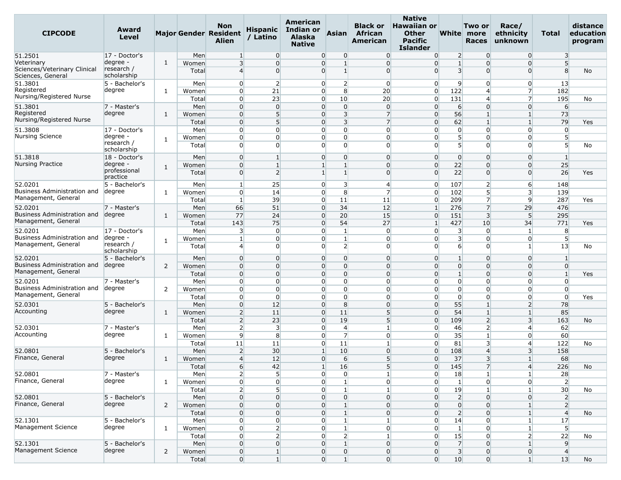| <b>CIPCODE</b>                                                  | Award<br>Level                        |                |                | <b>Non</b><br><b>Major Gender Resident</b><br>Alien | <b>Hispanic</b><br>/ Latino      | <b>American</b><br>Indian or<br><b>Alaska</b><br><b>Native</b> | <b>Asian</b>                   | <b>Black or</b><br>African<br>American | <b>Native</b><br><b>Hawaiian or</b><br><b>Other</b><br><b>Pacific</b><br>Islander |                                         | Two or<br>White more<br><b>Races</b> | Race/<br>ethnicity<br>unknown | Total                            | distance<br>education<br>program |
|-----------------------------------------------------------------|---------------------------------------|----------------|----------------|-----------------------------------------------------|----------------------------------|----------------------------------------------------------------|--------------------------------|----------------------------------------|-----------------------------------------------------------------------------------|-----------------------------------------|--------------------------------------|-------------------------------|----------------------------------|----------------------------------|
| 51.2501                                                         | 17 - Doctor's                         |                | Men            | 1                                                   | $\overline{0}$                   | $\overline{0}$                                                 | $\overline{0}$                 | $\overline{0}$                         | $\overline{0}$                                                                    | $\overline{2}$                          | $\overline{0}$                       | $\overline{0}$                | 3                                |                                  |
| Veterinary<br>Sciences/Veterinary Clinical<br>Sciences, General | degree -<br>research /<br>scholarship | 1              | Women<br>Total | $\overline{3}$<br>$\overline{4}$                    | $\overline{0}$<br>$\overline{0}$ | $\overline{0}$<br>$\overline{0}$                               | $\overline{1}$<br>$\vert$ 1    | $\overline{0}$<br>$\Omega$             | $\overline{0}$<br>$\overline{0}$                                                  | $\mathbf{1}$<br>$\overline{\mathbf{3}}$ | $\Omega$<br>$\overline{0}$           | $\Omega$<br>$\overline{0}$    | 5 <sup>1</sup><br>8              | No                               |
| 51.3801                                                         | 5 - Bachelor's                        |                | Men            | $\overline{0}$                                      | $\overline{2}$                   | $\overline{0}$                                                 | $\overline{2}$                 | $\overline{0}$                         | $\overline{0}$                                                                    | 9                                       | 0                                    | $\overline{0}$                | 13                               |                                  |
| Registered                                                      | degree                                | 1              | Women          | $\overline{0}$                                      | 21                               | $\overline{0}$                                                 | 8                              | 20                                     | $\overline{0}$                                                                    | 122                                     | $\overline{4}$                       | $\overline{7}$                | 182                              |                                  |
| Nursing/Registered Nurse                                        |                                       |                | Total          | $\overline{0}$                                      | 23                               | $\overline{0}$                                                 | 10                             | 20                                     | $\overline{0}$                                                                    | 131                                     | 4                                    | $\overline{7}$                | 195                              | No                               |
| 51.3801                                                         | 7 - Master's                          |                | Men            | $\overline{0}$                                      | $\overline{0}$                   | $\overline{0}$                                                 | $\overline{0}$                 | $\overline{0}$                         | $\overline{0}$                                                                    | 6                                       | $\Omega$                             | $\Omega$                      | $6 \overline{}$                  |                                  |
| Registered                                                      | degree                                | 1              | Women          | $\overline{0}$                                      | 5 <sup>1</sup>                   | $\overline{0}$                                                 | $\overline{\mathbf{3}}$        | $\overline{7}$                         | $\overline{0}$                                                                    | 56                                      | $\mathbf{1}$                         | $1\overline{ }$               | 73                               |                                  |
| Nursing/Registered Nurse                                        |                                       |                | Total          | $\overline{0}$                                      | 5                                | $\overline{0}$                                                 | 3                              | $\overline{7}$                         | $\overline{0}$                                                                    | 62                                      | $\mathbf{1}$                         | $\mathbf{1}$                  | 79                               | Yes                              |
| 51.3808                                                         | 17 - Doctor's                         |                | Men            | $\overline{0}$                                      | $\overline{0}$                   | $\overline{0}$                                                 | $\Omega$                       | $\Omega$                               | $\overline{0}$                                                                    | $\overline{0}$                          | $\overline{0}$                       | $\Omega$                      | $\overline{0}$                   |                                  |
| Nursing Science                                                 | degree -                              | 1              | Women          | $\overline{0}$                                      | $\overline{0}$                   | $\overline{0}$                                                 | $\overline{0}$                 | $\overline{0}$                         | $\overline{0}$                                                                    | $5\overline{)}$                         | $\overline{0}$                       | $\overline{0}$                | 5                                |                                  |
|                                                                 | research /<br>scholarship             |                | Total          | $\overline{0}$                                      | $\overline{0}$                   | $\overline{0}$                                                 | $\Omega$                       | $\Omega$                               | $\Omega$                                                                          | 5 <sup>1</sup>                          | $\Omega$                             | $\overline{0}$                | 5                                | No                               |
| 51.3818                                                         | 18 - Doctor's                         |                | Men            | $\overline{0}$                                      | $\mathbf{1}$                     | $\overline{0}$                                                 | $\overline{0}$                 | $\overline{0}$                         | $\overline{0}$                                                                    | $\overline{0}$                          | $\mathbf 0$                          | 0                             | $\mathbf{1}$                     |                                  |
| Nursing Practice                                                | degree -                              | 1              | Women          | $\overline{0}$                                      | $\mathbf{1}$                     | $1\vert$                                                       | $\overline{1}$                 | $\Omega$                               | $\overline{0}$                                                                    | 22                                      | $\overline{0}$                       | $\overline{0}$                | 25                               |                                  |
|                                                                 | professional<br>practice              |                | Total          | $\overline{0}$                                      | $\overline{2}$                   | 1                                                              | $\mathbf{1}$                   | $\Omega$                               | $\Omega$                                                                          | 22                                      | $\Omega$                             | $\Omega$                      | 26                               | Yes                              |
| 52.0201                                                         | 5 - Bachelor's                        |                | Men            | 1                                                   | 25                               | $\Omega$                                                       | $\overline{\mathbf{3}}$        | $\overline{4}$                         | $\overline{0}$                                                                    | 107                                     | $\overline{2}$                       | $6 \overline{6}$              | 148                              |                                  |
| Business Administration and                                     | degree                                | 1              | Women          | $\overline{0}$                                      | 14                               | $\overline{0}$                                                 | 8                              | $\overline{7}$                         | $\overline{0}$                                                                    | 102                                     | 5 <sup>1</sup>                       | $\overline{\mathbf{3}}$       | 139                              |                                  |
| Management, General                                             |                                       |                | Total          | $\mathbf{1}$                                        | 39                               | $\overline{0}$                                                 | 11                             | 11                                     | $\overline{0}$                                                                    | 209                                     | 7                                    | 9                             | 287                              | Yes                              |
| 52.0201                                                         | 7 - Master's                          |                | Men            | 66                                                  | 51                               | $\overline{0}$                                                 | 34                             | 12                                     | $\mathbf{1}$                                                                      | 276                                     | $\overline{7}$                       | 29                            | 476                              |                                  |
| Business Administration and                                     | degree                                | 1              | Women          | 77                                                  | 24                               | $\overline{0}$                                                 | 20                             | 15                                     | $\overline{0}$                                                                    | 151                                     | 3                                    | 5 <sup>1</sup>                | 295                              |                                  |
| Management, General                                             |                                       |                | Total          | 143                                                 | 75                               |                                                                | 54<br>$\overline{0}$           | 27                                     | $\mathbf{1}$                                                                      | 427                                     | 10                                   | 34                            | 771                              | Yes                              |
| 52.0201                                                         | 17 - Doctor's                         |                | Men            | 3                                                   | $\overline{0}$                   | $\overline{0}$                                                 | $\vert$ 1                      | $\overline{0}$                         | $\overline{0}$                                                                    | 3                                       | $\overline{0}$                       | $\mathbf{1}$                  | 8                                |                                  |
| Business Administration and<br>Management, General              | degree ·<br>research /                | 1              | Women          | $\mathbf{1}$                                        | $\overline{0}$<br>$\Omega$       | $\overline{0}$                                                 | $\mathbf{1}$                   | $\overline{0}$<br>$\Omega$             | $\overline{0}$<br>$\Omega$                                                        | $\overline{\mathbf{3}}$                 | 0                                    | $\overline{0}$                | 5                                |                                  |
|                                                                 | scholarship                           |                | Total          | $\overline{4}$                                      |                                  | $\overline{0}$                                                 | $\overline{2}$                 |                                        |                                                                                   | 6                                       | $\Omega$                             | 1                             | 13                               | No                               |
| 52.0201<br>Business Administration and                          | 5 - Bachelor's                        |                | Men            | $\overline{0}$                                      | $\Omega$                         | $\overline{0}$                                                 | $\overline{0}$                 | $\Omega$                               | $\overline{0}$                                                                    | $\mathbf{1}$                            | $\Omega$                             | $\overline{0}$                | $\mathbf{1}$                     |                                  |
| Management, General                                             | degree                                | 2              | Women          | $\overline{0}$                                      | $\overline{0}$                   | $\overline{0}$                                                 | $\Omega$                       | $\Omega$                               | $\overline{0}$                                                                    | $\overline{0}$                          | $\Omega$                             | $\Omega$                      | $\overline{0}$                   |                                  |
|                                                                 |                                       |                | Total          | $\overline{0}$<br>$\overline{0}$                    | $\overline{0}$<br>$\Omega$       | $\overline{0}$<br>$\overline{0}$                               | $\overline{0}$<br>$\Omega$     | $\overline{0}$<br>$\overline{0}$       | $\overline{0}$<br>$\overline{0}$                                                  | $\mathbf{1}$<br>$\overline{0}$          | $\mathbf 0$                          | $\Omega$<br>$\overline{0}$    | $\mathbf{1}$                     | Yes                              |
| 52.0201<br>Business Administration and                          | 7 - Master's<br>degree                | 2              | Men<br>Women   | $\overline{0}$                                      | $\overline{0}$                   | $\overline{0}$                                                 | $\overline{0}$                 | $\Omega$                               | $\overline{0}$                                                                    | $\overline{0}$                          | $\overline{0}$<br>$\Omega$           | $\overline{0}$                | $\overline{0}$<br>$\overline{0}$ |                                  |
| Management, General                                             |                                       |                | Total          | $\overline{0}$                                      | $\overline{0}$                   | $\overline{0}$                                                 | $\overline{0}$                 | $\overline{0}$                         | $\overline{0}$                                                                    | $\overline{0}$                          | $\overline{0}$                       | $\overline{0}$                | $\overline{0}$                   | Yes                              |
| 52.0301                                                         | 5 - Bachelor's                        |                | Men            | $\overline{0}$                                      | 12                               | $\Omega$                                                       | 8                              | $\Omega$                               | $\overline{0}$                                                                    | 55                                      | $\mathbf{1}$                         | $\overline{2}$                | 78                               |                                  |
| Accounting                                                      | degree                                | 1              | Women          | $\overline{2}$                                      | 11                               | $\overline{0}$                                                 | 11                             | 5                                      | $\overline{0}$                                                                    | 54                                      | $\mathbf{1}$                         | $\mathbf{1}$                  | 85                               |                                  |
|                                                                 |                                       |                | Total          | $\overline{2}$                                      | 23                               | $\overline{0}$                                                 | 19                             | $5\overline{)}$                        | $\overline{0}$                                                                    | 109                                     | $\overline{2}$                       | $\overline{\mathbf{3}}$       | 163                              | <b>No</b>                        |
| 52.0301                                                         | 7 - Master's                          |                | Men            | $\overline{2}$                                      | 3                                | $\overline{0}$                                                 | $\overline{4}$                 |                                        | $\overline{0}$                                                                    | 46                                      | $\overline{2}$                       | $\overline{4}$                | 62                               |                                  |
| Accounting                                                      | degree                                | 1              | Women          | 9                                                   | 8                                | $\overline{0}$                                                 | $\overline{7}$                 | $\overline{0}$                         | $\overline{0}$                                                                    | 35                                      | $\mathbf{1}$                         | $\overline{0}$                | 60                               |                                  |
|                                                                 |                                       |                | Total          | 11                                                  | 11                               | $\overline{0}$                                                 | 11                             | $\mathbf{1}$                           | $\overline{0}$                                                                    | 81                                      | 3                                    | 4                             | 122                              | No                               |
| 52.0801                                                         | 5 - Bachelor's                        |                | Men            | $\overline{2}$                                      | 30                               |                                                                | 10                             | $\overline{0}$                         | $\overline{0}$                                                                    | 108                                     | $\overline{4}$                       | $\overline{\mathbf{3}}$       | 158                              |                                  |
| Finance, General                                                | degree                                | 1              | Women          | $\overline{4}$                                      | 12                               | $\overline{0}$                                                 | $6 \overline{6}$               | 5                                      | $\overline{0}$                                                                    | 37                                      | 3                                    | $\mathbf{1}$                  | 68                               |                                  |
|                                                                 |                                       |                | Total          | $6 \overline{}$                                     | 42                               | $\mathbf{1}$                                                   | 16                             | 5                                      | $\overline{0}$                                                                    | 145                                     | $\overline{7}$                       | $\overline{4}$                | 226                              | No                               |
| 52.0801                                                         | 7 - Master's                          |                | Men            | $\overline{2}$                                      | 5                                | $\overline{0}$                                                 | $\overline{0}$                 |                                        | $\overline{0}$                                                                    | 18                                      | $\mathbf{1}$                         | 1                             | 28                               |                                  |
| Finance, General                                                | degree                                | $\mathbf{1}$   | Women          | $\overline{0}$                                      | $\overline{0}$                   | $\overline{0}$                                                 | $\vert$ 1                      | $\overline{0}$                         | $\overline{0}$                                                                    | $\mathbf{1}$                            | $\overline{0}$                       | $\overline{0}$                | $\overline{2}$                   |                                  |
|                                                                 |                                       |                | Total          | $\overline{2}$                                      | 5 <sup>1</sup>                   | $\overline{0}$                                                 | $\mathbf{1}$                   |                                        | $\overline{0}$                                                                    | 19                                      |                                      |                               | 30 <sub>2</sub>                  | No                               |
| 52.0801                                                         | 5 - Bachelor's                        |                | Men            | $\overline{0}$                                      | $\overline{0}$                   | $\overline{0}$                                                 | $\overline{0}$                 | $\overline{0}$                         | $\overline{0}$                                                                    | $\overline{2}$                          | $\overline{0}$                       | $\overline{0}$                | $\overline{2}$                   |                                  |
| Finance, General                                                | degree                                | $\overline{2}$ | Women          | $\overline{0}$                                      | $\overline{0}$                   |                                                                | $\overline{0}$                 | $\overline{0}$                         | $\overline{0}$                                                                    | $\overline{0}$                          | $\overline{0}$                       |                               | $\overline{2}$                   |                                  |
|                                                                 |                                       |                | Total          | $\overline{0}$                                      | $\overline{0}$                   | $\overline{0}$                                                 | $\mathbf{1}$                   | $\overline{0}$                         | $\overline{0}$                                                                    | $\overline{2}$                          | $\Omega$                             | $\mathbf{1}$                  | $\overline{4}$                   | <b>No</b>                        |
| 52.1301                                                         | 5 - Bachelor's                        |                | Men            | $\overline{0}$                                      | $\overline{0}$                   | $\overline{0}$                                                 | $\mathbf{1}$                   | $\mathbf{1}$                           | $\overline{0}$                                                                    | 14                                      | $\overline{0}$                       | $\mathbf{1}$                  | 17                               |                                  |
| Management Science                                              | degree                                | $\mathbf{1}$   | Women          | $\overline{0}$                                      | 2                                | $\overline{0}$                                                 | $\mathbf{1}$                   | $\overline{0}$                         | $\overline{0}$                                                                    | $1\overline{ }$                         | $\overline{0}$                       | $1\vert$                      | 5 <sup>5</sup>                   |                                  |
|                                                                 |                                       |                | Total          | $\overline{0}$                                      | $\overline{2}$                   | $\overline{0}$                                                 | $\overline{2}$                 |                                        | $\overline{0}$                                                                    | 15                                      | $\overline{0}$                       | $\overline{2}$                | 22                               | No                               |
| 52.1301<br>Management Science                                   | 5 - Bachelor's                        |                | Men            | $\overline{0}$                                      | $\overline{0}$                   | $\overline{0}$                                                 | $\overline{1}$                 | $\overline{0}$                         | $\overline{0}$                                                                    | 7 <sup>1</sup>                          | $\overline{0}$                       | $\mathbf{1}$                  | 9                                |                                  |
|                                                                 | degree                                | $\overline{2}$ | Women          | $\overline{0}$                                      | $\mathbf{1}$                     | $\overline{0}$                                                 | $\overline{0}$                 | $\overline{0}$                         | $\overline{0}$                                                                    | $\overline{\mathbf{3}}$                 | $\overline{0}$                       | $\overline{0}$                | $\overline{4}$                   |                                  |
|                                                                 |                                       |                | Total          | $\overline{0}$                                      | $1\overline{ }$                  |                                                                | $\overline{0}$<br>$\mathbf{1}$ | $\overline{0}$                         | $\overline{0}$                                                                    | 10                                      | $\overline{0}$                       | $1\overline{ }$               | 13                               | No                               |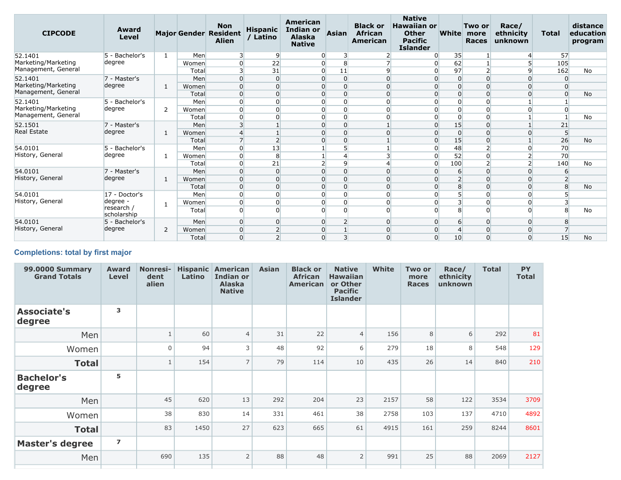| <b>CIPCODE</b>                             | Award<br>Level         |              |                | <b>Non</b><br><b>Major Gender Resident</b><br><b>Alien</b> | <b>Hispanic</b><br>/ Latino | American<br><b>Indian or</b><br><b>Alaska</b><br><b>Native</b> | Asian                      | <b>Black or</b><br><b>African</b><br><b>American</b> | <b>Native</b><br><b>Hawaiian or</b><br><b>Other</b><br><b>Pacific</b><br><b>Islander</b> | <b>White</b>        | Two or<br>more<br><b>Races</b> | Race/<br>ethnicity<br>unknown | <b>Total</b>         | distance<br>education<br>program |
|--------------------------------------------|------------------------|--------------|----------------|------------------------------------------------------------|-----------------------------|----------------------------------------------------------------|----------------------------|------------------------------------------------------|------------------------------------------------------------------------------------------|---------------------|--------------------------------|-------------------------------|----------------------|----------------------------------|
| 52.1401                                    | 5 - Bachelor's         | $\mathbf{1}$ | Men            | 3                                                          | 9                           | ი                                                              |                            |                                                      | $\Omega$                                                                                 | 35                  |                                |                               | 57                   |                                  |
| Marketing/Marketing<br>Management, General | degree                 |              | Women          | $\overline{0}$                                             | 22                          | 0                                                              | 8                          |                                                      | 0                                                                                        | 62                  | $\overline{\phantom{0}}$       | $\Omega$                      | 105                  |                                  |
|                                            |                        |              | Total          | $\overline{\mathbf{3}}$                                    | 31                          | 0                                                              | 11                         | 9                                                    | $\overline{0}$                                                                           | 97                  |                                |                               | 162                  | <b>No</b>                        |
| 52.1401<br>Marketing/Marketing             | 7 - Master's<br>degree |              | Men            | $\overline{0}$                                             | $\Omega$                    | ი                                                              | $\overline{0}$             | $\Omega$                                             | 0<br>0                                                                                   | $\overline{0}$      | $\Omega$<br>$\Omega$           | $\Omega$                      | $\Omega$<br>$\Omega$ |                                  |
| Management, General                        |                        | 1            | Women<br>Total | $\overline{0}$<br>$\overline{0}$                           | 0<br>$\Omega$               | 0<br>0                                                         | $\overline{0}$<br>$\Omega$ | $\Omega$<br>$\Omega$                                 |                                                                                          | 0<br>$\overline{0}$ | 0                              | <sup>0</sup>                  |                      | No                               |
| 52.1401                                    | 5 - Bachelor's         |              | Men            | $\overline{0}$                                             | 0                           |                                                                | $\Omega$                   | $\Omega$                                             |                                                                                          | $\Omega$            | 0                              |                               |                      |                                  |
| Marketing/Marketing                        | degree                 | 2            | Women          | $\overline{0}$                                             | $\Omega$                    |                                                                | $\Omega$                   | $\Omega$                                             |                                                                                          | $\overline{0}$      | 0                              |                               | $\Omega$             |                                  |
| Management, General                        |                        |              | Total          | $\overline{0}$                                             |                             |                                                                | 0                          |                                                      |                                                                                          | $\overline{0}$      | 0                              |                               |                      | <b>No</b>                        |
| 52.1501                                    | 7 - Master's           |              | Men            | $\overline{3}$                                             |                             | 0                                                              | $\Omega$                   |                                                      | $\Omega$                                                                                 | 15                  | 0                              |                               | 21                   |                                  |
| <b>Real Estate</b>                         | degree                 | 1            | Women          | $\overline{4}$                                             |                             |                                                                | $\Omega$                   |                                                      | 0                                                                                        | $\Omega$            | $\Omega$                       |                               |                      |                                  |
|                                            |                        |              | Total          | $\overline{7}$                                             |                             | O                                                              | $\overline{0}$             |                                                      | 0                                                                                        | 15                  | 0                              |                               | 26                   | <b>No</b>                        |
| 54.0101                                    | 5 - Bachelor's         |              | Men            | $\overline{0}$                                             | 13                          |                                                                | 5                          |                                                      | 0                                                                                        | 48                  | $\overline{2}$                 |                               | 70                   |                                  |
| History, General                           | degree                 | 1            | Women          | $\overline{0}$                                             | 8                           |                                                                | 4                          |                                                      | $\overline{0}$                                                                           | 52                  | 0                              |                               | 70                   |                                  |
|                                            |                        |              | Total          | $\overline{0}$                                             | 21                          |                                                                | $\overline{9}$             |                                                      | $\overline{0}$                                                                           | 100                 | ∍                              |                               | 140                  | <b>No</b>                        |
| 54.0101                                    | 7 - Master's           |              | Men            | $\overline{0}$                                             | $\Omega$                    | 0                                                              | $\Omega$                   | $\Omega$                                             | 0                                                                                        | 6                   | $\Omega$                       |                               | 6                    |                                  |
| History, General                           | degree                 |              | Women          | $\overline{0}$                                             | 0                           | O                                                              | $\Omega$                   | $\Omega$                                             |                                                                                          | $\overline{2}$      | 0                              | $\Omega$                      |                      |                                  |
|                                            |                        |              | Total          | $\Omega$                                                   | $\Omega$                    |                                                                | $\Omega$                   | $\Omega$                                             |                                                                                          | 8                   | $\Omega$                       | $\Omega$                      |                      | No                               |
| 54.0101                                    | 17 - Doctor's          |              | Men            | $\Omega$                                                   | $\Omega$                    | 0                                                              | $\Omega$                   | $\Omega$                                             |                                                                                          | 5 <sup>1</sup>      | $\Omega$                       | U                             |                      |                                  |
| History, General                           | degree -<br>research / | 1            | Women          | $\overline{0}$                                             | 0                           | 0                                                              | 0                          |                                                      |                                                                                          | 3                   | 0                              |                               |                      |                                  |
|                                            | scholarship            |              | Total          | $\Omega$                                                   | $\Omega$                    | <sup>n</sup>                                                   | $\Omega$                   | $\Omega$                                             | ŋ                                                                                        | $\mathbf{8}$        | $\Omega$                       | U                             | 8                    | <b>No</b>                        |
| 54.0101                                    | 5 - Bachelor's         |              | Men            | $\overline{0}$                                             | 0                           | 0                                                              | $\overline{2}$             | $\overline{0}$                                       | 0                                                                                        | 6                   | $\Omega$                       | $\Omega$                      | 8                    |                                  |
| History, General                           | degree                 | 2            | Women          | $\overline{0}$                                             |                             |                                                                |                            |                                                      |                                                                                          | 4                   | $\Omega$                       |                               |                      |                                  |
|                                            |                        |              | Total          | $\Omega$                                                   | $\overline{2}$              | $\overline{0}$                                                 | 3                          | $\Omega$                                             | $\overline{0}$                                                                           | 10                  | $\Omega$                       | $\Omega$                      | 15                   | No                               |

# **Completions: total by first major**

| <b>99.0000 Summary</b><br><b>Grand Totals</b> | <b>Award</b><br><b>Level</b> | <b>Nonresi-</b><br>dent<br>alien | Latino | <b>Hispanic American</b><br><b>Indian or</b><br><b>Alaska</b><br><b>Native</b> | <b>Asian</b> | <b>Black or</b><br><b>African</b><br><b>American</b> | <b>Native</b><br><b>Hawaiian</b><br>or Other<br><b>Pacific</b><br><b>Islander</b> | <b>White</b> | Two or<br>more<br><b>Races</b> | Race/<br>ethnicity<br>unknown | <b>Total</b> | <b>PY</b><br><b>Total</b> |
|-----------------------------------------------|------------------------------|----------------------------------|--------|--------------------------------------------------------------------------------|--------------|------------------------------------------------------|-----------------------------------------------------------------------------------|--------------|--------------------------------|-------------------------------|--------------|---------------------------|
| <b>Associate's</b><br>degree                  | 3                            |                                  |        |                                                                                |              |                                                      |                                                                                   |              |                                |                               |              |                           |
| Men                                           |                              |                                  | 60     | $\overline{4}$                                                                 | 31           | 22                                                   | $\overline{4}$                                                                    | 156          | 8                              | 6                             | 292          | 81                        |
| Women                                         |                              | $\mathbf 0$                      | 94     | 3                                                                              | 48           | 92                                                   | 6                                                                                 | 279          | 18                             | 8                             | 548          | 129                       |
| <b>Total</b>                                  |                              | $\mathbf{1}$                     | 154    | $\overline{7}$                                                                 | 79           | 114                                                  | 10                                                                                | 435          | 26                             | 14                            | 840          | 210                       |
| <b>Bachelor's</b><br>degree                   | 5                            |                                  |        |                                                                                |              |                                                      |                                                                                   |              |                                |                               |              |                           |
| Men                                           |                              | 45                               | 620    | 13                                                                             | 292          | 204                                                  | 23                                                                                | 2157         | 58                             | 122                           | 3534         | 3709                      |
| Women                                         |                              | 38                               | 830    | 14                                                                             | 331          | 461                                                  | 38                                                                                | 2758         | 103                            | 137                           | 4710         | 4892                      |
| <b>Total</b>                                  |                              | 83                               | 1450   | 27                                                                             | 623          | 665                                                  | 61                                                                                | 4915         | 161                            | 259                           | 8244         | 8601                      |
| <b>Master's degree</b>                        | $\overline{\mathbf{z}}$      |                                  |        |                                                                                |              |                                                      |                                                                                   |              |                                |                               |              |                           |
| Men                                           |                              | 690                              | 135    | $\overline{2}$                                                                 | 88           | 48                                                   | $\overline{2}$                                                                    | 991          | 25                             | 88                            | 2069         | 2127                      |
|                                               |                              |                                  |        |                                                                                |              |                                                      |                                                                                   |              |                                |                               |              |                           |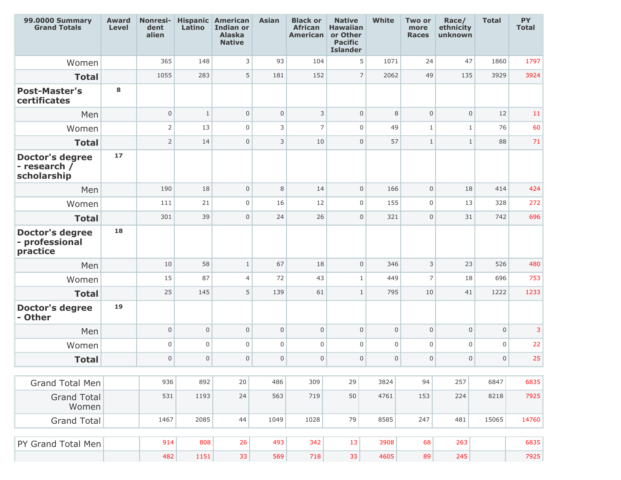| <b>99.0000 Summary</b><br><b>Grand Totals</b>         | <b>Award</b><br><b>Level</b> | <b>Nonresi-</b><br>dent<br>alien | Latino       | <b>Hispanic American</b><br><b>Indian or</b><br><b>Alaska</b><br><b>Native</b> | <b>Asian</b>   | <b>Black or</b><br><b>African</b><br><b>American</b> | <b>Native</b><br><b>Hawaiian</b><br>or Other<br><b>Pacific</b><br><b>Islander</b> | <b>White</b>     | Two or<br>more<br><b>Races</b> | Race/<br>ethnicity<br>unknown | <b>Total</b> | PY<br><b>Total</b> |
|-------------------------------------------------------|------------------------------|----------------------------------|--------------|--------------------------------------------------------------------------------|----------------|------------------------------------------------------|-----------------------------------------------------------------------------------|------------------|--------------------------------|-------------------------------|--------------|--------------------|
| Women                                                 |                              | 365                              | 148          | 3                                                                              | 93             | 104                                                  | 5                                                                                 | 1071             | 24                             | 47                            | 1860         | 1797               |
| <b>Total</b>                                          |                              | 1055                             | 283          | 5                                                                              | 181            | 152                                                  | $\overline{7}$                                                                    | 2062             | 49                             | 135                           | 3929         | 3924               |
| <b>Post-Master's</b><br>certificates                  | 8                            |                                  |              |                                                                                |                |                                                      |                                                                                   |                  |                                |                               |              |                    |
| Men                                                   |                              | $\mathsf{O}\xspace$              | $\mathbf{1}$ | $\mathsf{O}\xspace$                                                            | $\overline{0}$ | 3                                                    | $\mathbf{0}$                                                                      | 8                | $\overline{0}$                 | $\overline{0}$                | 12           | 11                 |
| Women                                                 |                              | $\mathsf{2}\,$                   | 13           | $\mathsf{O}\xspace$                                                            | 3              | $\overline{7}$                                       | $\mathbf 0$                                                                       | 49               | $1\,$                          | $\mathbf{1}$                  | 76           | 60                 |
| <b>Total</b>                                          |                              | $\overline{2}$                   | 14           | $\mathbf{0}$                                                                   | 3              | 10                                                   | $\mathbf{0}$                                                                      | 57               | $\mathbf{1}$                   | $\mathbf{1}$                  | 88           | 71                 |
| <b>Doctor's degree</b><br>- research /<br>scholarship | 17                           |                                  |              |                                                                                |                |                                                      |                                                                                   |                  |                                |                               |              |                    |
| Men                                                   |                              | 190                              | 18           | $\mathsf{O}\xspace$                                                            | 8              | 14                                                   | $\mathbf 0$                                                                       | 166              | $\overline{0}$                 | 18                            | 414          | 424                |
| Women                                                 |                              | 111                              | 21           | $\mathbf 0$                                                                    | 16             | 12                                                   | $\mathbf 0$                                                                       | 155              | $\overline{0}$                 | 13                            | 328          | 272                |
| <b>Total</b>                                          |                              | 301                              | 39           | $\overline{0}$                                                                 | 24             | 26                                                   | $\Omega$                                                                          | 321              | $\mathbf 0$                    | 31                            | 742          | 696                |
| <b>Doctor's degree</b><br>- professional<br>practice  | 18                           |                                  |              |                                                                                |                |                                                      |                                                                                   |                  |                                |                               |              |                    |
| Men                                                   |                              | 10                               | 58           | $\mathbf{1}$                                                                   | 67             | 18                                                   | $\overline{0}$                                                                    | 346              | 3                              | 23                            | 526          | 480                |
| Women                                                 |                              | 15                               | 87           | $\vert 4 \vert$                                                                | 72             | 43                                                   | $\mathbf{1}$                                                                      | 449              | $\overline{7}$                 | 18                            | 696          | 753                |
| <b>Total</b>                                          |                              | 25                               | 145          | 5 <sup>1</sup>                                                                 | 139            | 61                                                   | $\mathbf{1}$                                                                      | 795              | 10                             | 41                            | 1222         | 1233               |
| <b>Doctor's degree</b><br>- Other                     | 19                           |                                  |              |                                                                                |                |                                                      |                                                                                   |                  |                                |                               |              |                    |
| Men                                                   |                              | $\mathsf 0$                      | $\mathbf{0}$ | $\mathbf{0}$                                                                   | $\overline{0}$ | $\mathbf 0$                                          | $\mathbf{0}$                                                                      | $\mathsf 0$      | $\mathsf 0$                    | $\mathsf 0$                   | $\mathsf{O}$ | 3                  |
| Women                                                 |                              | $\mathsf 0$                      | $\mathbf 0$  | $\mathbf 0$                                                                    | $\mathbf 0$    | $\mathbf 0$                                          | $\mathbf 0$                                                                       | $\mathsf 0$      | 0                              | $\mathsf 0$                   | $\mathbf 0$  | 22                 |
| <b>Total</b>                                          |                              | $\mathbf 0$                      | $\mathbf 0$  | $\overline{0}$                                                                 | $\overline{0}$ | $\Omega$                                             | $\mathbf 0$                                                                       | $\boldsymbol{0}$ | $\mathbf 0$                    | $\mathsf 0$                   | $\mathbf 0$  | 25                 |
| <b>Grand Total Men</b>                                |                              | 936                              | 892          | $20\,$                                                                         | 486            | 309                                                  | 29                                                                                | 3824             | 94                             | 257                           | 6847         | 6835               |
| <b>Grand Total</b><br>Women                           |                              | 531                              | 1193         | 24                                                                             | 563            | 719                                                  | 50                                                                                | 4761             | 153                            | 224                           | 8218         | 7925               |
| <b>Grand Total</b>                                    |                              | 1467                             | 2085         | 44                                                                             | 1049           | 1028                                                 | 79                                                                                | 8585             | 247                            | 481                           | 15065        | 14760              |
|                                                       |                              |                                  |              |                                                                                |                |                                                      |                                                                                   |                  |                                |                               |              |                    |
| PY Grand Total Men                                    |                              | 914                              | 808          | 26                                                                             | 493            | 342                                                  | 13                                                                                | 3908             | 68                             | 263                           |              | 6835               |
|                                                       |                              | 482                              | 1151         | 33                                                                             | 569            | 718                                                  | 33                                                                                | 4605             | 89                             | 245                           |              | 7925               |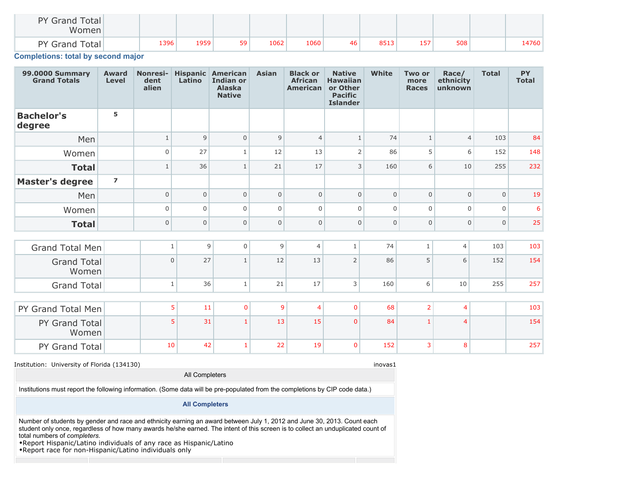| PY Grand Total<br>Women |      |      |    |      |      |    |      |     |     |       |
|-------------------------|------|------|----|------|------|----|------|-----|-----|-------|
| <b>PY Grand Total</b>   | 1396 | 1959 | 59 | 1062 | 1060 | 46 | 8513 | 157 | 508 | 14760 |

**Completions: total by second major**

| <b>99.0000 Summary</b><br><b>Grand Totals</b> | <b>Award</b><br><b>Level</b> | <b>Nonresi-</b><br>dent<br>alien | Latino         | <b>Hispanic American</b><br><b>Indian or</b><br><b>Alaska</b><br><b>Native</b> | <b>Asian</b>   | <b>Black or</b><br><b>African</b><br><b>American</b> | <b>Native</b><br><b>Hawaiian</b><br>or Other<br><b>Pacific</b><br><b>Islander</b> | <b>White</b> | <b>Two or</b><br>more<br><b>Races</b> | Race/<br>ethnicity<br>unknown | <b>Total</b> | <b>PY</b><br><b>Total</b> |
|-----------------------------------------------|------------------------------|----------------------------------|----------------|--------------------------------------------------------------------------------|----------------|------------------------------------------------------|-----------------------------------------------------------------------------------|--------------|---------------------------------------|-------------------------------|--------------|---------------------------|
| <b>Bachelor's</b><br>degree                   | 5                            |                                  |                |                                                                                |                |                                                      |                                                                                   |              |                                       |                               |              |                           |
| Men                                           |                              | $\mathbf{1}$                     | 9              | $\mathbf{0}$                                                                   | 9              | $\overline{4}$                                       | $\mathbf{1}$                                                                      | 74           | $\mathbf{1}$                          | $\overline{4}$                | 103          | 84                        |
| Women                                         |                              | $\Omega$                         | 27             | $\mathbf{1}$                                                                   | 12             | 13                                                   | $\overline{2}$                                                                    | 86           | 5                                     | 6                             | 152          | 148                       |
| <b>Total</b>                                  |                              | $\mathbf{1}$                     | 36             | $\mathbf{1}$                                                                   | 21             | 17                                                   | 3                                                                                 | 160          | 6                                     | 10                            | 255          | 232                       |
| <b>Master's degree</b>                        | $\overline{\mathbf{z}}$      |                                  |                |                                                                                |                |                                                      |                                                                                   |              |                                       |                               |              |                           |
| Men                                           |                              | $\Omega$                         | $\overline{0}$ | $\mathbf 0$                                                                    | $\Omega$       | $\mathbf 0$                                          | $\Omega$                                                                          | $\mathbf 0$  | $\Omega$                              | $\mathbf 0$                   | $\mathbf{0}$ | 19                        |
| Women                                         |                              | $\Omega$                         | $\overline{0}$ | $\mathbf 0$                                                                    | $\mathbf 0$    | $\mathbf 0$                                          | $\Omega$                                                                          | $\mathbf 0$  | $\Omega$                              | $\mathbf 0$                   | $\mathbf 0$  | 6                         |
| <b>Total</b>                                  |                              | $\mathbf{0}$                     | $\mathsf 0$    | $\mathbf{0}$                                                                   | $\overline{0}$ | $\mathbf 0$                                          | $\Omega$                                                                          | $\mathbf 0$  | $\mathbf 0$                           | $\mathbf{0}$                  | $\mathbf 0$  | 25                        |
|                                               |                              |                                  |                |                                                                                |                |                                                      |                                                                                   |              |                                       |                               |              |                           |
| Grand Total Men                               |                              | $\,1\,$                          | $\overline{9}$ | $\overline{0}$                                                                 | $\overline{9}$ | $\overline{4}$                                       | $\mathbf{1}$                                                                      | 74           | $\mathbf{1}$                          | $\overline{4}$                | 103          | 103                       |
| <b>Grand Total</b><br>Women                   |                              | $\mathsf 0$                      | 27             | $\mathbf{1}$                                                                   | 12             | 13                                                   | $\overline{2}$                                                                    | 86           | 5                                     | 6                             | 152          | 154                       |
| <b>Grand Total</b>                            |                              | $\mathbf{1}$                     | 36             | $\mathbf{1}$                                                                   | 21             | 17                                                   | 3                                                                                 | 160          | 6                                     | 10                            | 255          | 257                       |
|                                               |                              |                                  |                |                                                                                |                |                                                      |                                                                                   |              |                                       |                               |              |                           |
| PY Grand Total Men                            |                              |                                  | 5<br>11        | $\overline{0}$                                                                 | 9              | $\overline{4}$                                       | $\mathbf 0$                                                                       | 68           | $\overline{2}$                        | $\overline{4}$                |              | 103                       |
| PY Grand Total<br>Women                       |                              |                                  | 5<br>31        |                                                                                | 13             | 15                                                   | $\mathbf{0}$                                                                      | 84           | $\overline{1}$                        | $\overline{4}$                |              | 154                       |
| PY Grand Total                                |                              | 10                               | 42             | $\mathbf{1}$                                                                   | 22             | 19                                                   | $\overline{0}$                                                                    | 152          | 3                                     | 8                             |              | 257                       |

#### Institution: University of Florida (134130) income and the state of the state of the state of the state of the state of the state of the state of the state of the state of the state of the state of the state of the state o

Institutions must report the following information. (Some data will be pre-populated from the completions by CIP code data.)

#### **All Completers**

All Completers

Number of students by gender and race and ethnicity earning an award between July 1, 2012 and June 30, 2013. Count each student only once, regardless of how many awards he/she earned. The intent of this screen is to collect an unduplicated count of total numbers of *completers*.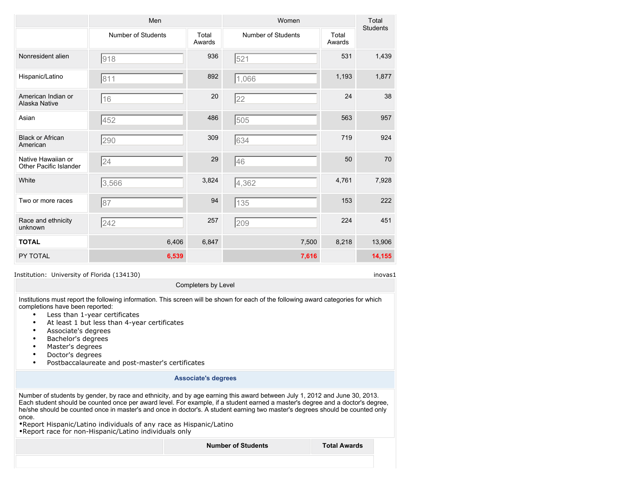|                                                     | Men                |                 | Women                     |                 | Total<br><b>Students</b> |
|-----------------------------------------------------|--------------------|-----------------|---------------------------|-----------------|--------------------------|
|                                                     | Number of Students | Total<br>Awards | <b>Number of Students</b> | Total<br>Awards |                          |
| Nonresident alien                                   | 918                | 936             | 521                       | 531             | 1,439                    |
| Hispanic/Latino                                     | 811                | 892             | 1,066                     | 1,193           | 1,877                    |
| American Indian or<br>Alaska Native                 | 16                 | 20              | 22                        | 24              | 38                       |
| Asian                                               | 452                | 486             | 505                       | 563             | 957                      |
| <b>Black or African</b><br>American                 | 290                | 309             | 634                       | 719             | 924                      |
| Native Hawaiian or<br><b>Other Pacific Islander</b> | 24                 | 29              | 46                        | 50              | 70                       |
| White                                               | 3,566              | 3,824           | 4,362                     | 4,761           | 7,928                    |
| Two or more races                                   | 87                 | 94              | 135                       | 153             | 222                      |
| Race and ethnicity<br>unknown                       | 242                | 257             | 209                       | 224             | 451                      |
| <b>TOTAL</b>                                        | 6,406              | 6,847           | 7,500                     | 8,218           | 13,906                   |
| PY TOTAL                                            | 6,539              |                 | 7,616                     |                 | 14,155                   |

Completers by Level

Institutions must report the following information. This screen will be shown for each of the following award categories for which completions have been reported:

- Less than 1-year certificates
- At least 1 but less than 4-year certificates
- Associate's degrees
- Bachelor's degrees
- Master's degrees
- Doctor's degrees
- Postbaccalaureate and post-master's certificates

## **Associate's degrees**

Number of students by gender, by race and ethnicity, and by age earning this award between July 1, 2012 and June 30, 2013. Each student should be counted once per award level. For example, if a student earned a master's degree and a doctor's degree, he/she should be counted once in master's and once in doctor's. A student earning two master's degrees should be counted only once.

•Report Hispanic/Latino individuals of any race as Hispanic/Latino •Report race for non-Hispanic/Latino individuals only

**Number of Students Total Awards**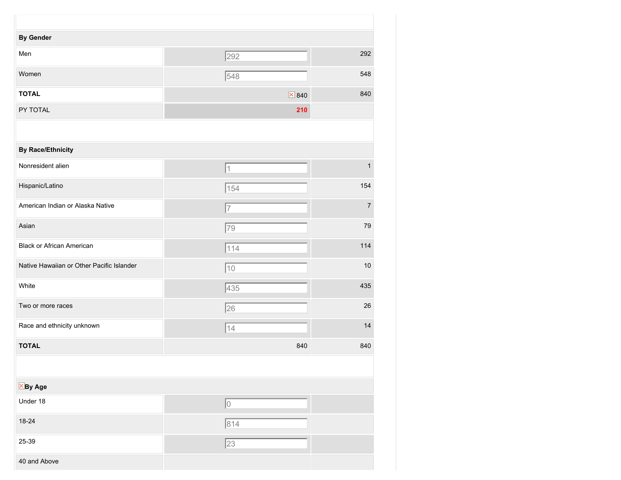| <b>By Gender</b>                          |                             |                |
|-------------------------------------------|-----------------------------|----------------|
| Men                                       | 292                         | 292            |
| Women                                     | 548                         | 548            |
| <b>TOTAL</b>                              | $\overline{\mathbf{X}}$ 840 | 840            |
| PY TOTAL                                  | 210                         |                |
|                                           |                             |                |
| <b>By Race/Ethnicity</b>                  |                             |                |
| Nonresident alien                         | $\vert$ 1                   | $\mathbf{1}$   |
| Hispanic/Latino                           | $\sqrt{154}$                | 154            |
| American Indian or Alaska Native          | 7                           | $\overline{7}$ |
| Asian                                     | 79                          | 79             |
| <b>Black or African American</b>          | 114                         | 114            |
| Native Hawaiian or Other Pacific Islander | $ 10\rangle$                | $10$           |
| White                                     | 435                         | 435            |
| Two or more races                         | 26                          | 26             |
| Race and ethnicity unknown                | 14                          | 14             |
| <b>TOTAL</b>                              | 840                         | 840            |
|                                           |                             |                |
| $\overline{\mathbb{X}}$ By Age            |                             |                |
| Under 18                                  | 0                           |                |
| 18-24                                     | 814                         |                |
| 25-39                                     | $\sqrt{23}$                 |                |
| 40 and Above                              |                             |                |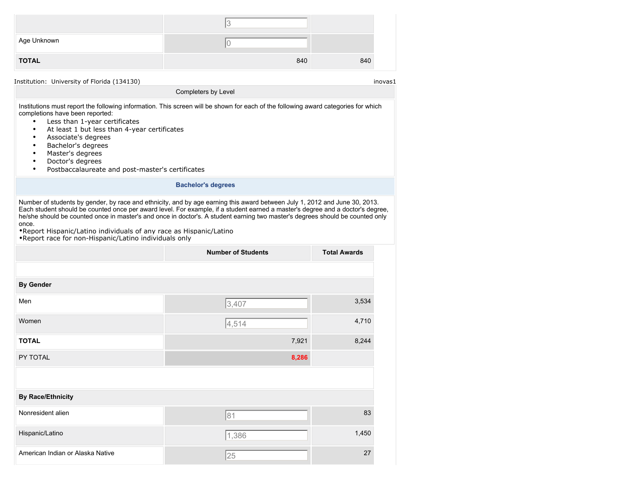| Age Unknown  |     |     |
|--------------|-----|-----|
| <b>TOTAL</b> | 840 | 840 |

Institutions must report the following information. This screen will be shown for each of the following award categories for which completions have been reported:

Completers by Level

- Less than 1-year certificates
- At least 1 but less than 4-year certificates
- Associate's degrees
- Bachelor's degrees
- Master's degrees
- Doctor's degrees
- Postbaccalaureate and post-master's certificates

#### **Bachelor's degrees**

Number of students by gender, by race and ethnicity, and by age earning this award between July 1, 2012 and June 30, 2013. Each student should be counted once per award level. For example, if a student earned a master's degree and a doctor's degree, he/she should be counted once in master's and once in doctor's. A student earning two master's degrees should be counted only once.

|                                  | <b>Number of Students</b> | <b>Total Awards</b> |
|----------------------------------|---------------------------|---------------------|
|                                  |                           |                     |
| <b>By Gender</b>                 |                           |                     |
| Men                              | 3,407                     | 3,534               |
| Women                            | 4,514                     | 4,710               |
| <b>TOTAL</b>                     | 7,921                     | 8,244               |
| PY TOTAL                         | 8,286                     |                     |
|                                  |                           |                     |
| <b>By Race/Ethnicity</b>         |                           |                     |
| Nonresident alien                | 81                        | 83                  |
| Hispanic/Latino                  | 1,386                     | 1,450               |
| American Indian or Alaska Native | 25                        | 27                  |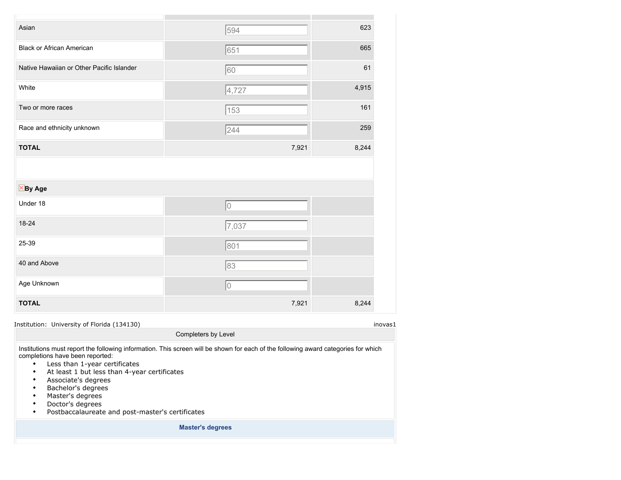| Asian                                     | 594   | 623   |
|-------------------------------------------|-------|-------|
| <b>Black or African American</b>          | 651   | 665   |
| Native Hawaiian or Other Pacific Islander | 60    | 61    |
| White                                     | 4,727 | 4,915 |
| Two or more races                         | 153   | 161   |
| Race and ethnicity unknown                | 244   | 259   |
| <b>TOTAL</b>                              | 7,921 | 8,244 |
|                                           |       |       |
| $X$ By Age                                |       |       |
| Under 18                                  | 10    |       |
| 18-24                                     | 7,037 |       |
| 25-39                                     | 801   |       |
| 40 and Above                              | 83    |       |
| Age Unknown                               | 10    |       |
| <b>TOTAL</b>                              | 7,921 | 8,244 |

Institution: University of Florida (134130) inovas1

Institutions must report the following information. This screen will be shown for each of the following award categories for which completions have been reported:

Completers by Level

- Less than 1-year certificates
- At least 1 but less than 4-year certificates
- Associate's degrees
- Bachelor's degrees
- Master's degrees
- Doctor's degrees
- Postbaccalaureate and post-master's certificates

**Master's degrees**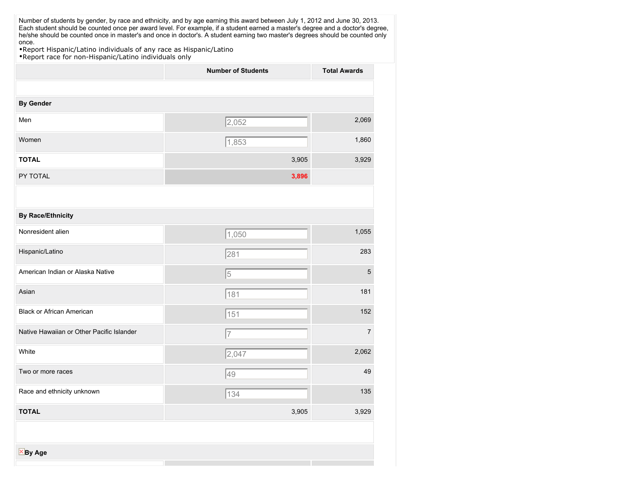| Number of students by gender, by race and ethnicity, and by age earning this award between July 1, 2012 and June 30, 2013.<br>Each student should be counted once per award level. For example, if a student earned a master's degree and a doctor's degree, |                           |                     |
|--------------------------------------------------------------------------------------------------------------------------------------------------------------------------------------------------------------------------------------------------------------|---------------------------|---------------------|
| he/she should be counted once in master's and once in doctor's. A student earning two master's degrees should be counted only<br>once.                                                                                                                       |                           |                     |
| . Report Hispanic/Latino individuals of any race as Hispanic/Latino<br>. Report race for non-Hispanic/Latino individuals only                                                                                                                                |                           |                     |
|                                                                                                                                                                                                                                                              | <b>Number of Students</b> | <b>Total Awards</b> |
|                                                                                                                                                                                                                                                              |                           |                     |
| <b>By Gender</b>                                                                                                                                                                                                                                             |                           |                     |
| Men                                                                                                                                                                                                                                                          | 2,052                     | 2,069               |
|                                                                                                                                                                                                                                                              |                           |                     |
| Women                                                                                                                                                                                                                                                        | 1,853                     | 1,860               |
| <b>TOTAL</b>                                                                                                                                                                                                                                                 | 3,905                     | 3,929               |
| PY TOTAL                                                                                                                                                                                                                                                     | 3,896                     |                     |
|                                                                                                                                                                                                                                                              |                           |                     |
|                                                                                                                                                                                                                                                              |                           |                     |
| <b>By Race/Ethnicity</b>                                                                                                                                                                                                                                     |                           |                     |
| Nonresident alien                                                                                                                                                                                                                                            | 1,050                     | 1,055               |
| Hispanic/Latino                                                                                                                                                                                                                                              | 281                       | 283                 |
|                                                                                                                                                                                                                                                              |                           |                     |
| American Indian or Alaska Native                                                                                                                                                                                                                             | 5                         | 5                   |

Asian 181 | 181 | 182 | 182 | 182 | 182 | 182 | 182 | 182 | 182 | 182 | 182 | 182 | 182 | 182 | 182 | 182 | 18 Black or African American 152 181 151

| Native Hawaiian or Other Pacific Islander |       | 7     |
|-------------------------------------------|-------|-------|
| White                                     | 2,047 | 2,062 |
| Two or more races                         | 49    | 49    |
| Race and ethnicity unknown                | 134   | 135   |
| TOTAL                                     | 3,905 | 3,929 |
|                                           |       |       |

**By Age**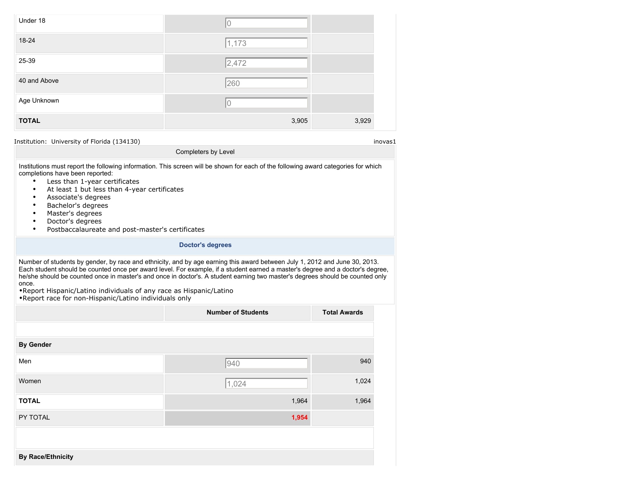| Under 18     | U     |       |
|--------------|-------|-------|
| 18-24        | 1,173 |       |
| 25-39        | 2,472 |       |
| 40 and Above | 260   |       |
| Age Unknown  | 10    |       |
| <b>TOTAL</b> | 3,905 | 3,929 |
|              |       |       |

Institutions must report the following information. This screen will be shown for each of the following award categories for which completions have been reported:

Completers by Level

- Less than 1-year certificates<br>• At least 1 but less than 4-year
- At least 1 but less than 4-year certificates
- Associate's degrees
- Bachelor's degrees
- Master's degrees
- Doctor's degrees
- Postbaccalaureate and post-master's certificates

#### **Doctor's degrees**

Number of students by gender, by race and ethnicity, and by age earning this award between July 1, 2012 and June 30, 2013. Each student should be counted once per award level. For example, if a student earned a master's degree and a doctor's degree, he/she should be counted once in master's and once in doctor's. A student earning two master's degrees should be counted only once.

|                          | <b>Number of Students</b> | <b>Total Awards</b> |
|--------------------------|---------------------------|---------------------|
|                          |                           |                     |
| <b>By Gender</b>         |                           |                     |
| Men                      | 940                       | 940                 |
| Women                    | 1,024                     | 1,024               |
| <b>TOTAL</b>             | 1,964                     | 1,964               |
| PY TOTAL                 | 1,954                     |                     |
|                          |                           |                     |
| <b>By Race/Ethnicity</b> |                           |                     |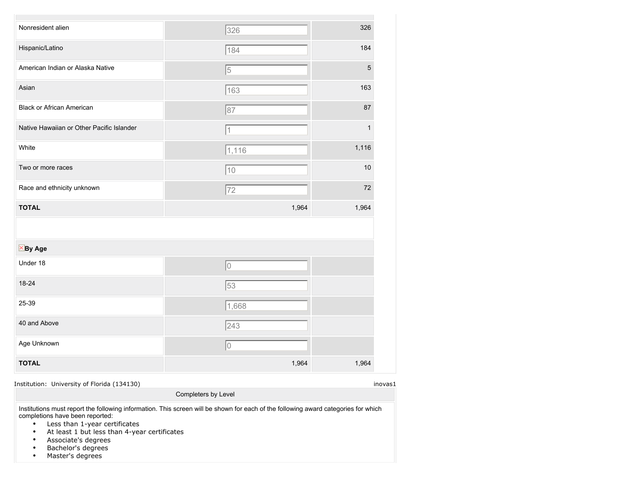| Nonresident alien                         | 326         | 326            |
|-------------------------------------------|-------------|----------------|
| Hispanic/Latino                           | 184         | 184            |
| American Indian or Alaska Native          | $\sqrt{5}$  | $\overline{5}$ |
| Asian                                     | 163         | 163            |
| <b>Black or African American</b>          | 87          | 87             |
| Native Hawaiian or Other Pacific Islander | 1           | 1              |
| White                                     | 1,116       | 1,116          |
| Two or more races                         | $\sqrt{10}$ | 10             |
|                                           |             | 72             |
| Race and ethnicity unknown                | $\sqrt{72}$ |                |
| <b>TOTAL</b>                              | 1,964       | 1,964          |
|                                           |             |                |
| $X$ By Age                                |             |                |
| Under 18                                  | lo          |                |
| 18-24                                     | 53          |                |
| 25-39                                     | 1,668       |                |
| 40 and Above                              | 243         |                |
| Age Unknown                               | 10          |                |

Institution: University of Florida (134130) inovas1

Institutions must report the following information. This screen will be shown for each of the following award categories for which completions have been reported:

Completers by Level

- Less than 1-year certificates
- At least 1 but less than 4-year certificates
- Associate's degrees
- Bachelor's degrees
- Master's degrees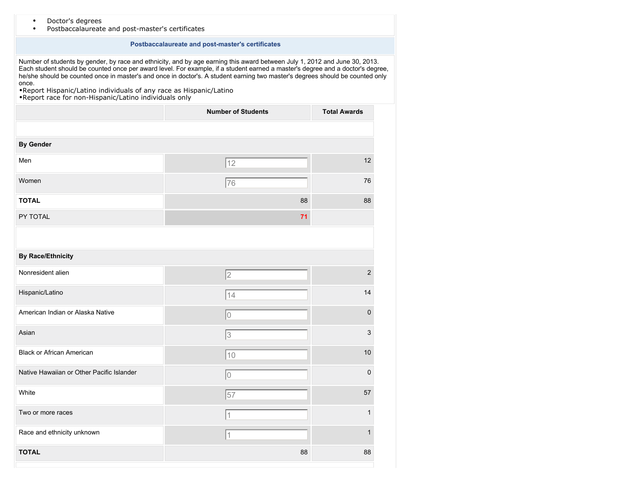|  | Doctor's degrees |  |
|--|------------------|--|
|--|------------------|--|

• Postbaccalaureate and post-master's certificates

#### **Postbaccalaureate and post-master's certificates**

Number of students by gender, by race and ethnicity, and by age earning this award between July 1, 2012 and June 30, 2013. Each student should be counted once per award level. For example, if a student earned a master's degree and a doctor's degree, he/she should be counted once in master's and once in doctor's. A student earning two master's degrees should be counted only once.

|                                           | <b>Number of Students</b> | <b>Total Awards</b> |
|-------------------------------------------|---------------------------|---------------------|
|                                           |                           |                     |
| <b>By Gender</b>                          |                           |                     |
| Men                                       | 12                        | 12                  |
| Women                                     | 76                        | 76                  |
| <b>TOTAL</b>                              | 88                        | 88                  |
| PY TOTAL                                  | 71                        |                     |
|                                           |                           |                     |
| <b>By Race/Ethnicity</b>                  |                           |                     |
| Nonresident alien                         | $\vert$ 2                 | $\overline{2}$      |
| Hispanic/Latino                           | 14                        | 14                  |
| American Indian or Alaska Native          | 10                        | $\pmb{0}$           |
| Asian                                     | 3                         | $\mathsf 3$         |
| <b>Black or African American</b>          | $\sqrt{10}$               | 10                  |
| Native Hawaiian or Other Pacific Islander | 10                        | $\mathbf 0$         |
| White                                     | $\sqrt{57}$               | 57                  |
| Two or more races                         | 1                         | 1                   |
| Race and ethnicity unknown                | 1                         | 1                   |
| <b>TOTAL</b>                              | 88                        | 88                  |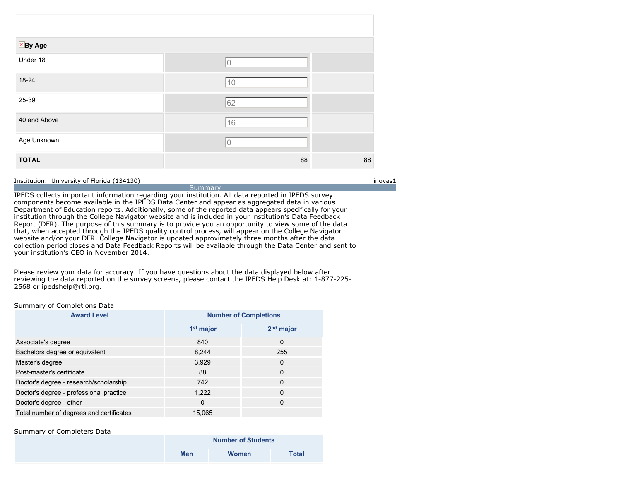| $\times$ By Age |    |    |
|-----------------|----|----|
| Under 18        |    |    |
| 18-24           | 10 |    |
| 25-39           | 62 |    |
| 40 and Above    | 16 |    |
| Age Unknown     |    |    |
| <b>TOTAL</b>    | 88 | 88 |

**Summary** IPEDS collects important information regarding your institution. All data reported in IPEDS survey components become available in the IPEDS Data Center and appear as aggregated data in various Department of Education reports. Additionally, some of the reported data appears specifically for your institution through the College Navigator website and is included in your institution's Data Feedback Report (DFR). The purpose of this summary is to provide you an opportunity to view some of the data that, when accepted through the IPEDS quality control process, will appear on the College Navigator website and/or your DFR. College Navigator is updated approximately three months after the data collection period closes and Data Feedback Reports will be available through the Data Center and sent to your institution's CEO in November 2014.

Please review your data for accuracy. If you have questions about the data displayed below after reviewing the data reported on the survey screens, please contact the IPEDS Help Desk at: 1-877-225- 2568 or ipedshelp@rti.org.

#### Summary of Completions Data

| <b>Award Level</b>                       | <b>Number of Completions</b> |                       |  |
|------------------------------------------|------------------------------|-----------------------|--|
|                                          | 1 <sup>st</sup> major        | 2 <sup>nd</sup> major |  |
| Associate's degree                       | 840                          | $\mathbf 0$           |  |
| Bachelors degree or equivalent           | 8,244                        | 255                   |  |
| Master's degree                          | 3,929                        | $\mathbf 0$           |  |
| Post-master's certificate                | 88                           | $\mathbf 0$           |  |
| Doctor's degree - research/scholarship   | 742                          | $\mathbf 0$           |  |
| Doctor's degree - professional practice  | 1,222                        | $\Omega$              |  |
| Doctor's degree - other                  | $\mathbf 0$                  | 0                     |  |
| Total number of degrees and certificates | 15.065                       |                       |  |

#### Summary of Completers Data

| <b>Number of Students</b> |       |              |
|---------------------------|-------|--------------|
| <b>Men</b>                | Women | <b>Total</b> |